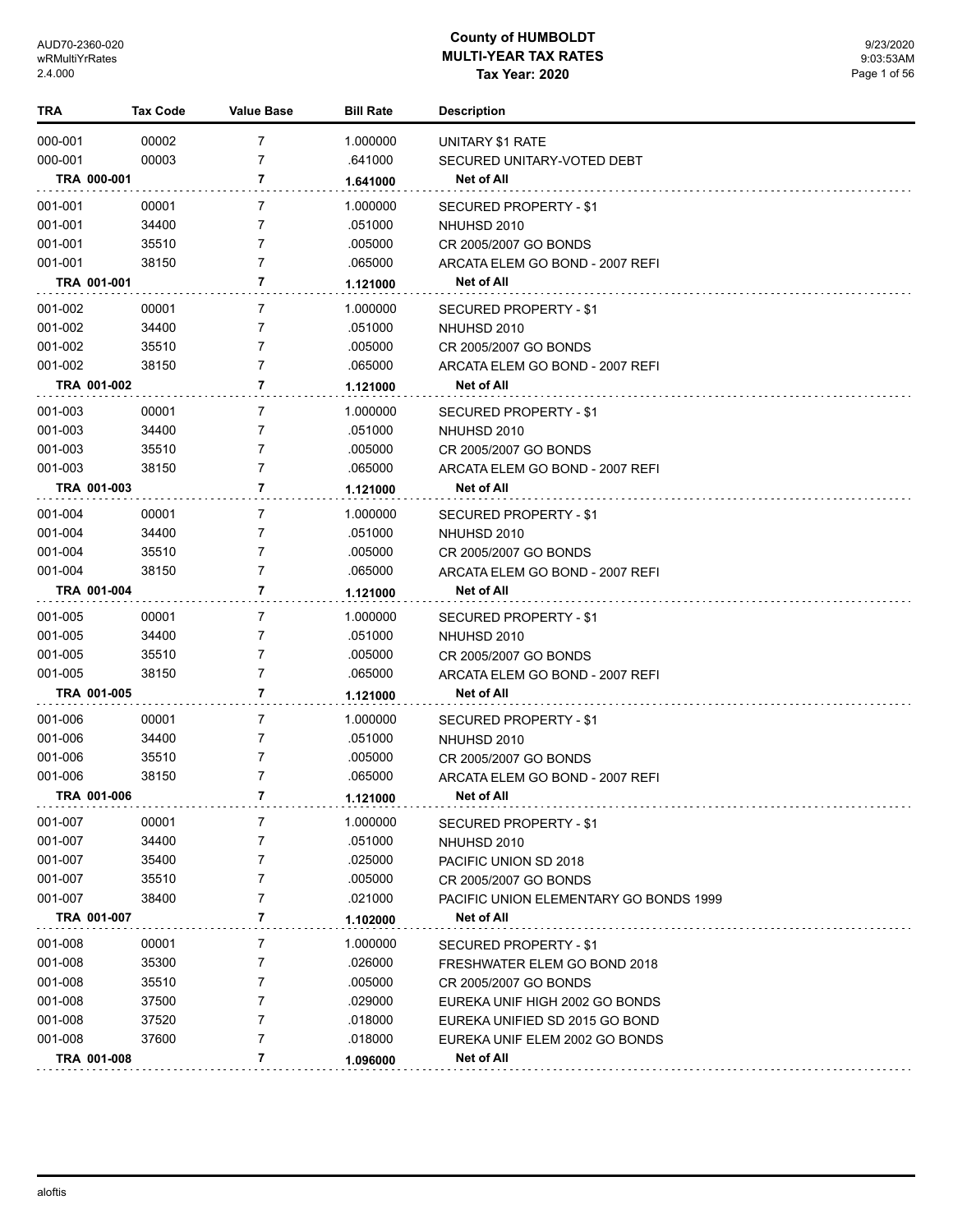| TRA         | Tax Code | <b>Value Base</b> | <b>Bill Rate</b> | <b>Description</b>                     |
|-------------|----------|-------------------|------------------|----------------------------------------|
| 000-001     | 00002    | $\overline{7}$    | 1.000000         | UNITARY \$1 RATE                       |
| 000-001     | 00003    | 7                 | .641000          | SECURED UNITARY-VOTED DEBT             |
| TRA 000-001 |          | 7                 | 1.641000         | Net of All                             |
| 001-001     | 00001    | 7                 | 1.000000         | SECURED PROPERTY - \$1                 |
| 001-001     | 34400    | 7                 | .051000          | NHUHSD 2010                            |
| 001-001     | 35510    | 7                 | .005000          | CR 2005/2007 GO BONDS                  |
| 001-001     | 38150    | 7                 | .065000          | ARCATA ELEM GO BOND - 2007 REFI        |
| TRA 001-001 |          | 7                 | 1.121000         | Net of All                             |
| 001-002     | 00001    | 7                 | 1.000000         | SECURED PROPERTY - \$1                 |
| 001-002     | 34400    | 7                 | .051000          | NHUHSD 2010                            |
| 001-002     | 35510    | 7                 | .005000          | CR 2005/2007 GO BONDS                  |
| 001-002     | 38150    | 7                 | .065000          | ARCATA ELEM GO BOND - 2007 REFI        |
| TRA 001-002 |          | 7                 | 1.121000         | Net of All                             |
| 001-003     | 00001    | 7                 | 1.000000         | SECURED PROPERTY - \$1                 |
| 001-003     | 34400    | 7                 | .051000          | NHUHSD 2010                            |
| 001-003     | 35510    | 7                 | .005000          | CR 2005/2007 GO BONDS                  |
| 001-003     | 38150    | 7                 | .065000          | ARCATA ELEM GO BOND - 2007 REFI        |
| TRA 001-003 |          | 7                 | 1.121000         | Net of All                             |
| 001-004     | 00001    | 7                 | 1.000000         | SECURED PROPERTY - \$1                 |
| 001-004     | 34400    | 7                 | .051000          | NHUHSD 2010                            |
| 001-004     | 35510    | 7                 | .005000          | CR 2005/2007 GO BONDS                  |
| 001-004     | 38150    | 7                 | .065000          | ARCATA ELEM GO BOND - 2007 REFI        |
| TRA 001-004 |          | 7                 | 1.121000         | Net of All                             |
| 001-005     | 00001    | 7                 | 1.000000         | SECURED PROPERTY - \$1                 |
| 001-005     | 34400    | 7                 | .051000          | NHUHSD 2010                            |
| 001-005     | 35510    | 7                 | .005000          | CR 2005/2007 GO BONDS                  |
| 001-005     | 38150    | 7                 | .065000          | ARCATA ELEM GO BOND - 2007 REFI        |
| TRA 001-005 |          | 7                 | 1.121000         | Net of All                             |
| 001-006     | 00001    | 7                 | 1.000000         | SECURED PROPERTY - \$1                 |
| 001-006     | 34400    | 7                 | .051000          | NHUHSD 2010                            |
| 001-006     | 35510    | 7                 | .005000          | CR 2005/2007 GO BONDS                  |
| 001-006     | 38150    | 7                 | .065000          | ARCATA ELEM GO BOND - 2007 REFI        |
| TRA 001-006 |          | 7                 | 1.121000         | Net of All                             |
| 001-007     | 00001    | 7                 | 1.000000         | SECURED PROPERTY - \$1                 |
| 001-007     | 34400    | 7                 | .051000          | NHUHSD 2010                            |
| 001-007     | 35400    | 7                 | .025000          | PACIFIC UNION SD 2018                  |
| 001-007     | 35510    | 7                 | .005000          | CR 2005/2007 GO BONDS                  |
| 001-007     | 38400    | 7                 | .021000          | PACIFIC UNION ELEMENTARY GO BONDS 1999 |
| TRA 001-007 |          | 7                 | 1.102000         | Net of All                             |
| 001-008     | 00001    | 7                 | 1.000000         | SECURED PROPERTY - \$1                 |
| 001-008     | 35300    | 7                 | .026000          | FRESHWATER ELEM GO BOND 2018           |
| 001-008     | 35510    | 7                 | .005000          | CR 2005/2007 GO BONDS                  |
| 001-008     | 37500    | 7                 | .029000          | EUREKA UNIF HIGH 2002 GO BONDS         |
| 001-008     | 37520    | 7                 | .018000          | EUREKA UNIFIED SD 2015 GO BOND         |
| 001-008     | 37600    | 7                 | .018000          | EUREKA UNIF ELEM 2002 GO BONDS         |
| TRA 001-008 |          | 7                 | 1.096000         | Net of All                             |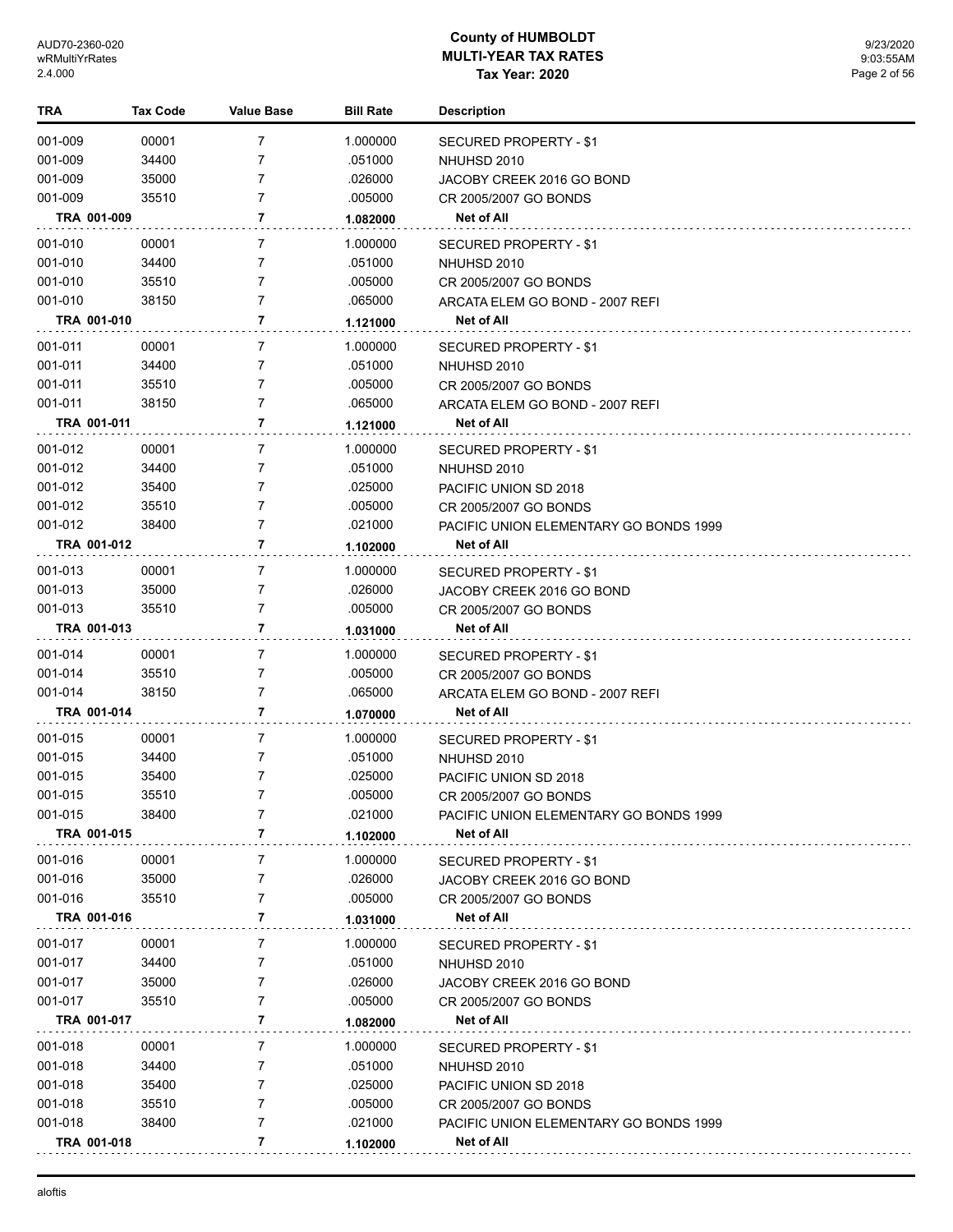| TRA         | <b>Tax Code</b> | <b>Value Base</b> | <b>Bill Rate</b> | <b>Description</b>                     |
|-------------|-----------------|-------------------|------------------|----------------------------------------|
| 001-009     | 00001           | 7                 | 1.000000         | SECURED PROPERTY - \$1                 |
| 001-009     | 34400           | 7                 | .051000          | NHUHSD 2010                            |
| 001-009     | 35000           | 7                 | .026000          | JACOBY CREEK 2016 GO BOND              |
| 001-009     | 35510           | 7                 | .005000          | CR 2005/2007 GO BONDS                  |
| TRA 001-009 |                 | 7                 | 1.082000         | Net of All                             |
| 001-010     | 00001           | 7                 | 1.000000         | SECURED PROPERTY - \$1                 |
| 001-010     | 34400           | 7                 | .051000          | NHUHSD 2010                            |
| 001-010     | 35510           | 7                 | .005000          | CR 2005/2007 GO BONDS                  |
| 001-010     | 38150           | 7                 | .065000          | ARCATA ELEM GO BOND - 2007 REFI        |
| TRA 001-010 |                 | 7                 | 1.121000         | <b>Net of All</b>                      |
| 001-011     | 00001           | 7                 | 1.000000         | SECURED PROPERTY - \$1                 |
| 001-011     | 34400           | 7                 | .051000          | NHUHSD 2010                            |
| 001-011     | 35510           | 7                 | .005000          | CR 2005/2007 GO BONDS                  |
| 001-011     | 38150           | 7                 | .065000          | ARCATA ELEM GO BOND - 2007 REFI        |
| TRA 001-011 |                 | 7                 | 1.121000         | Net of All                             |
| 001-012     | 00001           | 7                 | 1.000000         | SECURED PROPERTY - \$1                 |
| 001-012     | 34400           | 7                 | .051000          | NHUHSD 2010                            |
| 001-012     | 35400           | 7                 | .025000          | PACIFIC UNION SD 2018                  |
| 001-012     | 35510           | 7                 | .005000          | CR 2005/2007 GO BONDS                  |
| 001-012     | 38400           | 7                 | .021000          | PACIFIC UNION ELEMENTARY GO BONDS 1999 |
| TRA 001-012 |                 | 7                 | 1.102000         | <b>Net of All</b>                      |
| 001-013     | 00001           | $\overline{7}$    | 1.000000         | <b>SECURED PROPERTY - \$1</b>          |
| 001-013     | 35000           | 7                 | .026000          | JACOBY CREEK 2016 GO BOND              |
| 001-013     | 35510           | 7                 | .005000          | CR 2005/2007 GO BONDS                  |
| TRA 001-013 |                 | 7                 | 1.031000         | Net of All                             |
| 001-014     | 00001           | 7                 | 1.000000         | SECURED PROPERTY - \$1                 |
| 001-014     | 35510           | 7                 | .005000          | CR 2005/2007 GO BONDS                  |
| 001-014     | 38150           | 7                 | .065000          | ARCATA ELEM GO BOND - 2007 REFI        |
| TRA 001-014 |                 | 7                 | 1.070000         | Net of All                             |
| 001-015     | 00001           | $\overline{7}$    | 1.000000         | <b>SECURED PROPERTY - \$1</b>          |
| 001-015     | 34400           | 7                 | .051000          | NHUHSD 2010                            |
| 001-015     | 35400           | 7                 | .025000          | PACIFIC UNION SD 2018                  |
| 001-015     | 35510           | 7                 | .005000          | CR 2005/2007 GO BONDS                  |
| 001-015     | 38400           | 7                 | .021000          | PACIFIC UNION ELEMENTARY GO BONDS 1999 |
| TRA 001-015 |                 | 7                 | 1.102000         | Net of All                             |
| 001-016     | 00001           | 7                 | 1.000000         | SECURED PROPERTY - \$1                 |
| 001-016     | 35000           | 7                 | .026000          | JACOBY CREEK 2016 GO BOND              |
| 001-016     | 35510           | 7                 | .005000          | CR 2005/2007 GO BONDS                  |
| TRA 001-016 |                 | 7                 | 1.031000         | Net of All                             |
| 001-017     | 00001           | 7                 | 1.000000         | <b>SECURED PROPERTY - \$1</b>          |
| 001-017     | 34400           | 7                 | .051000          | NHUHSD 2010                            |
| 001-017     | 35000           | 7                 | .026000          | JACOBY CREEK 2016 GO BOND              |
| 001-017     | 35510           | 7                 | .005000          | CR 2005/2007 GO BONDS                  |
| TRA 001-017 |                 | 7                 | 1.082000         | Net of All                             |
| 001-018     | 00001           | 7                 | 1.000000         | SECURED PROPERTY - \$1                 |
| 001-018     | 34400           | 7                 | .051000          | NHUHSD 2010                            |
| 001-018     | 35400           | 7                 | .025000          | PACIFIC UNION SD 2018                  |
| 001-018     | 35510           | 7                 | .005000          | CR 2005/2007 GO BONDS                  |
| 001-018     | 38400           | 7                 | .021000          | PACIFIC UNION ELEMENTARY GO BONDS 1999 |
| TRA 001-018 |                 | 7                 | 1.102000         | Net of All                             |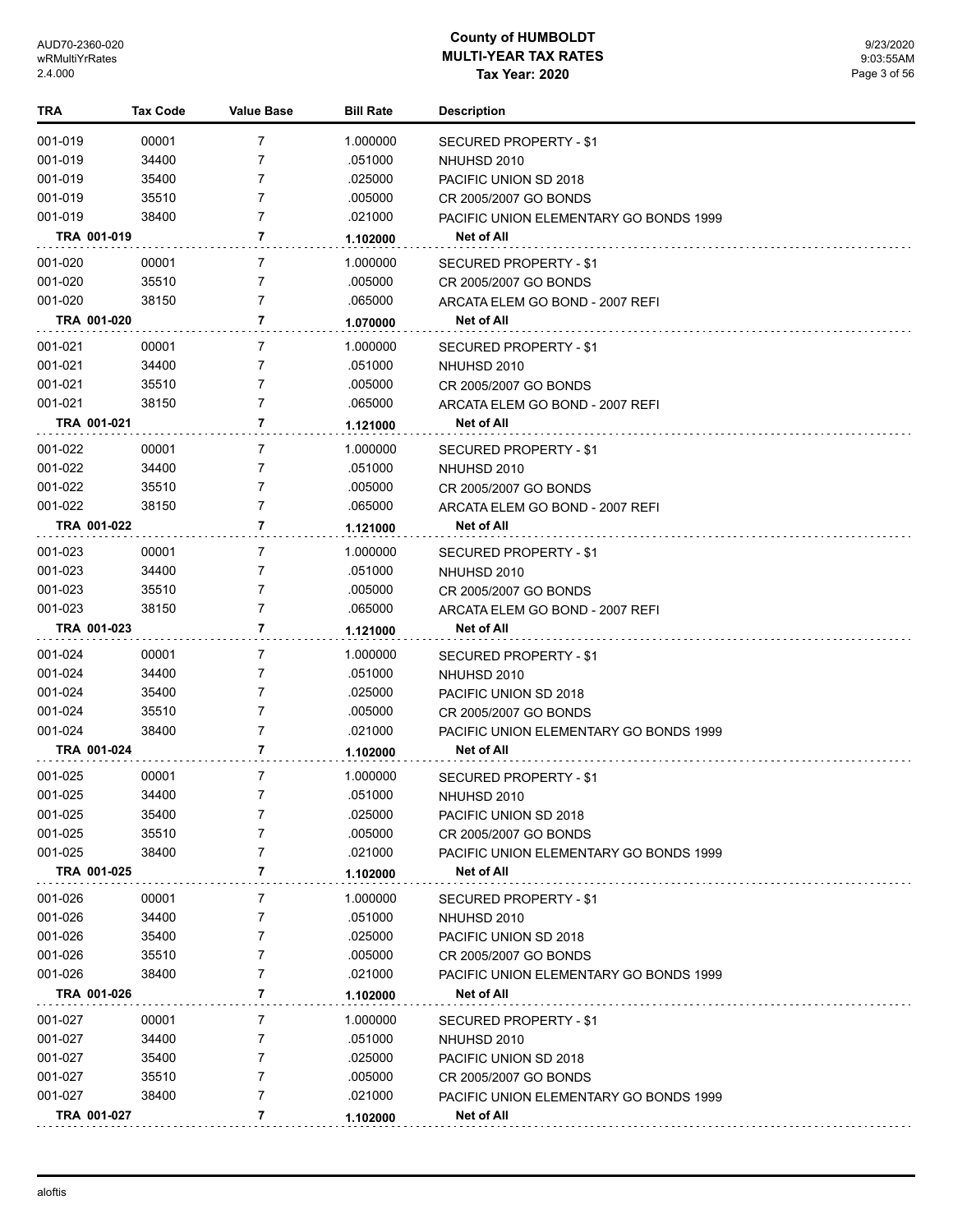| TRA                | <b>Tax Code</b> | <b>Value Base</b> | <b>Bill Rate</b>   | <b>Description</b>                            |
|--------------------|-----------------|-------------------|--------------------|-----------------------------------------------|
| 001-019            | 00001           | 7                 | 1.000000           | <b>SECURED PROPERTY - \$1</b>                 |
| 001-019            | 34400           | 7                 | .051000            | NHUHSD 2010                                   |
| 001-019            | 35400           | 7                 | .025000            | PACIFIC UNION SD 2018                         |
| 001-019            | 35510           | 7                 | .005000            | CR 2005/2007 GO BONDS                         |
| 001-019            | 38400           | 7                 | .021000            | PACIFIC UNION ELEMENTARY GO BONDS 1999        |
| TRA 001-019        |                 | 7                 | 1.102000           | Net of All                                    |
| 001-020            | 00001           | 7                 | 1.000000           | <b>SECURED PROPERTY - \$1</b>                 |
| 001-020            | 35510           | 7                 | .005000            | CR 2005/2007 GO BONDS                         |
| 001-020            | 38150           | $\overline{7}$    | .065000            | ARCATA ELEM GO BOND - 2007 REFI               |
| TRA 001-020        |                 | 7                 | 1.070000           | Net of All                                    |
| 001-021            | 00001           | 7                 | 1.000000           | <b>SECURED PROPERTY - \$1</b>                 |
| 001-021            | 34400           | 7                 | .051000            | NHUHSD 2010                                   |
| 001-021            | 35510           | 7                 | .005000            | CR 2005/2007 GO BONDS                         |
| 001-021            | 38150           | 7                 | .065000            | ARCATA ELEM GO BOND - 2007 REFI               |
| TRA 001-021        |                 | 7                 | 1.121000           | Net of All                                    |
| 001-022            | 00001           | 7                 | 1.000000           |                                               |
| 001-022            | 34400           | 7                 | .051000            | SECURED PROPERTY - \$1<br>NHUHSD 2010         |
| 001-022            | 35510           | 7                 | .005000            | CR 2005/2007 GO BONDS                         |
| 001-022            | 38150           | 7                 | .065000            | ARCATA ELEM GO BOND - 2007 REFI               |
| TRA 001-022        |                 | 7                 | 1.121000           | <b>Net of All</b>                             |
|                    |                 |                   |                    |                                               |
| 001-023            | 00001           | 7                 | 1.000000           | <b>SECURED PROPERTY - \$1</b>                 |
| 001-023<br>001-023 | 34400<br>35510  | 7<br>7            | .051000<br>.005000 | NHUHSD 2010                                   |
| 001-023            | 38150           | 7                 | .065000            | CR 2005/2007 GO BONDS                         |
| TRA 001-023        |                 | $\overline{7}$    | 1.121000           | ARCATA ELEM GO BOND - 2007 REFI<br>Net of All |
| 001-024            | 00001           | 7                 | 1.000000           |                                               |
| 001-024            | 34400           | 7                 | .051000            | SECURED PROPERTY - \$1<br>NHUHSD 2010         |
| 001-024            | 35400           | $\overline{7}$    | .025000            | PACIFIC UNION SD 2018                         |
| 001-024            | 35510           | 7                 | .005000            | CR 2005/2007 GO BONDS                         |
| 001-024            | 38400           | 7                 | .021000            | PACIFIC UNION ELEMENTARY GO BONDS 1999        |
| TRA 001-024        |                 | 7                 | 1.102000           | Net of All                                    |
| 001-025            | 00001           | $\overline{7}$    | 1.000000           | SECURED PROPERTY - \$1                        |
| 001-025            | 34400           | 7                 | .051000            | NHUHSD 2010                                   |
| 001-025            | 35400           | 7                 | .025000            | PACIFIC UNION SD 2018                         |
| 001-025            | 35510           |                   | .005000            | CR 2005/2007 GO BONDS                         |
| 001-025            | 38400           | 7                 | .021000            | PACIFIC UNION ELEMENTARY GO BONDS 1999        |
| TRA 001-025        |                 | 7                 | 1.102000           | Net of All                                    |
| 001-026            | 00001           | 7                 | 1.000000           | <b>SECURED PROPERTY - \$1</b>                 |
| 001-026            | 34400           | 7                 | .051000            | NHUHSD 2010                                   |
| 001-026            | 35400           | 7                 | .025000            | PACIFIC UNION SD 2018                         |
| 001-026            | 35510           | 7                 | .005000            | CR 2005/2007 GO BONDS                         |
| 001-026            | 38400           | 7                 | .021000            | PACIFIC UNION ELEMENTARY GO BONDS 1999        |
| TRA 001-026        |                 | 7                 | 1.102000           | Net of All                                    |
| 001-027            | 00001           | 7                 | 1.000000           | SECURED PROPERTY - \$1                        |
| 001-027            | 34400           | 7                 | .051000            | NHUHSD 2010                                   |
| 001-027            | 35400           | 7                 | .025000            | PACIFIC UNION SD 2018                         |
| 001-027            | 35510           | 7                 | .005000            | CR 2005/2007 GO BONDS                         |
| 001-027            | 38400           | 7                 | .021000            | PACIFIC UNION ELEMENTARY GO BONDS 1999        |
| TRA 001-027        |                 | 7                 | 1.102000           | Net of All                                    |
|                    |                 |                   |                    |                                               |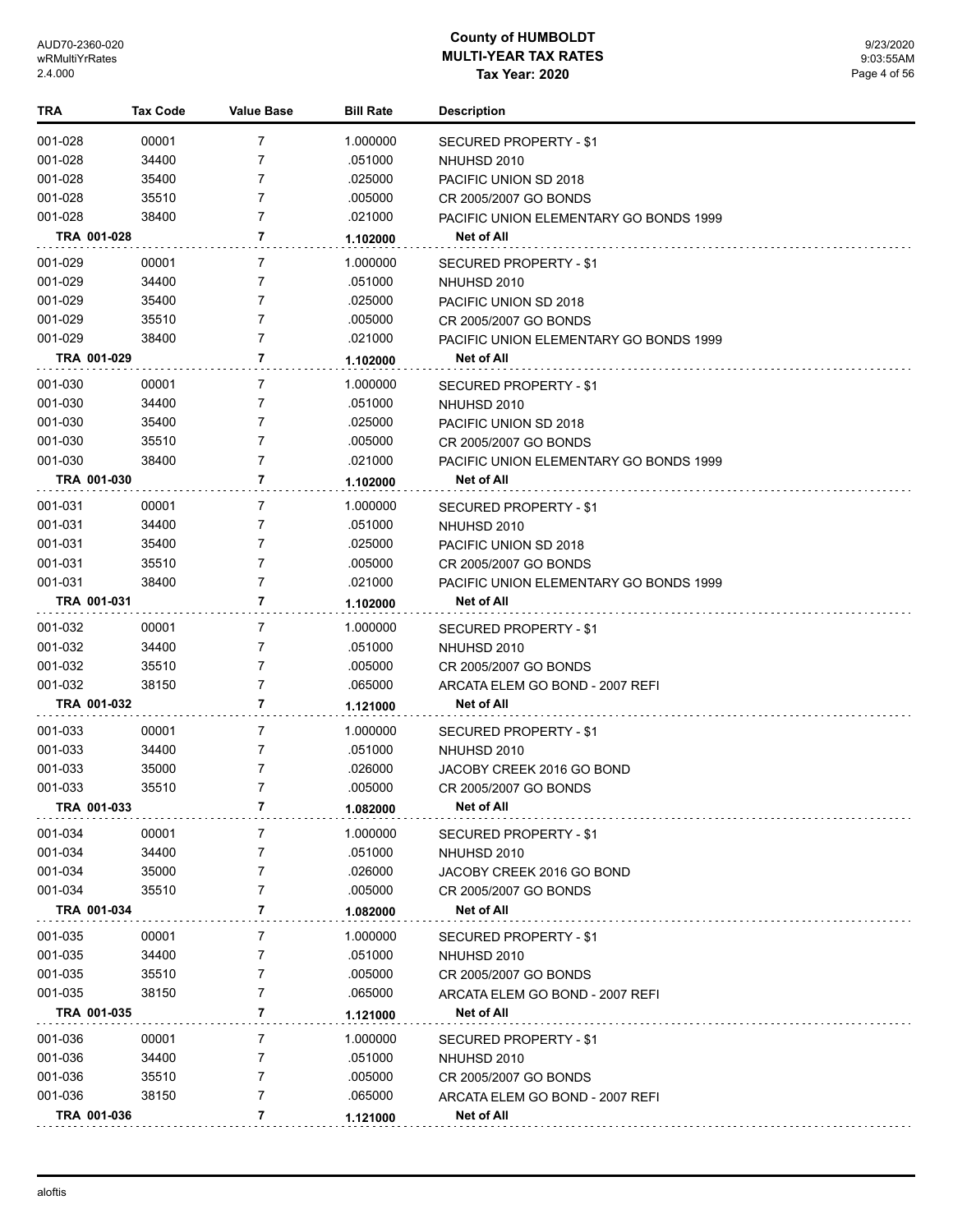| TRA         | <b>Tax Code</b> | Value Base     | <b>Bill Rate</b> | <b>Description</b>                     |
|-------------|-----------------|----------------|------------------|----------------------------------------|
| 001-028     | 00001           | 7              | 1.000000         | <b>SECURED PROPERTY - \$1</b>          |
| 001-028     | 34400           | 7              | .051000          | NHUHSD 2010                            |
| 001-028     | 35400           | $\overline{7}$ | .025000          | PACIFIC UNION SD 2018                  |
| 001-028     | 35510           | $\overline{7}$ | .005000          | CR 2005/2007 GO BONDS                  |
| 001-028     | 38400           | 7              | .021000          | PACIFIC UNION ELEMENTARY GO BONDS 1999 |
| TRA 001-028 |                 | 7              | 1.102000         | Net of All                             |
| 001-029     | 00001           | 7              | 1.000000         | SECURED PROPERTY - \$1                 |
| 001-029     | 34400           | $\overline{7}$ | .051000          | NHUHSD 2010                            |
| 001-029     | 35400           | $\overline{7}$ | .025000          | PACIFIC UNION SD 2018                  |
| 001-029     | 35510           | $\overline{7}$ | .005000          | CR 2005/2007 GO BONDS                  |
| 001-029     | 38400           | 7              | .021000          | PACIFIC UNION ELEMENTARY GO BONDS 1999 |
| TRA 001-029 |                 | 7              | 1.102000         | Net of All                             |
| 001-030     | 00001           | 7              | 1.000000         | SECURED PROPERTY - \$1                 |
| 001-030     | 34400           | 7              | .051000          | NHUHSD 2010                            |
| 001-030     | 35400           | 7              | .025000          | PACIFIC UNION SD 2018                  |
| 001-030     | 35510           | 7              | .005000          | CR 2005/2007 GO BONDS                  |
| 001-030     | 38400           | 7              | .021000          | PACIFIC UNION ELEMENTARY GO BONDS 1999 |
| TRA 001-030 |                 | $\overline{7}$ | 1.102000         | Net of All                             |
| 001-031     | 00001           | 7              | 1.000000         | SECURED PROPERTY - \$1                 |
| 001-031     | 34400           | 7              | .051000          | NHUHSD 2010                            |
| 001-031     | 35400           | $\overline{7}$ | .025000          | PACIFIC UNION SD 2018                  |
| 001-031     | 35510           | 7              | .005000          | CR 2005/2007 GO BONDS                  |
| 001-031     | 38400           | $\overline{7}$ | .021000          | PACIFIC UNION ELEMENTARY GO BONDS 1999 |
| TRA 001-031 |                 | 7              | 1.102000         | <b>Net of All</b>                      |
| 001-032     | 00001           | $\overline{7}$ | 1.000000         | SECURED PROPERTY - \$1                 |
| 001-032     | 34400           | 7              | .051000          | NHUHSD 2010                            |
| 001-032     | 35510           | 7              | .005000          | CR 2005/2007 GO BONDS                  |
| 001-032     | 38150           | $\overline{7}$ | .065000          | ARCATA ELEM GO BOND - 2007 REFI        |
| TRA 001-032 |                 | 7              | 1.121000         | <b>Net of All</b>                      |
| 001-033     | 00001           | 7              | 1.000000         | <b>SECURED PROPERTY - \$1</b>          |
| 001-033     | 34400           | 7              | .051000          | NHUHSD 2010                            |
| 001-033     | 35000           | $\overline{7}$ | .026000          | JACOBY CREEK 2016 GO BOND              |
| 001-033     | 35510           | $\overline{7}$ | .005000          | CR 2005/2007 GO BONDS                  |
| TRA 001-033 |                 | 7              | 1.082000         | <b>Net of All</b>                      |
| 001-034     | 00001           | 7              | 1.000000         | SECURED PROPERTY - \$1                 |
| 001-034     | 34400           | 7              | .051000          | NHUHSD 2010                            |
| 001-034     | 35000           | 7              | .026000          | JACOBY CREEK 2016 GO BOND              |
| 001-034     | 35510           | 7              | .005000          | CR 2005/2007 GO BONDS                  |
| TRA 001-034 |                 | $\overline{7}$ | 1.082000         | Net of All                             |
| 001-035     | 00001           | 7              | 1.000000         | SECURED PROPERTY - \$1                 |
| 001-035     | 34400           | 7              | .051000          | NHUHSD 2010                            |
| 001-035     | 35510           | 7              | .005000          | CR 2005/2007 GO BONDS                  |
| 001-035     | 38150           | 7              | .065000          | ARCATA ELEM GO BOND - 2007 REFI        |
| TRA 001-035 |                 | $\overline{7}$ | 1.121000         | Net of All                             |
| 001-036     | 00001           | 7              | 1.000000         | SECURED PROPERTY - \$1                 |
| 001-036     | 34400           | 7              | .051000          | NHUHSD 2010                            |
| 001-036     | 35510           | 7              | .005000          | CR 2005/2007 GO BONDS                  |
| 001-036     | 38150           | $\overline{7}$ | .065000          | ARCATA ELEM GO BOND - 2007 REFI        |
| TRA 001-036 |                 | $\overline{7}$ | 1.121000         | <b>Net of All</b>                      |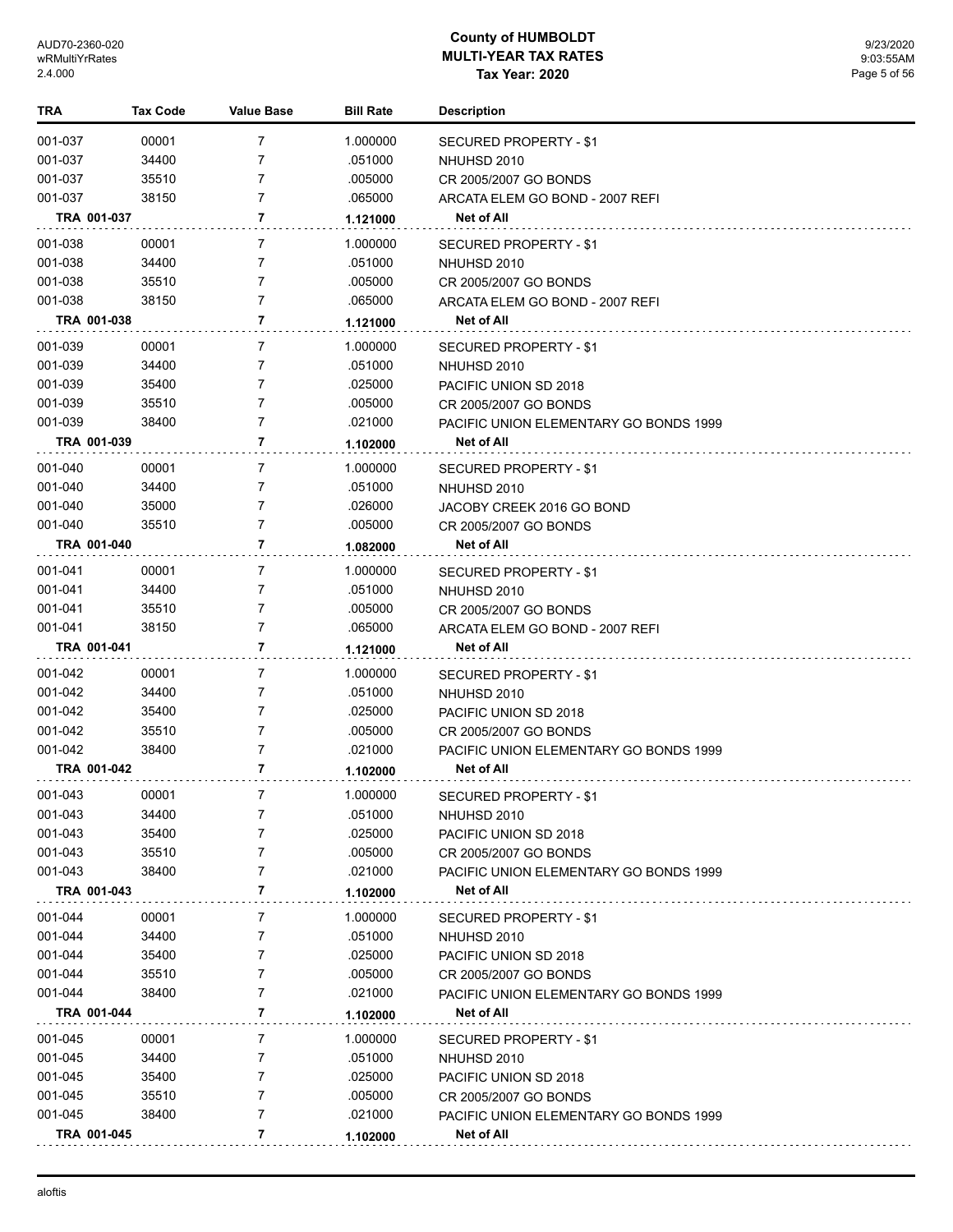| TRA         | <b>Tax Code</b> | <b>Value Base</b> | <b>Bill Rate</b> | <b>Description</b>                            |
|-------------|-----------------|-------------------|------------------|-----------------------------------------------|
| 001-037     | 00001           | 7                 | 1.000000         | SECURED PROPERTY - \$1                        |
| 001-037     | 34400           | 7                 | .051000          | NHUHSD 2010                                   |
| 001-037     | 35510           | 7                 | .005000          | CR 2005/2007 GO BONDS                         |
| 001-037     | 38150           | 7                 | .065000          | ARCATA ELEM GO BOND - 2007 REFI               |
| TRA 001-037 |                 | 7                 | 1.121000         | Net of All                                    |
| 001-038     | 00001           | 7                 | 1.000000         | SECURED PROPERTY - \$1                        |
| 001-038     | 34400           | 7                 | .051000          | NHUHSD 2010                                   |
| 001-038     | 35510           | 7                 | .005000          | CR 2005/2007 GO BONDS                         |
| 001-038     | 38150           | $\overline{7}$    | .065000          | ARCATA ELEM GO BOND - 2007 REFI               |
| TRA 001-038 |                 | 7                 | 1.121000         | <b>Net of All</b>                             |
| 001-039     | 00001           | 7                 | 1.000000         | SECURED PROPERTY - \$1                        |
| 001-039     | 34400           | 7                 | .051000          | NHUHSD 2010                                   |
| 001-039     | 35400           | 7                 | .025000          | PACIFIC UNION SD 2018                         |
| 001-039     | 35510           | 7                 | .005000          | CR 2005/2007 GO BONDS                         |
| 001-039     | 38400           | 7                 | .021000          | PACIFIC UNION ELEMENTARY GO BONDS 1999        |
| TRA 001-039 |                 | $\overline{7}$    | 1.102000         | <b>Net of All</b>                             |
| 001-040     | 00001           | 7                 | 1.000000         | SECURED PROPERTY - \$1                        |
| 001-040     | 34400           | $\overline{7}$    | .051000          | NHUHSD 2010                                   |
| 001-040     | 35000           | 7                 | .026000          | JACOBY CREEK 2016 GO BOND                     |
| 001-040     | 35510           | 7                 | .005000          | CR 2005/2007 GO BONDS                         |
| TRA 001-040 |                 | 7                 | 1.082000         | <b>Net of All</b>                             |
| 001-041     | 00001           | 7                 | 1.000000         | <b>SECURED PROPERTY - \$1</b>                 |
| 001-041     | 34400           | 7                 | .051000          | NHUHSD 2010                                   |
| 001-041     | 35510           | 7                 | .005000          | CR 2005/2007 GO BONDS                         |
| 001-041     | 38150           | 7                 | .065000          | ARCATA ELEM GO BOND - 2007 REFI               |
| TRA 001-041 |                 | 7                 | 1.121000         | Net of All                                    |
| 001-042     | 00001           | 7                 | 1.000000         | SECURED PROPERTY - \$1                        |
| 001-042     | 34400           | 7                 | .051000          | NHUHSD 2010                                   |
| 001-042     | 35400           | 7                 | .025000          | PACIFIC UNION SD 2018                         |
| 001-042     | 35510           | 7                 | .005000          | CR 2005/2007 GO BONDS                         |
| 001-042     | 38400           | 7                 | .021000          | PACIFIC UNION ELEMENTARY GO BONDS 1999        |
| TRA 001-042 |                 | 7                 | 1.102000         | Net of All                                    |
| 001-043     | 00001           | 7                 | 1.000000         | <b>SECURED PROPERTY - \$1</b>                 |
| 001-043     | 34400           | 7                 | .051000          | NHUHSD 2010                                   |
| 001-043     | 35400           | 7                 | .025000          | PACIFIC UNION SD 2018                         |
| 001-043     | 35510           | 7                 | .005000          | CR 2005/2007 GO BONDS                         |
| 001-043     | 38400           | 7                 | .021000          | PACIFIC UNION ELEMENTARY GO BONDS 1999        |
| TRA 001-043 |                 | 7                 | 1.102000         | <b>Net of All</b>                             |
| 001-044     | 00001           | 7                 | 1.000000         | SECURED PROPERTY - \$1                        |
| 001-044     | 34400           | 7                 | .051000          | NHUHSD 2010                                   |
| 001-044     | 35400           | 7                 | .025000          | PACIFIC UNION SD 2018                         |
| 001-044     | 35510           | 7                 | .005000          | CR 2005/2007 GO BONDS                         |
| 001-044     | 38400           | 7                 | .021000          | <b>PACIFIC UNION ELEMENTARY GO BONDS 1999</b> |
| TRA 001-044 |                 | 7                 | 1.102000         | Net of All                                    |
| 001-045     | 00001           | 7                 | 1.000000         | SECURED PROPERTY - \$1                        |
| 001-045     | 34400           | 7                 | .051000          | NHUHSD 2010                                   |
| 001-045     | 35400           | 7                 | .025000          | PACIFIC UNION SD 2018                         |
| 001-045     | 35510           | 7                 | .005000          | CR 2005/2007 GO BONDS                         |
| 001-045     | 38400           | 7                 | .021000          | PACIFIC UNION ELEMENTARY GO BONDS 1999        |
| TRA 001-045 |                 | 7                 | 1.102000         | Net of All                                    |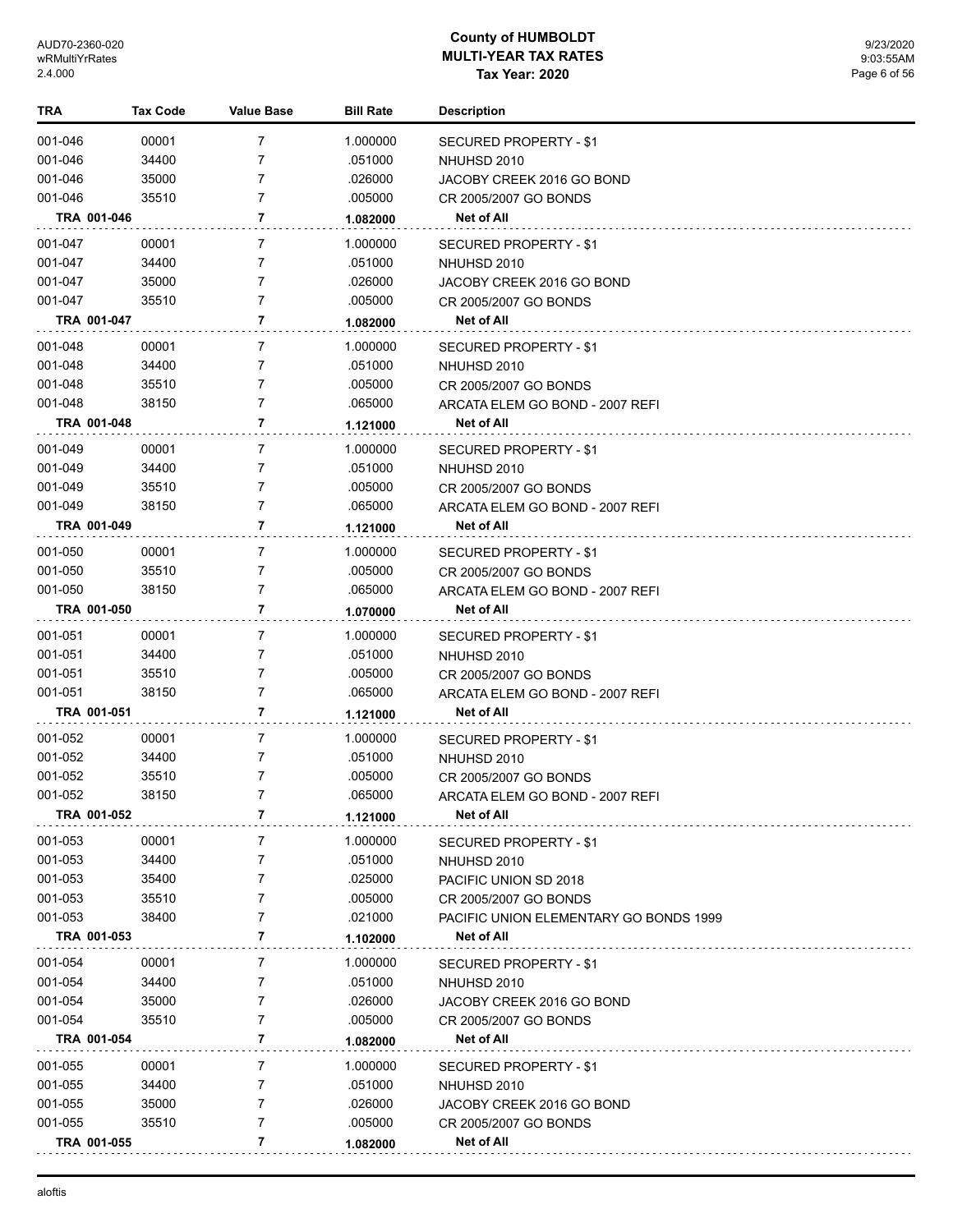| TRA         | <b>Tax Code</b> | <b>Value Base</b> | <b>Bill Rate</b> | <b>Description</b>                     |
|-------------|-----------------|-------------------|------------------|----------------------------------------|
| 001-046     | 00001           | 7                 | 1.000000         | <b>SECURED PROPERTY - \$1</b>          |
| 001-046     | 34400           | 7                 | .051000          | NHUHSD 2010                            |
| 001-046     | 35000           | 7                 | .026000          | JACOBY CREEK 2016 GO BOND              |
| 001-046     | 35510           | 7                 | .005000          | CR 2005/2007 GO BONDS                  |
| TRA 001-046 |                 | 7                 | 1.082000         | Net of All                             |
| 001-047     | 00001           | 7                 | 1.000000         | SECURED PROPERTY - \$1                 |
| 001-047     | 34400           | 7                 | .051000          | NHUHSD 2010                            |
| 001-047     | 35000           | 7                 | .026000          | JACOBY CREEK 2016 GO BOND              |
| 001-047     | 35510           | 7                 | .005000          | CR 2005/2007 GO BONDS                  |
| TRA 001-047 |                 | 7                 | 1.082000         | Net of All                             |
| 001-048     | 00001           | 7                 | 1.000000         | SECURED PROPERTY - \$1                 |
| 001-048     | 34400           | 7                 | .051000          | NHUHSD 2010                            |
| 001-048     | 35510           | 7                 | .005000          | CR 2005/2007 GO BONDS                  |
| 001-048     | 38150           | 7                 | .065000          | ARCATA ELEM GO BOND - 2007 REFI        |
| TRA 001-048 |                 | 7                 | 1.121000         | Net of All                             |
| 001-049     | 00001           | 7                 | 1.000000         | SECURED PROPERTY - \$1                 |
| 001-049     | 34400           | 7                 | .051000          | NHUHSD 2010                            |
| 001-049     | 35510           | 7                 | .005000          | CR 2005/2007 GO BONDS                  |
| 001-049     | 38150           | 7                 | .065000          | ARCATA ELEM GO BOND - 2007 REFI        |
| TRA 001-049 |                 | 7                 | 1.121000         | Net of All                             |
| 001-050     | 00001           | $\overline{7}$    | 1.000000         | SECURED PROPERTY - \$1                 |
| 001-050     | 35510           | 7                 | .005000          | CR 2005/2007 GO BONDS                  |
| 001-050     | 38150           | 7                 | .065000          | ARCATA ELEM GO BOND - 2007 REFI        |
| TRA 001-050 |                 | 7                 | 1.070000         | Net of All                             |
| 001-051     | 00001           | 7                 | 1.000000         | SECURED PROPERTY - \$1                 |
| 001-051     | 34400           | 7                 | .051000          | NHUHSD 2010                            |
| 001-051     | 35510           | 7                 | .005000          | CR 2005/2007 GO BONDS                  |
| 001-051     | 38150           | 7                 | .065000          | ARCATA ELEM GO BOND - 2007 REFI        |
| TRA 001-051 |                 | 7                 | 1.121000         | Net of All                             |
| 001-052     | 00001           | 7                 | 1.000000         | SECURED PROPERTY - \$1                 |
| 001-052     | 34400           | 7                 | .051000          | NHUHSD 2010                            |
| 001-052     | 35510           | 7                 | .005000          | CR 2005/2007 GO BONDS                  |
| 001-052     | 38150           | 7                 | 065000           | ARCATA ELEM GO BOND - 2007 REFI        |
| TRA 001-052 |                 | 7                 | 1.121000         | Net of All                             |
| 001-053     | 00001           | 7                 | 1.000000         | SECURED PROPERTY - \$1                 |
| 001-053     | 34400           | 7                 | .051000          | NHUHSD 2010                            |
| 001-053     | 35400           | 7                 | .025000          | PACIFIC UNION SD 2018                  |
| 001-053     | 35510           | 7                 | .005000          | CR 2005/2007 GO BONDS                  |
| 001-053     | 38400           | 7                 | .021000          | PACIFIC UNION ELEMENTARY GO BONDS 1999 |
| TRA 001-053 |                 | 7                 | 1.102000         | Net of All                             |
| 001-054     | 00001           | 7                 | 1.000000         | SECURED PROPERTY - \$1                 |
| 001-054     | 34400           | 7                 | .051000          | NHUHSD 2010                            |
| 001-054     | 35000           | 7                 | .026000          | JACOBY CREEK 2016 GO BOND              |
| 001-054     | 35510           | 7                 | .005000          | CR 2005/2007 GO BONDS                  |
| TRA 001-054 |                 | 7                 | 1.082000         | Net of All                             |
| 001-055     | 00001           | 7                 | 1.000000         | SECURED PROPERTY - \$1                 |
| 001-055     | 34400           | 7                 | .051000          | NHUHSD 2010                            |
| 001-055     | 35000           | 7                 | .026000          | JACOBY CREEK 2016 GO BOND              |
| 001-055     | 35510           | 7                 | .005000          | CR 2005/2007 GO BONDS                  |
| TRA 001-055 |                 | 7                 | 1.082000         | Net of All                             |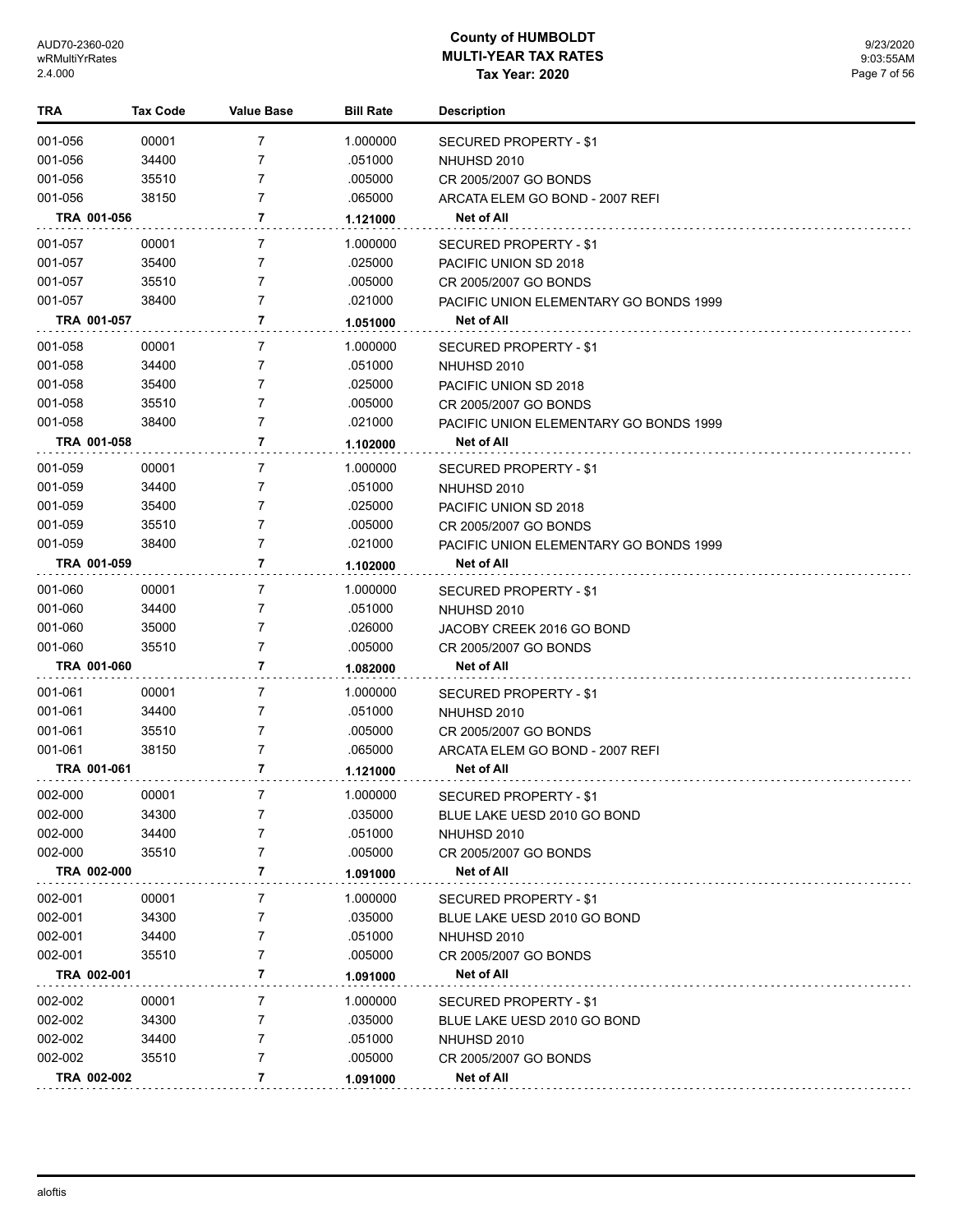| TRA         | <b>Tax Code</b> | Value Base     | <b>Bill Rate</b> | <b>Description</b>                     |
|-------------|-----------------|----------------|------------------|----------------------------------------|
| 001-056     | 00001           | 7              | 1.000000         | <b>SECURED PROPERTY - \$1</b>          |
| 001-056     | 34400           | 7              | .051000          | NHUHSD 2010                            |
| 001-056     | 35510           | 7              | .005000          | CR 2005/2007 GO BONDS                  |
| 001-056     | 38150           | 7              | .065000          | ARCATA ELEM GO BOND - 2007 REFI        |
| TRA 001-056 |                 | 7              | 1.121000         | Net of All                             |
| 001-057     | 00001           | 7              | 1.000000         | SECURED PROPERTY - \$1                 |
| 001-057     | 35400           | 7              | .025000          | PACIFIC UNION SD 2018                  |
| 001-057     | 35510           | 7              | .005000          | CR 2005/2007 GO BONDS                  |
| 001-057     | 38400           | 7              | .021000          | PACIFIC UNION ELEMENTARY GO BONDS 1999 |
| TRA 001-057 |                 | 7              | 1.051000         | Net of All                             |
| 001-058     | 00001           | 7              | 1.000000         | SECURED PROPERTY - \$1                 |
| 001-058     | 34400           | 7              | .051000          | NHUHSD 2010                            |
| 001-058     | 35400           | 7              | .025000          | PACIFIC UNION SD 2018                  |
| 001-058     | 35510           | 7              | .005000          | CR 2005/2007 GO BONDS                  |
| 001-058     | 38400           | 7              | .021000          | PACIFIC UNION ELEMENTARY GO BONDS 1999 |
| TRA 001-058 |                 | 7              | 1.102000         | Net of All                             |
| 001-059     | 00001           | 7              | 1.000000         | SECURED PROPERTY - \$1                 |
| 001-059     | 34400           | 7              | .051000          | NHUHSD 2010                            |
| 001-059     | 35400           | 7              | .025000          | PACIFIC UNION SD 2018                  |
| 001-059     | 35510           | 7              | .005000          | CR 2005/2007 GO BONDS                  |
| 001-059     | 38400           | 7              | .021000          | PACIFIC UNION ELEMENTARY GO BONDS 1999 |
| TRA 001-059 |                 | 7              | 1.102000         | Net of All                             |
| 001-060     | 00001           | $\overline{7}$ | 1.000000         | SECURED PROPERTY - \$1                 |
| 001-060     | 34400           | 7              | .051000          | NHUHSD 2010                            |
| 001-060     | 35000           | 7              | .026000          | JACOBY CREEK 2016 GO BOND              |
| 001-060     | 35510           | 7              | .005000          | CR 2005/2007 GO BONDS                  |
| TRA 001-060 |                 | 7              | 1.082000         | Net of All                             |
| 001-061     | 00001           | 7              | 1.000000         | SECURED PROPERTY - \$1                 |
| 001-061     | 34400           | 7              | .051000          | NHUHSD 2010                            |
| 001-061     | 35510           | 7              | .005000          | CR 2005/2007 GO BONDS                  |
| 001-061     | 38150           | 7              | .065000          | ARCATA ELEM GO BOND - 2007 REFI        |
| TRA 001-061 |                 | 7              | 1.121000         | Net of All                             |
| 002-000     | 00001           | 7              | 1.000000         | <b>SECURED PROPERTY - \$1</b>          |
| 002-000     | 34300           | 7              | .035000          | BLUE LAKE UESD 2010 GO BOND            |
| 002-000     | 34400           | 7              | .051000          | NHUHSD 2010                            |
| 002-000     | 35510           | 7              | .005000          | CR 2005/2007 GO BONDS                  |
| TRA 002-000 |                 | 7              | 1.091000         | Net of All                             |
| 002-001     | 00001           | 7              | 1.000000         | SECURED PROPERTY - \$1                 |
| 002-001     | 34300           | 7              | .035000          | BLUE LAKE UESD 2010 GO BOND            |
| 002-001     | 34400           | 7              | .051000          | NHUHSD 2010                            |
| 002-001     | 35510           | 7              | .005000          | CR 2005/2007 GO BONDS                  |
| TRA 002-001 |                 | 7              | 1.091000         | Net of All                             |
| 002-002     | 00001           | 7              | 1.000000         | SECURED PROPERTY - \$1                 |
| 002-002     | 34300           | 7              | .035000          | BLUE LAKE UESD 2010 GO BOND            |
| 002-002     | 34400           | 7              | .051000          | NHUHSD 2010                            |
| 002-002     | 35510           | 7              | .005000          | CR 2005/2007 GO BONDS                  |
| TRA 002-002 |                 | 7              | 1.091000         | Net of All                             |
|             |                 |                |                  |                                        |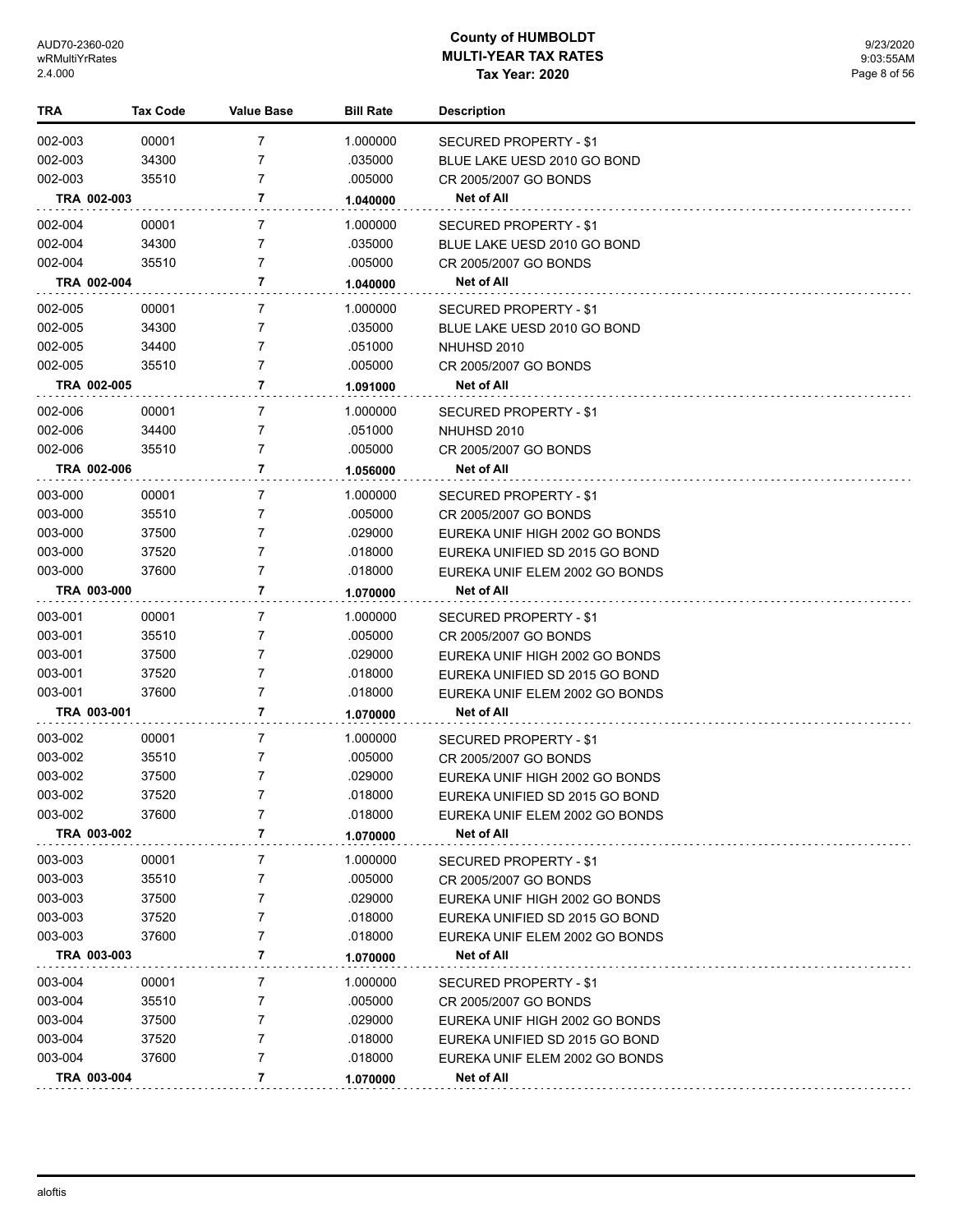| TRA         | Tax Code | <b>Value Base</b> | <b>Bill Rate</b> | <b>Description</b>             |
|-------------|----------|-------------------|------------------|--------------------------------|
| 002-003     | 00001    | $\overline{7}$    | 1.000000         | SECURED PROPERTY - \$1         |
| 002-003     | 34300    | 7                 | .035000          | BLUE LAKE UESD 2010 GO BOND    |
| 002-003     | 35510    | 7                 | .005000          | CR 2005/2007 GO BONDS          |
| TRA 002-003 |          | 7                 | 1.040000         | Net of All                     |
| 002-004     | 00001    | 7                 | 1.000000         | SECURED PROPERTY - \$1         |
| 002-004     | 34300    | 7                 | .035000          | BLUE LAKE UESD 2010 GO BOND    |
| 002-004     | 35510    | 7                 | .005000          | CR 2005/2007 GO BONDS          |
| TRA 002-004 |          | 7                 | 1.040000         | <b>Net of All</b>              |
| 002-005     | 00001    | 7                 | 1.000000         | SECURED PROPERTY - \$1         |
| 002-005     | 34300    | 7                 | .035000          | BLUE LAKE UESD 2010 GO BOND    |
| 002-005     | 34400    | 7                 | .051000          | NHUHSD 2010                    |
| 002-005     | 35510    | $\overline{7}$    | .005000          | CR 2005/2007 GO BONDS          |
| TRA 002-005 |          | 7                 | 1.091000         | Net of All                     |
| 002-006     | 00001    | 7                 | 1.000000         | SECURED PROPERTY - \$1         |
| 002-006     | 34400    | 7                 | .051000          | NHUHSD 2010                    |
| 002-006     | 35510    | 7                 | .005000          | CR 2005/2007 GO BONDS          |
| TRA 002-006 |          | 7                 | 1.056000         | Net of All                     |
| 003-000     | 00001    | 7                 | 1.000000         | SECURED PROPERTY - \$1         |
| 003-000     | 35510    | 7                 | .005000          | CR 2005/2007 GO BONDS          |
| 003-000     | 37500    | 7                 | .029000          | EUREKA UNIF HIGH 2002 GO BONDS |
| 003-000     | 37520    | 7                 | .018000          | EUREKA UNIFIED SD 2015 GO BOND |
| 003-000     | 37600    | $\overline{7}$    | .018000          | EUREKA UNIF ELEM 2002 GO BONDS |
| TRA 003-000 |          | 7                 | 1.070000         | Net of All                     |
| 003-001     | 00001    | 7                 | 1.000000         | SECURED PROPERTY - \$1         |
| 003-001     | 35510    | 7                 | .005000          | CR 2005/2007 GO BONDS          |
| 003-001     | 37500    | 7                 | .029000          | EUREKA UNIF HIGH 2002 GO BONDS |
| 003-001     | 37520    | 7                 | .018000          | EUREKA UNIFIED SD 2015 GO BOND |
| 003-001     | 37600    | 7                 | .018000          | EUREKA UNIF ELEM 2002 GO BONDS |
| TRA 003-001 |          | 7                 | 1.070000         | Net of All                     |
| 003-002     | 00001    | 7                 | 1.000000         | SECURED PROPERTY - \$1         |
| 003-002     | 35510    | 7                 | .005000          | CR 2005/2007 GO BONDS          |
| 003-002     | 37500    | 7                 | .029000          | EUREKA UNIF HIGH 2002 GO BONDS |
| 003-002     | 37520    | 7                 | .018000          | EUREKA UNIFIED SD 2015 GO BOND |
| 003-002     | 37600    | 7                 | .018000          | EUREKA UNIF ELEM 2002 GO BONDS |
| TRA 003-002 |          | 7                 | 1.070000         | Net of All                     |
| 003-003     | 00001    | 7                 | 1.000000         | SECURED PROPERTY - \$1         |
| 003-003     | 35510    | 7                 | .005000          | CR 2005/2007 GO BONDS          |
| 003-003     | 37500    | 7                 | .029000          | EUREKA UNIF HIGH 2002 GO BONDS |
| 003-003     | 37520    | 7                 | .018000          | EUREKA UNIFIED SD 2015 GO BOND |
| 003-003     | 37600    | 7                 | .018000          | EUREKA UNIF ELEM 2002 GO BONDS |
| TRA 003-003 |          | 7                 | 1.070000         | <b>Net of All</b>              |
| 003-004     | 00001    | 7                 | 1.000000         | SECURED PROPERTY - \$1         |
| 003-004     | 35510    | 7                 | .005000          | CR 2005/2007 GO BONDS          |
| 003-004     | 37500    | 7                 | .029000          | EUREKA UNIF HIGH 2002 GO BONDS |
| 003-004     | 37520    | 7                 | .018000          | EUREKA UNIFIED SD 2015 GO BOND |
| 003-004     | 37600    | 7                 | .018000          | EUREKA UNIF ELEM 2002 GO BONDS |
| TRA 003-004 |          | 7                 | 1.070000         | Net of All                     |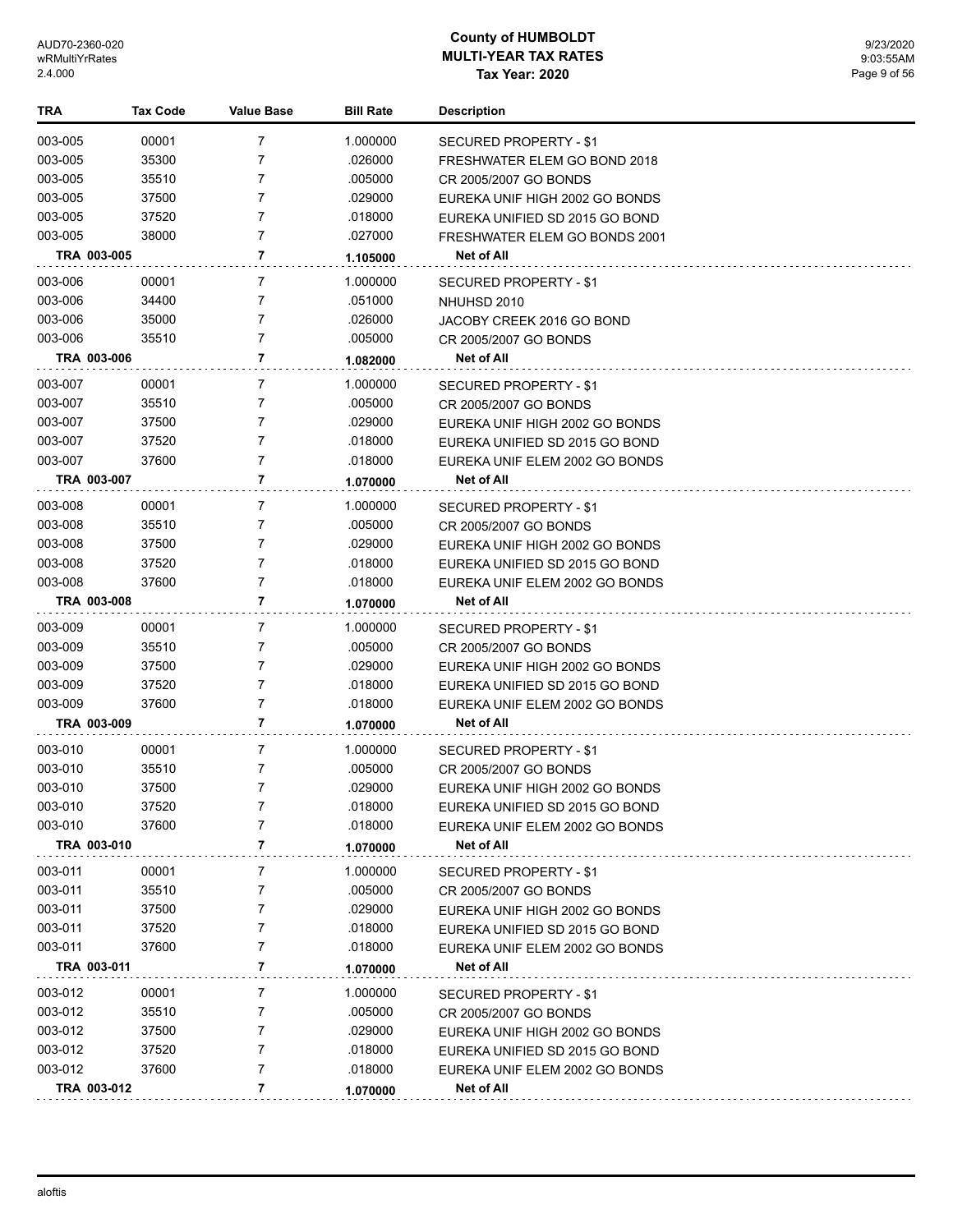| TRA         | <b>Tax Code</b> | <b>Value Base</b> | <b>Bill Rate</b> | <b>Description</b>             |
|-------------|-----------------|-------------------|------------------|--------------------------------|
| 003-005     | 00001           | 7                 | 1.000000         | SECURED PROPERTY - \$1         |
| 003-005     | 35300           | 7                 | .026000          | FRESHWATER ELEM GO BOND 2018   |
| 003-005     | 35510           | 7                 | .005000          | CR 2005/2007 GO BONDS          |
| 003-005     | 37500           | 7                 | .029000          | EUREKA UNIF HIGH 2002 GO BONDS |
| 003-005     | 37520           | 7                 | .018000          | EUREKA UNIFIED SD 2015 GO BOND |
| 003-005     | 38000           | 7                 | .027000          | FRESHWATER ELEM GO BONDS 2001  |
| TRA 003-005 |                 | 7                 | 1.105000         | Net of All                     |
| 003-006     | 00001           | 7                 | 1.000000         | <b>SECURED PROPERTY - \$1</b>  |
| 003-006     | 34400           | 7                 | .051000          | NHUHSD 2010                    |
| 003-006     | 35000           | 7                 | .026000          | JACOBY CREEK 2016 GO BOND      |
| 003-006     | 35510           | 7                 | .005000          | CR 2005/2007 GO BONDS          |
| TRA 003-006 |                 | 7                 | 1.082000         | Net of All                     |
| 003-007     | 00001           | 7                 | 1.000000         | SECURED PROPERTY - \$1         |
| 003-007     | 35510           | 7                 | .005000          | CR 2005/2007 GO BONDS          |
| 003-007     | 37500           | 7                 | .029000          | EUREKA UNIF HIGH 2002 GO BONDS |
| 003-007     | 37520           | 7                 | .018000          | EUREKA UNIFIED SD 2015 GO BOND |
| 003-007     | 37600           | 7                 | .018000          | EUREKA UNIF ELEM 2002 GO BONDS |
| TRA 003-007 |                 | 7                 | 1.070000         | Net of All                     |
| 003-008     | 00001           | 7                 | 1.000000         | SECURED PROPERTY - \$1         |
| 003-008     | 35510           | 7                 | .005000          | CR 2005/2007 GO BONDS          |
| 003-008     | 37500           | 7                 | .029000          | EUREKA UNIF HIGH 2002 GO BONDS |
| 003-008     | 37520           | 7                 | .018000          | EUREKA UNIFIED SD 2015 GO BOND |
| 003-008     | 37600           | 7                 | .018000          | EUREKA UNIF ELEM 2002 GO BONDS |
| TRA 003-008 |                 | 7                 | 1.070000         | Net of All                     |
| 003-009     | 00001           | 7                 | 1.000000         | SECURED PROPERTY - \$1         |
| 003-009     | 35510           | 7                 | .005000          | CR 2005/2007 GO BONDS          |
| 003-009     | 37500           | 7                 | .029000          | EUREKA UNIF HIGH 2002 GO BONDS |
| 003-009     | 37520           | 7                 | .018000          | EUREKA UNIFIED SD 2015 GO BOND |
| 003-009     | 37600           | 7                 | .018000          | EUREKA UNIF ELEM 2002 GO BONDS |
| TRA 003-009 |                 | 7                 | 1.070000         | Net of All                     |
| 003-010     | 00001           | 7                 | 1.000000         | SECURED PROPERTY - \$1         |
| 003-010     | 35510           | 7                 | .005000          | CR 2005/2007 GO BONDS          |
| 003-010     | 37500           | 7                 | .029000          | EUREKA UNIF HIGH 2002 GO BONDS |
| 003-010     | 37520           | 7                 | .018000          | EUREKA UNIFIED SD 2015 GO BOND |
| 003-010     | 37600           | 7                 | .018000          | EUREKA UNIF ELEM 2002 GO BONDS |
| TRA 003-010 |                 | 7                 | 1.070000         | Net of All                     |
| 003-011     | 00001           | 7                 | 1.000000         | <b>SECURED PROPERTY - \$1</b>  |
| 003-011     | 35510           | 7                 | .005000          | CR 2005/2007 GO BONDS          |
| 003-011     | 37500           | 7                 | .029000          | EUREKA UNIF HIGH 2002 GO BONDS |
| 003-011     | 37520           | 7                 | .018000          | EUREKA UNIFIED SD 2015 GO BOND |
| 003-011     | 37600           | 7                 | .018000          | EUREKA UNIF ELEM 2002 GO BONDS |
| TRA 003-011 |                 | 7                 | 1.070000         | Net of All                     |
| 003-012     | 00001           | 7                 | 1.000000         | SECURED PROPERTY - \$1         |
| 003-012     | 35510           | 7                 | .005000          | CR 2005/2007 GO BONDS          |
| 003-012     | 37500           | 7                 | .029000          | EUREKA UNIF HIGH 2002 GO BONDS |
| 003-012     | 37520           | 7                 | .018000          | EUREKA UNIFIED SD 2015 GO BOND |
| 003-012     | 37600           | 7                 | .018000          | EUREKA UNIF ELEM 2002 GO BONDS |
| TRA 003-012 |                 | 7                 | 1.070000         | Net of All                     |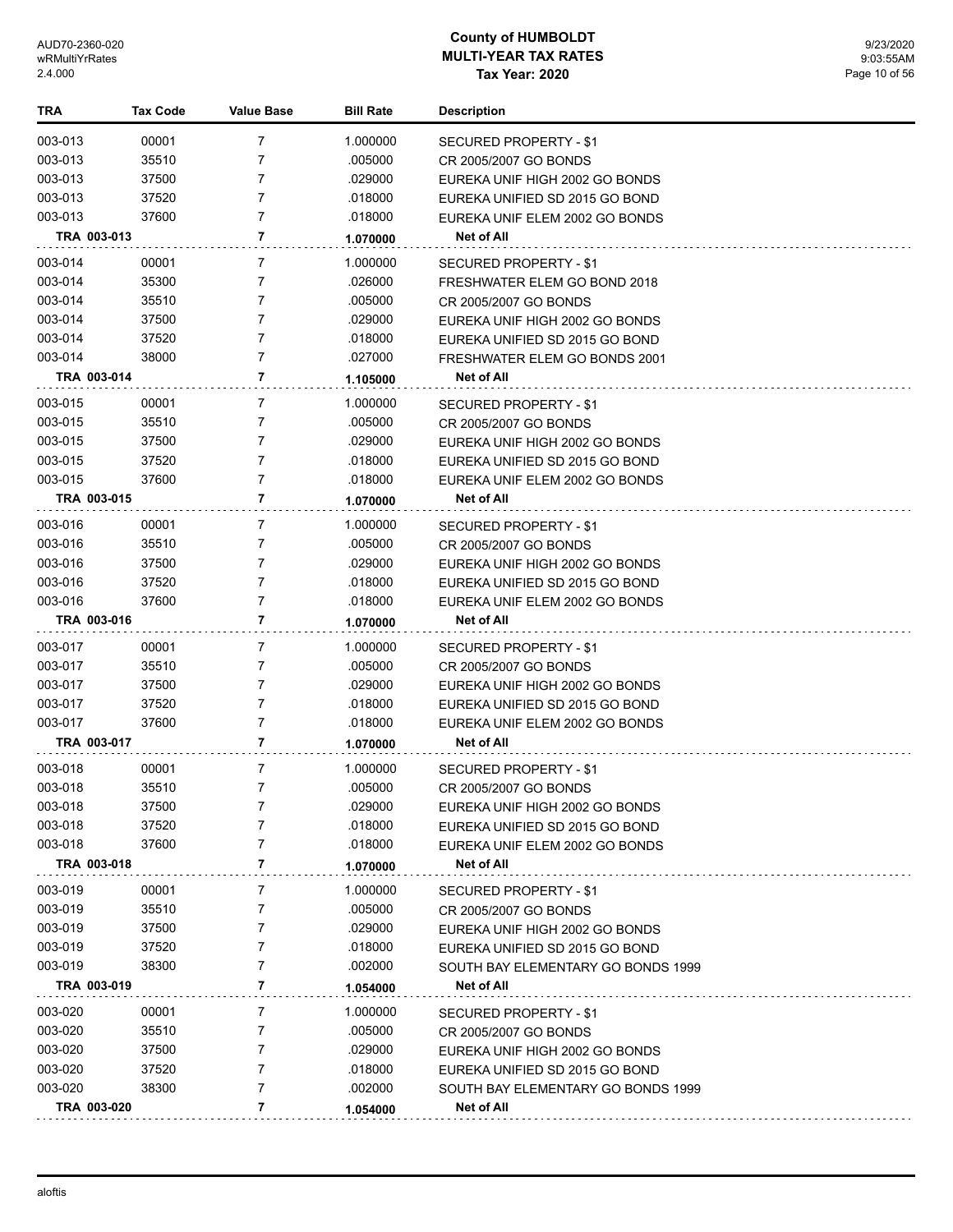| TRA                    | <b>Tax Code</b> | <b>Value Base</b> | <b>Bill Rate</b>   | <b>Description</b>                                               |
|------------------------|-----------------|-------------------|--------------------|------------------------------------------------------------------|
| 003-013                | 00001           | 7                 | 1.000000           | SECURED PROPERTY - \$1                                           |
| 003-013                | 35510           | 7                 | .005000            | CR 2005/2007 GO BONDS                                            |
| 003-013                | 37500           | 7                 | .029000            | EUREKA UNIF HIGH 2002 GO BONDS                                   |
| 003-013                | 37520           | 7                 | .018000            | EUREKA UNIFIED SD 2015 GO BOND                                   |
| 003-013                | 37600           | 7                 | .018000            | EUREKA UNIF ELEM 2002 GO BONDS                                   |
| TRA 003-013            |                 | 7                 | 1.070000           | Net of All                                                       |
| 003-014                | 00001           | 7                 | 1.000000           | SECURED PROPERTY - \$1                                           |
| 003-014                | 35300           | 7                 | .026000            | FRESHWATER ELEM GO BOND 2018                                     |
| 003-014                | 35510           | 7                 | .005000            | CR 2005/2007 GO BONDS                                            |
| 003-014                | 37500           | 7                 | .029000            | EUREKA UNIF HIGH 2002 GO BONDS                                   |
| 003-014                | 37520           | 7                 | .018000            | EUREKA UNIFIED SD 2015 GO BOND                                   |
| 003-014                | 38000           | 7                 | .027000            | FRESHWATER ELEM GO BONDS 2001                                    |
| TRA 003-014            |                 | 7                 | 1.105000           | <b>Net of All</b>                                                |
| 003-015                |                 | 7                 |                    |                                                                  |
|                        | 00001<br>35510  | 7                 | 1.000000           | SECURED PROPERTY - \$1                                           |
| 003-015<br>003-015     | 37500           | 7                 | .005000<br>.029000 | CR 2005/2007 GO BONDS                                            |
| 003-015                | 37520           | 7                 | .018000            | EUREKA UNIF HIGH 2002 GO BONDS<br>EUREKA UNIFIED SD 2015 GO BOND |
| 003-015                | 37600           | 7                 | .018000            | EUREKA UNIF ELEM 2002 GO BONDS                                   |
| TRA 003-015            |                 | 7                 | 1.070000           | Net of All                                                       |
|                        |                 |                   |                    |                                                                  |
| 003-016                | 00001           | 7                 | 1.000000           | SECURED PROPERTY - \$1                                           |
| 003-016                | 35510           | 7                 | .005000            | CR 2005/2007 GO BONDS                                            |
| 003-016                | 37500           | 7                 | .029000            | EUREKA UNIF HIGH 2002 GO BONDS                                   |
| 003-016                | 37520           | 7<br>7            | .018000            | EUREKA UNIFIED SD 2015 GO BOND                                   |
| 003-016<br>TRA 003-016 | 37600           | 7                 | .018000            | EUREKA UNIF ELEM 2002 GO BONDS<br>Net of All                     |
|                        |                 |                   | 1.070000           |                                                                  |
| 003-017                | 00001           | 7                 | 1.000000           | SECURED PROPERTY - \$1                                           |
| 003-017                | 35510           | 7                 | .005000            | CR 2005/2007 GO BONDS                                            |
| 003-017                | 37500           | 7                 | .029000            | EUREKA UNIF HIGH 2002 GO BONDS                                   |
| 003-017                | 37520           | 7                 | .018000            | EUREKA UNIFIED SD 2015 GO BOND                                   |
| 003-017                | 37600           | 7                 | .018000            | EUREKA UNIF ELEM 2002 GO BONDS                                   |
| TRA 003-017            |                 | 7                 | 1.070000           | Net of All                                                       |
| 003-018                | 00001           | 7                 | 1.000000           | SECURED PROPERTY - \$1                                           |
| 003-018                | 35510           | 7                 | .005000            | CR 2005/2007 GO BONDS                                            |
| 003-018                | 37500           |                   | .029000            | EUREKA UNIF HIGH 2002 GO BONDS                                   |
| 003-018                | 37520           | 7                 | .018000            | EUREKA UNIFIED SD 2015 GO BOND                                   |
| 003-018                | 37600           | 7                 | .018000            | EUREKA UNIF ELEM 2002 GO BONDS                                   |
| TRA 003-018            |                 | 7                 | 1.070000           | Net of All                                                       |
| 003-019                | 00001           | 7                 | 1.000000           | <b>SECURED PROPERTY - \$1</b>                                    |
| 003-019                | 35510           | 7                 | .005000            | CR 2005/2007 GO BONDS                                            |
| 003-019                | 37500           | 7                 | .029000            | EUREKA UNIF HIGH 2002 GO BONDS                                   |
| 003-019                | 37520           | 7                 | .018000            | EUREKA UNIFIED SD 2015 GO BOND                                   |
| 003-019                | 38300           | 7                 | .002000            | SOUTH BAY ELEMENTARY GO BONDS 1999                               |
| TRA 003-019            |                 | 7                 | 1.054000           | Net of All                                                       |
| 003-020                | 00001           | 7                 | 1.000000           | SECURED PROPERTY - \$1                                           |
| 003-020                | 35510           | 7                 | .005000            | CR 2005/2007 GO BONDS                                            |
| 003-020                | 37500           | 7                 | .029000            | EUREKA UNIF HIGH 2002 GO BONDS                                   |
| 003-020                | 37520           | 7                 | .018000            | EUREKA UNIFIED SD 2015 GO BOND                                   |
| 003-020                | 38300           | 7                 | .002000            | SOUTH BAY ELEMENTARY GO BONDS 1999                               |
| TRA 003-020            |                 | 7                 | 1.054000           | Net of All                                                       |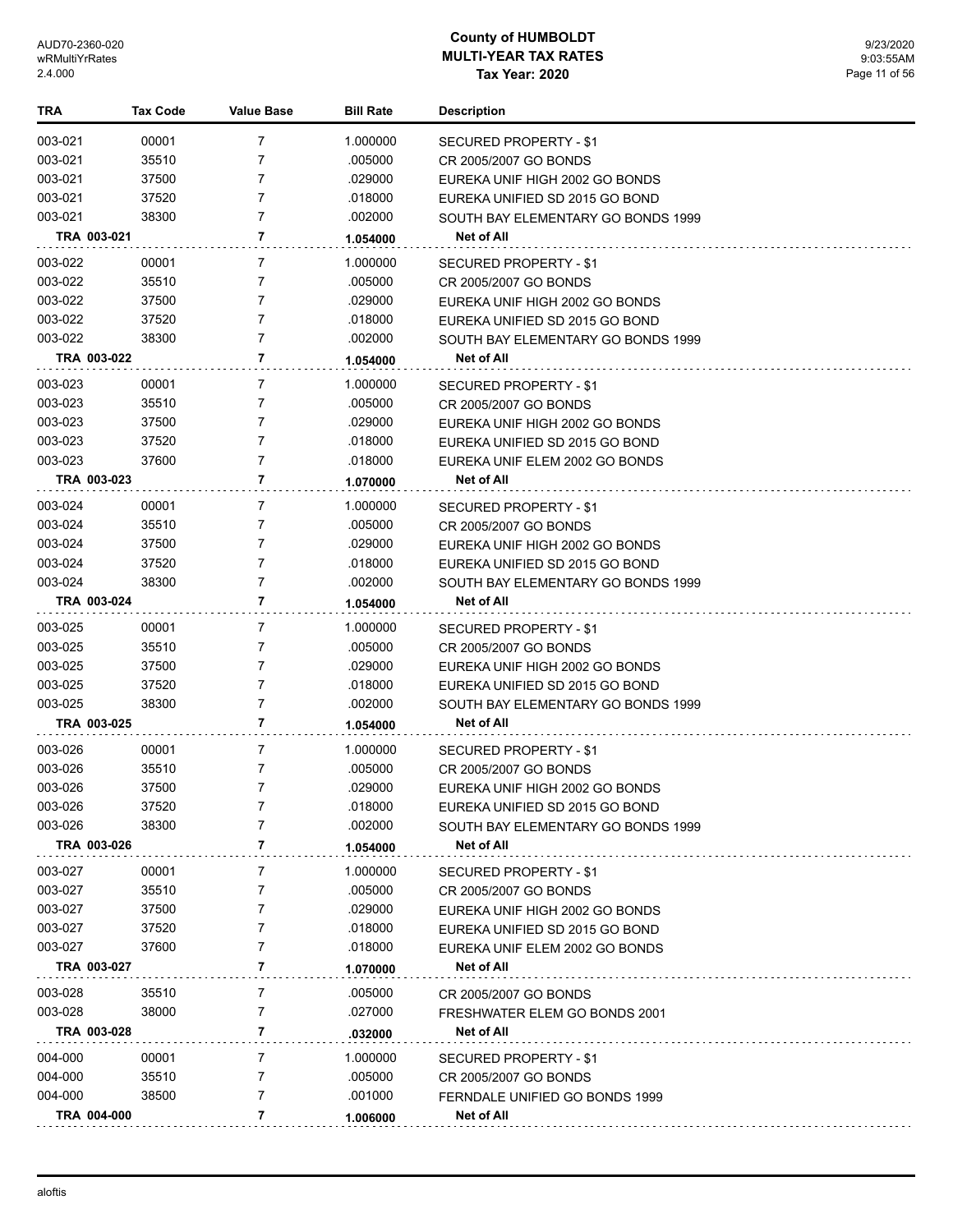| 003-021<br>00001<br>7<br>1.000000<br>SECURED PROPERTY - \$1<br>003-021<br>35510<br>7<br>.005000<br>CR 2005/2007 GO BONDS<br>003-021<br>37500<br>7<br>.029000<br>EUREKA UNIF HIGH 2002 GO BONDS<br>7<br>003-021<br>37520<br>.018000<br>EUREKA UNIFIED SD 2015 GO BOND<br>003-021<br>7<br>38300<br>.002000<br>SOUTH BAY ELEMENTARY GO BONDS 1999<br>TRA 003-021<br>7<br>Net of All<br>1.054000<br>003-022<br>00001<br>7<br>1.000000<br>SECURED PROPERTY - \$1<br>003-022<br>35510<br>7<br>.005000<br>CR 2005/2007 GO BONDS<br>003-022<br>37500<br>7<br>.029000<br>EUREKA UNIF HIGH 2002 GO BONDS<br>003-022<br>7<br>37520<br>.018000<br>EUREKA UNIFIED SD 2015 GO BOND<br>003-022<br>7<br>38300<br>.002000<br>SOUTH BAY ELEMENTARY GO BONDS 1999<br>7<br>TRA 003-022<br>Net of All<br>1.054000<br>003-023<br>00001<br>7<br>1.000000<br>SECURED PROPERTY - \$1<br>003-023<br>35510<br>7<br>.005000<br>CR 2005/2007 GO BONDS<br>003-023<br>37500<br>.029000<br>7<br>EUREKA UNIF HIGH 2002 GO BONDS<br>003-023<br>37520<br>7<br>.018000<br>EUREKA UNIFIED SD 2015 GO BOND<br>003-023<br>37600<br>7<br>.018000<br>EUREKA UNIF ELEM 2002 GO BONDS<br>7<br>TRA 003-023<br>Net of All<br>1.070000<br>003-024<br>00001<br>7<br>1.000000<br>SECURED PROPERTY - \$1<br>003-024<br>35510<br>7<br>.005000<br>CR 2005/2007 GO BONDS<br>003-024<br>7<br>.029000<br>37500<br>EUREKA UNIF HIGH 2002 GO BONDS<br>003-024<br>7<br>.018000<br>37520<br>EUREKA UNIFIED SD 2015 GO BOND<br>003-024<br>38300<br>7<br>.002000<br>SOUTH BAY ELEMENTARY GO BONDS 1999<br>7<br>TRA 003-024<br>Net of All<br>1.054000<br>$\overline{7}$<br>003-025<br>00001<br>1.000000<br>SECURED PROPERTY - \$1<br>003-025<br>35510<br>7<br>.005000<br>CR 2005/2007 GO BONDS<br>003-025<br>37500<br>7<br>.029000<br>EUREKA UNIF HIGH 2002 GO BONDS<br>003-025<br>7<br>.018000<br>37520<br>EUREKA UNIFIED SD 2015 GO BOND<br>003-025<br>7<br>38300<br>.002000<br>SOUTH BAY ELEMENTARY GO BONDS 1999<br>7<br>TRA 003-025<br>Net of All<br>1.054000<br>003-026<br>00001<br>7<br>1.000000<br>SECURED PROPERTY - \$1<br>003-026<br>35510<br>7<br>.005000<br>CR 2005/2007 GO BONDS<br>003-026<br>37500<br>7<br>.029000<br>EUREKA UNIF HIGH 2002 GO BONDS<br>.018000<br>003-026<br>37520<br>7<br>EUREKA UNIFIED SD 2015 GO BOND<br>003-026<br>38300<br>.002000<br>7<br>SOUTH BAY ELEMENTARY GO BONDS 1999<br>7<br>TRA 003-026<br><b>Net of All</b><br>1.054000<br>003-027<br>1.000000<br>00001<br>7<br><b>SECURED PROPERTY - \$1</b><br>003-027<br>35510<br>.005000<br>7<br>CR 2005/2007 GO BONDS<br>003-027<br>.029000<br>37500<br>7<br>EUREKA UNIF HIGH 2002 GO BONDS<br>003-027<br>7<br>.018000<br>37520<br>EUREKA UNIFIED SD 2015 GO BOND<br>003-027<br>7<br>.018000<br>37600<br>EUREKA UNIF ELEM 2002 GO BONDS<br>7<br>TRA 003-027<br>Net of All<br>1.070000<br>003-028<br>35510<br>7<br>.005000<br>CR 2005/2007 GO BONDS<br>003-028<br>38000<br>7<br>.027000<br>FRESHWATER ELEM GO BONDS 2001<br>7<br>TRA 003-028<br><b>Net of All</b><br>.032000<br>004-000<br>1.000000<br>00001<br>7<br>SECURED PROPERTY - \$1<br>004-000<br>35510<br>.005000<br>7<br>CR 2005/2007 GO BONDS<br>004-000<br>38500<br>7<br>.001000<br>FERNDALE UNIFIED GO BONDS 1999<br>7<br>TRA 004-000<br>Net of All<br>1.006000 | TRA | <b>Tax Code</b> | Value Base | <b>Bill Rate</b> | <b>Description</b> |
|-------------------------------------------------------------------------------------------------------------------------------------------------------------------------------------------------------------------------------------------------------------------------------------------------------------------------------------------------------------------------------------------------------------------------------------------------------------------------------------------------------------------------------------------------------------------------------------------------------------------------------------------------------------------------------------------------------------------------------------------------------------------------------------------------------------------------------------------------------------------------------------------------------------------------------------------------------------------------------------------------------------------------------------------------------------------------------------------------------------------------------------------------------------------------------------------------------------------------------------------------------------------------------------------------------------------------------------------------------------------------------------------------------------------------------------------------------------------------------------------------------------------------------------------------------------------------------------------------------------------------------------------------------------------------------------------------------------------------------------------------------------------------------------------------------------------------------------------------------------------------------------------------------------------------------------------------------------------------------------------------------------------------------------------------------------------------------------------------------------------------------------------------------------------------------------------------------------------------------------------------------------------------------------------------------------------------------------------------------------------------------------------------------------------------------------------------------------------------------------------------------------------------------------------------------------------------------------------------------------------------------------------------------------------------------------------------------------------------------------------------------------------------------------------------------------------------------------------------------------------------------------------------------------------------------------------------------------------------------------------------------------------------------------------------------------------------------------------------------------------------------------------------------------------------------------------------------------------------------------------------------|-----|-----------------|------------|------------------|--------------------|
|                                                                                                                                                                                                                                                                                                                                                                                                                                                                                                                                                                                                                                                                                                                                                                                                                                                                                                                                                                                                                                                                                                                                                                                                                                                                                                                                                                                                                                                                                                                                                                                                                                                                                                                                                                                                                                                                                                                                                                                                                                                                                                                                                                                                                                                                                                                                                                                                                                                                                                                                                                                                                                                                                                                                                                                                                                                                                                                                                                                                                                                                                                                                                                                                                                                       |     |                 |            |                  |                    |
|                                                                                                                                                                                                                                                                                                                                                                                                                                                                                                                                                                                                                                                                                                                                                                                                                                                                                                                                                                                                                                                                                                                                                                                                                                                                                                                                                                                                                                                                                                                                                                                                                                                                                                                                                                                                                                                                                                                                                                                                                                                                                                                                                                                                                                                                                                                                                                                                                                                                                                                                                                                                                                                                                                                                                                                                                                                                                                                                                                                                                                                                                                                                                                                                                                                       |     |                 |            |                  |                    |
|                                                                                                                                                                                                                                                                                                                                                                                                                                                                                                                                                                                                                                                                                                                                                                                                                                                                                                                                                                                                                                                                                                                                                                                                                                                                                                                                                                                                                                                                                                                                                                                                                                                                                                                                                                                                                                                                                                                                                                                                                                                                                                                                                                                                                                                                                                                                                                                                                                                                                                                                                                                                                                                                                                                                                                                                                                                                                                                                                                                                                                                                                                                                                                                                                                                       |     |                 |            |                  |                    |
|                                                                                                                                                                                                                                                                                                                                                                                                                                                                                                                                                                                                                                                                                                                                                                                                                                                                                                                                                                                                                                                                                                                                                                                                                                                                                                                                                                                                                                                                                                                                                                                                                                                                                                                                                                                                                                                                                                                                                                                                                                                                                                                                                                                                                                                                                                                                                                                                                                                                                                                                                                                                                                                                                                                                                                                                                                                                                                                                                                                                                                                                                                                                                                                                                                                       |     |                 |            |                  |                    |
|                                                                                                                                                                                                                                                                                                                                                                                                                                                                                                                                                                                                                                                                                                                                                                                                                                                                                                                                                                                                                                                                                                                                                                                                                                                                                                                                                                                                                                                                                                                                                                                                                                                                                                                                                                                                                                                                                                                                                                                                                                                                                                                                                                                                                                                                                                                                                                                                                                                                                                                                                                                                                                                                                                                                                                                                                                                                                                                                                                                                                                                                                                                                                                                                                                                       |     |                 |            |                  |                    |
|                                                                                                                                                                                                                                                                                                                                                                                                                                                                                                                                                                                                                                                                                                                                                                                                                                                                                                                                                                                                                                                                                                                                                                                                                                                                                                                                                                                                                                                                                                                                                                                                                                                                                                                                                                                                                                                                                                                                                                                                                                                                                                                                                                                                                                                                                                                                                                                                                                                                                                                                                                                                                                                                                                                                                                                                                                                                                                                                                                                                                                                                                                                                                                                                                                                       |     |                 |            |                  |                    |
|                                                                                                                                                                                                                                                                                                                                                                                                                                                                                                                                                                                                                                                                                                                                                                                                                                                                                                                                                                                                                                                                                                                                                                                                                                                                                                                                                                                                                                                                                                                                                                                                                                                                                                                                                                                                                                                                                                                                                                                                                                                                                                                                                                                                                                                                                                                                                                                                                                                                                                                                                                                                                                                                                                                                                                                                                                                                                                                                                                                                                                                                                                                                                                                                                                                       |     |                 |            |                  |                    |
|                                                                                                                                                                                                                                                                                                                                                                                                                                                                                                                                                                                                                                                                                                                                                                                                                                                                                                                                                                                                                                                                                                                                                                                                                                                                                                                                                                                                                                                                                                                                                                                                                                                                                                                                                                                                                                                                                                                                                                                                                                                                                                                                                                                                                                                                                                                                                                                                                                                                                                                                                                                                                                                                                                                                                                                                                                                                                                                                                                                                                                                                                                                                                                                                                                                       |     |                 |            |                  |                    |
|                                                                                                                                                                                                                                                                                                                                                                                                                                                                                                                                                                                                                                                                                                                                                                                                                                                                                                                                                                                                                                                                                                                                                                                                                                                                                                                                                                                                                                                                                                                                                                                                                                                                                                                                                                                                                                                                                                                                                                                                                                                                                                                                                                                                                                                                                                                                                                                                                                                                                                                                                                                                                                                                                                                                                                                                                                                                                                                                                                                                                                                                                                                                                                                                                                                       |     |                 |            |                  |                    |
|                                                                                                                                                                                                                                                                                                                                                                                                                                                                                                                                                                                                                                                                                                                                                                                                                                                                                                                                                                                                                                                                                                                                                                                                                                                                                                                                                                                                                                                                                                                                                                                                                                                                                                                                                                                                                                                                                                                                                                                                                                                                                                                                                                                                                                                                                                                                                                                                                                                                                                                                                                                                                                                                                                                                                                                                                                                                                                                                                                                                                                                                                                                                                                                                                                                       |     |                 |            |                  |                    |
|                                                                                                                                                                                                                                                                                                                                                                                                                                                                                                                                                                                                                                                                                                                                                                                                                                                                                                                                                                                                                                                                                                                                                                                                                                                                                                                                                                                                                                                                                                                                                                                                                                                                                                                                                                                                                                                                                                                                                                                                                                                                                                                                                                                                                                                                                                                                                                                                                                                                                                                                                                                                                                                                                                                                                                                                                                                                                                                                                                                                                                                                                                                                                                                                                                                       |     |                 |            |                  |                    |
|                                                                                                                                                                                                                                                                                                                                                                                                                                                                                                                                                                                                                                                                                                                                                                                                                                                                                                                                                                                                                                                                                                                                                                                                                                                                                                                                                                                                                                                                                                                                                                                                                                                                                                                                                                                                                                                                                                                                                                                                                                                                                                                                                                                                                                                                                                                                                                                                                                                                                                                                                                                                                                                                                                                                                                                                                                                                                                                                                                                                                                                                                                                                                                                                                                                       |     |                 |            |                  |                    |
|                                                                                                                                                                                                                                                                                                                                                                                                                                                                                                                                                                                                                                                                                                                                                                                                                                                                                                                                                                                                                                                                                                                                                                                                                                                                                                                                                                                                                                                                                                                                                                                                                                                                                                                                                                                                                                                                                                                                                                                                                                                                                                                                                                                                                                                                                                                                                                                                                                                                                                                                                                                                                                                                                                                                                                                                                                                                                                                                                                                                                                                                                                                                                                                                                                                       |     |                 |            |                  |                    |
|                                                                                                                                                                                                                                                                                                                                                                                                                                                                                                                                                                                                                                                                                                                                                                                                                                                                                                                                                                                                                                                                                                                                                                                                                                                                                                                                                                                                                                                                                                                                                                                                                                                                                                                                                                                                                                                                                                                                                                                                                                                                                                                                                                                                                                                                                                                                                                                                                                                                                                                                                                                                                                                                                                                                                                                                                                                                                                                                                                                                                                                                                                                                                                                                                                                       |     |                 |            |                  |                    |
|                                                                                                                                                                                                                                                                                                                                                                                                                                                                                                                                                                                                                                                                                                                                                                                                                                                                                                                                                                                                                                                                                                                                                                                                                                                                                                                                                                                                                                                                                                                                                                                                                                                                                                                                                                                                                                                                                                                                                                                                                                                                                                                                                                                                                                                                                                                                                                                                                                                                                                                                                                                                                                                                                                                                                                                                                                                                                                                                                                                                                                                                                                                                                                                                                                                       |     |                 |            |                  |                    |
|                                                                                                                                                                                                                                                                                                                                                                                                                                                                                                                                                                                                                                                                                                                                                                                                                                                                                                                                                                                                                                                                                                                                                                                                                                                                                                                                                                                                                                                                                                                                                                                                                                                                                                                                                                                                                                                                                                                                                                                                                                                                                                                                                                                                                                                                                                                                                                                                                                                                                                                                                                                                                                                                                                                                                                                                                                                                                                                                                                                                                                                                                                                                                                                                                                                       |     |                 |            |                  |                    |
|                                                                                                                                                                                                                                                                                                                                                                                                                                                                                                                                                                                                                                                                                                                                                                                                                                                                                                                                                                                                                                                                                                                                                                                                                                                                                                                                                                                                                                                                                                                                                                                                                                                                                                                                                                                                                                                                                                                                                                                                                                                                                                                                                                                                                                                                                                                                                                                                                                                                                                                                                                                                                                                                                                                                                                                                                                                                                                                                                                                                                                                                                                                                                                                                                                                       |     |                 |            |                  |                    |
|                                                                                                                                                                                                                                                                                                                                                                                                                                                                                                                                                                                                                                                                                                                                                                                                                                                                                                                                                                                                                                                                                                                                                                                                                                                                                                                                                                                                                                                                                                                                                                                                                                                                                                                                                                                                                                                                                                                                                                                                                                                                                                                                                                                                                                                                                                                                                                                                                                                                                                                                                                                                                                                                                                                                                                                                                                                                                                                                                                                                                                                                                                                                                                                                                                                       |     |                 |            |                  |                    |
|                                                                                                                                                                                                                                                                                                                                                                                                                                                                                                                                                                                                                                                                                                                                                                                                                                                                                                                                                                                                                                                                                                                                                                                                                                                                                                                                                                                                                                                                                                                                                                                                                                                                                                                                                                                                                                                                                                                                                                                                                                                                                                                                                                                                                                                                                                                                                                                                                                                                                                                                                                                                                                                                                                                                                                                                                                                                                                                                                                                                                                                                                                                                                                                                                                                       |     |                 |            |                  |                    |
|                                                                                                                                                                                                                                                                                                                                                                                                                                                                                                                                                                                                                                                                                                                                                                                                                                                                                                                                                                                                                                                                                                                                                                                                                                                                                                                                                                                                                                                                                                                                                                                                                                                                                                                                                                                                                                                                                                                                                                                                                                                                                                                                                                                                                                                                                                                                                                                                                                                                                                                                                                                                                                                                                                                                                                                                                                                                                                                                                                                                                                                                                                                                                                                                                                                       |     |                 |            |                  |                    |
|                                                                                                                                                                                                                                                                                                                                                                                                                                                                                                                                                                                                                                                                                                                                                                                                                                                                                                                                                                                                                                                                                                                                                                                                                                                                                                                                                                                                                                                                                                                                                                                                                                                                                                                                                                                                                                                                                                                                                                                                                                                                                                                                                                                                                                                                                                                                                                                                                                                                                                                                                                                                                                                                                                                                                                                                                                                                                                                                                                                                                                                                                                                                                                                                                                                       |     |                 |            |                  |                    |
|                                                                                                                                                                                                                                                                                                                                                                                                                                                                                                                                                                                                                                                                                                                                                                                                                                                                                                                                                                                                                                                                                                                                                                                                                                                                                                                                                                                                                                                                                                                                                                                                                                                                                                                                                                                                                                                                                                                                                                                                                                                                                                                                                                                                                                                                                                                                                                                                                                                                                                                                                                                                                                                                                                                                                                                                                                                                                                                                                                                                                                                                                                                                                                                                                                                       |     |                 |            |                  |                    |
|                                                                                                                                                                                                                                                                                                                                                                                                                                                                                                                                                                                                                                                                                                                                                                                                                                                                                                                                                                                                                                                                                                                                                                                                                                                                                                                                                                                                                                                                                                                                                                                                                                                                                                                                                                                                                                                                                                                                                                                                                                                                                                                                                                                                                                                                                                                                                                                                                                                                                                                                                                                                                                                                                                                                                                                                                                                                                                                                                                                                                                                                                                                                                                                                                                                       |     |                 |            |                  |                    |
|                                                                                                                                                                                                                                                                                                                                                                                                                                                                                                                                                                                                                                                                                                                                                                                                                                                                                                                                                                                                                                                                                                                                                                                                                                                                                                                                                                                                                                                                                                                                                                                                                                                                                                                                                                                                                                                                                                                                                                                                                                                                                                                                                                                                                                                                                                                                                                                                                                                                                                                                                                                                                                                                                                                                                                                                                                                                                                                                                                                                                                                                                                                                                                                                                                                       |     |                 |            |                  |                    |
|                                                                                                                                                                                                                                                                                                                                                                                                                                                                                                                                                                                                                                                                                                                                                                                                                                                                                                                                                                                                                                                                                                                                                                                                                                                                                                                                                                                                                                                                                                                                                                                                                                                                                                                                                                                                                                                                                                                                                                                                                                                                                                                                                                                                                                                                                                                                                                                                                                                                                                                                                                                                                                                                                                                                                                                                                                                                                                                                                                                                                                                                                                                                                                                                                                                       |     |                 |            |                  |                    |
|                                                                                                                                                                                                                                                                                                                                                                                                                                                                                                                                                                                                                                                                                                                                                                                                                                                                                                                                                                                                                                                                                                                                                                                                                                                                                                                                                                                                                                                                                                                                                                                                                                                                                                                                                                                                                                                                                                                                                                                                                                                                                                                                                                                                                                                                                                                                                                                                                                                                                                                                                                                                                                                                                                                                                                                                                                                                                                                                                                                                                                                                                                                                                                                                                                                       |     |                 |            |                  |                    |
|                                                                                                                                                                                                                                                                                                                                                                                                                                                                                                                                                                                                                                                                                                                                                                                                                                                                                                                                                                                                                                                                                                                                                                                                                                                                                                                                                                                                                                                                                                                                                                                                                                                                                                                                                                                                                                                                                                                                                                                                                                                                                                                                                                                                                                                                                                                                                                                                                                                                                                                                                                                                                                                                                                                                                                                                                                                                                                                                                                                                                                                                                                                                                                                                                                                       |     |                 |            |                  |                    |
|                                                                                                                                                                                                                                                                                                                                                                                                                                                                                                                                                                                                                                                                                                                                                                                                                                                                                                                                                                                                                                                                                                                                                                                                                                                                                                                                                                                                                                                                                                                                                                                                                                                                                                                                                                                                                                                                                                                                                                                                                                                                                                                                                                                                                                                                                                                                                                                                                                                                                                                                                                                                                                                                                                                                                                                                                                                                                                                                                                                                                                                                                                                                                                                                                                                       |     |                 |            |                  |                    |
|                                                                                                                                                                                                                                                                                                                                                                                                                                                                                                                                                                                                                                                                                                                                                                                                                                                                                                                                                                                                                                                                                                                                                                                                                                                                                                                                                                                                                                                                                                                                                                                                                                                                                                                                                                                                                                                                                                                                                                                                                                                                                                                                                                                                                                                                                                                                                                                                                                                                                                                                                                                                                                                                                                                                                                                                                                                                                                                                                                                                                                                                                                                                                                                                                                                       |     |                 |            |                  |                    |
|                                                                                                                                                                                                                                                                                                                                                                                                                                                                                                                                                                                                                                                                                                                                                                                                                                                                                                                                                                                                                                                                                                                                                                                                                                                                                                                                                                                                                                                                                                                                                                                                                                                                                                                                                                                                                                                                                                                                                                                                                                                                                                                                                                                                                                                                                                                                                                                                                                                                                                                                                                                                                                                                                                                                                                                                                                                                                                                                                                                                                                                                                                                                                                                                                                                       |     |                 |            |                  |                    |
|                                                                                                                                                                                                                                                                                                                                                                                                                                                                                                                                                                                                                                                                                                                                                                                                                                                                                                                                                                                                                                                                                                                                                                                                                                                                                                                                                                                                                                                                                                                                                                                                                                                                                                                                                                                                                                                                                                                                                                                                                                                                                                                                                                                                                                                                                                                                                                                                                                                                                                                                                                                                                                                                                                                                                                                                                                                                                                                                                                                                                                                                                                                                                                                                                                                       |     |                 |            |                  |                    |
|                                                                                                                                                                                                                                                                                                                                                                                                                                                                                                                                                                                                                                                                                                                                                                                                                                                                                                                                                                                                                                                                                                                                                                                                                                                                                                                                                                                                                                                                                                                                                                                                                                                                                                                                                                                                                                                                                                                                                                                                                                                                                                                                                                                                                                                                                                                                                                                                                                                                                                                                                                                                                                                                                                                                                                                                                                                                                                                                                                                                                                                                                                                                                                                                                                                       |     |                 |            |                  |                    |
|                                                                                                                                                                                                                                                                                                                                                                                                                                                                                                                                                                                                                                                                                                                                                                                                                                                                                                                                                                                                                                                                                                                                                                                                                                                                                                                                                                                                                                                                                                                                                                                                                                                                                                                                                                                                                                                                                                                                                                                                                                                                                                                                                                                                                                                                                                                                                                                                                                                                                                                                                                                                                                                                                                                                                                                                                                                                                                                                                                                                                                                                                                                                                                                                                                                       |     |                 |            |                  |                    |
|                                                                                                                                                                                                                                                                                                                                                                                                                                                                                                                                                                                                                                                                                                                                                                                                                                                                                                                                                                                                                                                                                                                                                                                                                                                                                                                                                                                                                                                                                                                                                                                                                                                                                                                                                                                                                                                                                                                                                                                                                                                                                                                                                                                                                                                                                                                                                                                                                                                                                                                                                                                                                                                                                                                                                                                                                                                                                                                                                                                                                                                                                                                                                                                                                                                       |     |                 |            |                  |                    |
|                                                                                                                                                                                                                                                                                                                                                                                                                                                                                                                                                                                                                                                                                                                                                                                                                                                                                                                                                                                                                                                                                                                                                                                                                                                                                                                                                                                                                                                                                                                                                                                                                                                                                                                                                                                                                                                                                                                                                                                                                                                                                                                                                                                                                                                                                                                                                                                                                                                                                                                                                                                                                                                                                                                                                                                                                                                                                                                                                                                                                                                                                                                                                                                                                                                       |     |                 |            |                  |                    |
|                                                                                                                                                                                                                                                                                                                                                                                                                                                                                                                                                                                                                                                                                                                                                                                                                                                                                                                                                                                                                                                                                                                                                                                                                                                                                                                                                                                                                                                                                                                                                                                                                                                                                                                                                                                                                                                                                                                                                                                                                                                                                                                                                                                                                                                                                                                                                                                                                                                                                                                                                                                                                                                                                                                                                                                                                                                                                                                                                                                                                                                                                                                                                                                                                                                       |     |                 |            |                  |                    |
|                                                                                                                                                                                                                                                                                                                                                                                                                                                                                                                                                                                                                                                                                                                                                                                                                                                                                                                                                                                                                                                                                                                                                                                                                                                                                                                                                                                                                                                                                                                                                                                                                                                                                                                                                                                                                                                                                                                                                                                                                                                                                                                                                                                                                                                                                                                                                                                                                                                                                                                                                                                                                                                                                                                                                                                                                                                                                                                                                                                                                                                                                                                                                                                                                                                       |     |                 |            |                  |                    |
|                                                                                                                                                                                                                                                                                                                                                                                                                                                                                                                                                                                                                                                                                                                                                                                                                                                                                                                                                                                                                                                                                                                                                                                                                                                                                                                                                                                                                                                                                                                                                                                                                                                                                                                                                                                                                                                                                                                                                                                                                                                                                                                                                                                                                                                                                                                                                                                                                                                                                                                                                                                                                                                                                                                                                                                                                                                                                                                                                                                                                                                                                                                                                                                                                                                       |     |                 |            |                  |                    |
|                                                                                                                                                                                                                                                                                                                                                                                                                                                                                                                                                                                                                                                                                                                                                                                                                                                                                                                                                                                                                                                                                                                                                                                                                                                                                                                                                                                                                                                                                                                                                                                                                                                                                                                                                                                                                                                                                                                                                                                                                                                                                                                                                                                                                                                                                                                                                                                                                                                                                                                                                                                                                                                                                                                                                                                                                                                                                                                                                                                                                                                                                                                                                                                                                                                       |     |                 |            |                  |                    |
|                                                                                                                                                                                                                                                                                                                                                                                                                                                                                                                                                                                                                                                                                                                                                                                                                                                                                                                                                                                                                                                                                                                                                                                                                                                                                                                                                                                                                                                                                                                                                                                                                                                                                                                                                                                                                                                                                                                                                                                                                                                                                                                                                                                                                                                                                                                                                                                                                                                                                                                                                                                                                                                                                                                                                                                                                                                                                                                                                                                                                                                                                                                                                                                                                                                       |     |                 |            |                  |                    |
|                                                                                                                                                                                                                                                                                                                                                                                                                                                                                                                                                                                                                                                                                                                                                                                                                                                                                                                                                                                                                                                                                                                                                                                                                                                                                                                                                                                                                                                                                                                                                                                                                                                                                                                                                                                                                                                                                                                                                                                                                                                                                                                                                                                                                                                                                                                                                                                                                                                                                                                                                                                                                                                                                                                                                                                                                                                                                                                                                                                                                                                                                                                                                                                                                                                       |     |                 |            |                  |                    |
|                                                                                                                                                                                                                                                                                                                                                                                                                                                                                                                                                                                                                                                                                                                                                                                                                                                                                                                                                                                                                                                                                                                                                                                                                                                                                                                                                                                                                                                                                                                                                                                                                                                                                                                                                                                                                                                                                                                                                                                                                                                                                                                                                                                                                                                                                                                                                                                                                                                                                                                                                                                                                                                                                                                                                                                                                                                                                                                                                                                                                                                                                                                                                                                                                                                       |     |                 |            |                  |                    |
|                                                                                                                                                                                                                                                                                                                                                                                                                                                                                                                                                                                                                                                                                                                                                                                                                                                                                                                                                                                                                                                                                                                                                                                                                                                                                                                                                                                                                                                                                                                                                                                                                                                                                                                                                                                                                                                                                                                                                                                                                                                                                                                                                                                                                                                                                                                                                                                                                                                                                                                                                                                                                                                                                                                                                                                                                                                                                                                                                                                                                                                                                                                                                                                                                                                       |     |                 |            |                  |                    |
|                                                                                                                                                                                                                                                                                                                                                                                                                                                                                                                                                                                                                                                                                                                                                                                                                                                                                                                                                                                                                                                                                                                                                                                                                                                                                                                                                                                                                                                                                                                                                                                                                                                                                                                                                                                                                                                                                                                                                                                                                                                                                                                                                                                                                                                                                                                                                                                                                                                                                                                                                                                                                                                                                                                                                                                                                                                                                                                                                                                                                                                                                                                                                                                                                                                       |     |                 |            |                  |                    |
|                                                                                                                                                                                                                                                                                                                                                                                                                                                                                                                                                                                                                                                                                                                                                                                                                                                                                                                                                                                                                                                                                                                                                                                                                                                                                                                                                                                                                                                                                                                                                                                                                                                                                                                                                                                                                                                                                                                                                                                                                                                                                                                                                                                                                                                                                                                                                                                                                                                                                                                                                                                                                                                                                                                                                                                                                                                                                                                                                                                                                                                                                                                                                                                                                                                       |     |                 |            |                  |                    |
|                                                                                                                                                                                                                                                                                                                                                                                                                                                                                                                                                                                                                                                                                                                                                                                                                                                                                                                                                                                                                                                                                                                                                                                                                                                                                                                                                                                                                                                                                                                                                                                                                                                                                                                                                                                                                                                                                                                                                                                                                                                                                                                                                                                                                                                                                                                                                                                                                                                                                                                                                                                                                                                                                                                                                                                                                                                                                                                                                                                                                                                                                                                                                                                                                                                       |     |                 |            |                  |                    |
|                                                                                                                                                                                                                                                                                                                                                                                                                                                                                                                                                                                                                                                                                                                                                                                                                                                                                                                                                                                                                                                                                                                                                                                                                                                                                                                                                                                                                                                                                                                                                                                                                                                                                                                                                                                                                                                                                                                                                                                                                                                                                                                                                                                                                                                                                                                                                                                                                                                                                                                                                                                                                                                                                                                                                                                                                                                                                                                                                                                                                                                                                                                                                                                                                                                       |     |                 |            |                  |                    |
|                                                                                                                                                                                                                                                                                                                                                                                                                                                                                                                                                                                                                                                                                                                                                                                                                                                                                                                                                                                                                                                                                                                                                                                                                                                                                                                                                                                                                                                                                                                                                                                                                                                                                                                                                                                                                                                                                                                                                                                                                                                                                                                                                                                                                                                                                                                                                                                                                                                                                                                                                                                                                                                                                                                                                                                                                                                                                                                                                                                                                                                                                                                                                                                                                                                       |     |                 |            |                  |                    |
|                                                                                                                                                                                                                                                                                                                                                                                                                                                                                                                                                                                                                                                                                                                                                                                                                                                                                                                                                                                                                                                                                                                                                                                                                                                                                                                                                                                                                                                                                                                                                                                                                                                                                                                                                                                                                                                                                                                                                                                                                                                                                                                                                                                                                                                                                                                                                                                                                                                                                                                                                                                                                                                                                                                                                                                                                                                                                                                                                                                                                                                                                                                                                                                                                                                       |     |                 |            |                  |                    |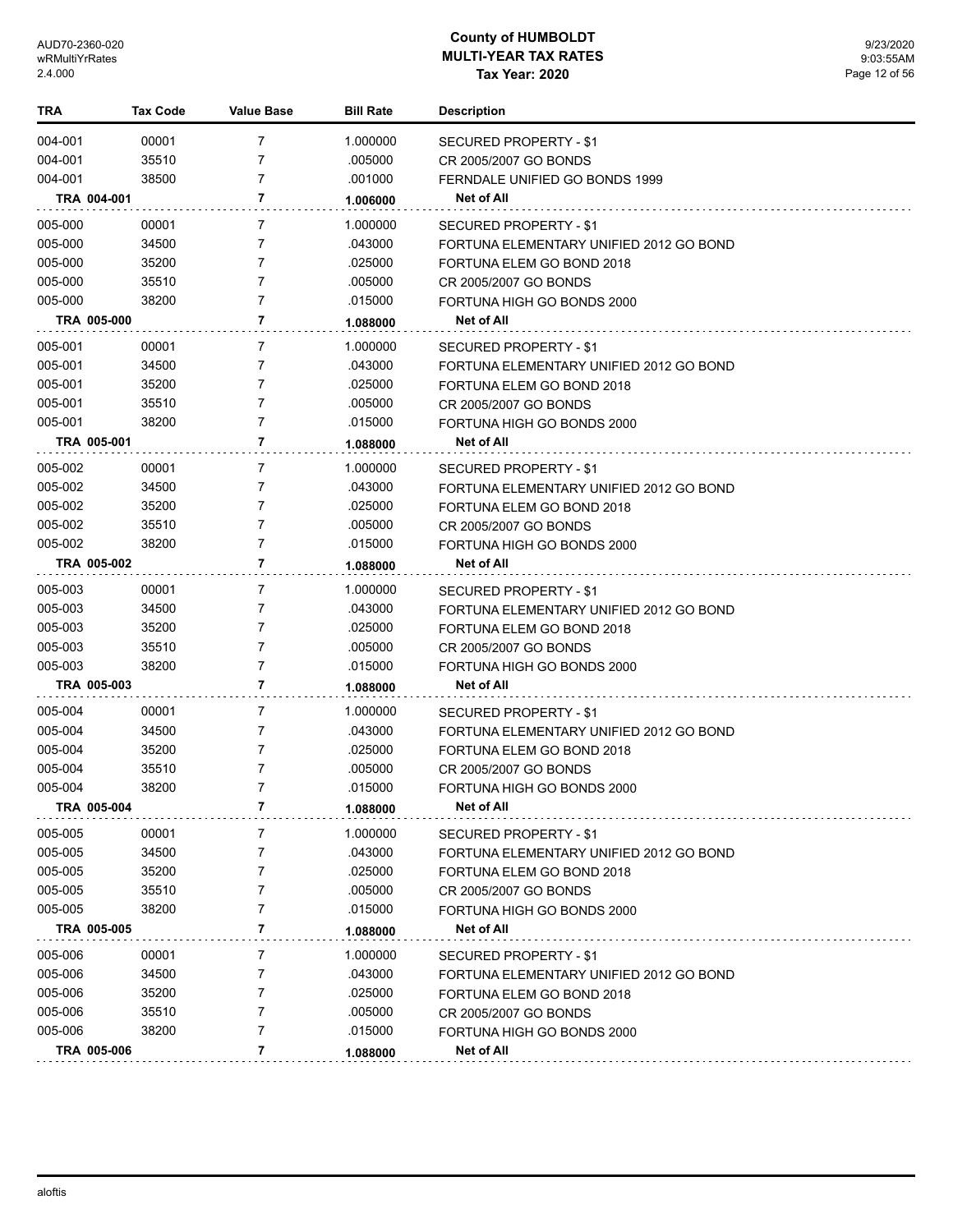| TRA         | <b>Tax Code</b> | Value Base | <b>Bill Rate</b> | <b>Description</b>                      |
|-------------|-----------------|------------|------------------|-----------------------------------------|
| 004-001     | 00001           | 7          | 1.000000         | <b>SECURED PROPERTY - \$1</b>           |
| 004-001     | 35510           | 7          | .005000          | CR 2005/2007 GO BONDS                   |
| 004-001     | 38500           | 7          | .001000          | FERNDALE UNIFIED GO BONDS 1999          |
| TRA 004-001 |                 | 7          | 1.006000         | Net of All                              |
| 005-000     | 00001           | 7          | 1.000000         | <b>SECURED PROPERTY - \$1</b>           |
| 005-000     | 34500           | 7          | .043000          | FORTUNA ELEMENTARY UNIFIED 2012 GO BOND |
| 005-000     | 35200           | 7          | .025000          | FORTUNA ELEM GO BOND 2018               |
| 005-000     | 35510           | 7          | .005000          | CR 2005/2007 GO BONDS                   |
| 005-000     | 38200           | 7          | .015000          | FORTUNA HIGH GO BONDS 2000              |
| TRA 005-000 |                 | 7          | 1.088000         | <b>Net of All</b>                       |
| 005-001     | 00001           | 7          | 1.000000         | SECURED PROPERTY - \$1                  |
| 005-001     | 34500           | 7          | .043000          | FORTUNA ELEMENTARY UNIFIED 2012 GO BOND |
| 005-001     | 35200           | 7          | .025000          | FORTUNA ELEM GO BOND 2018               |
| 005-001     | 35510           | 7          | .005000          | CR 2005/2007 GO BONDS                   |
| 005-001     | 38200           | 7          | .015000          | FORTUNA HIGH GO BONDS 2000              |
| TRA 005-001 |                 | 7          | 1.088000         | Net of All                              |
| 005-002     | 00001           | 7          | 1.000000         | SECURED PROPERTY - \$1                  |
| 005-002     | 34500           | 7          | .043000          | FORTUNA ELEMENTARY UNIFIED 2012 GO BOND |
| 005-002     | 35200           | 7          | .025000          | FORTUNA ELEM GO BOND 2018               |
| 005-002     | 35510           | 7          | .005000          | CR 2005/2007 GO BONDS                   |
| 005-002     | 38200           | 7          | .015000          | FORTUNA HIGH GO BONDS 2000              |
| TRA 005-002 |                 | 7          | 1.088000         | Net of All                              |
| 005-003     | 00001           | 7          | 1.000000         | SECURED PROPERTY - \$1                  |
| 005-003     | 34500           | 7          | .043000          | FORTUNA ELEMENTARY UNIFIED 2012 GO BOND |
| 005-003     | 35200           | 7          | .025000          | FORTUNA ELEM GO BOND 2018               |
| 005-003     | 35510           | 7          | .005000          | CR 2005/2007 GO BONDS                   |
| 005-003     | 38200           | 7          | .015000          | FORTUNA HIGH GO BONDS 2000              |
| TRA 005-003 |                 | 7          | 1.088000         | Net of All                              |
| 005-004     | 00001           | 7          | 1.000000         | SECURED PROPERTY - \$1                  |
| 005-004     | 34500           | 7          | .043000          | FORTUNA ELEMENTARY UNIFIED 2012 GO BOND |
| 005-004     | 35200           | 7          | .025000          | FORTUNA ELEM GO BOND 2018               |
| 005-004     | 35510           | 7          | .005000          | CR 2005/2007 GO BONDS                   |
| 005-004     | 38200           | 7          | .015000          | FORTUNA HIGH GO BONDS 2000              |
| TRA 005-004 |                 | 7          | 1.088000         | <b>Net of All</b>                       |
| 005-005     | 00001           | 7          | 1.000000         | <b>SECURED PROPERTY - \$1</b>           |
| 005-005     | 34500           | 7          | .043000          | FORTUNA ELEMENTARY UNIFIED 2012 GO BOND |
| 005-005     | 35200           | 7          | .025000          | FORTUNA ELEM GO BOND 2018               |
| 005-005     | 35510           | 7          | .005000          | CR 2005/2007 GO BONDS                   |
| 005-005     | 38200           | 7          | .015000          | FORTUNA HIGH GO BONDS 2000              |
| TRA 005-005 |                 | 7          | 1.088000         | <b>Net of All</b>                       |
| 005-006     | 00001           | 7          | 1.000000         | SECURED PROPERTY - \$1                  |
| 005-006     | 34500           | 7          | .043000          | FORTUNA ELEMENTARY UNIFIED 2012 GO BOND |
| 005-006     | 35200           | 7          | .025000          | FORTUNA ELEM GO BOND 2018               |
| 005-006     | 35510           | 7          | .005000          | CR 2005/2007 GO BONDS                   |
| 005-006     | 38200           | 7          | .015000          | FORTUNA HIGH GO BONDS 2000              |
| TRA 005-006 |                 | 7          | 1.088000         | Net of All                              |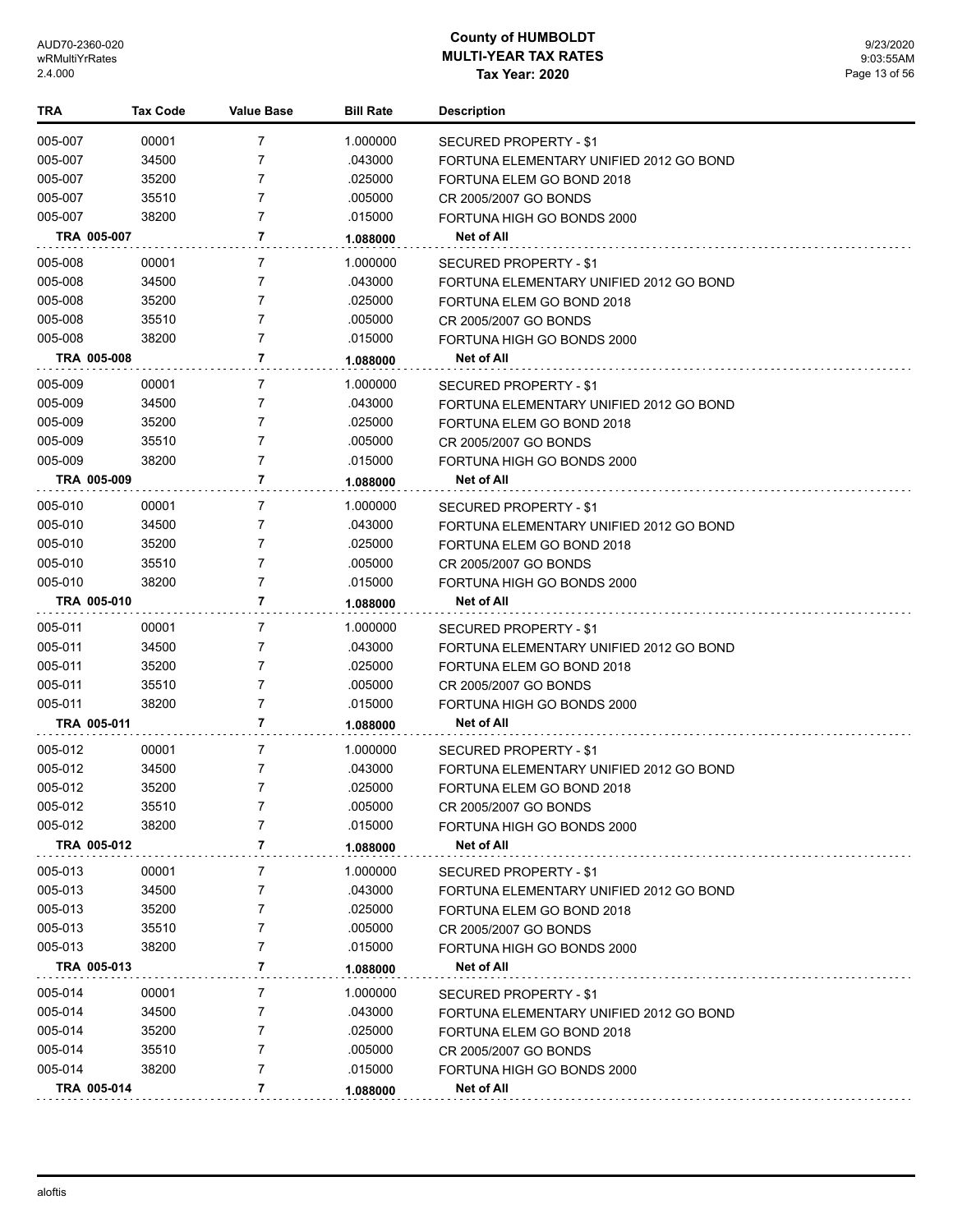| TRA         | <b>Tax Code</b> | Value Base | <b>Bill Rate</b> | <b>Description</b>                      |
|-------------|-----------------|------------|------------------|-----------------------------------------|
| 005-007     | 00001           | 7          | 1.000000         | <b>SECURED PROPERTY - \$1</b>           |
| 005-007     | 34500           | 7          | .043000          | FORTUNA ELEMENTARY UNIFIED 2012 GO BOND |
| 005-007     | 35200           | 7          | .025000          | FORTUNA ELEM GO BOND 2018               |
| 005-007     | 35510           | 7          | .005000          | CR 2005/2007 GO BONDS                   |
| 005-007     | 38200           | 7          | .015000          | FORTUNA HIGH GO BONDS 2000              |
| TRA 005-007 |                 | 7          | 1.088000         | Net of All                              |
| 005-008     | 00001           | 7          | 1.000000         | SECURED PROPERTY - \$1                  |
| 005-008     | 34500           | 7          | .043000          | FORTUNA ELEMENTARY UNIFIED 2012 GO BOND |
| 005-008     | 35200           | 7          | .025000          | FORTUNA ELEM GO BOND 2018               |
| 005-008     | 35510           | 7          | .005000          | CR 2005/2007 GO BONDS                   |
| 005-008     | 38200           | 7          | .015000          | FORTUNA HIGH GO BONDS 2000              |
| TRA 005-008 |                 | 7          | 1.088000         | Net of All                              |
| 005-009     | 00001           | 7          | 1.000000         | SECURED PROPERTY - \$1                  |
| 005-009     | 34500           | 7          | .043000          | FORTUNA ELEMENTARY UNIFIED 2012 GO BOND |
| 005-009     | 35200           | 7          | .025000          | FORTUNA ELEM GO BOND 2018               |
| 005-009     | 35510           | 7          | .005000          | CR 2005/2007 GO BONDS                   |
| 005-009     | 38200           | 7          | .015000          | FORTUNA HIGH GO BONDS 2000              |
| TRA 005-009 |                 | 7          | 1.088000         | <b>Net of All</b>                       |
| 005-010     | 00001           | 7          | 1.000000         | SECURED PROPERTY - \$1                  |
| 005-010     | 34500           | 7          | .043000          | FORTUNA ELEMENTARY UNIFIED 2012 GO BOND |
| 005-010     | 35200           | 7          | .025000          | FORTUNA ELEM GO BOND 2018               |
| 005-010     | 35510           | 7          | .005000          | CR 2005/2007 GO BONDS                   |
| 005-010     | 38200           | 7          | .015000          | FORTUNA HIGH GO BONDS 2000              |
| TRA 005-010 |                 | 7          | 1.088000         | Net of All                              |
| 005-011     | 00001           | 7          | 1.000000         | SECURED PROPERTY - \$1                  |
| 005-011     | 34500           | 7          | .043000          | FORTUNA ELEMENTARY UNIFIED 2012 GO BOND |
| 005-011     | 35200           | 7          | .025000          | FORTUNA ELEM GO BOND 2018               |
| 005-011     | 35510           | 7          | .005000          | CR 2005/2007 GO BONDS                   |
| 005-011     | 38200           | 7          | .015000          | FORTUNA HIGH GO BONDS 2000              |
| TRA 005-011 |                 | 7          | 1.088000         | <b>Net of All</b>                       |
| 005-012     | 00001           | 7          | 1.000000         | SECURED PROPERTY - \$1                  |
| 005-012     | 34500           | 7          | .043000          | FORTUNA ELEMENTARY UNIFIED 2012 GO BOND |
| 005-012     | 35200           | 7          | .025000          | FORTUNA ELEM GO BOND 2018               |
| 005-012     | 35510           | 7          | .005000          | CR 2005/2007 GO BONDS                   |
| 005-012     | 38200           | 7          | .015000          | FORTUNA HIGH GO BONDS 2000              |
| TRA 005-012 |                 | 7          | 1.088000         | Net of All                              |
| 005-013     | 00001           | 7          | 1.000000         | <b>SECURED PROPERTY - \$1</b>           |
| 005-013     | 34500           | 7          | .043000          | FORTUNA ELEMENTARY UNIFIED 2012 GO BOND |
| 005-013     | 35200           | 7          | .025000          | FORTUNA ELEM GO BOND 2018               |
| 005-013     | 35510           | 7          | .005000          | CR 2005/2007 GO BONDS                   |
| 005-013     | 38200           | 7          | .015000          | FORTUNA HIGH GO BONDS 2000              |
| TRA 005-013 |                 | 7          | 1.088000         | Net of All                              |
| 005-014     | 00001           | 7          | 1.000000         | SECURED PROPERTY - \$1                  |
| 005-014     | 34500           | 7          | .043000          | FORTUNA ELEMENTARY UNIFIED 2012 GO BOND |
| 005-014     | 35200           | 7          | .025000          | FORTUNA ELEM GO BOND 2018               |
| 005-014     | 35510           | 7          | .005000          | CR 2005/2007 GO BONDS                   |
| 005-014     | 38200           | 7          | .015000          | FORTUNA HIGH GO BONDS 2000              |
| TRA 005-014 |                 | 7          | 1.088000         | Net of All                              |
|             |                 |            |                  |                                         |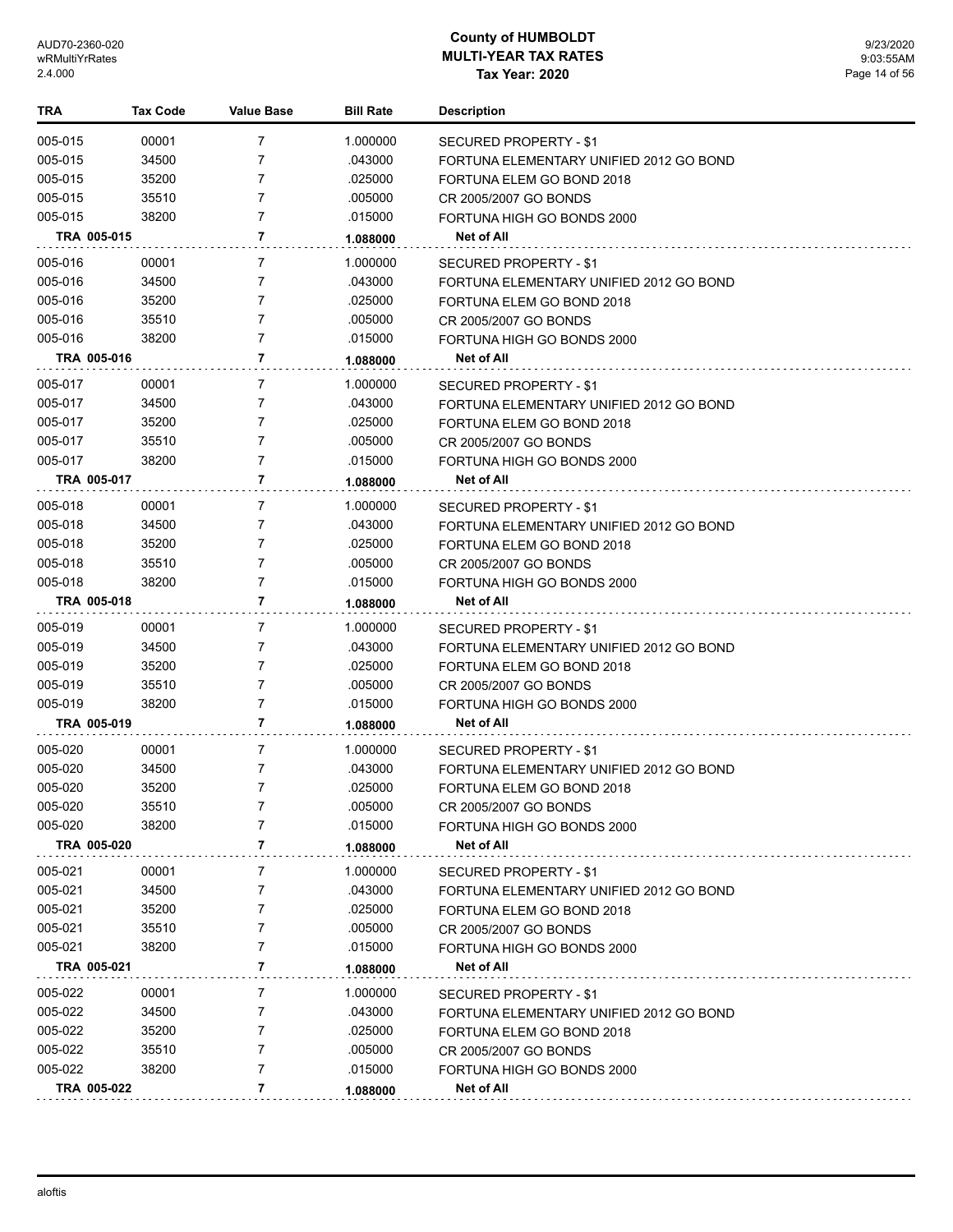| TRA         | <b>Tax Code</b> | Value Base     | <b>Bill Rate</b> | <b>Description</b>                      |
|-------------|-----------------|----------------|------------------|-----------------------------------------|
| 005-015     | 00001           | $\overline{7}$ | 1.000000         | SECURED PROPERTY - \$1                  |
| 005-015     | 34500           | $\overline{7}$ | .043000          | FORTUNA ELEMENTARY UNIFIED 2012 GO BOND |
| 005-015     | 35200           | 7              | .025000          | FORTUNA ELEM GO BOND 2018               |
| 005-015     | 35510           | 7              | .005000          | CR 2005/2007 GO BONDS                   |
| 005-015     | 38200           | $\overline{7}$ | .015000          | FORTUNA HIGH GO BONDS 2000              |
| TRA 005-015 |                 | 7              | 1.088000         | Net of All                              |
| 005-016     | 00001           | 7              | 1.000000         | SECURED PROPERTY - \$1                  |
| 005-016     | 34500           | 7              | .043000          | FORTUNA ELEMENTARY UNIFIED 2012 GO BOND |
| 005-016     | 35200           | 7              | .025000          | FORTUNA ELEM GO BOND 2018               |
| 005-016     | 35510           | 7              | .005000          | CR 2005/2007 GO BONDS                   |
| 005-016     | 38200           | 7              | .015000          | FORTUNA HIGH GO BONDS 2000              |
| TRA 005-016 |                 | 7              | 1.088000         | Net of All                              |
| 005-017     | 00001           | 7              | 1.000000         | SECURED PROPERTY - \$1                  |
| 005-017     | 34500           | 7              | .043000          | FORTUNA ELEMENTARY UNIFIED 2012 GO BOND |
| 005-017     | 35200           | 7              | .025000          | FORTUNA ELEM GO BOND 2018               |
| 005-017     | 35510           | 7              | .005000          | CR 2005/2007 GO BONDS                   |
| 005-017     | 38200           | 7              | .015000          | FORTUNA HIGH GO BONDS 2000              |
| TRA 005-017 |                 | 7              | 1.088000         | Net of All                              |
| 005-018     | 00001           | 7              | 1.000000         | SECURED PROPERTY - \$1                  |
| 005-018     | 34500           | 7              | .043000          | FORTUNA ELEMENTARY UNIFIED 2012 GO BOND |
| 005-018     | 35200           | 7              | .025000          | FORTUNA ELEM GO BOND 2018               |
| 005-018     | 35510           | 7              | .005000          | CR 2005/2007 GO BONDS                   |
| 005-018     | 38200           | $\overline{7}$ | .015000          | FORTUNA HIGH GO BONDS 2000              |
| TRA 005-018 |                 | 7              | 1.088000         | Net of All                              |
| 005-019     | 00001           | 7              | 1.000000         | SECURED PROPERTY - \$1                  |
| 005-019     | 34500           | 7              | .043000          | FORTUNA ELEMENTARY UNIFIED 2012 GO BOND |
| 005-019     | 35200           | 7              | .025000          | FORTUNA ELEM GO BOND 2018               |
| 005-019     | 35510           | 7              | .005000          | CR 2005/2007 GO BONDS                   |
| 005-019     | 38200           | $\overline{7}$ | .015000          | FORTUNA HIGH GO BONDS 2000              |
| TRA 005-019 |                 | 7              | 1.088000         | <b>Net of All</b>                       |
| 005-020     | 00001           | 7              | 1.000000         | SECURED PROPERTY - \$1                  |
| 005-020     | 34500           | 7              | .043000          | FORTUNA ELEMENTARY UNIFIED 2012 GO BOND |
| 005-020     | 35200           | $\overline{7}$ | .025000          | FORTUNA ELEM GO BOND 2018               |
| 005-020     | 35510           | 7              | .005000          | CR 2005/2007 GO BONDS                   |
| 005-020     | 38200           | 7              | .015000          | FORTUNA HIGH GO BONDS 2000              |
| TRA 005-020 |                 | 7              | 1.088000         | Net of All                              |
| 005-021     | 00001           | 7              | 1.000000         | SECURED PROPERTY - \$1                  |
| 005-021     | 34500           | 7              | .043000          | FORTUNA ELEMENTARY UNIFIED 2012 GO BOND |
| 005-021     | 35200           | 7              | .025000          | FORTUNA ELEM GO BOND 2018               |
| 005-021     | 35510           | 7              | .005000          | CR 2005/2007 GO BONDS                   |
| 005-021     | 38200           | 7              | .015000          | FORTUNA HIGH GO BONDS 2000              |
| TRA 005-021 |                 | 7              | 1.088000         | Net of All                              |
|             |                 |                |                  |                                         |
| 005-022     | 00001           | 7              | 1.000000         | SECURED PROPERTY - \$1                  |
| 005-022     | 34500           | 7              | .043000          | FORTUNA ELEMENTARY UNIFIED 2012 GO BOND |
| 005-022     | 35200           | 7              | .025000          | FORTUNA ELEM GO BOND 2018               |
| 005-022     | 35510           | 7<br>7         | .005000          | CR 2005/2007 GO BONDS                   |
| 005-022     | 38200           |                | .015000          | FORTUNA HIGH GO BONDS 2000              |
| TRA 005-022 |                 | 7              | 1.088000         | Net of All                              |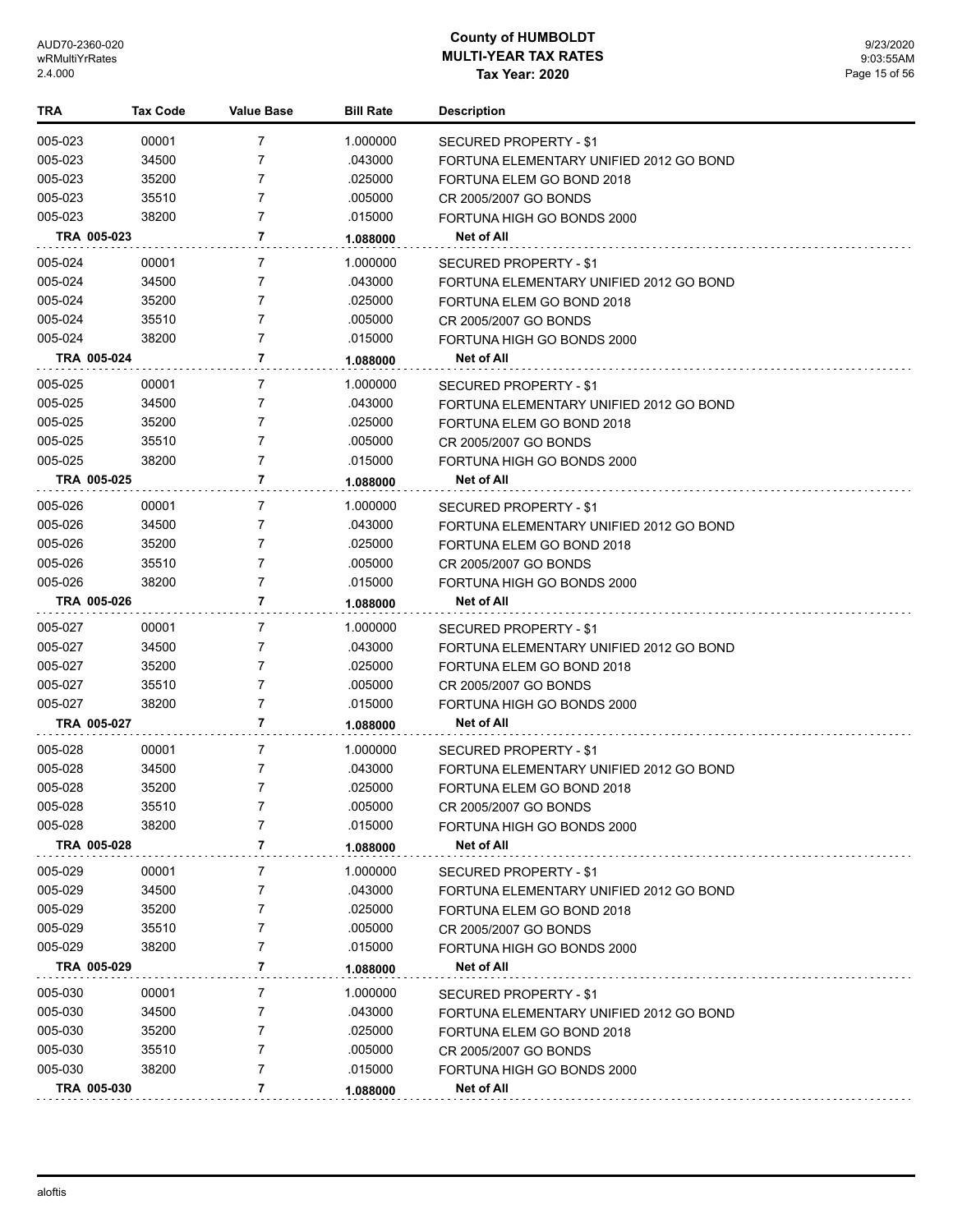| TRA         | Tax Code | <b>Value Base</b> | <b>Bill Rate</b> | <b>Description</b>                      |
|-------------|----------|-------------------|------------------|-----------------------------------------|
| 005-023     | 00001    | 7                 | 1.000000         | SECURED PROPERTY - \$1                  |
| 005-023     | 34500    | 7                 | .043000          | FORTUNA ELEMENTARY UNIFIED 2012 GO BOND |
| 005-023     | 35200    | 7                 | .025000          | FORTUNA ELEM GO BOND 2018               |
| 005-023     | 35510    | 7                 | .005000          | CR 2005/2007 GO BONDS                   |
| 005-023     | 38200    | 7                 | .015000          | FORTUNA HIGH GO BONDS 2000              |
| TRA 005-023 |          | 7                 | 1.088000         | Net of All                              |
| 005-024     | 00001    | 7                 | 1.000000         | SECURED PROPERTY - \$1                  |
| 005-024     | 34500    | 7                 | .043000          | FORTUNA ELEMENTARY UNIFIED 2012 GO BOND |
| 005-024     | 35200    | 7                 | .025000          | FORTUNA ELEM GO BOND 2018               |
| 005-024     | 35510    | 7                 | .005000          | CR 2005/2007 GO BONDS                   |
| 005-024     | 38200    | 7                 | .015000          | FORTUNA HIGH GO BONDS 2000              |
| TRA 005-024 |          | 7                 | 1.088000         | Net of All                              |
| 005-025     | 00001    | 7                 | 1.000000         | SECURED PROPERTY - \$1                  |
| 005-025     | 34500    | 7                 | .043000          | FORTUNA ELEMENTARY UNIFIED 2012 GO BOND |
| 005-025     | 35200    | 7                 | .025000          | FORTUNA ELEM GO BOND 2018               |
| 005-025     | 35510    | 7                 | .005000          | CR 2005/2007 GO BONDS                   |
| 005-025     | 38200    | 7                 | .015000          | FORTUNA HIGH GO BONDS 2000              |
| TRA 005-025 |          | 7                 | 1.088000         | Net of All                              |
| 005-026     | 00001    | 7                 | 1.000000         | SECURED PROPERTY - \$1                  |
| 005-026     | 34500    | 7                 | .043000          | FORTUNA ELEMENTARY UNIFIED 2012 GO BOND |
| 005-026     | 35200    | 7                 | .025000          | FORTUNA ELEM GO BOND 2018               |
| 005-026     | 35510    | 7                 | .005000          | CR 2005/2007 GO BONDS                   |
| 005-026     | 38200    | 7                 | .015000          | FORTUNA HIGH GO BONDS 2000              |
| TRA 005-026 |          | 7                 | 1.088000         | Net of All                              |
| 005-027     | 00001    | 7                 | 1.000000         | SECURED PROPERTY - \$1                  |
| 005-027     | 34500    | 7                 | .043000          | FORTUNA ELEMENTARY UNIFIED 2012 GO BOND |
| 005-027     | 35200    | 7                 | .025000          | FORTUNA ELEM GO BOND 2018               |
| 005-027     | 35510    | 7                 | .005000          | CR 2005/2007 GO BONDS                   |
| 005-027     | 38200    | 7                 | .015000          | FORTUNA HIGH GO BONDS 2000              |
| TRA 005-027 |          | 7                 | 1.088000         | <b>Net of All</b>                       |
| 005-028     | 00001    | 7                 | 1.000000         | SECURED PROPERTY - \$1                  |
| 005-028     | 34500    | 7                 | .043000          | FORTUNA ELEMENTARY UNIFIED 2012 GO BOND |
| 005-028     | 35200    | 7                 | .025000          | FORTUNA ELEM GO BOND 2018               |
| 005-028     | 35510    | 7                 | .005000          | CR 2005/2007 GO BONDS                   |
| 005-028     | 38200    | 7                 | .015000          | FORTUNA HIGH GO BONDS 2000              |
| TRA 005-028 |          | 7                 | 1.088000         | <b>Net of All</b>                       |
| 005-029     | 00001    | 7                 | 1.000000         | SECURED PROPERTY - \$1                  |
| 005-029     | 34500    | 7                 | .043000          | FORTUNA ELEMENTARY UNIFIED 2012 GO BOND |
| 005-029     | 35200    | 7                 | .025000          | FORTUNA ELEM GO BOND 2018               |
| 005-029     | 35510    | 7                 | .005000          | CR 2005/2007 GO BONDS                   |
| 005-029     | 38200    | 7                 | .015000          | FORTUNA HIGH GO BONDS 2000              |
| TRA 005-029 |          | 7                 | 1.088000         | Net of All                              |
| 005-030     | 00001    | 7                 | 1.000000         | SECURED PROPERTY - \$1                  |
| 005-030     | 34500    | 7                 | .043000          | FORTUNA ELEMENTARY UNIFIED 2012 GO BOND |
| 005-030     | 35200    | 7                 | .025000          | FORTUNA ELEM GO BOND 2018               |
| 005-030     | 35510    | 7                 | .005000          | CR 2005/2007 GO BONDS                   |
| 005-030     | 38200    | 7                 | .015000          | FORTUNA HIGH GO BONDS 2000              |
| TRA 005-030 |          | 7                 | 1.088000         | <b>Net of All</b>                       |
|             |          |                   |                  |                                         |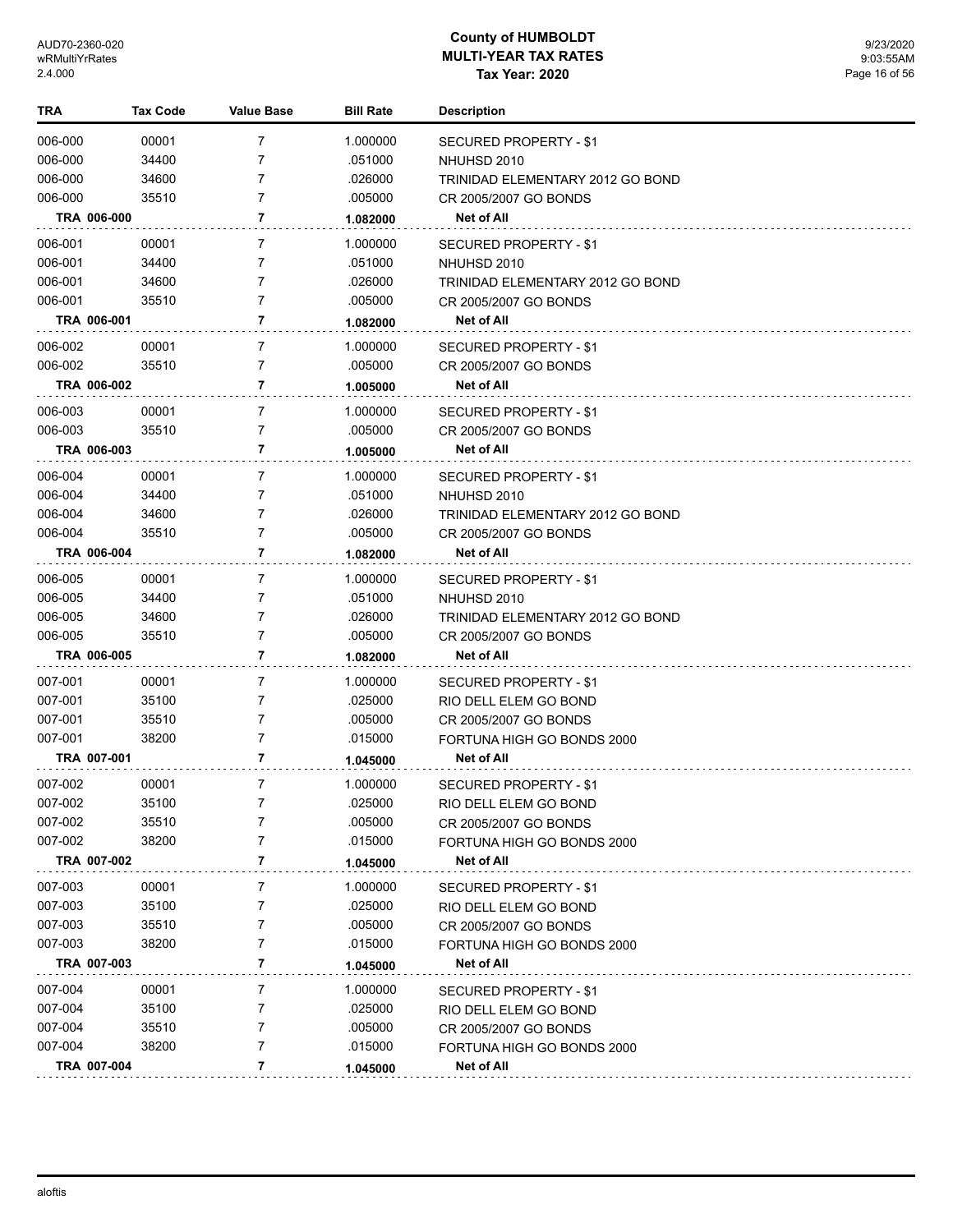| <b>TRA</b>  | Tax Code | <b>Value Base</b> | <b>Bill Rate</b> | <b>Description</b>               |
|-------------|----------|-------------------|------------------|----------------------------------|
| 006-000     | 00001    | 7                 | 1.000000         | SECURED PROPERTY - \$1           |
| 006-000     | 34400    | 7                 | .051000          | NHUHSD 2010                      |
| 006-000     | 34600    | 7                 | .026000          | TRINIDAD ELEMENTARY 2012 GO BOND |
| 006-000     | 35510    | 7                 | .005000          | CR 2005/2007 GO BONDS            |
| TRA 006-000 |          | 7                 | 1.082000         | Net of All                       |
| 006-001     | 00001    | 7                 | 1.000000         | SECURED PROPERTY - \$1           |
| 006-001     | 34400    | 7                 | .051000          | NHUHSD 2010                      |
| 006-001     | 34600    | 7                 | .026000          | TRINIDAD ELEMENTARY 2012 GO BOND |
| 006-001     | 35510    | 7                 | .005000          | CR 2005/2007 GO BONDS            |
| TRA 006-001 |          | 7                 | 1.082000         | Net of All                       |
| 006-002     | 00001    | 7                 | 1.000000         | SECURED PROPERTY - \$1           |
| 006-002     | 35510    | 7                 | .005000          | CR 2005/2007 GO BONDS            |
| TRA 006-002 |          | 7                 | 1.005000         | Net of All                       |
| 006-003     | 00001    | 7                 | 1.000000         | SECURED PROPERTY - \$1           |
| 006-003     | 35510    | 7                 | .005000          | CR 2005/2007 GO BONDS            |
| TRA 006-003 |          | 7                 | 1.005000         | Net of All                       |
| 006-004     | 00001    | 7                 | 1.000000         | <b>SECURED PROPERTY - \$1</b>    |
| 006-004     | 34400    | 7                 | .051000          | NHUHSD 2010                      |
| 006-004     | 34600    | 7                 | .026000          | TRINIDAD ELEMENTARY 2012 GO BOND |
| 006-004     | 35510    | $\overline{7}$    | .005000          | CR 2005/2007 GO BONDS            |
| TRA 006-004 |          | 7                 | 1.082000         | Net of All                       |
| 006-005     | 00001    | $\overline{7}$    | 1.000000         | <b>SECURED PROPERTY - \$1</b>    |
| 006-005     | 34400    | 7                 | .051000          | NHUHSD 2010                      |
| 006-005     | 34600    | 7                 | .026000          | TRINIDAD ELEMENTARY 2012 GO BOND |
| 006-005     | 35510    | 7                 | .005000          | CR 2005/2007 GO BONDS            |
| TRA 006-005 |          | 7                 | 1.082000         | Net of All                       |
| 007-001     | 00001    | $\overline{7}$    | 1.000000         | <b>SECURED PROPERTY - \$1</b>    |
| 007-001     | 35100    | 7                 | .025000          | RIO DELL ELEM GO BOND            |
| 007-001     | 35510    | 7                 | .005000          | CR 2005/2007 GO BONDS            |
| 007-001     | 38200    | 7                 | .015000          | FORTUNA HIGH GO BONDS 2000       |
| TRA 007-001 |          | 7                 | 1.045000         | Net of All                       |
| 007-002     | 00001    | 7                 | 1.000000         | <b>SECURED PROPERTY - \$1</b>    |
| 007-002     | 35100    |                   | .025000          | RIO DELL ELEM GO BOND            |
| 007-002     | 35510    | 7                 | .005000          | CR 2005/2007 GO BONDS            |
| 007-002     | 38200    | 7                 | .015000          | FORTUNA HIGH GO BONDS 2000       |
| TRA 007-002 |          | 7                 | 1.045000         | Net of All                       |
| 007-003     | 00001    | 7                 | 1.000000         | <b>SECURED PROPERTY - \$1</b>    |
| 007-003     | 35100    | 7                 | .025000          | RIO DELL ELEM GO BOND            |
| 007-003     | 35510    | 7                 | .005000          | CR 2005/2007 GO BONDS            |
| 007-003     | 38200    | 7                 | .015000          | FORTUNA HIGH GO BONDS 2000       |
| TRA 007-003 |          | 7                 | 1.045000         | <b>Net of All</b>                |
| 007-004     | 00001    | 7                 | 1.000000         | <b>SECURED PROPERTY - \$1</b>    |
| 007-004     | 35100    | 7                 | .025000          | RIO DELL ELEM GO BOND            |
| 007-004     | 35510    | 7                 | .005000          | CR 2005/2007 GO BONDS            |
| 007-004     | 38200    | $\overline{7}$    | .015000          | FORTUNA HIGH GO BONDS 2000       |
| TRA 007-004 |          | 7                 | 1.045000         | Net of All                       |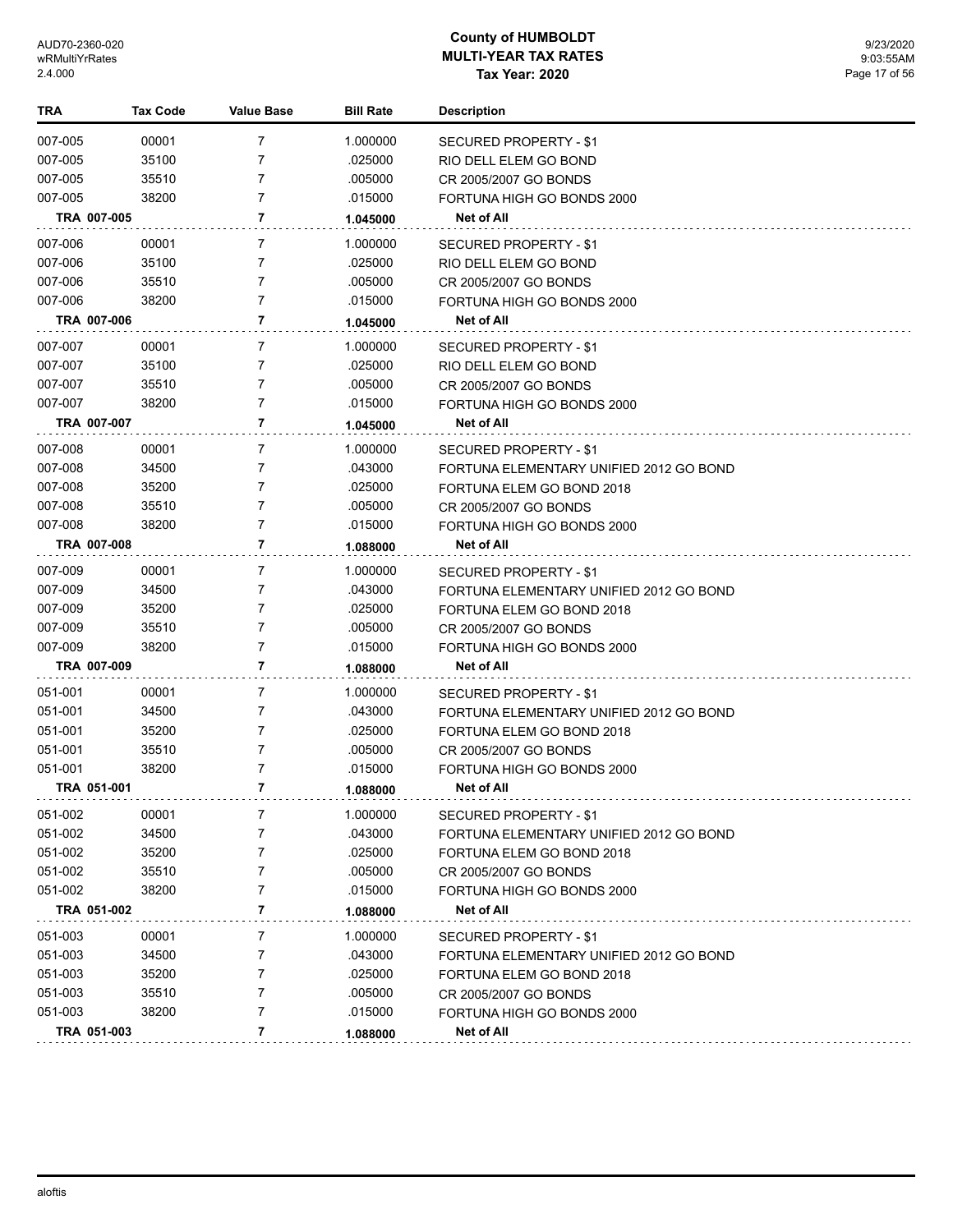| TRA     | <b>Tax Code</b> | Value Base     | <b>Bill Rate</b> | <b>Description</b>                      |
|---------|-----------------|----------------|------------------|-----------------------------------------|
| 007-005 | 00001           | 7              | 1.000000         | SECURED PROPERTY - \$1                  |
| 007-005 | 35100           | 7              | .025000          | RIO DELL ELEM GO BOND                   |
| 007-005 | 35510           | 7              | .005000          | CR 2005/2007 GO BONDS                   |
| 007-005 | 38200           | 7              | .015000          | FORTUNA HIGH GO BONDS 2000              |
|         | TRA 007-005     | 7              | 1.045000         | Net of All                              |
| 007-006 | 00001           | 7              | 1.000000         | SECURED PROPERTY - \$1                  |
| 007-006 | 35100           | 7              | .025000          | RIO DELL ELEM GO BOND                   |
| 007-006 | 35510           | 7              | .005000          | CR 2005/2007 GO BONDS                   |
| 007-006 | 38200           | $\overline{7}$ | .015000          | FORTUNA HIGH GO BONDS 2000              |
|         | TRA 007-006     | 7              | 1.045000         | Net of All                              |
| 007-007 | 00001           | 7              | 1.000000         | SECURED PROPERTY - \$1                  |
| 007-007 | 35100           | 7              | .025000          | RIO DELL ELEM GO BOND                   |
| 007-007 | 35510           | 7              | .005000          | CR 2005/2007 GO BONDS                   |
| 007-007 | 38200           | $\overline{7}$ | .015000          | FORTUNA HIGH GO BONDS 2000              |
|         | TRA 007-007     | 7              | 1.045000         | Net of All                              |
| 007-008 | 00001           | 7              | 1.000000         | <b>SECURED PROPERTY - \$1</b>           |
| 007-008 | 34500           | 7              | .043000          | FORTUNA ELEMENTARY UNIFIED 2012 GO BOND |
| 007-008 | 35200           | 7              | .025000          | FORTUNA ELEM GO BOND 2018               |
| 007-008 | 35510           | $\overline{7}$ | .005000          | CR 2005/2007 GO BONDS                   |
| 007-008 | 38200           | 7              | .015000          | FORTUNA HIGH GO BONDS 2000              |
|         | TRA 007-008     | 7              | 1.088000         | Net of All                              |
| 007-009 | 00001           | 7              | 1.000000         | SECURED PROPERTY - \$1                  |
| 007-009 | 34500           | 7              | .043000          | FORTUNA ELEMENTARY UNIFIED 2012 GO BOND |
| 007-009 | 35200           | 7              | .025000          | FORTUNA ELEM GO BOND 2018               |
| 007-009 | 35510           | 7              | .005000          | CR 2005/2007 GO BONDS                   |
| 007-009 | 38200           | 7              | .015000          | FORTUNA HIGH GO BONDS 2000              |
|         | TRA 007-009     | 7              | 1.088000         | Net of All                              |
| 051-001 | 00001           | 7              | 1.000000         | SECURED PROPERTY - \$1                  |
| 051-001 | 34500           | 7              | .043000          | FORTUNA ELEMENTARY UNIFIED 2012 GO BOND |
| 051-001 | 35200           | 7              | .025000          | FORTUNA ELEM GO BOND 2018               |
| 051-001 | 35510           | 7              | .005000          | CR 2005/2007 GO BONDS                   |
| 051-001 | 38200           | 7              | .015000          | FORTUNA HIGH GO BONDS 2000              |
|         | TRA 051-001     | 7              | 1.088000         | <b>Net of All</b>                       |
| 051-002 | 00001           | 7              | 1.000000         | SECURED PROPERTY - \$1                  |
| 051-002 | 34500           | 7              | .043000          | FORTUNA ELEMENTARY UNIFIED 2012 GO BOND |
| 051-002 | 35200           | 7              | .025000          | FORTUNA ELEM GO BOND 2018               |
| 051-002 | 35510           | 7              | .005000          | CR 2005/2007 GO BONDS                   |
| 051-002 | 38200           | 7              | .015000          | FORTUNA HIGH GO BONDS 2000              |
|         | TRA 051-002     | 7              | 1.088000         | Net of All                              |
| 051-003 | 00001           | 7              | 1.000000         | SECURED PROPERTY - \$1                  |
| 051-003 | 34500           | 7              | .043000          | FORTUNA ELEMENTARY UNIFIED 2012 GO BOND |
| 051-003 | 35200           | 7              | .025000          | FORTUNA ELEM GO BOND 2018               |
| 051-003 | 35510           | 7              | .005000          | CR 2005/2007 GO BONDS                   |
| 051-003 | 38200           | 7              | .015000          | FORTUNA HIGH GO BONDS 2000              |
|         | TRA 051-003     | 7              | 1.088000         | Net of All                              |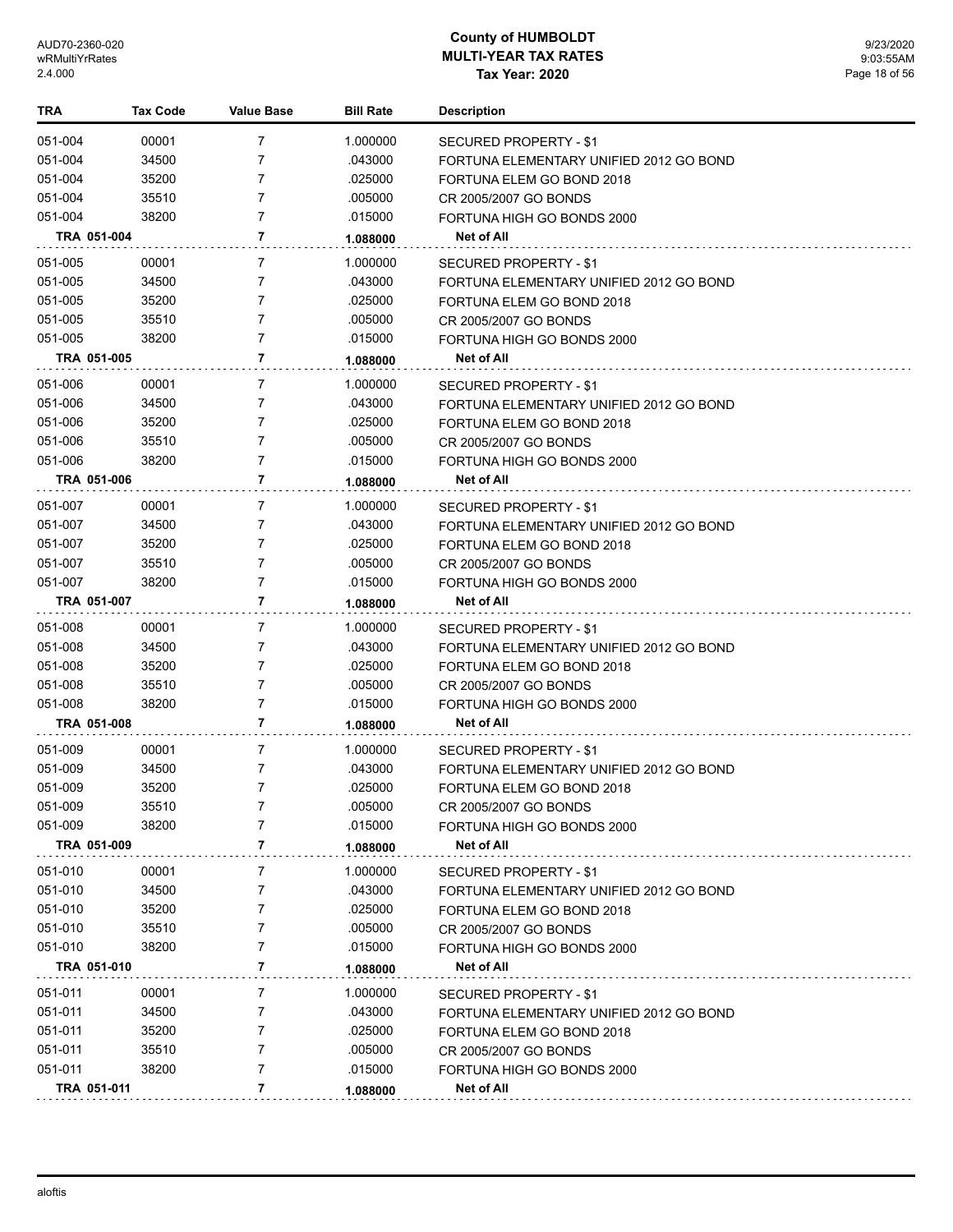| <b>TRA</b>  | <b>Tax Code</b> | Value Base     | <b>Bill Rate</b> | <b>Description</b>                      |
|-------------|-----------------|----------------|------------------|-----------------------------------------|
| 051-004     | 00001           | $\overline{7}$ | 1.000000         | SECURED PROPERTY - \$1                  |
| 051-004     | 34500           | 7              | .043000          | FORTUNA ELEMENTARY UNIFIED 2012 GO BOND |
| 051-004     | 35200           | 7              | .025000          | FORTUNA ELEM GO BOND 2018               |
| 051-004     | 35510           | 7              | .005000          | CR 2005/2007 GO BONDS                   |
| 051-004     | 38200           | 7              | .015000          | FORTUNA HIGH GO BONDS 2000              |
| TRA 051-004 |                 | 7              | 1.088000         | Net of All                              |
| 051-005     | 00001           | 7              | 1.000000         | SECURED PROPERTY - \$1                  |
| 051-005     | 34500           | 7              | .043000          | FORTUNA ELEMENTARY UNIFIED 2012 GO BOND |
| 051-005     | 35200           | 7              | .025000          | FORTUNA ELEM GO BOND 2018               |
| 051-005     | 35510           | 7              | .005000          | CR 2005/2007 GO BONDS                   |
| 051-005     | 38200           | 7              | .015000          | FORTUNA HIGH GO BONDS 2000              |
| TRA 051-005 |                 | 7              | 1.088000         | Net of All                              |
| 051-006     | 00001           | 7              | 1.000000         | SECURED PROPERTY - \$1                  |
| 051-006     | 34500           | 7              | .043000          | FORTUNA ELEMENTARY UNIFIED 2012 GO BOND |
| 051-006     | 35200           | 7              | .025000          | FORTUNA ELEM GO BOND 2018               |
| 051-006     | 35510           | 7              | .005000          | CR 2005/2007 GO BONDS                   |
| 051-006     | 38200           | $\overline{7}$ | .015000          | FORTUNA HIGH GO BONDS 2000              |
| TRA 051-006 |                 | 7              | 1.088000         | <b>Net of All</b>                       |
| 051-007     | 00001           | 7              | 1.000000         | SECURED PROPERTY - \$1                  |
| 051-007     | 34500           | 7              | .043000          | FORTUNA ELEMENTARY UNIFIED 2012 GO BOND |
| 051-007     | 35200           | 7              | .025000          | FORTUNA ELEM GO BOND 2018               |
| 051-007     | 35510           | 7              | .005000          | CR 2005/2007 GO BONDS                   |
| 051-007     | 38200           | 7              | .015000          | FORTUNA HIGH GO BONDS 2000              |
| TRA 051-007 |                 | 7              | 1.088000         | Net of All                              |
| 051-008     | 00001           | 7              | 1.000000         | SECURED PROPERTY - \$1                  |
| 051-008     | 34500           | 7              | .043000          | FORTUNA ELEMENTARY UNIFIED 2012 GO BOND |
| 051-008     | 35200           | 7              | .025000          | FORTUNA ELEM GO BOND 2018               |
| 051-008     | 35510           | 7              | .005000          | CR 2005/2007 GO BONDS                   |
| 051-008     | 38200           | 7              | .015000          | FORTUNA HIGH GO BONDS 2000              |
| TRA 051-008 |                 | 7              | 1.088000         | <b>Net of All</b>                       |
| 051-009     | 00001           | 7              | 1.000000         | SECURED PROPERTY - \$1                  |
| 051-009     | 34500           | 7              | .043000          | FORTUNA ELEMENTARY UNIFIED 2012 GO BOND |
| 051-009     | 35200           | 7              | .025000          | FORTUNA ELEM GO BOND 2018               |
| 051-009     | 35510           | 7              | .005000          | CR 2005/2007 GO BONDS                   |
| 051-009     | 38200           | 7              | .015000          | FORTUNA HIGH GO BONDS 2000              |
| TRA 051-009 |                 | 7              | 1.088000         | Net of All                              |
| 051-010     | 00001           | 7              | 1.000000         | <b>SECURED PROPERTY - \$1</b>           |
| 051-010     | 34500           | 7              | .043000          | FORTUNA ELEMENTARY UNIFIED 2012 GO BOND |
| 051-010     | 35200           | 7              | .025000          | FORTUNA ELEM GO BOND 2018               |
| 051-010     | 35510           | 7              | .005000          | CR 2005/2007 GO BONDS                   |
| 051-010     | 38200           | 7              | .015000          | FORTUNA HIGH GO BONDS 2000              |
| TRA 051-010 |                 | 7              | 1.088000         | Net of All                              |
| 051-011     | 00001           | 7              | 1.000000         | SECURED PROPERTY - \$1                  |
| 051-011     | 34500           | 7              | .043000          | FORTUNA ELEMENTARY UNIFIED 2012 GO BOND |
| 051-011     | 35200           | 7              | .025000          | FORTUNA ELEM GO BOND 2018               |
| 051-011     | 35510           | 7              | .005000          | CR 2005/2007 GO BONDS                   |
| 051-011     | 38200           | 7              | .015000          | FORTUNA HIGH GO BONDS 2000              |
| TRA 051-011 |                 | 7              | 1.088000         | <b>Net of All</b>                       |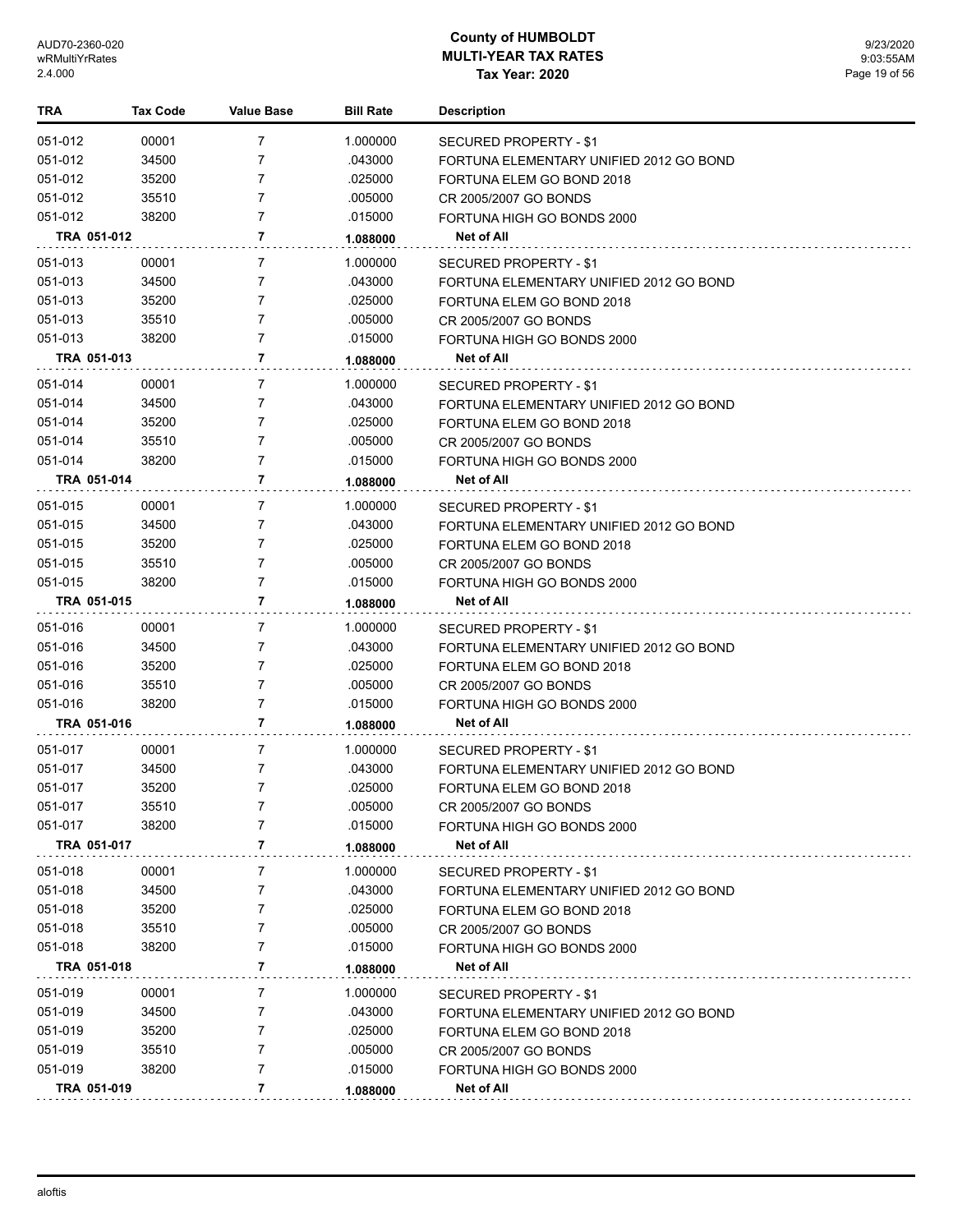| TRA         | <b>Tax Code</b> | <b>Value Base</b> | <b>Bill Rate</b> | <b>Description</b>                      |
|-------------|-----------------|-------------------|------------------|-----------------------------------------|
| 051-012     | 00001           | 7                 | 1.000000         | SECURED PROPERTY - \$1                  |
| 051-012     | 34500           | 7                 | .043000          | FORTUNA ELEMENTARY UNIFIED 2012 GO BOND |
| 051-012     | 35200           | 7                 | .025000          | FORTUNA ELEM GO BOND 2018               |
| 051-012     | 35510           | 7                 | .005000          | CR 2005/2007 GO BONDS                   |
| 051-012     | 38200           | 7                 | .015000          | FORTUNA HIGH GO BONDS 2000              |
| TRA 051-012 |                 | 7                 | 1.088000         | Net of All                              |
| 051-013     | 00001           | 7                 | 1.000000         | SECURED PROPERTY - \$1                  |
| 051-013     | 34500           | 7                 | .043000          | FORTUNA ELEMENTARY UNIFIED 2012 GO BOND |
| 051-013     | 35200           | 7                 | .025000          | FORTUNA ELEM GO BOND 2018               |
| 051-013     | 35510           | 7                 | .005000          | CR 2005/2007 GO BONDS                   |
| 051-013     | 38200           | 7                 | .015000          | FORTUNA HIGH GO BONDS 2000              |
| TRA 051-013 |                 | 7                 | 1.088000         | Net of All                              |
| 051-014     | 00001           | 7                 | 1.000000         | SECURED PROPERTY - \$1                  |
| 051-014     | 34500           | 7                 | .043000          | FORTUNA ELEMENTARY UNIFIED 2012 GO BOND |
| 051-014     | 35200           | 7                 | .025000          | FORTUNA ELEM GO BOND 2018               |
| 051-014     | 35510           | 7                 | .005000          | CR 2005/2007 GO BONDS                   |
| 051-014     | 38200           | 7                 | .015000          | FORTUNA HIGH GO BONDS 2000              |
| TRA 051-014 |                 | 7                 | 1.088000         | Net of All                              |
| 051-015     | 00001           | 7                 | 1.000000         | <b>SECURED PROPERTY - \$1</b>           |
| 051-015     | 34500           | 7                 | .043000          | FORTUNA ELEMENTARY UNIFIED 2012 GO BOND |
| 051-015     | 35200           | 7                 | .025000          | FORTUNA ELEM GO BOND 2018               |
| 051-015     | 35510           | 7                 | .005000          | CR 2005/2007 GO BONDS                   |
| 051-015     | 38200           | $\overline{7}$    | .015000          | FORTUNA HIGH GO BONDS 2000              |
| TRA 051-015 |                 | 7                 | 1.088000         | Net of All                              |
| 051-016     | 00001           | 7                 | 1.000000         | SECURED PROPERTY - \$1                  |
| 051-016     | 34500           | 7                 | .043000          | FORTUNA ELEMENTARY UNIFIED 2012 GO BOND |
| 051-016     | 35200           | 7                 | .025000          | FORTUNA ELEM GO BOND 2018               |
| 051-016     | 35510           | 7                 | .005000          | CR 2005/2007 GO BONDS                   |
| 051-016     | 38200           | 7                 | .015000          | FORTUNA HIGH GO BONDS 2000              |
| TRA 051-016 |                 | 7                 | 1.088000         | <b>Net of All</b>                       |
| 051-017     | 00001           | 7                 | 1.000000         | SECURED PROPERTY - \$1                  |
| 051-017     | 34500           | 7                 | .043000          | FORTUNA ELEMENTARY UNIFIED 2012 GO BOND |
| 051-017     | 35200           | $\overline{7}$    | .025000          | FORTUNA ELEM GO BOND 2018               |
| 051-017     | 35510           | 7                 | .005000          | CR 2005/2007 GO BONDS                   |
| 051-017     | 38200           | 7                 | .015000          | FORTUNA HIGH GO BONDS 2000              |
| TRA 051-017 |                 | 7                 | 1.088000         | <b>Net of All</b>                       |
| 051-018     | 00001           | 7                 | 1.000000         | SECURED PROPERTY - \$1                  |
| 051-018     | 34500           | 7                 | .043000          | FORTUNA ELEMENTARY UNIFIED 2012 GO BOND |
| 051-018     | 35200           | 7                 | .025000          | FORTUNA ELEM GO BOND 2018               |
| 051-018     | 35510           | 7                 | .005000          | CR 2005/2007 GO BONDS                   |
| 051-018     | 38200           | 7                 | .015000          | FORTUNA HIGH GO BONDS 2000              |
| TRA 051-018 |                 | 7                 | 1.088000         | Net of All                              |
| 051-019     | 00001           | 7                 | 1.000000         | SECURED PROPERTY - \$1                  |
| 051-019     | 34500           | 7                 | .043000          | FORTUNA ELEMENTARY UNIFIED 2012 GO BOND |
| 051-019     | 35200           | 7                 | .025000          | FORTUNA ELEM GO BOND 2018               |
| 051-019     | 35510           | 7                 | .005000          | CR 2005/2007 GO BONDS                   |
| 051-019     | 38200           | 7                 | .015000          | FORTUNA HIGH GO BONDS 2000              |
| TRA 051-019 |                 | 7                 | 1.088000         | <b>Net of All</b>                       |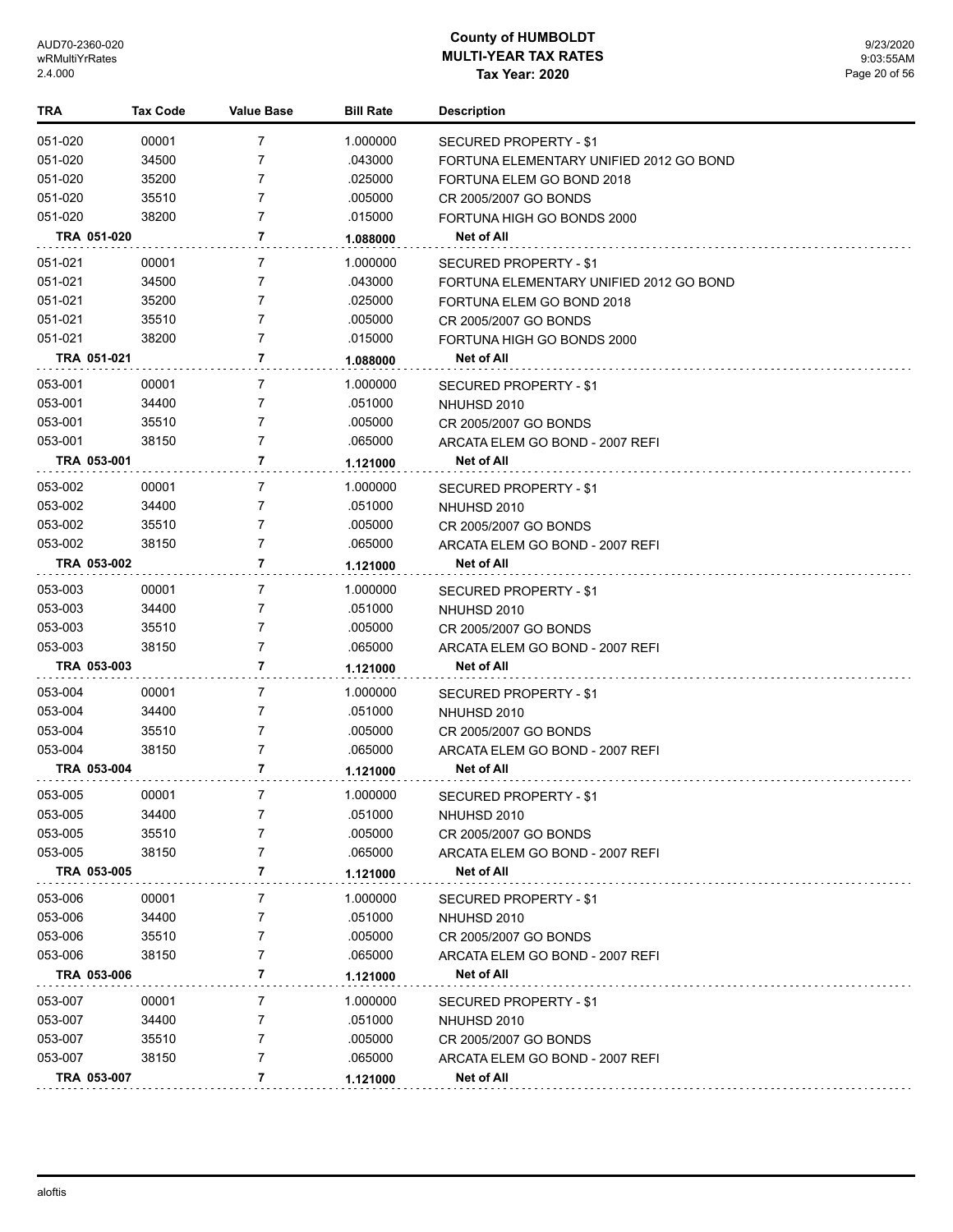| <b>TRA</b>         | <b>Tax Code</b> | <b>Value Base</b> | <b>Bill Rate</b>    | <b>Description</b>                      |
|--------------------|-----------------|-------------------|---------------------|-----------------------------------------|
| 051-020            | 00001           | 7                 | 1.000000            | SECURED PROPERTY - \$1                  |
| 051-020            | 34500           | 7                 | .043000             | FORTUNA ELEMENTARY UNIFIED 2012 GO BOND |
| 051-020            | 35200           | 7                 | .025000             | FORTUNA ELEM GO BOND 2018               |
| 051-020            | 35510           | $\overline{7}$    | .005000             | CR 2005/2007 GO BONDS                   |
| 051-020            | 38200           | $\overline{7}$    | .015000             | FORTUNA HIGH GO BONDS 2000              |
|                    | TRA 051-020     | 7                 | 1.088000            | Net of All                              |
| 051-021            | 00001           | 7                 | 1.000000            | <b>SECURED PROPERTY - \$1</b>           |
| 051-021            | 34500           | 7                 | .043000             | FORTUNA ELEMENTARY UNIFIED 2012 GO BOND |
| 051-021            | 35200           | 7                 | .025000             | FORTUNA ELEM GO BOND 2018               |
| 051-021            | 35510           | $\overline{7}$    | .005000             | CR 2005/2007 GO BONDS                   |
| 051-021            | 38200           | $\overline{7}$    | .015000             | FORTUNA HIGH GO BONDS 2000              |
|                    | TRA 051-021     | 7                 | 1.088000            | Net of All                              |
| 053-001            | 00001           | 7                 | 1.000000            | SECURED PROPERTY - \$1                  |
| 053-001            | 34400           | 7                 | .051000             | NHUHSD 2010                             |
| 053-001            | 35510           | 7                 | .005000             | CR 2005/2007 GO BONDS                   |
| 053-001            | 38150           | $\overline{7}$    | .065000             | ARCATA ELEM GO BOND - 2007 REFI         |
|                    | TRA 053-001     | 7                 | 1.121000            | Net of All                              |
| 053-002            | 00001           | 7                 | 1.000000            | <b>SECURED PROPERTY - \$1</b>           |
| 053-002            | 34400           | 7                 | .051000             | NHUHSD 2010                             |
| 053-002            | 35510           | 7                 | .005000             | CR 2005/2007 GO BONDS                   |
| 053-002            | 38150           | $\overline{7}$    | .065000             | ARCATA ELEM GO BOND - 2007 REFI         |
|                    | TRA 053-002     | 7                 | 1.121000            | Net of All                              |
|                    |                 | 7                 |                     |                                         |
| 053-003            | 00001<br>34400  | 7                 | 1.000000<br>.051000 | SECURED PROPERTY - \$1                  |
| 053-003            | 35510           | 7                 |                     | NHUHSD 2010                             |
| 053-003<br>053-003 | 38150           | $\overline{7}$    | .005000<br>.065000  | CR 2005/2007 GO BONDS                   |
|                    | TRA 053-003     | 7                 |                     | ARCATA ELEM GO BOND - 2007 REFI         |
|                    |                 |                   | 1.121000            | Net of All                              |
| 053-004            | 00001           | 7                 | 1.000000            | SECURED PROPERTY - \$1                  |
| 053-004            | 34400           | 7                 | .051000             | NHUHSD 2010                             |
| 053-004            | 35510           | 7                 | .005000             | CR 2005/2007 GO BONDS                   |
| 053-004            | 38150           | $\overline{7}$    | .065000             | ARCATA ELEM GO BOND - 2007 REFI         |
|                    | TRA 053-004     | 7                 | 1.121000            | Net of All                              |
| 053-005            | 00001           | 7                 | 1.000000            | SECURED PROPERTY - \$1                  |
| 053-005            | 34400           | 7                 | .051000             | NHUHSD 2010                             |
| 053-005            | 35510           | 7                 | .005000             | CR 2005/2007 GO BONDS                   |
| 053-005            | 38150           | 7                 | .065000             | ARCATA ELEM GO BOND - 2007 REFI         |
|                    | TRA 053-005     | 7                 | 1.121000            | Net of All                              |
| 053-006            | 00001           | 7                 | 1.000000            | SECURED PROPERTY - \$1                  |
| 053-006            | 34400           | 7                 | .051000             | NHUHSD 2010                             |
| 053-006            | 35510           | 7                 | .005000             | CR 2005/2007 GO BONDS                   |
| 053-006            | 38150           | 7                 | .065000             | ARCATA ELEM GO BOND - 2007 REFI         |
|                    | TRA 053-006     | 7                 | 1.121000            | Net of All                              |
| 053-007            | 00001           | 7                 | 1.000000            | <b>SECURED PROPERTY - \$1</b>           |
| 053-007            | 34400           | 7                 | .051000             | NHUHSD 2010                             |
| 053-007            | 35510           | 7                 | .005000             | CR 2005/2007 GO BONDS                   |
| 053-007            | 38150           | 7                 | .065000             | ARCATA ELEM GO BOND - 2007 REFI         |
|                    | TRA 053-007     | 7                 | 1.121000            | Net of All                              |
|                    |                 |                   |                     |                                         |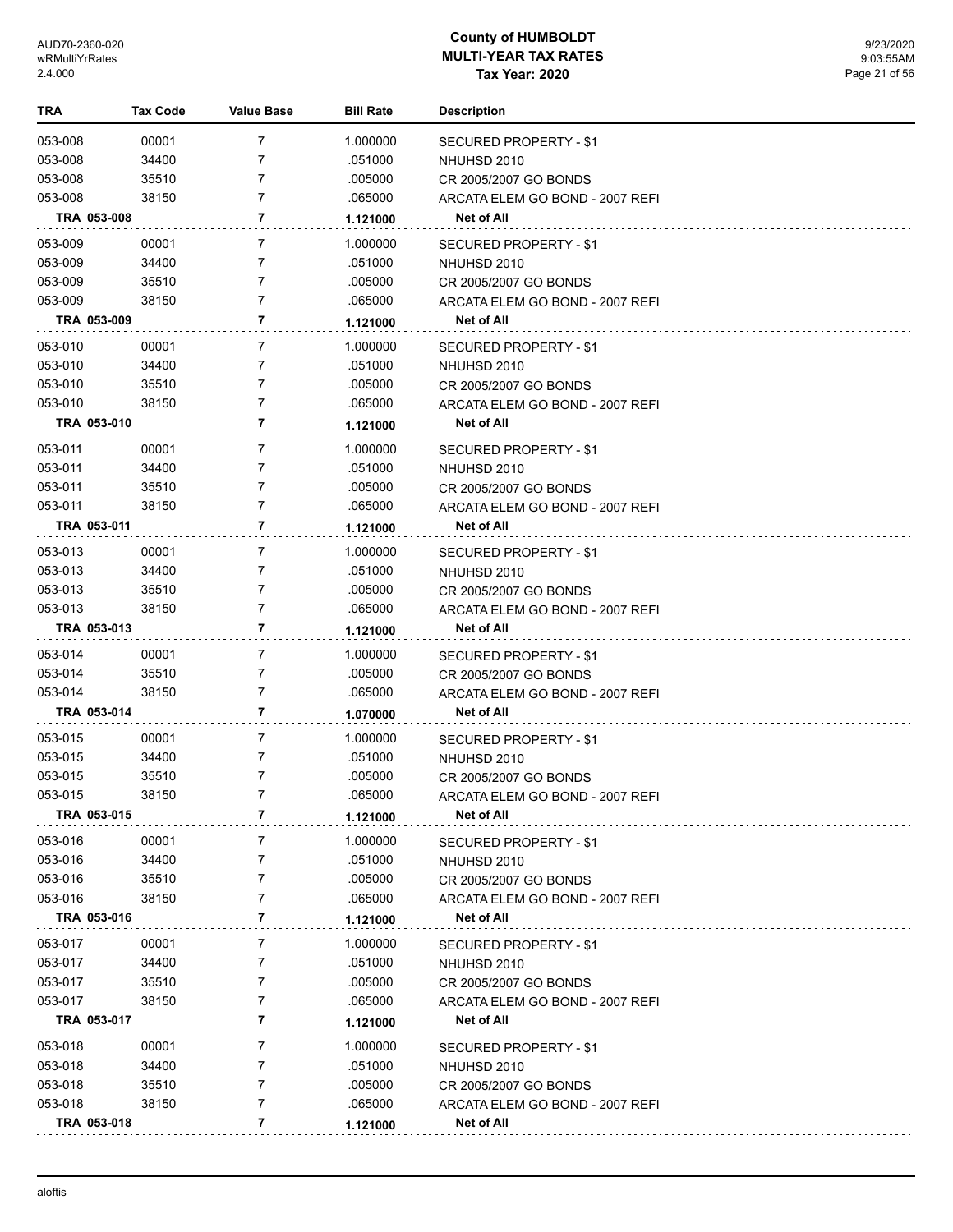| TRA     | <b>Tax Code</b> | <b>Value Base</b> | <b>Bill Rate</b> | <b>Description</b>              |
|---------|-----------------|-------------------|------------------|---------------------------------|
| 053-008 | 00001           | 7                 | 1.000000         | <b>SECURED PROPERTY - \$1</b>   |
| 053-008 | 34400           | 7                 | .051000          | NHUHSD 2010                     |
| 053-008 | 35510           | 7                 | .005000          | CR 2005/2007 GO BONDS           |
| 053-008 | 38150           | 7                 | .065000          | ARCATA ELEM GO BOND - 2007 REFI |
|         | TRA 053-008     | 7                 | 1.121000         | Net of All                      |
| 053-009 | 00001           | 7                 | 1.000000         | SECURED PROPERTY - \$1          |
| 053-009 | 34400           | 7                 | .051000          | NHUHSD 2010                     |
| 053-009 | 35510           | 7                 | .005000          | CR 2005/2007 GO BONDS           |
| 053-009 | 38150           | 7                 | .065000          | ARCATA ELEM GO BOND - 2007 REFI |
|         | TRA 053-009     | 7                 | 1.121000         | Net of All                      |
| 053-010 | 00001           | 7                 | 1.000000         | SECURED PROPERTY - \$1          |
| 053-010 | 34400           | 7                 | .051000          | NHUHSD 2010                     |
| 053-010 | 35510           | 7                 | .005000          | CR 2005/2007 GO BONDS           |
| 053-010 | 38150           | 7                 | .065000          | ARCATA ELEM GO BOND - 2007 REFI |
|         | TRA 053-010     | 7                 | 1.121000         | Net of All                      |
| 053-011 | 00001           | 7                 | 1.000000         | SECURED PROPERTY - \$1          |
| 053-011 | 34400           | 7                 | .051000          | NHUHSD 2010                     |
| 053-011 | 35510           | 7                 | .005000          | CR 2005/2007 GO BONDS           |
| 053-011 | 38150           | 7                 | .065000          | ARCATA ELEM GO BOND - 2007 REFI |
|         | TRA 053-011     | 7                 | 1.121000         | Net of All                      |
| 053-013 | 00001           | 7                 | 1.000000         | SECURED PROPERTY - \$1          |
| 053-013 | 34400           | 7                 | .051000          | NHUHSD 2010                     |
| 053-013 | 35510           | 7                 | .005000          | CR 2005/2007 GO BONDS           |
| 053-013 | 38150           | 7                 | .065000          | ARCATA ELEM GO BOND - 2007 REFI |
|         | TRA 053-013     | 7                 | 1.121000         | Net of All                      |
| 053-014 | 00001           | 7                 | 1.000000         | SECURED PROPERTY - \$1          |
| 053-014 | 35510           | 7                 | .005000          | CR 2005/2007 GO BONDS           |
| 053-014 | 38150           | 7                 | .065000          | ARCATA ELEM GO BOND - 2007 REFI |
|         | TRA 053-014     | 7                 | 1.070000         | Net of All                      |
| 053-015 | 00001           | 7                 | 1.000000         | SECURED PROPERTY - \$1          |
| 053-015 | 34400           | 7                 | .051000          | NHUHSD 2010                     |
| 053-015 | 35510           | 7                 | .005000          | CR 2005/2007 GO BONDS           |
| 053-015 | 38150           | 7                 | .065000          | ARCATA ELEM GO BOND - 2007 REFI |
|         | TRA 053-015     | 7                 | 1.121000         | Net of All                      |
| 053-016 | 00001           | 7                 | 1.000000         | SECURED PROPERTY - \$1          |
| 053-016 | 34400           | 7                 | .051000          | NHUHSD 2010                     |
| 053-016 | 35510           | 7                 | .005000          | CR 2005/2007 GO BONDS           |
| 053-016 | 38150           | 7                 | .065000          | ARCATA ELEM GO BOND - 2007 REFI |
|         | TRA 053-016     | 7                 | 1.121000         | Net of All                      |
| 053-017 | 00001           | 7                 | 1.000000         | SECURED PROPERTY - \$1          |
| 053-017 | 34400           | 7                 | .051000          | NHUHSD 2010                     |
| 053-017 | 35510           | 7                 | .005000          | CR 2005/2007 GO BONDS           |
| 053-017 | 38150           | 7                 | .065000          | ARCATA ELEM GO BOND - 2007 REFI |
|         | TRA 053-017     | 7                 | 1.121000         | Net of All                      |
| 053-018 | 00001           | 7                 | 1.000000         | SECURED PROPERTY - \$1          |
| 053-018 | 34400           | 7                 | .051000          | NHUHSD 2010                     |
| 053-018 | 35510           | 7                 | .005000          | CR 2005/2007 GO BONDS           |
| 053-018 | 38150           | 7                 | .065000          | ARCATA ELEM GO BOND - 2007 REFI |
|         | TRA 053-018     | 7                 | 1.121000         | Net of All                      |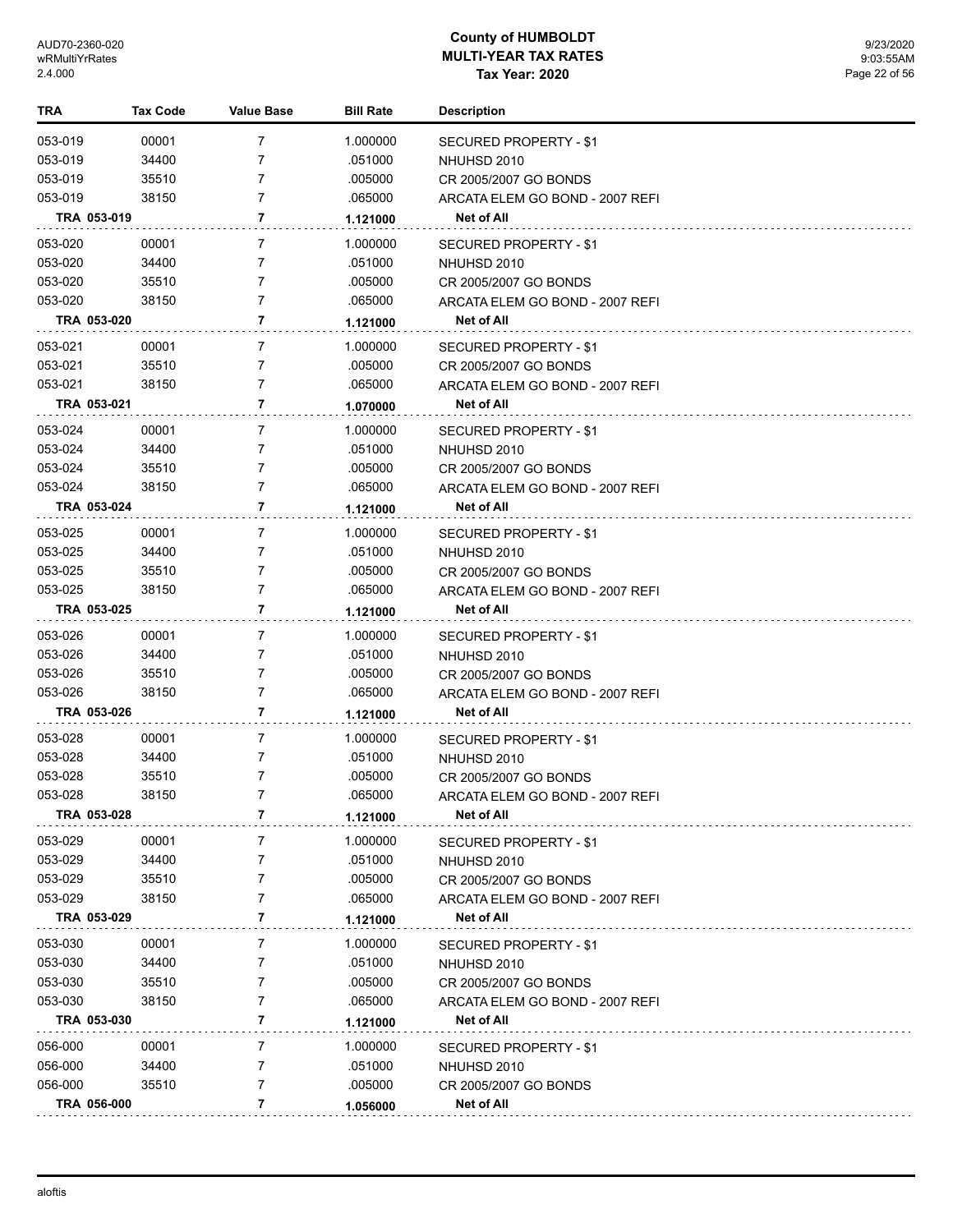| TRA                |             | <b>Tax Code</b> | <b>Value Base</b> | <b>Bill Rate</b> | <b>Description</b>              |
|--------------------|-------------|-----------------|-------------------|------------------|---------------------------------|
| 053-019            |             | 00001           | 7                 | 1.000000         | SECURED PROPERTY - \$1          |
| 053-019            |             | 34400           | 7                 | .051000          | NHUHSD 2010                     |
| 053-019            |             | 35510           | 7                 | .005000          | CR 2005/2007 GO BONDS           |
| 053-019            |             | 38150           | 7                 | .065000          | ARCATA ELEM GO BOND - 2007 REFI |
|                    | TRA 053-019 |                 | 7                 | 1.121000         | Net of All                      |
| 053-020            |             | 00001           | 7                 | 1.000000         | SECURED PROPERTY - \$1          |
| 053-020            |             | 34400           | 7                 | .051000          | NHUHSD 2010                     |
| 053-020            |             | 35510           | 7                 | .005000          | CR 2005/2007 GO BONDS           |
| 053-020            |             | 38150           | 7                 | .065000          | ARCATA ELEM GO BOND - 2007 REFI |
|                    | TRA 053-020 |                 | 7                 | 1.121000         | Net of All                      |
|                    |             |                 | 7                 |                  |                                 |
| 053-021<br>053-021 |             | 00001<br>35510  | 7                 | 1.000000         | SECURED PROPERTY - \$1          |
|                    |             |                 |                   | .005000          | CR 2005/2007 GO BONDS           |
| 053-021            |             | 38150           | 7                 | .065000          | ARCATA ELEM GO BOND - 2007 REFI |
|                    | TRA 053-021 |                 | 7                 | 1.070000         | Net of All                      |
| 053-024            |             | 00001           | 7                 | 1.000000         | SECURED PROPERTY - \$1          |
| 053-024            |             | 34400           | 7                 | .051000          | NHUHSD 2010                     |
| 053-024            |             | 35510           | 7                 | .005000          | CR 2005/2007 GO BONDS           |
| 053-024            |             | 38150           | 7                 | .065000          | ARCATA ELEM GO BOND - 2007 REFI |
|                    | TRA 053-024 |                 | 7                 | 1.121000         | Net of All                      |
| 053-025            |             | 00001           | 7                 | 1.000000         | SECURED PROPERTY - \$1          |
| 053-025            |             | 34400           | 7                 | .051000          | NHUHSD 2010                     |
| 053-025            |             | 35510           | 7                 | .005000          | CR 2005/2007 GO BONDS           |
| 053-025            |             | 38150           | 7                 | .065000          | ARCATA ELEM GO BOND - 2007 REFI |
|                    | TRA 053-025 |                 | 7                 | 1.121000         | Net of All                      |
| 053-026            |             | 00001           | 7                 | 1.000000         | SECURED PROPERTY - \$1          |
| 053-026            |             | 34400           | 7                 | .051000          | NHUHSD 2010                     |
| 053-026            |             | 35510           | 7                 | .005000          | CR 2005/2007 GO BONDS           |
| 053-026            |             | 38150           | 7                 | .065000          | ARCATA ELEM GO BOND - 2007 REFI |
|                    | TRA 053-026 |                 | 7                 | 1.121000         | Net of All                      |
| 053-028            |             | 00001           | 7                 | 1.000000         | SECURED PROPERTY - \$1          |
| 053-028            |             | 34400           | 7                 | .051000          | NHUHSD 2010                     |
| 053-028            |             | 35510           | 7                 | .005000          | CR 2005/2007 GO BONDS           |
| 053-028            |             | 38150           | 7                 | .065000          | ARCATA ELEM GO BOND - 2007 REFI |
|                    | TRA 053-028 |                 | 7                 |                  | Net of All                      |
|                    |             |                 |                   | 1.121000         |                                 |
| 053-029            |             | 00001           | 7                 | 1.000000         | SECURED PROPERTY - \$1          |
| 053-029            |             | 34400           | 7                 | .051000          | NHUHSD 2010                     |
| 053-029            |             | 35510           | 7                 | .005000          | CR 2005/2007 GO BONDS           |
| 053-029            |             | 38150           | 7                 | .065000          | ARCATA ELEM GO BOND - 2007 REFI |
|                    | TRA 053-029 |                 | 7                 | 1.121000         | Net of All                      |
| 053-030            |             | 00001           | 7                 | 1.000000         | SECURED PROPERTY - \$1          |
| 053-030            |             | 34400           | 7                 | .051000          | NHUHSD 2010                     |
| 053-030            |             | 35510           | 7                 | .005000          | CR 2005/2007 GO BONDS           |
| 053-030            |             | 38150           | 7                 | .065000          | ARCATA ELEM GO BOND - 2007 REFI |
|                    | TRA 053-030 |                 | 7                 | 1.121000         | Net of All                      |
| 056-000            |             | 00001           | 7                 | 1.000000         | SECURED PROPERTY - \$1          |
| 056-000            |             | 34400           | 7                 | .051000          | NHUHSD 2010                     |
| 056-000            |             | 35510           | 7                 | .005000          | CR 2005/2007 GO BONDS           |
|                    | TRA 056-000 |                 | 7                 | 1.056000         | Net of All                      |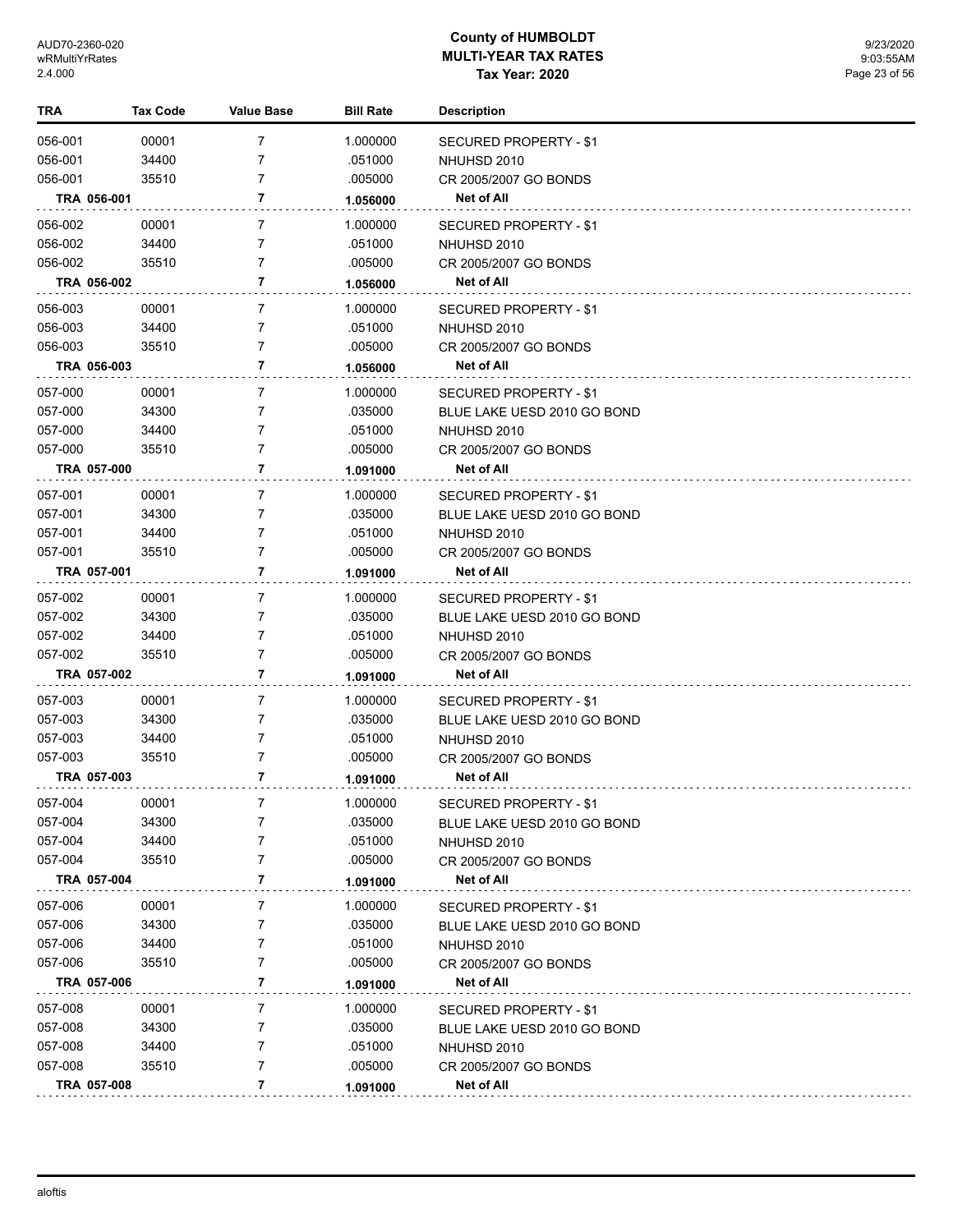| TRA     | Tax Code    | <b>Value Base</b> | <b>Bill Rate</b> | <b>Description</b>                    |
|---------|-------------|-------------------|------------------|---------------------------------------|
| 056-001 | 00001       | 7                 | 1.000000         | <b>SECURED PROPERTY - \$1</b>         |
| 056-001 | 34400       | 7                 | .051000          | NHUHSD 2010                           |
| 056-001 | 35510       | 7                 | .005000          | CR 2005/2007 GO BONDS                 |
|         | TRA 056-001 | 7                 | 1.056000         | Net of All                            |
| 056-002 | 00001       | 7                 | 1.000000         | SECURED PROPERTY - \$1                |
| 056-002 | 34400       | 7                 | .051000          | NHUHSD 2010                           |
| 056-002 | 35510       | 7                 | .005000          | CR 2005/2007 GO BONDS                 |
|         | TRA 056-002 | 7                 | 1.056000         | <b>Net of All</b>                     |
| 056-003 | 00001       | 7                 | 1.000000         |                                       |
| 056-003 | 34400       | 7                 | .051000          | SECURED PROPERTY - \$1<br>NHUHSD 2010 |
| 056-003 | 35510       | 7                 | .005000          | CR 2005/2007 GO BONDS                 |
|         | TRA 056-003 | 7                 | 1.056000         | Net of All                            |
|         |             |                   |                  |                                       |
| 057-000 | 00001       | 7                 | 1.000000         | SECURED PROPERTY - \$1                |
| 057-000 | 34300       | 7<br>7            | .035000          | BLUE LAKE UESD 2010 GO BOND           |
| 057-000 | 34400       | 7                 | .051000          | NHUHSD 2010                           |
| 057-000 | 35510       |                   | .005000          | CR 2005/2007 GO BONDS                 |
|         | TRA 057-000 | 7                 | 1.091000         | Net of All                            |
| 057-001 | 00001       | 7                 | 1.000000         | SECURED PROPERTY - \$1                |
| 057-001 | 34300       | 7                 | .035000          | BLUE LAKE UESD 2010 GO BOND           |
| 057-001 | 34400       | 7                 | .051000          | NHUHSD 2010                           |
| 057-001 | 35510       | 7                 | .005000          | CR 2005/2007 GO BONDS                 |
|         | TRA 057-001 | 7                 | 1.091000         | Net of All                            |
| 057-002 | 00001       | 7                 | 1.000000         | SECURED PROPERTY - \$1                |
| 057-002 | 34300       | 7                 | .035000          | BLUE LAKE UESD 2010 GO BOND           |
| 057-002 | 34400       | 7                 | .051000          | NHUHSD 2010                           |
| 057-002 | 35510       | 7                 | .005000          | CR 2005/2007 GO BONDS                 |
|         | TRA 057-002 | 7                 | 1.091000         | Net of All                            |
| 057-003 | 00001       | 7                 | 1.000000         | SECURED PROPERTY - \$1                |
| 057-003 | 34300       | 7                 | .035000          | BLUE LAKE UESD 2010 GO BOND           |
| 057-003 | 34400       | 7                 | .051000          | NHUHSD 2010                           |
| 057-003 | 35510       | 7                 | .005000          | CR 2005/2007 GO BONDS                 |
|         | TRA 057-003 | 7                 | 1.091000         | Net of All                            |
| 057-004 | 00001       |                   | 1.000000         | SECURED PROPERTY - \$1                |
| 057-004 | 34300       | 7                 | .035000          | BLUE LAKE UESD 2010 GO BOND           |
| 057-004 | 34400       | 7                 | .051000          | NHUHSD 2010                           |
| 057-004 | 35510       | 7                 | .005000          | CR 2005/2007 GO BONDS                 |
|         | TRA 057-004 | 7                 | 1.091000         | Net of All                            |
| 057-006 | 00001       | 7                 | 1.000000         | SECURED PROPERTY - \$1                |
| 057-006 | 34300       | 7                 | .035000          | BLUE LAKE UESD 2010 GO BOND           |
| 057-006 | 34400       | 7                 | .051000          | NHUHSD 2010                           |
| 057-006 | 35510       | 7                 | .005000          | CR 2005/2007 GO BONDS                 |
|         | TRA 057-006 | 7                 | 1.091000         | Net of All                            |
| 057-008 | 00001       | 7                 | 1.000000         | SECURED PROPERTY - \$1                |
| 057-008 | 34300       | 7                 | .035000          | BLUE LAKE UESD 2010 GO BOND           |
| 057-008 | 34400       | 7                 | .051000          | NHUHSD 2010                           |
| 057-008 | 35510       | 7                 | .005000          | CR 2005/2007 GO BONDS                 |
|         | TRA 057-008 | 7                 | 1.091000         | Net of All                            |
|         |             |                   |                  |                                       |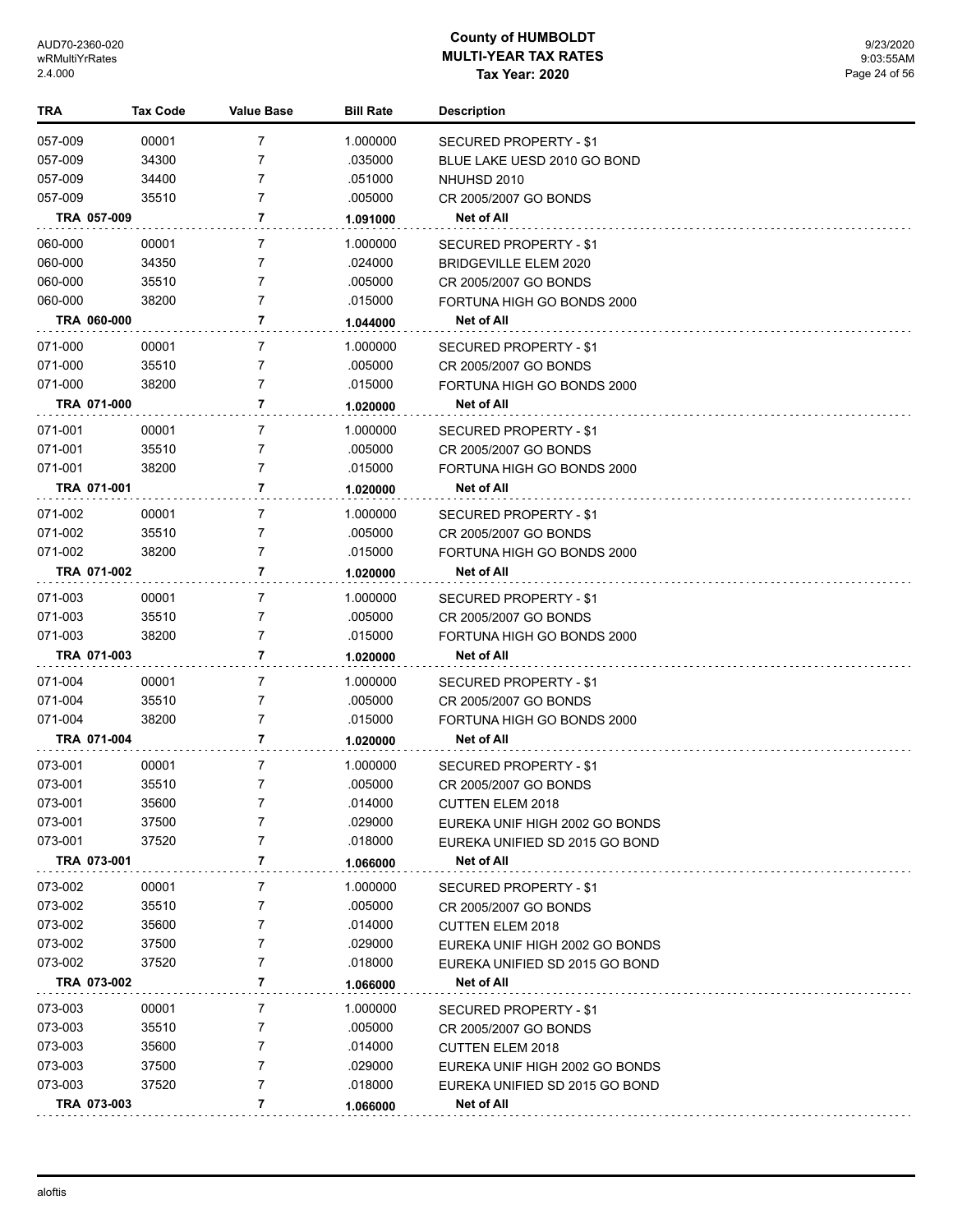| <b>TRA</b>             | <b>Tax Code</b> | Value Base     | <b>Bill Rate</b>    | <b>Description</b>                                  |
|------------------------|-----------------|----------------|---------------------|-----------------------------------------------------|
| 057-009                | 00001           | 7              | 1.000000            | SECURED PROPERTY - \$1                              |
| 057-009                | 34300           | 7              | .035000             | BLUE LAKE UESD 2010 GO BOND                         |
| 057-009                | 34400           | 7              | .051000             | NHUHSD 2010                                         |
| 057-009                | 35510           | 7              | .005000             | CR 2005/2007 GO BONDS                               |
| TRA 057-009            |                 | 7              | 1.091000            | Net of All                                          |
| 060-000                | 00001           | 7              | 1.000000            | <b>SECURED PROPERTY - \$1</b>                       |
| 060-000                | 34350           | 7              | .024000             | BRIDGEVILLE ELEM 2020                               |
| 060-000                | 35510           | 7              | .005000             | CR 2005/2007 GO BONDS                               |
| 060-000                | 38200           | 7              | .015000             | FORTUNA HIGH GO BONDS 2000                          |
| TRA 060-000            |                 | 7              | 1.044000            | Net of All                                          |
| 071-000                | 00001           | 7              | 1.000000            | SECURED PROPERTY - \$1                              |
| 071-000                | 35510           | 7              | .005000             | CR 2005/2007 GO BONDS                               |
| 071-000                | 38200           | 7              | .015000             | FORTUNA HIGH GO BONDS 2000                          |
| TRA 071-000            |                 | 7              | 1.020000            | Net of All                                          |
| 071-001                | 00001           | 7              | 1.000000            | SECURED PROPERTY - \$1                              |
| 071-001                | 35510           | 7              | .005000             | CR 2005/2007 GO BONDS                               |
| 071-001                | 38200           | 7              | .015000             | FORTUNA HIGH GO BONDS 2000                          |
| TRA 071-001            |                 | 7              | 1.020000            | Net of All                                          |
| 071-002                | 00001           | 7              | 1.000000            | SECURED PROPERTY - \$1                              |
| 071-002                | 35510           | 7              | .005000             | CR 2005/2007 GO BONDS                               |
| 071-002                | 38200           | 7              | .015000             | FORTUNA HIGH GO BONDS 2000                          |
| TRA 071-002            |                 | 7              | 1.020000            | Net of All                                          |
|                        |                 | 7              |                     |                                                     |
| 071-003<br>071-003     | 00001<br>35510  | 7              | 1.000000<br>.005000 | SECURED PROPERTY - \$1                              |
| 071-003                | 38200           | 7              | .015000             | CR 2005/2007 GO BONDS<br>FORTUNA HIGH GO BONDS 2000 |
| TRA 071-003            |                 | 7              | 1.020000            | <b>Net of All</b>                                   |
|                        |                 |                |                     |                                                     |
| 071-004                | 00001           | 7              | 1.000000            | SECURED PROPERTY - \$1                              |
| 071-004<br>071-004     | 35510<br>38200  | 7<br>7         | .005000<br>.015000  | CR 2005/2007 GO BONDS                               |
| TRA 071-004            |                 | 7              |                     | FORTUNA HIGH GO BONDS 2000<br><b>Net of All</b>     |
|                        |                 |                | 1.020000            |                                                     |
| 073-001                | 00001           | 7              | 1.000000            | <b>SECURED PROPERTY - \$1</b>                       |
| 073-001                | 35510           | $\overline{7}$ | .005000             | CR 2005/2007 GO BONDS                               |
| 073-001                | 35600           |                | .014000             | <b>CUTTEN ELEM 2018</b>                             |
| 073-001                | 37500           | 7              | .029000             | EUREKA UNIF HIGH 2002 GO BONDS                      |
| 073-001<br>TRA 073-001 | 37520           | 7<br>7         | .018000             | EUREKA UNIFIED SD 2015 GO BOND<br>Net of All        |
|                        |                 |                | 1.066000            |                                                     |
| 073-002                | 00001           | 7              | 1.000000            | <b>SECURED PROPERTY - \$1</b>                       |
| 073-002                | 35510           | 7              | .005000             | CR 2005/2007 GO BONDS                               |
| 073-002                | 35600           | 7              | .014000             | <b>CUTTEN ELEM 2018</b>                             |
| 073-002                | 37500           | 7              | .029000             | EUREKA UNIF HIGH 2002 GO BONDS                      |
| 073-002                | 37520           | 7              | .018000             | EUREKA UNIFIED SD 2015 GO BOND                      |
| TRA 073-002            |                 | 7              | 1.066000            | Net of All                                          |
| 073-003                | 00001           | 7              | 1.000000            | SECURED PROPERTY - \$1                              |
| 073-003                | 35510           | 7              | .005000             | CR 2005/2007 GO BONDS                               |
| 073-003                | 35600           | 7              | .014000             | <b>CUTTEN ELEM 2018</b>                             |
| 073-003                | 37500           | 7              | .029000             | EUREKA UNIF HIGH 2002 GO BONDS                      |
| 073-003                | 37520           | 7              | .018000             | EUREKA UNIFIED SD 2015 GO BOND                      |
| TRA 073-003            |                 | 7              | 1.066000            | Net of All                                          |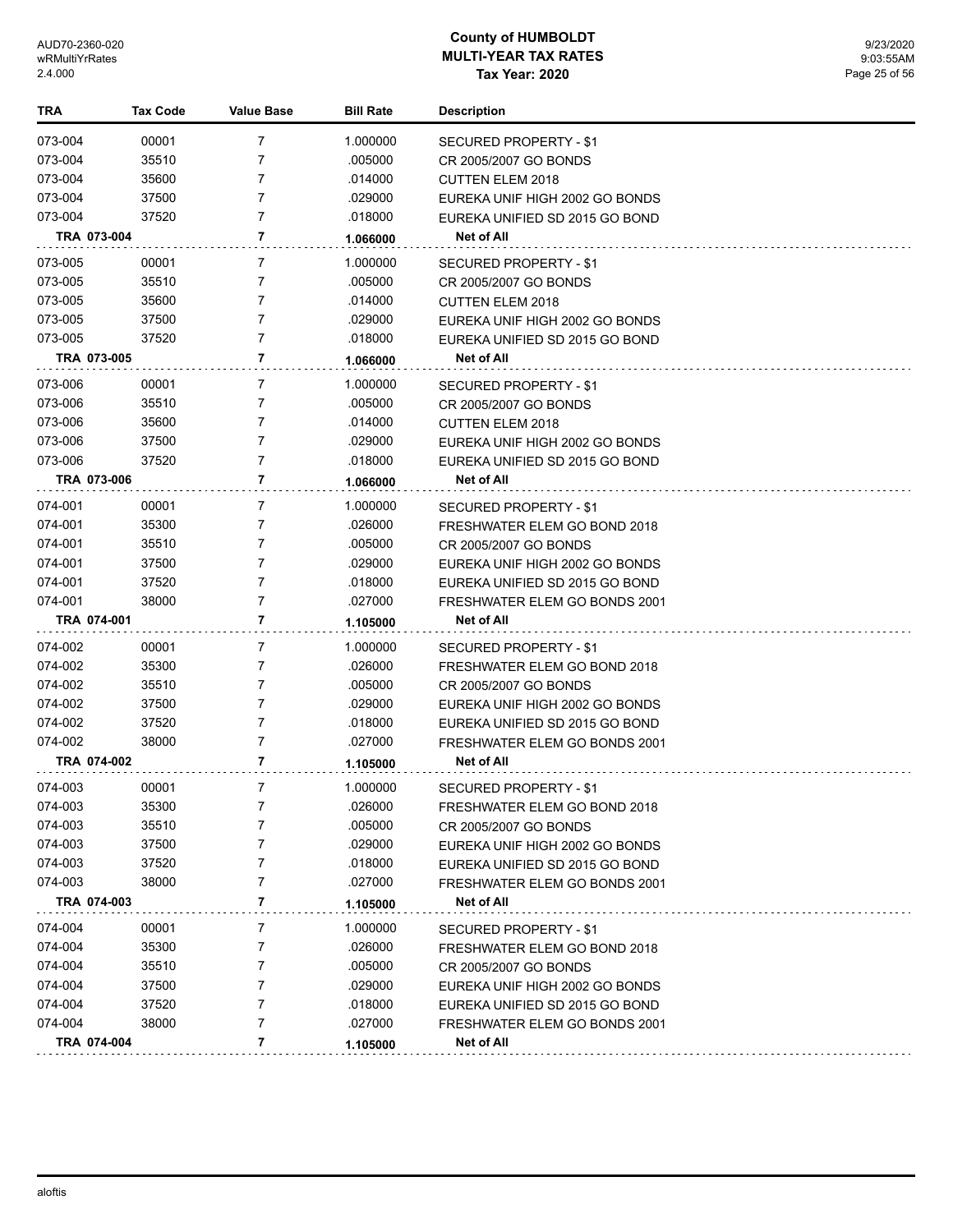| TRA                    | <b>Tax Code</b> | <b>Value Base</b> | <b>Bill Rate</b> | <b>Description</b>                                     |
|------------------------|-----------------|-------------------|------------------|--------------------------------------------------------|
| 073-004                | 00001           | 7                 | 1.000000         | SECURED PROPERTY - \$1                                 |
| 073-004                | 35510           | 7                 | .005000          | CR 2005/2007 GO BONDS                                  |
| 073-004                | 35600           | 7                 | .014000          | <b>CUTTEN ELEM 2018</b>                                |
| 073-004                | 37500           | 7                 | .029000          | EUREKA UNIF HIGH 2002 GO BONDS                         |
| 073-004                | 37520           | 7                 | .018000          | EUREKA UNIFIED SD 2015 GO BOND                         |
| TRA 073-004            |                 | 7                 | 1.066000         | Net of All                                             |
| 073-005                | 00001           | 7                 | 1.000000         | SECURED PROPERTY - \$1                                 |
| 073-005                | 35510           | 7                 | .005000          | CR 2005/2007 GO BONDS                                  |
| 073-005                | 35600           | 7                 | .014000          | <b>CUTTEN ELEM 2018</b>                                |
| 073-005                | 37500           | 7                 | .029000          | EUREKA UNIF HIGH 2002 GO BONDS                         |
| 073-005                | 37520           | 7                 | .018000          | EUREKA UNIFIED SD 2015 GO BOND                         |
| TRA 073-005            |                 | 7                 | 1.066000         | Net of All                                             |
| 073-006                | 00001           | 7                 | 1.000000         | SECURED PROPERTY - \$1                                 |
| 073-006                | 35510           | 7                 | .005000          | CR 2005/2007 GO BONDS                                  |
| 073-006                | 35600           | 7                 | .014000          | <b>CUTTEN ELEM 2018</b>                                |
| 073-006                | 37500           | 7                 | .029000          | EUREKA UNIF HIGH 2002 GO BONDS                         |
| 073-006                | 37520           | 7                 | .018000          | EUREKA UNIFIED SD 2015 GO BOND                         |
| TRA 073-006            |                 | 7                 | 1.066000         | Net of All                                             |
| 074-001                | 00001           | 7                 | 1.000000         | SECURED PROPERTY - \$1                                 |
| 074-001                | 35300           | 7                 | .026000          | FRESHWATER ELEM GO BOND 2018                           |
| 074-001                | 35510           | 7                 | .005000          | CR 2005/2007 GO BONDS                                  |
| 074-001                | 37500           | 7                 | .029000          | EUREKA UNIF HIGH 2002 GO BONDS                         |
| 074-001                | 37520           | 7                 | .018000          | EUREKA UNIFIED SD 2015 GO BOND                         |
| 074-001                | 38000           | 7                 | .027000          | FRESHWATER ELEM GO BONDS 2001                          |
| TRA 074-001            |                 | 7                 | 1.105000         | Net of All                                             |
| 074-002                | 00001           | 7                 | 1.000000         |                                                        |
| 074-002                | 35300           | 7                 | .026000          | SECURED PROPERTY - \$1<br>FRESHWATER ELEM GO BOND 2018 |
| 074-002                | 35510           | 7                 | .005000          | CR 2005/2007 GO BONDS                                  |
| 074-002                | 37500           | 7                 | .029000          | EUREKA UNIF HIGH 2002 GO BONDS                         |
| 074-002                | 37520           | 7                 | .018000          | EUREKA UNIFIED SD 2015 GO BOND                         |
| 074-002                | 38000           | 7                 | .027000          | <b>FRESHWATER ELEM GO BONDS 2001</b>                   |
| TRA 074-002            |                 | 7                 | 1.105000         | Net of All                                             |
|                        |                 |                   |                  |                                                        |
| 074-003                | 00001           | 7                 | 1.000000         | SECURED PROPERTY - \$1                                 |
| 074-003                | 35300           | 7                 | .026000          | FRESHWATER ELEM GO BOND 2018                           |
| 074-003                | 35510           | 7                 | .005000          | CR 2005/2007 GO BONDS                                  |
| 074-003                | 37500           | 7                 | .029000          | EUREKA UNIF HIGH 2002 GO BONDS                         |
| 074-003                | 37520           | 7                 | .018000          | EUREKA UNIFIED SD 2015 GO BOND                         |
| 074-003<br>TRA 074-003 | 38000           | 7<br>7            | .027000          | FRESHWATER ELEM GO BONDS 2001<br>Net of All            |
|                        |                 |                   | 1.105000         |                                                        |
| 074-004                | 00001           | 7                 | 1.000000         | <b>SECURED PROPERTY - \$1</b>                          |
| 074-004                | 35300           | 7                 | .026000          | FRESHWATER ELEM GO BOND 2018                           |
| 074-004                | 35510           | 7                 | .005000          | CR 2005/2007 GO BONDS                                  |
| 074-004                | 37500           | 7                 | .029000          | EUREKA UNIF HIGH 2002 GO BONDS                         |
| 074-004                | 37520           | 7                 | .018000          | EUREKA UNIFIED SD 2015 GO BOND                         |
| 074-004                | 38000           | 7                 | .027000          | FRESHWATER ELEM GO BONDS 2001                          |
| TRA 074-004            |                 | 7                 | 1.105000         | Net of All                                             |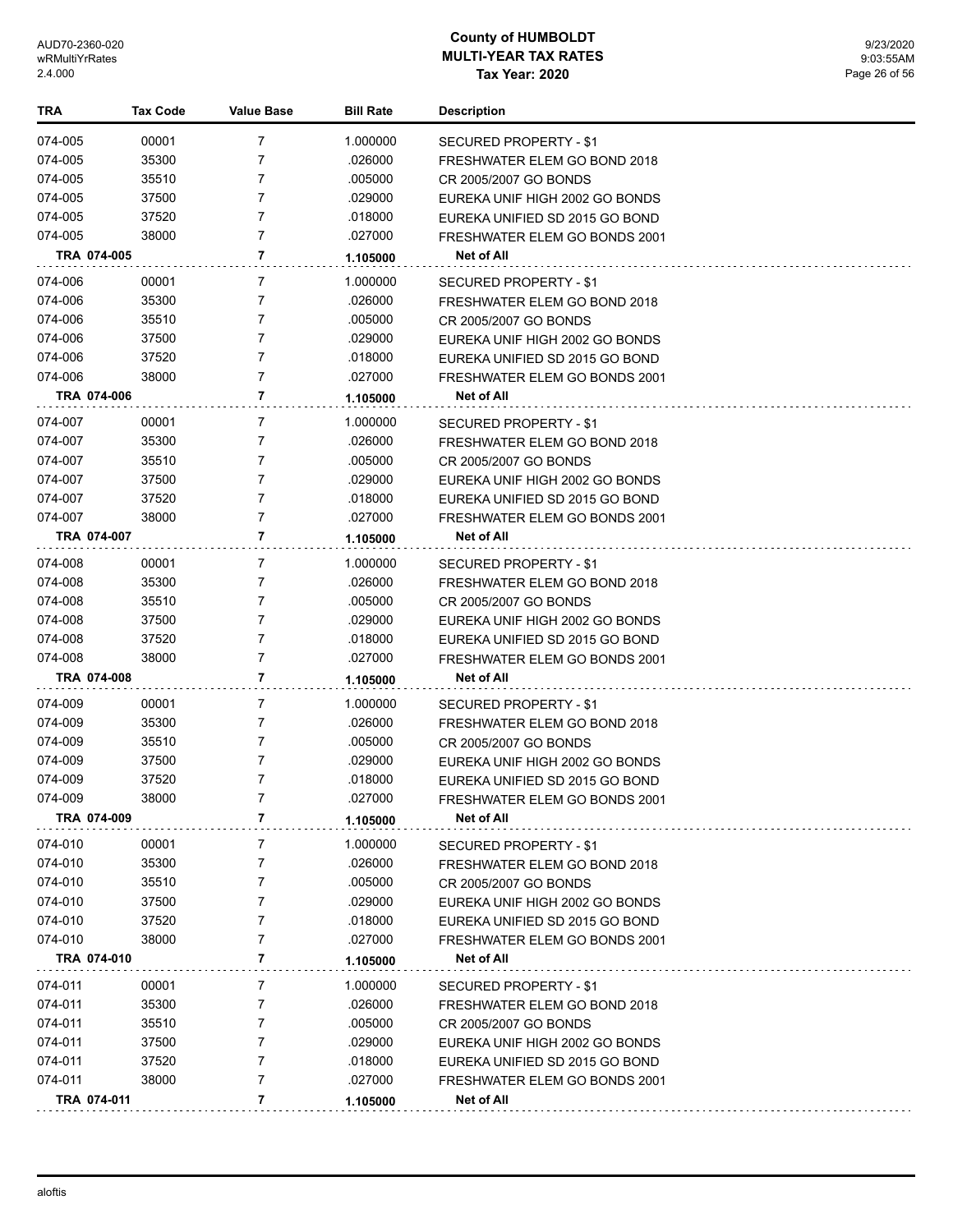| TRA                | <b>Tax Code</b> | <b>Value Base</b> | <b>Bill Rate</b>   | <b>Description</b>                                              |
|--------------------|-----------------|-------------------|--------------------|-----------------------------------------------------------------|
| 074-005            | 00001           | $\overline{7}$    | 1.000000           | SECURED PROPERTY - \$1                                          |
| 074-005            | 35300           | 7                 | .026000            | FRESHWATER ELEM GO BOND 2018                                    |
| 074-005            | 35510           | 7                 | .005000            | CR 2005/2007 GO BONDS                                           |
| 074-005            | 37500           | $\overline{7}$    | .029000            | EUREKA UNIF HIGH 2002 GO BONDS                                  |
| 074-005            | 37520           | $\overline{7}$    | .018000            | EUREKA UNIFIED SD 2015 GO BOND                                  |
| 074-005            | 38000           | $\overline{7}$    | .027000            | FRESHWATER ELEM GO BONDS 2001                                   |
| TRA 074-005        |                 | 7                 | 1.105000           | Net of All                                                      |
| 074-006            | 00001           | 7                 | 1.000000           | <b>SECURED PROPERTY - \$1</b>                                   |
| 074-006            | 35300           | 7                 | .026000            | FRESHWATER ELEM GO BOND 2018                                    |
| 074-006            | 35510           | 7                 | .005000            | CR 2005/2007 GO BONDS                                           |
| 074-006            | 37500           | 7                 | .029000            | EUREKA UNIF HIGH 2002 GO BONDS                                  |
| 074-006            | 37520           | $\overline{7}$    | .018000            | EUREKA UNIFIED SD 2015 GO BOND                                  |
| 074-006            | 38000           | $\overline{7}$    | .027000            | FRESHWATER ELEM GO BONDS 2001                                   |
| TRA 074-006        |                 | 7                 | 1.105000           | Net of All                                                      |
|                    |                 |                   |                    |                                                                 |
| 074-007            | 00001           | 7<br>7            | 1.000000           | <b>SECURED PROPERTY - \$1</b>                                   |
| 074-007            | 35300           | 7                 | .026000<br>.005000 | FRESHWATER ELEM GO BOND 2018                                    |
| 074-007<br>074-007 | 35510<br>37500  | 7                 | .029000            | CR 2005/2007 GO BONDS                                           |
| 074-007            | 37520           | 7                 | .018000            | EUREKA UNIF HIGH 2002 GO BONDS                                  |
| 074-007            | 38000           | 7                 | .027000            | EUREKA UNIFIED SD 2015 GO BOND<br>FRESHWATER ELEM GO BONDS 2001 |
| TRA 074-007        |                 | 7                 | 1.105000           | Net of All                                                      |
|                    |                 |                   |                    |                                                                 |
| 074-008            | 00001           | $\overline{7}$    | 1.000000           | SECURED PROPERTY - \$1                                          |
| 074-008            | 35300           | 7                 | .026000            | FRESHWATER ELEM GO BOND 2018                                    |
| 074-008            | 35510           | 7                 | .005000            | CR 2005/2007 GO BONDS                                           |
| 074-008            | 37500           | 7                 | .029000            | EUREKA UNIF HIGH 2002 GO BONDS                                  |
| 074-008            | 37520           | 7                 | .018000            | EUREKA UNIFIED SD 2015 GO BOND                                  |
| 074-008            | 38000           | 7                 | .027000            | FRESHWATER ELEM GO BONDS 2001                                   |
| TRA 074-008        |                 | 7                 | 1.105000           | Net of All                                                      |
| 074-009            | 00001           | 7                 | 1.000000           | SECURED PROPERTY - \$1                                          |
| 074-009            | 35300           | 7                 | .026000            | FRESHWATER ELEM GO BOND 2018                                    |
| 074-009            | 35510           | 7                 | .005000            | CR 2005/2007 GO BONDS                                           |
| 074-009            | 37500           | 7                 | .029000            | EUREKA UNIF HIGH 2002 GO BONDS                                  |
| 074-009            | 37520           | 7                 | .018000            | EUREKA UNIFIED SD 2015 GO BOND                                  |
| 074-009            | 38000           | 7                 | .027000            | FRESHWATER ELEM GO BONDS 2001                                   |
| TRA 074-009        |                 | 7                 | 1.105000           | Net of All                                                      |
| 074-010            | 00001           | 7                 | 1.000000           | SECURED PROPERTY - \$1                                          |
| 074-010            | 35300           | 7                 | .026000            | FRESHWATER ELEM GO BOND 2018                                    |
| 074-010            | 35510           | 7                 | .005000            | CR 2005/2007 GO BONDS                                           |
| 074-010            | 37500           | 7                 | .029000            | EUREKA UNIF HIGH 2002 GO BONDS                                  |
| 074-010            | 37520           | 7                 | .018000            | EUREKA UNIFIED SD 2015 GO BOND                                  |
| 074-010            | 38000           | 7                 | .027000            | FRESHWATER ELEM GO BONDS 2001                                   |
| TRA 074-010        |                 | 7                 | 1.105000           | Net of All                                                      |
| 074-011            | 00001           | 7                 | 1.000000           | SECURED PROPERTY - \$1                                          |
| 074-011            | 35300           | 7                 | .026000            | FRESHWATER ELEM GO BOND 2018                                    |
| 074-011            | 35510           | 7                 | .005000            | CR 2005/2007 GO BONDS                                           |
| 074-011            | 37500           | 7                 | .029000            | EUREKA UNIF HIGH 2002 GO BONDS                                  |
| 074-011            | 37520           | 7                 | .018000            | EUREKA UNIFIED SD 2015 GO BOND                                  |
| 074-011            | 38000           | 7                 | .027000            | <b>FRESHWATER ELEM GO BONDS 2001</b>                            |
| TRA 074-011        |                 | 7                 | 1.105000           | Net of All                                                      |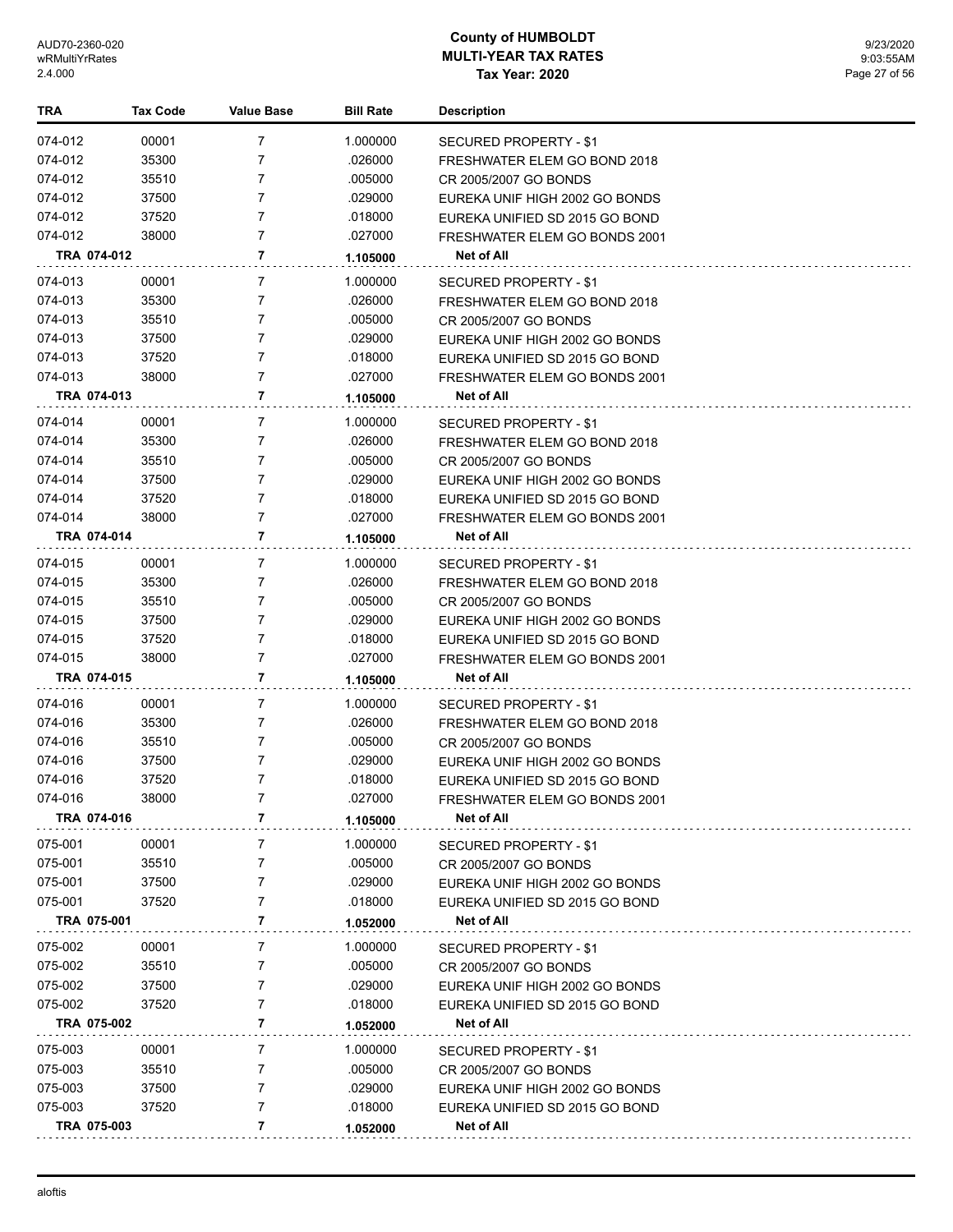| TRA                | Tax Code       | Value Base | <b>Bill Rate</b>   | <b>Description</b>                                     |
|--------------------|----------------|------------|--------------------|--------------------------------------------------------|
| 074-012            | 00001          | 7          | 1.000000           | SECURED PROPERTY - \$1                                 |
| 074-012            | 35300          | 7          | .026000            | FRESHWATER ELEM GO BOND 2018                           |
| 074-012            | 35510          | 7          | .005000            | CR 2005/2007 GO BONDS                                  |
| 074-012            | 37500          | 7          | .029000            | EUREKA UNIF HIGH 2002 GO BONDS                         |
| 074-012            | 37520          | 7          | .018000            | EUREKA UNIFIED SD 2015 GO BOND                         |
| 074-012            | 38000          | 7          | .027000            | FRESHWATER ELEM GO BONDS 2001                          |
| TRA 074-012        |                | 7          | 1.105000           | Net of All                                             |
| 074-013            | 00001          | 7          | 1.000000           |                                                        |
| 074-013            | 35300          | 7          | .026000            | SECURED PROPERTY - \$1<br>FRESHWATER ELEM GO BOND 2018 |
| 074-013            | 35510          | 7          | .005000            | CR 2005/2007 GO BONDS                                  |
| 074-013            | 37500          | 7          | .029000            | EUREKA UNIF HIGH 2002 GO BONDS                         |
| 074-013            | 37520          | 7          | .018000            | EUREKA UNIFIED SD 2015 GO BOND                         |
| 074-013            | 38000          | 7          | .027000            | FRESHWATER ELEM GO BONDS 2001                          |
| TRA 074-013        |                | 7          | 1.105000           | Net of All                                             |
|                    |                |            |                    |                                                        |
| 074-014            | 00001          | 7          | 1.000000           | SECURED PROPERTY - \$1                                 |
| 074-014            | 35300          | 7          | .026000            | FRESHWATER ELEM GO BOND 2018                           |
| 074-014            | 35510          | 7<br>7     | .005000            | CR 2005/2007 GO BONDS                                  |
| 074-014            | 37500<br>37520 | 7          | .029000<br>.018000 | EUREKA UNIF HIGH 2002 GO BONDS                         |
| 074-014<br>074-014 |                | 7          |                    | EUREKA UNIFIED SD 2015 GO BOND                         |
| TRA 074-014        | 38000          | 7          | .027000            | FRESHWATER ELEM GO BONDS 2001<br>Net of All            |
|                    |                |            | 1.105000           |                                                        |
| 074-015            | 00001          | 7          | 1.000000           | SECURED PROPERTY - \$1                                 |
| 074-015            | 35300          | 7          | .026000            | FRESHWATER ELEM GO BOND 2018                           |
| 074-015            | 35510          | 7          | .005000            | CR 2005/2007 GO BONDS                                  |
| 074-015            | 37500          | 7          | .029000            | EUREKA UNIF HIGH 2002 GO BONDS                         |
| 074-015            | 37520          | 7          | .018000            | EUREKA UNIFIED SD 2015 GO BOND                         |
| 074-015            | 38000          | 7          | .027000            | FRESHWATER ELEM GO BONDS 2001                          |
| TRA 074-015        |                | 7          | 1.105000           | Net of All                                             |
| 074-016            | 00001          | 7          | 1.000000           | SECURED PROPERTY - \$1                                 |
| 074-016            | 35300          | 7          | .026000            | FRESHWATER ELEM GO BOND 2018                           |
| 074-016            | 35510          | 7          | .005000            | CR 2005/2007 GO BONDS                                  |
| 074-016            | 37500          | 7          | .029000            | EUREKA UNIF HIGH 2002 GO BONDS                         |
| 074-016            | 37520          | 7          | .018000            | EUREKA UNIFIED SD 2015 GO BOND                         |
| 074-016            | 38000          | 7          | .027000            | FRESHWATER ELEM GO BONDS 2001                          |
| TRA 074-016        |                | 7          | 1.105000           | Net of All                                             |
| 075-001            | 00001          | 7          | 1.000000           | SECURED PROPERTY - \$1                                 |
| 075-001            | 35510          | 7          | .005000            | CR 2005/2007 GO BONDS                                  |
| 075-001            | 37500          | 7          | .029000            | EUREKA UNIF HIGH 2002 GO BONDS                         |
| 075-001            | 37520          | 7          | .018000            | EUREKA UNIFIED SD 2015 GO BOND                         |
| TRA 075-001        |                | 7          | 1.052000           | Net of All                                             |
| 075-002            | 00001          | 7          | 1.000000           | SECURED PROPERTY - \$1                                 |
| 075-002            | 35510          | 7          | .005000            | CR 2005/2007 GO BONDS                                  |
| 075-002            | 37500          | 7          | .029000            | EUREKA UNIF HIGH 2002 GO BONDS                         |
| 075-002            | 37520          | 7          | .018000            | EUREKA UNIFIED SD 2015 GO BOND                         |
| TRA 075-002        |                | 7          | 1.052000           | Net of All                                             |
| 075-003            | 00001          | 7          | 1.000000           | SECURED PROPERTY - \$1                                 |
| 075-003            | 35510          | 7          | .005000            | CR 2005/2007 GO BONDS                                  |
| 075-003            | 37500          | 7          | .029000            | EUREKA UNIF HIGH 2002 GO BONDS                         |
| 075-003            | 37520          | 7          | .018000            | EUREKA UNIFIED SD 2015 GO BOND                         |
| TRA 075-003        |                | 7          | 1.052000           | Net of All                                             |
|                    |                |            |                    |                                                        |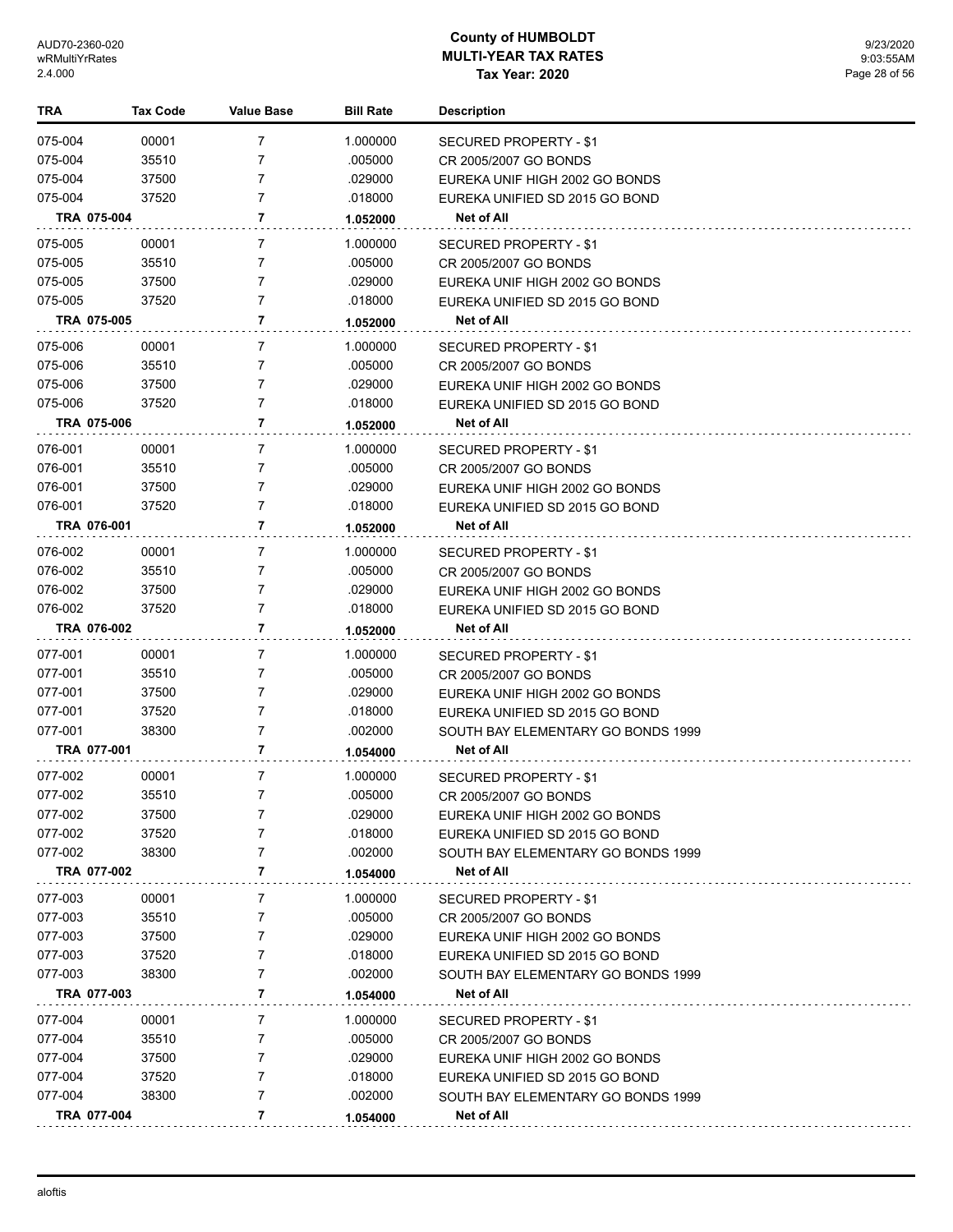| TRA                    | <b>Tax Code</b> | <b>Value Base</b> | <b>Bill Rate</b>   | <b>Description</b>                                               |
|------------------------|-----------------|-------------------|--------------------|------------------------------------------------------------------|
| 075-004                | 00001           | $\overline{7}$    | 1.000000           | <b>SECURED PROPERTY - \$1</b>                                    |
| 075-004                | 35510           | 7                 | .005000            | CR 2005/2007 GO BONDS                                            |
| 075-004                | 37500           | 7                 | .029000            | EUREKA UNIF HIGH 2002 GO BONDS                                   |
| 075-004                | 37520           | $\overline{7}$    | .018000            | EUREKA UNIFIED SD 2015 GO BOND                                   |
| TRA 075-004            |                 | 7                 | 1.052000           | <b>Net of All</b>                                                |
| 075-005                | 00001           | 7                 | 1.000000           | <b>SECURED PROPERTY - \$1</b>                                    |
| 075-005                | 35510           | 7                 | .005000            | CR 2005/2007 GO BONDS                                            |
| 075-005                | 37500           | $\overline{7}$    | .029000            | EUREKA UNIF HIGH 2002 GO BONDS                                   |
| 075-005                | 37520           | $\overline{7}$    | .018000            | EUREKA UNIFIED SD 2015 GO BOND                                   |
| TRA 075-005            |                 | 7                 | 1.052000           | Net of All                                                       |
| 075-006                | 00001           | 7                 | 1.000000           | SECURED PROPERTY - \$1                                           |
| 075-006                | 35510           | 7                 | .005000            | CR 2005/2007 GO BONDS                                            |
| 075-006                | 37500           | 7                 | .029000            | EUREKA UNIF HIGH 2002 GO BONDS                                   |
| 075-006                | 37520           | $\overline{7}$    | .018000            | EUREKA UNIFIED SD 2015 GO BOND                                   |
| TRA 075-006            |                 | 7                 | 1.052000           | <b>Net of All</b>                                                |
| 076-001                | 00001           | 7                 | 1.000000           | SECURED PROPERTY - \$1                                           |
| 076-001                | 35510           | 7                 | .005000            | CR 2005/2007 GO BONDS                                            |
| 076-001                | 37500           | $\overline{7}$    | .029000            | EUREKA UNIF HIGH 2002 GO BONDS                                   |
| 076-001                | 37520           | $\overline{7}$    | .018000            | EUREKA UNIFIED SD 2015 GO BOND                                   |
| TRA 076-001            |                 | 7                 | 1.052000           | Net of All                                                       |
| 076-002                | 00001           | 7                 | 1.000000           | SECURED PROPERTY - \$1                                           |
| 076-002                | 35510           | 7                 | .005000            | CR 2005/2007 GO BONDS                                            |
| 076-002                | 37500           | 7                 | .029000            | EUREKA UNIF HIGH 2002 GO BONDS                                   |
| 076-002                | 37520           | 7                 | .018000            | EUREKA UNIFIED SD 2015 GO BOND                                   |
| TRA 076-002            |                 | 7                 | 1.052000           | <b>Net of All</b>                                                |
| 077-001                | 00001           | 7                 | 1.000000           | SECURED PROPERTY - \$1                                           |
| 077-001                | 35510           | 7                 | .005000            | CR 2005/2007 GO BONDS                                            |
| 077-001                | 37500           | 7                 | .029000            | EUREKA UNIF HIGH 2002 GO BONDS                                   |
| 077-001                | 37520           | 7                 | .018000            | EUREKA UNIFIED SD 2015 GO BOND                                   |
| 077-001                | 38300           | 7                 | .002000            | SOUTH BAY ELEMENTARY GO BONDS 1999                               |
| TRA 077-001            |                 | 7                 | 1.054000           | <b>Net of All</b>                                                |
| 077-002                | 00001           | 7                 | 1.000000           | SECURED PROPERTY - \$1                                           |
| 077-002                | 35510           | 7                 | .005000            | CR 2005/2007 GO BONDS                                            |
| 077-002                | 37500           | 7                 | .029000            | EUREKA UNIF HIGH 2002 GO BONDS                                   |
| 077-002                | 37520           | 7                 | .018000            | EUREKA UNIFIED SD 2015 GO BOND                                   |
| 077-002<br>TRA 077-002 | 38300           | 7<br>7            | .002000            | SOUTH BAY ELEMENTARY GO BONDS 1999<br><b>Net of All</b>          |
|                        |                 |                   | 1.054000           |                                                                  |
| 077-003                | 00001           | 7                 | 1.000000           | <b>SECURED PROPERTY - \$1</b>                                    |
| 077-003                | 35510           | 7                 | .005000            | CR 2005/2007 GO BONDS                                            |
| 077-003                | 37500           | 7                 | .029000            | EUREKA UNIF HIGH 2002 GO BONDS                                   |
| 077-003                | 37520           | 7                 | .018000            | EUREKA UNIFIED SD 2015 GO BOND                                   |
| 077-003<br>TRA 077-003 | 38300           | 7<br>7            | .002000            | SOUTH BAY ELEMENTARY GO BONDS 1999<br><b>Net of All</b>          |
|                        |                 |                   | 1.054000           |                                                                  |
| 077-004                | 00001           | 7                 | 1.000000           | SECURED PROPERTY - \$1                                           |
| 077-004<br>077-004     | 35510           | 7<br>7            | .005000<br>.029000 | CR 2005/2007 GO BONDS                                            |
| 077-004                | 37500<br>37520  | 7                 | .018000            | EUREKA UNIF HIGH 2002 GO BONDS<br>EUREKA UNIFIED SD 2015 GO BOND |
| 077-004                | 38300           | 7                 | .002000            | SOUTH BAY ELEMENTARY GO BONDS 1999                               |
| TRA 077-004            |                 | 7                 | 1.054000           | Net of All                                                       |
|                        |                 |                   |                    |                                                                  |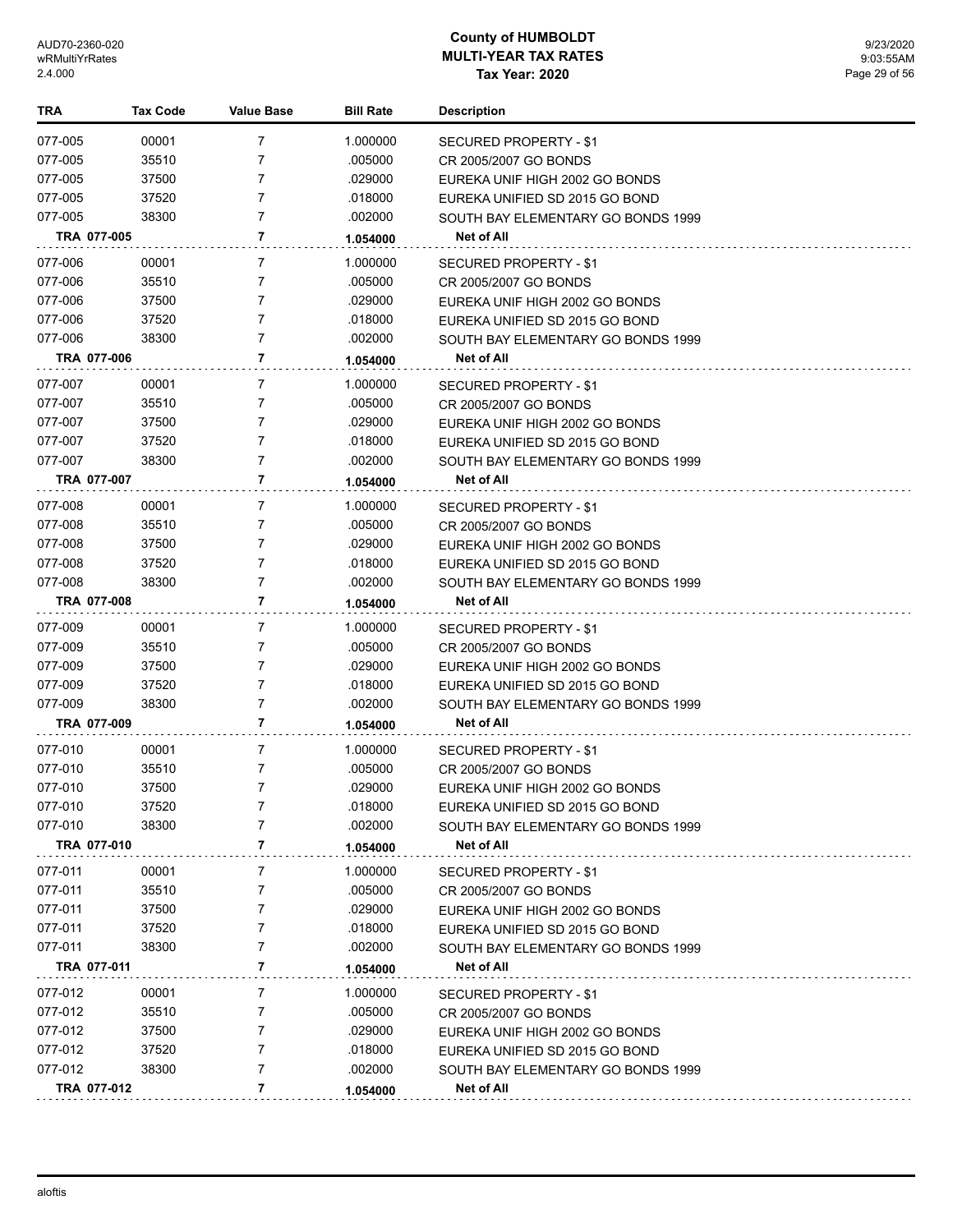| <b>TRA</b>  | <b>Tax Code</b> | <b>Value Base</b> | <b>Bill Rate</b> | Description                        |
|-------------|-----------------|-------------------|------------------|------------------------------------|
| 077-005     | 00001           | 7                 | 1.000000         | SECURED PROPERTY - \$1             |
| 077-005     | 35510           | 7                 | .005000          | CR 2005/2007 GO BONDS              |
| 077-005     | 37500           | 7                 | .029000          | EUREKA UNIF HIGH 2002 GO BONDS     |
| 077-005     | 37520           | 7                 | .018000          | EUREKA UNIFIED SD 2015 GO BOND     |
| 077-005     | 38300           | $\overline{7}$    | .002000          | SOUTH BAY ELEMENTARY GO BONDS 1999 |
| TRA 077-005 |                 | 7                 | 1.054000         | Net of All                         |
| 077-006     | 00001           | 7                 | 1.000000         | SECURED PROPERTY - \$1             |
| 077-006     | 35510           | 7                 | .005000          | CR 2005/2007 GO BONDS              |
| 077-006     | 37500           | 7                 | .029000          | EUREKA UNIF HIGH 2002 GO BONDS     |
| 077-006     | 37520           | $\overline{7}$    | .018000          | EUREKA UNIFIED SD 2015 GO BOND     |
| 077-006     | 38300           | $\overline{7}$    | .002000          | SOUTH BAY ELEMENTARY GO BONDS 1999 |
| TRA 077-006 |                 | 7                 | 1.054000         | <b>Net of All</b>                  |
| 077-007     | 00001           | 7                 | 1.000000         | SECURED PROPERTY - \$1             |
| 077-007     | 35510           | 7                 | .005000          | CR 2005/2007 GO BONDS              |
| 077-007     | 37500           | 7                 | .029000          | EUREKA UNIF HIGH 2002 GO BONDS     |
| 077-007     | 37520           | 7                 | .018000          | EUREKA UNIFIED SD 2015 GO BOND     |
| 077-007     | 38300           | $\overline{7}$    | .002000          | SOUTH BAY ELEMENTARY GO BONDS 1999 |
| TRA 077-007 |                 | 7                 | 1.054000         | <b>Net of All</b>                  |
| 077-008     | 00001           | 7                 | 1.000000         | SECURED PROPERTY - \$1             |
| 077-008     | 35510           | 7                 | .005000          | CR 2005/2007 GO BONDS              |
| 077-008     | 37500           | $\overline{7}$    | .029000          | EUREKA UNIF HIGH 2002 GO BONDS     |
| 077-008     | 37520           | $\overline{7}$    | .018000          | EUREKA UNIFIED SD 2015 GO BOND     |
| 077-008     | 38300           | 7                 | .002000          | SOUTH BAY ELEMENTARY GO BONDS 1999 |
| TRA 077-008 |                 | 7                 | 1.054000         | Net of All                         |
| 077-009     | 00001           | 7                 | 1.000000         | SECURED PROPERTY - \$1             |
| 077-009     | 35510           | $\overline{7}$    | .005000          | CR 2005/2007 GO BONDS              |
| 077-009     | 37500           | $\overline{7}$    | .029000          | EUREKA UNIF HIGH 2002 GO BONDS     |
| 077-009     | 37520           | 7                 | .018000          | EUREKA UNIFIED SD 2015 GO BOND     |
| 077-009     | 38300           | 7                 | .002000          | SOUTH BAY ELEMENTARY GO BONDS 1999 |
| TRA 077-009 |                 | 7                 | 1.054000         | Net of All                         |
| 077-010     | 00001           | 7                 | 1.000000         | SECURED PROPERTY - \$1             |
| 077-010     | 35510           | 7                 | .005000          | CR 2005/2007 GO BONDS              |
| 077-010     | 37500           | 7                 | .029000          | EUREKA UNIF HIGH 2002 GO BONDS     |
| 077-010     | 37520           | 7                 | .018000          | EUREKA UNIFIED SD 2015 GO BOND     |
| 077-010     | 38300           | 7                 | .002000          | SOUTH BAY ELEMENTARY GO BONDS 1999 |
| TRA 077-010 |                 | 7                 | 1.054000         | <b>Net of All</b>                  |
| 077-011     | 00001           | 7                 | 1.000000         | SECURED PROPERTY - \$1             |
| 077-011     | 35510           | 7                 | .005000          | CR 2005/2007 GO BONDS              |
| 077-011     | 37500           | 7                 | .029000          | EUREKA UNIF HIGH 2002 GO BONDS     |
| 077-011     | 37520           | 7                 | .018000          | EUREKA UNIFIED SD 2015 GO BOND     |
| 077-011     | 38300           | 7                 | .002000          | SOUTH BAY ELEMENTARY GO BONDS 1999 |
| TRA 077-011 |                 | 7                 | 1.054000         | Net of All                         |
| 077-012     | 00001           | 7                 | 1.000000         | <b>SECURED PROPERTY - \$1</b>      |
| 077-012     | 35510           | 7                 | .005000          | CR 2005/2007 GO BONDS              |
| 077-012     | 37500           | 7                 | .029000          | EUREKA UNIF HIGH 2002 GO BONDS     |
| 077-012     | 37520           | 7                 | .018000          | EUREKA UNIFIED SD 2015 GO BOND     |
| 077-012     | 38300           | 7                 | .002000          | SOUTH BAY ELEMENTARY GO BONDS 1999 |
| TRA 077-012 |                 | 7                 | 1.054000         | <b>Net of All</b>                  |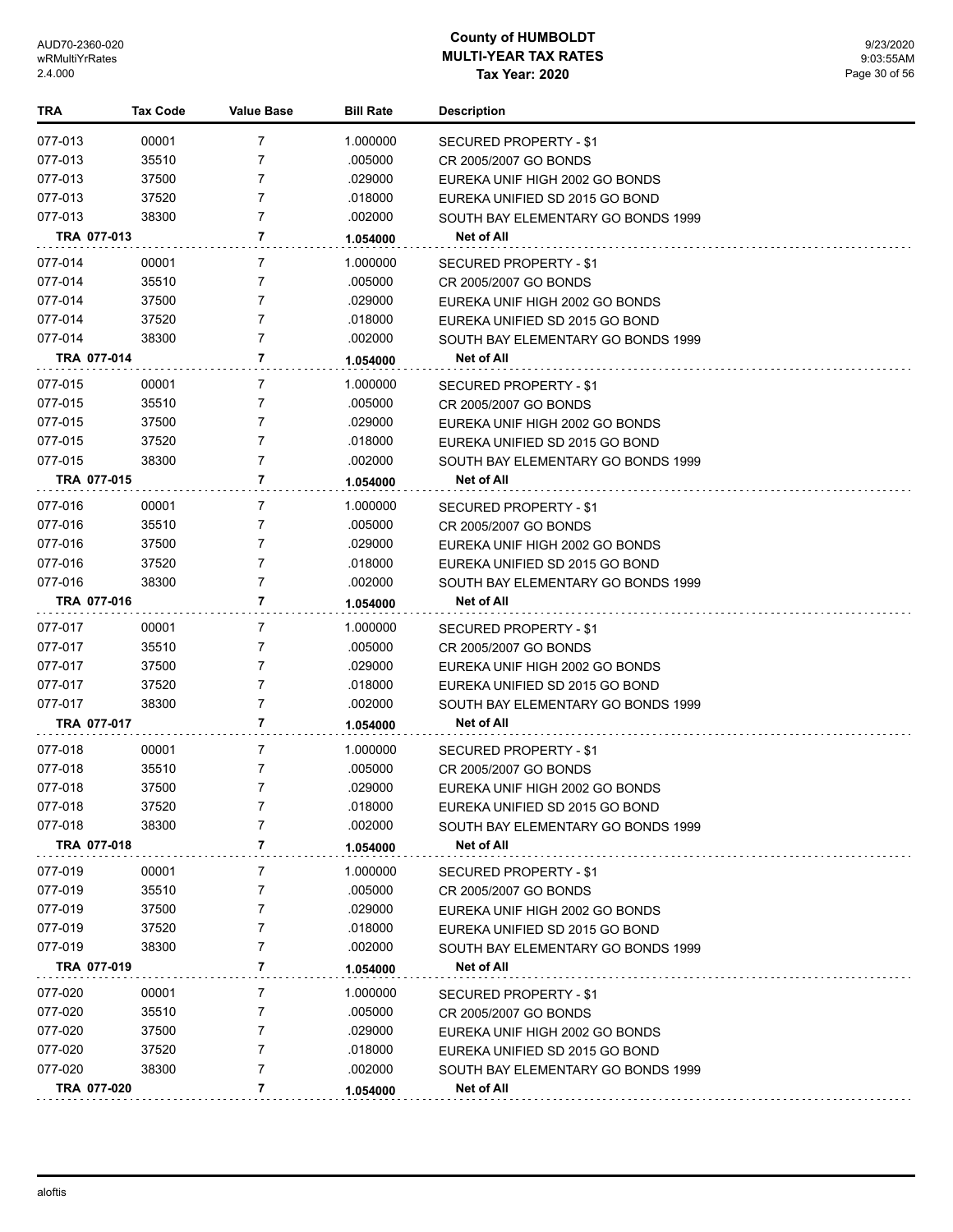| TRA         | Tax Code | <b>Value Base</b> | <b>Bill Rate</b> | <b>Description</b>                 |
|-------------|----------|-------------------|------------------|------------------------------------|
| 077-013     | 00001    | $\overline{7}$    | 1.000000         | SECURED PROPERTY - \$1             |
| 077-013     | 35510    | $\overline{7}$    | .005000          | CR 2005/2007 GO BONDS              |
| 077-013     | 37500    | 7                 | .029000          | EUREKA UNIF HIGH 2002 GO BONDS     |
| 077-013     | 37520    | 7                 | .018000          | EUREKA UNIFIED SD 2015 GO BOND     |
| 077-013     | 38300    | 7                 | .002000          | SOUTH BAY ELEMENTARY GO BONDS 1999 |
| TRA 077-013 |          | 7                 | 1.054000         | Net of All                         |
| 077-014     | 00001    | 7                 | 1.000000         | <b>SECURED PROPERTY - \$1</b>      |
| 077-014     | 35510    | 7                 | .005000          | CR 2005/2007 GO BONDS              |
| 077-014     | 37500    | 7                 | .029000          | EUREKA UNIF HIGH 2002 GO BONDS     |
| 077-014     | 37520    | 7                 | .018000          | EUREKA UNIFIED SD 2015 GO BOND     |
| 077-014     | 38300    | $\overline{7}$    | .002000          | SOUTH BAY ELEMENTARY GO BONDS 1999 |
| TRA 077-014 |          | 7                 | 1.054000         | Net of All                         |
| 077-015     | 00001    | 7                 | 1.000000         | SECURED PROPERTY - \$1             |
| 077-015     | 35510    | 7                 | .005000          | CR 2005/2007 GO BONDS              |
| 077-015     | 37500    | $\overline{7}$    | .029000          | EUREKA UNIF HIGH 2002 GO BONDS     |
| 077-015     | 37520    | 7                 | .018000          | EUREKA UNIFIED SD 2015 GO BOND     |
| 077-015     | 38300    | 7                 | .002000          | SOUTH BAY ELEMENTARY GO BONDS 1999 |
| TRA 077-015 |          | 7                 | 1.054000         | Net of All                         |
| 077-016     | 00001    | 7                 | 1.000000         | SECURED PROPERTY - \$1             |
| 077-016     | 35510    | 7                 | .005000          | CR 2005/2007 GO BONDS              |
| 077-016     | 37500    | 7                 | .029000          | EUREKA UNIF HIGH 2002 GO BONDS     |
| 077-016     | 37520    | 7                 | .018000          | EUREKA UNIFIED SD 2015 GO BOND     |
| 077-016     | 38300    | 7                 | .002000          | SOUTH BAY ELEMENTARY GO BONDS 1999 |
| TRA 077-016 |          | 7                 | 1.054000         | Net of All                         |
| 077-017     | 00001    | 7                 | 1.000000         | SECURED PROPERTY - \$1             |
| 077-017     | 35510    | 7                 | .005000          | CR 2005/2007 GO BONDS              |
| 077-017     | 37500    | 7                 | .029000          | EUREKA UNIF HIGH 2002 GO BONDS     |
| 077-017     | 37520    | 7                 | .018000          | EUREKA UNIFIED SD 2015 GO BOND     |
| 077-017     | 38300    | 7                 | .002000          | SOUTH BAY ELEMENTARY GO BONDS 1999 |
| TRA 077-017 |          | 7                 | 1.054000         | Net of All                         |
| 077-018     | 00001    | 7                 | 1.000000         | SECURED PROPERTY - \$1             |
| 077-018     | 35510    | 7                 | .005000          | CR 2005/2007 GO BONDS              |
| 077-018     | 37500    | 7                 | .029000          | EUREKA UNIF HIGH 2002 GO BONDS     |
| 077-018     | 37520    |                   | .018000          | EUREKA UNIFIED SD 2015 GO BOND     |
| 077-018     | 38300    | 7                 | .002000          | SOUTH BAY ELEMENTARY GO BONDS 1999 |
| TRA 077-018 |          | 7                 | 1.054000         | Net of All                         |
| 077-019     | 00001    | 7                 | 1.000000         | <b>SECURED PROPERTY - \$1</b>      |
| 077-019     | 35510    | 7                 | .005000          | CR 2005/2007 GO BONDS              |
| 077-019     | 37500    | 7                 | .029000          | EUREKA UNIF HIGH 2002 GO BONDS     |
| 077-019     | 37520    | 7                 | .018000          | EUREKA UNIFIED SD 2015 GO BOND     |
| 077-019     | 38300    | 7                 | .002000          | SOUTH BAY ELEMENTARY GO BONDS 1999 |
| TRA 077-019 |          | 7                 | 1.054000         | Net of All                         |
| 077-020     | 00001    | 7                 | 1.000000         | SECURED PROPERTY - \$1             |
| 077-020     | 35510    | 7                 | .005000          | CR 2005/2007 GO BONDS              |
| 077-020     | 37500    | 7                 | .029000          | EUREKA UNIF HIGH 2002 GO BONDS     |
| 077-020     | 37520    | 7                 | .018000          | EUREKA UNIFIED SD 2015 GO BOND     |
| 077-020     | 38300    | 7                 | .002000          | SOUTH BAY ELEMENTARY GO BONDS 1999 |
| TRA 077-020 |          | 7                 | 1.054000         | Net of All                         |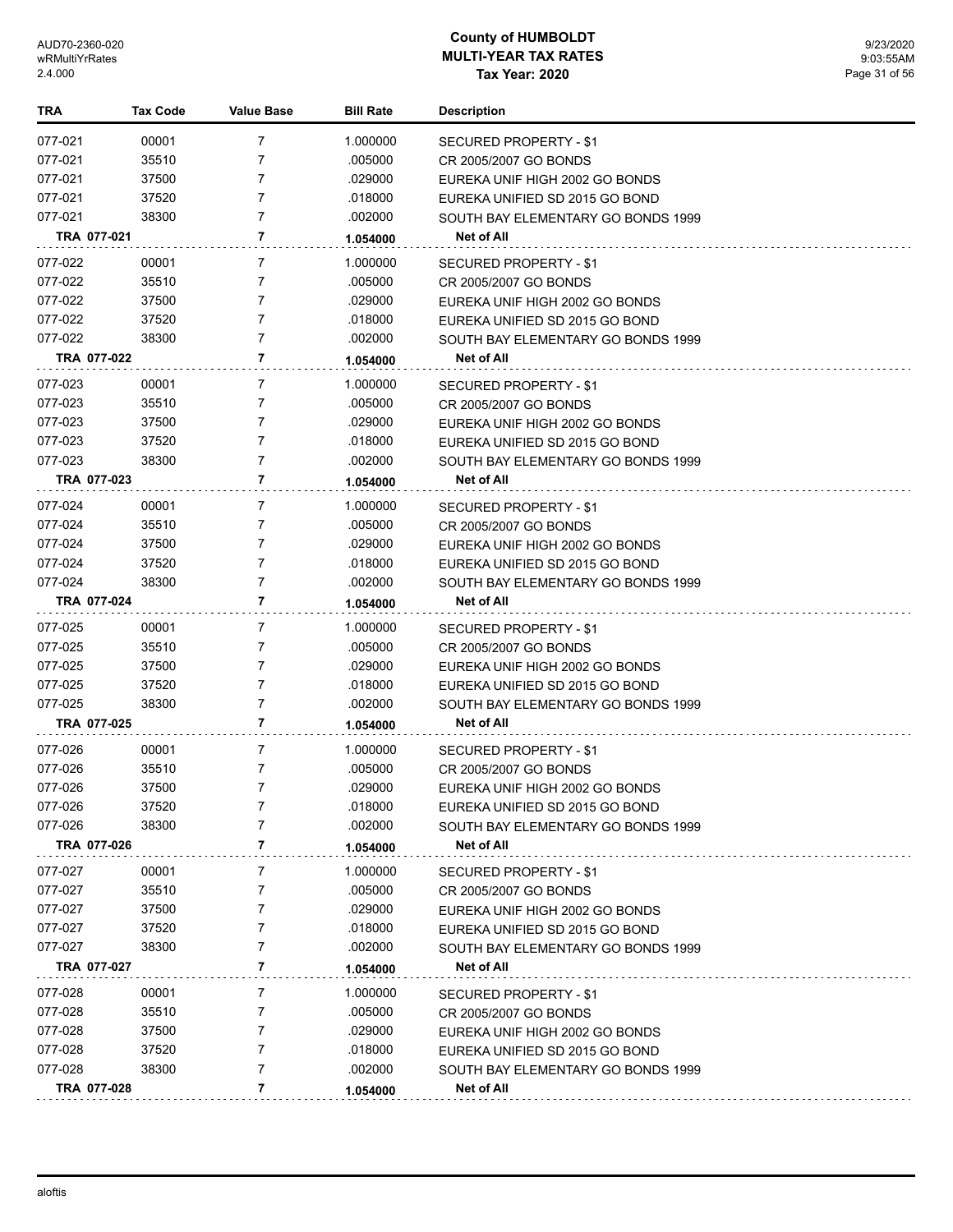| TRA         | Tax Code | <b>Value Base</b> | <b>Bill Rate</b> | Description                        |
|-------------|----------|-------------------|------------------|------------------------------------|
| 077-021     | 00001    | 7                 | 1.000000         | SECURED PROPERTY - \$1             |
| 077-021     | 35510    | 7                 | .005000          | CR 2005/2007 GO BONDS              |
| 077-021     | 37500    | 7                 | .029000          | EUREKA UNIF HIGH 2002 GO BONDS     |
| 077-021     | 37520    | 7                 | .018000          | EUREKA UNIFIED SD 2015 GO BOND     |
| 077-021     | 38300    | 7                 | .002000          | SOUTH BAY ELEMENTARY GO BONDS 1999 |
| TRA 077-021 |          | 7                 | 1.054000         | Net of All                         |
| 077-022     | 00001    | 7                 | 1.000000         | SECURED PROPERTY - \$1             |
| 077-022     | 35510    | $\overline{7}$    | .005000          | CR 2005/2007 GO BONDS              |
| 077-022     | 37500    | 7                 | .029000          | EUREKA UNIF HIGH 2002 GO BONDS     |
| 077-022     | 37520    | 7                 | .018000          | EUREKA UNIFIED SD 2015 GO BOND     |
| 077-022     | 38300    | $\overline{7}$    | .002000          | SOUTH BAY ELEMENTARY GO BONDS 1999 |
| TRA 077-022 |          | 7                 | 1.054000         | Net of All                         |
| 077-023     | 00001    | 7                 | 1.000000         | SECURED PROPERTY - \$1             |
| 077-023     | 35510    | 7                 | .005000          | CR 2005/2007 GO BONDS              |
| 077-023     | 37500    | 7                 | .029000          | EUREKA UNIF HIGH 2002 GO BONDS     |
| 077-023     | 37520    | 7                 | .018000          | EUREKA UNIFIED SD 2015 GO BOND     |
| 077-023     | 38300    | 7                 | .002000          | SOUTH BAY ELEMENTARY GO BONDS 1999 |
| TRA 077-023 |          | 7                 | 1.054000         | <b>Net of All</b>                  |
| 077-024     | 00001    | 7                 | 1.000000         | SECURED PROPERTY - \$1             |
| 077-024     | 35510    | 7                 | .005000          | CR 2005/2007 GO BONDS              |
| 077-024     | 37500    | 7                 | .029000          | EUREKA UNIF HIGH 2002 GO BONDS     |
| 077-024     | 37520    | 7                 | .018000          | EUREKA UNIFIED SD 2015 GO BOND     |
| 077-024     | 38300    | 7                 | .002000          | SOUTH BAY ELEMENTARY GO BONDS 1999 |
| TRA 077-024 |          | 7                 | 1.054000         | Net of All                         |
| 077-025     | 00001    | 7                 | 1.000000         | SECURED PROPERTY - \$1             |
| 077-025     | 35510    | 7                 | .005000          | CR 2005/2007 GO BONDS              |
| 077-025     | 37500    | 7                 | .029000          | EUREKA UNIF HIGH 2002 GO BONDS     |
| 077-025     | 37520    | 7                 | .018000          | EUREKA UNIFIED SD 2015 GO BOND     |
| 077-025     | 38300    | 7                 | .002000          | SOUTH BAY ELEMENTARY GO BONDS 1999 |
| TRA 077-025 |          | 7                 | 1.054000         | <b>Net of All</b>                  |
| 077-026     | 00001    | 7                 | 1.000000         | SECURED PROPERTY - \$1             |
| 077-026     | 35510    | 7                 | .005000          | CR 2005/2007 GO BONDS              |
| 077-026     | 37500    | 7                 | .029000          | EUREKA UNIF HIGH 2002 GO BONDS     |
| 077-026     | 37520    | 7                 | .018000          | EUREKA UNIFIED SD 2015 GO BOND     |
| 077-026     | 38300    | 7                 | .002000          | SOUTH BAY ELEMENTARY GO BONDS 1999 |
| TRA 077-026 |          | 7                 | 1.054000         | Net of All                         |
| 077-027     | 00001    | 7                 | 1.000000         | SECURED PROPERTY - \$1             |
| 077-027     | 35510    | 7                 | .005000          | CR 2005/2007 GO BONDS              |
| 077-027     | 37500    | 7                 | .029000          | EUREKA UNIF HIGH 2002 GO BONDS     |
| 077-027     | 37520    | 7                 | .018000          | EUREKA UNIFIED SD 2015 GO BOND     |
| 077-027     | 38300    | 7                 | .002000          | SOUTH BAY ELEMENTARY GO BONDS 1999 |
| TRA 077-027 |          | 7                 | 1.054000         | Net of All                         |
| 077-028     | 00001    | 7                 | 1.000000         | SECURED PROPERTY - \$1             |
| 077-028     | 35510    | 7                 | .005000          | CR 2005/2007 GO BONDS              |
| 077-028     | 37500    | 7                 | .029000          | EUREKA UNIF HIGH 2002 GO BONDS     |
| 077-028     | 37520    | 7                 | .018000          | EUREKA UNIFIED SD 2015 GO BOND     |
| 077-028     | 38300    | 7                 | .002000          | SOUTH BAY ELEMENTARY GO BONDS 1999 |
| TRA 077-028 |          | 7                 | 1.054000         | <b>Net of All</b>                  |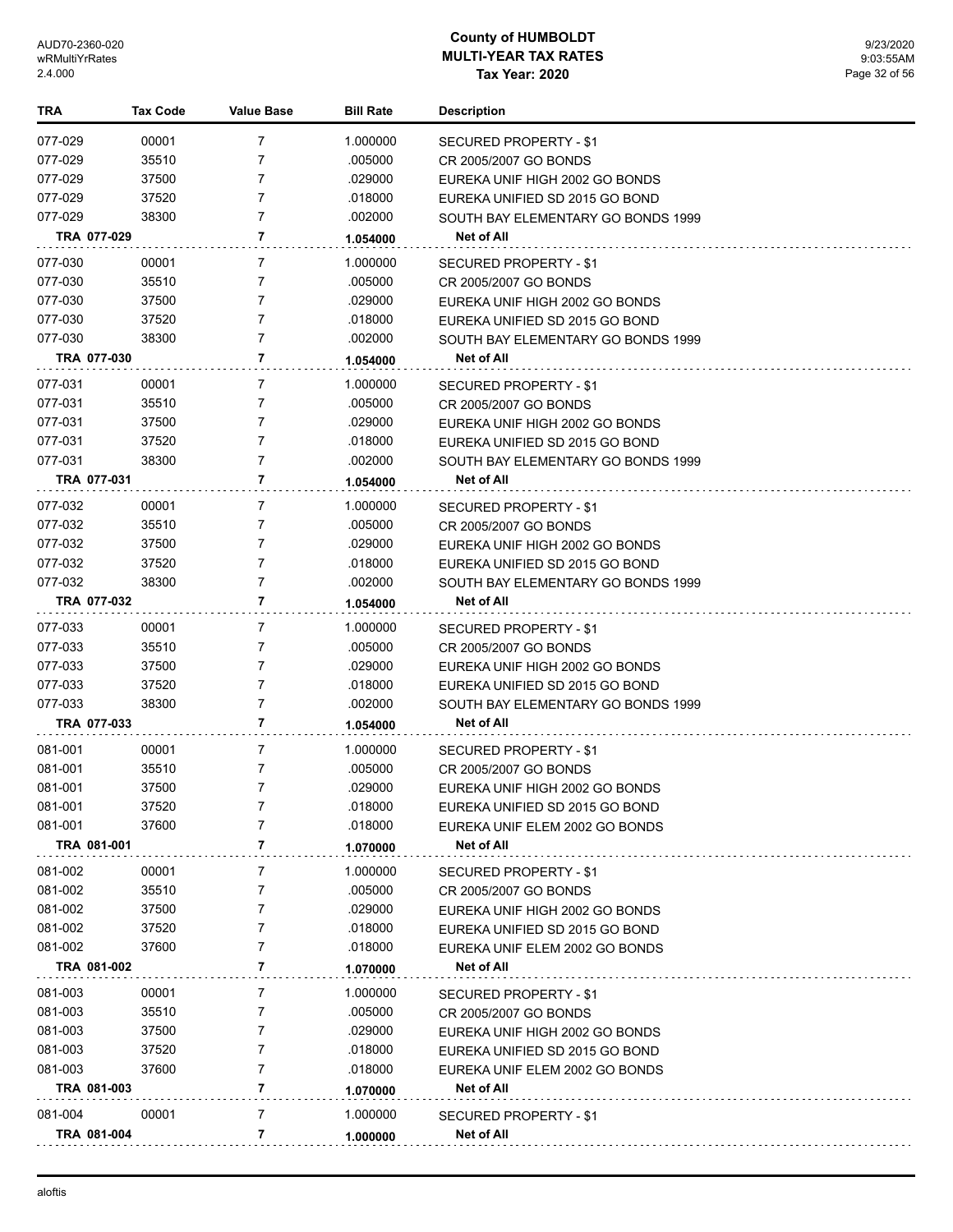| TRA                | <b>Tax Code</b> | <b>Value Base</b> | <b>Bill Rate</b>    | <b>Description</b>                              |
|--------------------|-----------------|-------------------|---------------------|-------------------------------------------------|
| 077-029            | 00001           | 7                 | 1.000000            | SECURED PROPERTY - \$1                          |
| 077-029            | 35510           | 7                 | .005000             | CR 2005/2007 GO BONDS                           |
| 077-029            | 37500           | 7                 | .029000             | EUREKA UNIF HIGH 2002 GO BONDS                  |
| 077-029            | 37520           | $\overline{7}$    | .018000             | EUREKA UNIFIED SD 2015 GO BOND                  |
| 077-029            | 38300           | $\overline{7}$    | .002000             | SOUTH BAY ELEMENTARY GO BONDS 1999              |
| TRA 077-029        |                 | 7                 | 1.054000            | Net of All                                      |
| 077-030            | 00001           | 7                 | 1.000000            | SECURED PROPERTY - \$1                          |
| 077-030            | 35510           | $\overline{7}$    | .005000             | CR 2005/2007 GO BONDS                           |
| 077-030            | 37500           | 7                 | .029000             | EUREKA UNIF HIGH 2002 GO BONDS                  |
| 077-030            | 37520           | $\overline{7}$    | .018000             | EUREKA UNIFIED SD 2015 GO BOND                  |
| 077-030            | 38300           | $\overline{7}$    | .002000             | SOUTH BAY ELEMENTARY GO BONDS 1999              |
| TRA 077-030        |                 | 7                 | 1.054000            | Net of All                                      |
|                    |                 | 7                 |                     |                                                 |
| 077-031<br>077-031 | 00001<br>35510  | 7                 | 1.000000<br>.005000 | SECURED PROPERTY - \$1<br>CR 2005/2007 GO BONDS |
| 077-031            | 37500           | $\overline{7}$    | .029000             | EUREKA UNIF HIGH 2002 GO BONDS                  |
| 077-031            | 37520           | $\overline{7}$    | .018000             | EUREKA UNIFIED SD 2015 GO BOND                  |
| 077-031            | 38300           | $\overline{7}$    | .002000             | SOUTH BAY ELEMENTARY GO BONDS 1999              |
| TRA 077-031        |                 | $\overline{7}$    | 1.054000            | <b>Net of All</b>                               |
|                    |                 |                   |                     |                                                 |
| 077-032            | 00001           | 7                 | 1.000000            | <b>SECURED PROPERTY - \$1</b>                   |
| 077-032            | 35510           | $\overline{7}$    | .005000             | CR 2005/2007 GO BONDS                           |
| 077-032            | 37500           | 7                 | .029000             | EUREKA UNIF HIGH 2002 GO BONDS                  |
| 077-032            | 37520           | $\overline{7}$    | .018000             | EUREKA UNIFIED SD 2015 GO BOND                  |
| 077-032            | 38300           | $\overline{7}$    | .002000             | SOUTH BAY ELEMENTARY GO BONDS 1999              |
| TRA 077-032        |                 | 7                 | 1.054000            | Net of All                                      |
| 077-033            | 00001           | $\overline{7}$    | 1.000000            | SECURED PROPERTY - \$1                          |
| 077-033            | 35510           | 7                 | .005000             | CR 2005/2007 GO BONDS                           |
| 077-033            | 37500           | 7                 | .029000             | EUREKA UNIF HIGH 2002 GO BONDS                  |
| 077-033            | 37520           | $\overline{7}$    | .018000             | EUREKA UNIFIED SD 2015 GO BOND                  |
| 077-033            | 38300           | $\overline{7}$    | .002000             | SOUTH BAY ELEMENTARY GO BONDS 1999              |
| TRA 077-033        |                 | 7                 | 1.054000            | Net of All                                      |
| 081-001            | 00001           | 7                 | 1.000000            | SECURED PROPERTY - \$1                          |
| 081-001            | 35510           | 7                 | .005000             | CR 2005/2007 GO BONDS                           |
| 081-001            | 37500           | $\overline{7}$    | .029000             | EUREKA UNIF HIGH 2002 GO BONDS                  |
| 081-001            | 37520           | 7                 | .018000             | EUREKA UNIFIED SD 2015 GO BOND                  |
| 081-001            | 37600           | 7                 | .018000             | EUREKA UNIF ELEM 2002 GO BONDS                  |
| TRA 081-001        |                 | 7                 | 1.070000            | Net of All                                      |
| 081-002            | 00001           | 7                 | 1.000000            | SECURED PROPERTY - \$1                          |
| 081-002            | 35510           | 7                 | .005000             | CR 2005/2007 GO BONDS                           |
| 081-002            | 37500           | 7                 | .029000             | EUREKA UNIF HIGH 2002 GO BONDS                  |
| 081-002            | 37520           | 7                 | .018000             | EUREKA UNIFIED SD 2015 GO BOND                  |
| 081-002            | 37600           | 7                 | .018000             | EUREKA UNIF ELEM 2002 GO BONDS                  |
| TRA 081-002        |                 | 7                 | 1.070000            | Net of All                                      |
| 081-003            | 00001           | 7                 | 1.000000            | SECURED PROPERTY - \$1                          |
| 081-003            | 35510           | 7                 | .005000             | CR 2005/2007 GO BONDS                           |
| 081-003            | 37500           | 7                 | .029000             | EUREKA UNIF HIGH 2002 GO BONDS                  |
| 081-003            | 37520           | 7                 | .018000             | EUREKA UNIFIED SD 2015 GO BOND                  |
| 081-003            | 37600           | 7                 | .018000             | EUREKA UNIF ELEM 2002 GO BONDS                  |
| TRA 081-003        |                 | 7                 | 1.070000            | Net of All                                      |
| 081-004            | 00001           | 7                 | 1.000000            | <b>SECURED PROPERTY - \$1</b>                   |
| TRA 081-004        |                 | 7                 | 1.000000            | Net of All                                      |
|                    |                 |                   |                     |                                                 |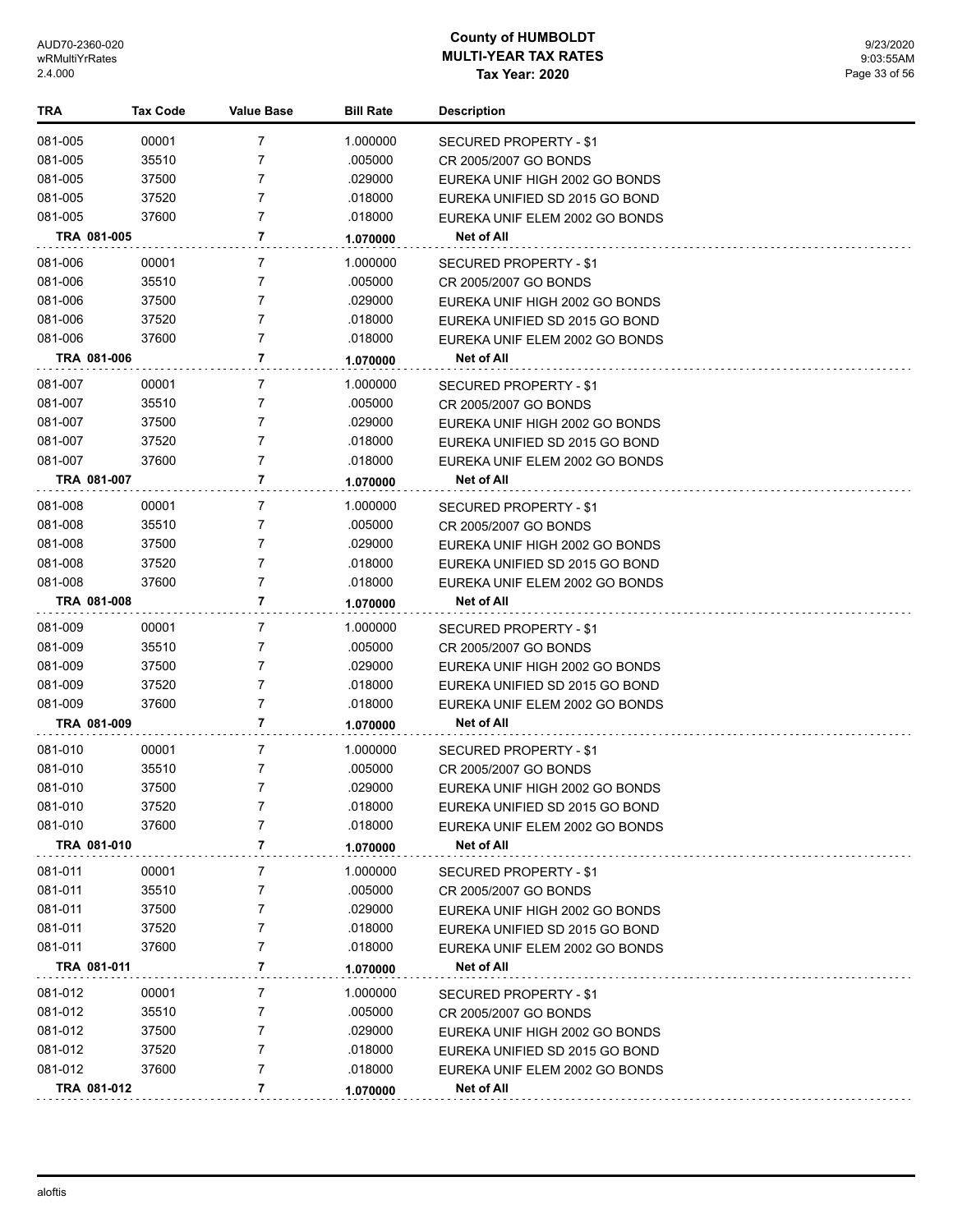| <b>TRA</b> | <b>Tax Code</b> | <b>Value Base</b> | <b>Bill Rate</b> | <b>Description</b>             |
|------------|-----------------|-------------------|------------------|--------------------------------|
| 081-005    | 00001           | 7                 | 1.000000         | SECURED PROPERTY - \$1         |
| 081-005    | 35510           | 7                 | .005000          | CR 2005/2007 GO BONDS          |
| 081-005    | 37500           | 7                 | .029000          | EUREKA UNIF HIGH 2002 GO BONDS |
| 081-005    | 37520           | 7                 | .018000          | EUREKA UNIFIED SD 2015 GO BOND |
| 081-005    | 37600           | 7                 | .018000          | EUREKA UNIF ELEM 2002 GO BONDS |
|            | TRA 081-005     | 7                 | 1.070000         | Net of All                     |
| 081-006    | 00001           | 7                 | 1.000000         | SECURED PROPERTY - \$1         |
| 081-006    | 35510           | 7                 | .005000          | CR 2005/2007 GO BONDS          |
| 081-006    | 37500           | 7                 | .029000          | EUREKA UNIF HIGH 2002 GO BONDS |
| 081-006    | 37520           | 7                 | .018000          | EUREKA UNIFIED SD 2015 GO BOND |
| 081-006    | 37600           | $\overline{7}$    | .018000          | EUREKA UNIF ELEM 2002 GO BONDS |
|            | TRA 081-006     | 7                 | 1.070000         | Net of All                     |
| 081-007    | 00001           | 7                 | 1.000000         | SECURED PROPERTY - \$1         |
| 081-007    | 35510           | 7                 | .005000          | CR 2005/2007 GO BONDS          |
| 081-007    | 37500           | 7                 | .029000          | EUREKA UNIF HIGH 2002 GO BONDS |
| 081-007    | 37520           | 7                 | .018000          | EUREKA UNIFIED SD 2015 GO BOND |
| 081-007    | 37600           | $\overline{7}$    | .018000          | EUREKA UNIF ELEM 2002 GO BONDS |
|            | TRA 081-007     | 7                 | 1.070000         | Net of All                     |
| 081-008    | 00001           | 7                 | 1.000000         | SECURED PROPERTY - \$1         |
| 081-008    | 35510           | 7                 | .005000          | CR 2005/2007 GO BONDS          |
| 081-008    | 37500           | 7                 | .029000          | EUREKA UNIF HIGH 2002 GO BONDS |
| 081-008    | 37520           | $\overline{7}$    | .018000          | EUREKA UNIFIED SD 2015 GO BOND |
| 081-008    | 37600           | 7                 | .018000          | EUREKA UNIF ELEM 2002 GO BONDS |
|            | TRA 081-008     | 7                 | 1.070000         | Net of All                     |
| 081-009    | 00001           | 7                 | 1.000000         | SECURED PROPERTY - \$1         |
| 081-009    | 35510           | 7                 | .005000          | CR 2005/2007 GO BONDS          |
| 081-009    | 37500           | 7                 | .029000          | EUREKA UNIF HIGH 2002 GO BONDS |
| 081-009    | 37520           | 7                 | .018000          | EUREKA UNIFIED SD 2015 GO BOND |
| 081-009    | 37600           | 7                 | .018000          | EUREKA UNIF ELEM 2002 GO BONDS |
|            | TRA 081-009     | 7                 | 1.070000         | <b>Net of All</b>              |
| 081-010    | 00001           | 7                 | 1.000000         | SECURED PROPERTY - \$1         |
| 081-010    | 35510           | 7                 | .005000          | CR 2005/2007 GO BONDS          |
| 081-010    | 37500           | 7                 | .029000          | EUREKA UNIF HIGH 2002 GO BONDS |
| 081-010    | 37520           | 7                 | .018000          | EUREKA UNIFIED SD 2015 GO BOND |
| 081-010    | 37600           | 7                 | .018000          | EUREKA UNIF ELEM 2002 GO BONDS |
|            | TRA 081-010     | 7                 | 1.070000         | Net of All                     |
| 081-011    | 00001           | 7                 | 1.000000         | SECURED PROPERTY - \$1         |
| 081-011    | 35510           | 7                 | .005000          | CR 2005/2007 GO BONDS          |
| 081-011    | 37500           | 7                 | .029000          | EUREKA UNIF HIGH 2002 GO BONDS |
| 081-011    | 37520           | 7                 | .018000          | EUREKA UNIFIED SD 2015 GO BOND |
| 081-011    | 37600           | 7                 | .018000          | EUREKA UNIF ELEM 2002 GO BONDS |
|            | TRA 081-011     | 7                 | 1.070000         | Net of All                     |
| 081-012    | 00001           | 7                 | 1.000000         | SECURED PROPERTY - \$1         |
| 081-012    | 35510           | 7                 | .005000          | CR 2005/2007 GO BONDS          |
| 081-012    | 37500           | 7                 | .029000          | EUREKA UNIF HIGH 2002 GO BONDS |
| 081-012    | 37520           | 7                 | .018000          | EUREKA UNIFIED SD 2015 GO BOND |
| 081-012    | 37600           | 7                 | .018000          | EUREKA UNIF ELEM 2002 GO BONDS |
|            | TRA 081-012     | 7                 | 1.070000         | Net of All                     |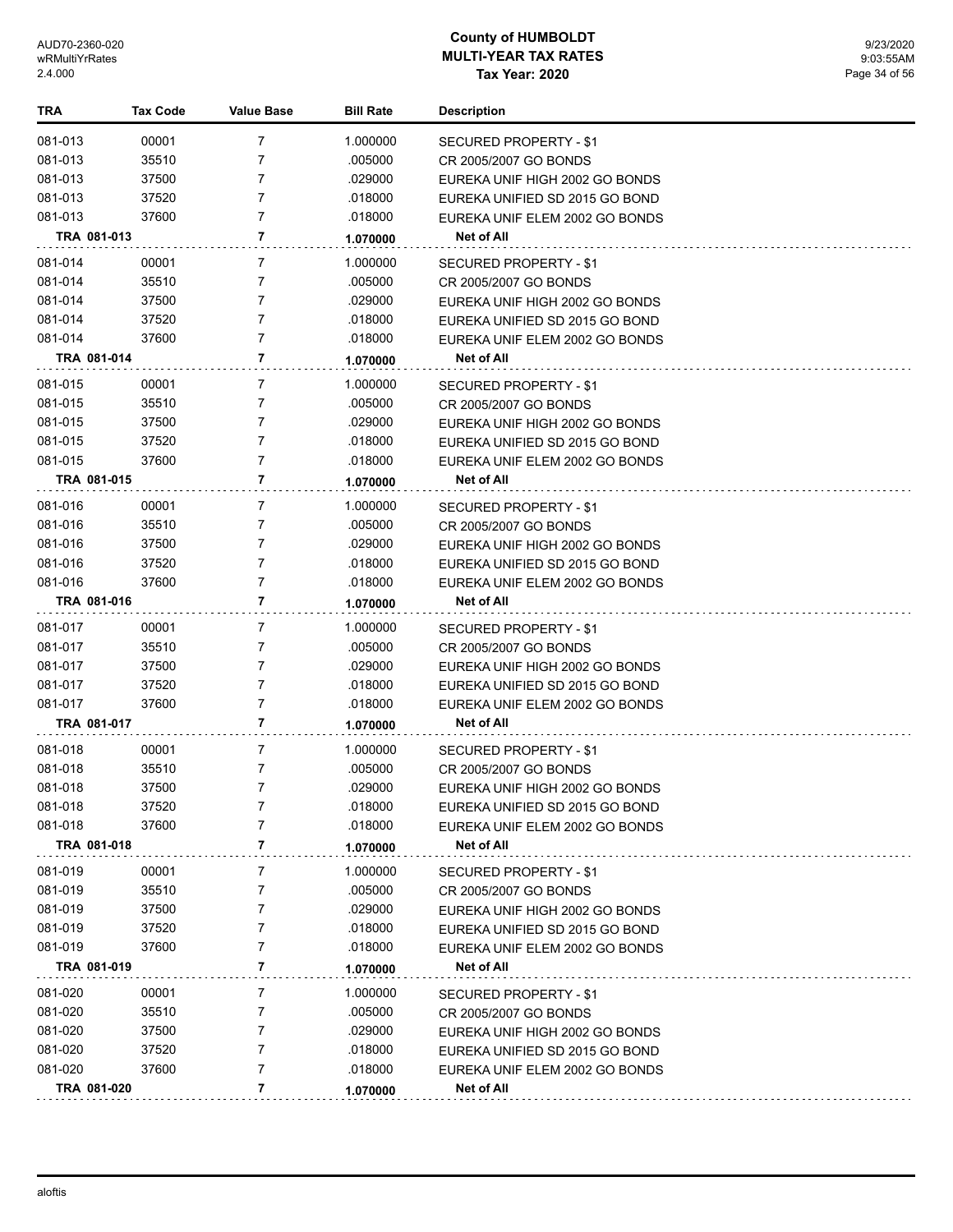| TRA         | <b>Tax Code</b> | <b>Value Base</b> | <b>Bill Rate</b> | <b>Description</b>             |
|-------------|-----------------|-------------------|------------------|--------------------------------|
| 081-013     | 00001           | $\overline{7}$    | 1.000000         | SECURED PROPERTY - \$1         |
| 081-013     | 35510           | $\overline{7}$    | .005000          | CR 2005/2007 GO BONDS          |
| 081-013     | 37500           | 7                 | .029000          | EUREKA UNIF HIGH 2002 GO BONDS |
| 081-013     | 37520           | 7                 | .018000          | EUREKA UNIFIED SD 2015 GO BOND |
| 081-013     | 37600           | $\overline{7}$    | .018000          | EUREKA UNIF ELEM 2002 GO BONDS |
| TRA 081-013 |                 | 7                 | 1.070000         | Net of All                     |
| 081-014     | 00001           | 7                 | 1.000000         | SECURED PROPERTY - \$1         |
| 081-014     | 35510           | 7                 | .005000          | CR 2005/2007 GO BONDS          |
| 081-014     | 37500           | 7                 | .029000          | EUREKA UNIF HIGH 2002 GO BONDS |
| 081-014     | 37520           | $\overline{7}$    | .018000          | EUREKA UNIFIED SD 2015 GO BOND |
| 081-014     | 37600           | $\overline{7}$    | .018000          | EUREKA UNIF ELEM 2002 GO BONDS |
| TRA 081-014 |                 | 7                 | 1.070000         | Net of All                     |
| 081-015     | 00001           | 7                 | 1.000000         | SECURED PROPERTY - \$1         |
| 081-015     | 35510           | 7                 | .005000          | CR 2005/2007 GO BONDS          |
| 081-015     | 37500           | $\overline{7}$    | .029000          | EUREKA UNIF HIGH 2002 GO BONDS |
| 081-015     | 37520           | $\overline{7}$    | .018000          | EUREKA UNIFIED SD 2015 GO BOND |
| 081-015     | 37600           | $\overline{7}$    | .018000          | EUREKA UNIF ELEM 2002 GO BONDS |
| TRA 081-015 |                 | 7                 | 1.070000         | Net of All                     |
| 081-016     | 00001           | 7                 | 1.000000         | SECURED PROPERTY - \$1         |
| 081-016     | 35510           | 7                 | .005000          | CR 2005/2007 GO BONDS          |
| 081-016     | 37500           | 7                 | .029000          | EUREKA UNIF HIGH 2002 GO BONDS |
| 081-016     | 37520           | 7                 | .018000          | EUREKA UNIFIED SD 2015 GO BOND |
| 081-016     | 37600           | $\overline{7}$    | .018000          | EUREKA UNIF ELEM 2002 GO BONDS |
| TRA 081-016 |                 | 7                 | 1.070000         | Net of All                     |
| 081-017     | 00001           | 7                 | 1.000000         | SECURED PROPERTY - \$1         |
| 081-017     | 35510           | 7                 | .005000          | CR 2005/2007 GO BONDS          |
| 081-017     | 37500           | 7                 | .029000          | EUREKA UNIF HIGH 2002 GO BONDS |
| 081-017     | 37520           | $\overline{7}$    | .018000          | EUREKA UNIFIED SD 2015 GO BOND |
| 081-017     | 37600           | $\overline{7}$    | .018000          | EUREKA UNIF ELEM 2002 GO BONDS |
| TRA 081-017 |                 | 7                 | 1.070000         | Net of All                     |
| 081-018     | 00001           | 7                 | 1.000000         | SECURED PROPERTY - \$1         |
| 081-018     | 35510           | 7                 | .005000          | CR 2005/2007 GO BONDS          |
| 081-018     | 37500           | 7                 | .029000          | EUREKA UNIF HIGH 2002 GO BONDS |
| 081-018     | 37520           |                   | .018000          | EUREKA UNIFIED SD 2015 GO BOND |
| 081-018     | 37600           | 7                 | .018000          | EUREKA UNIF ELEM 2002 GO BONDS |
| TRA 081-018 |                 | 7                 | 1.070000         | Net of All                     |
| 081-019     | 00001           | 7                 | 1.000000         | SECURED PROPERTY - \$1         |
| 081-019     | 35510           | 7                 | .005000          | CR 2005/2007 GO BONDS          |
| 081-019     | 37500           | 7                 | .029000          | EUREKA UNIF HIGH 2002 GO BONDS |
| 081-019     | 37520           | 7                 | .018000          | EUREKA UNIFIED SD 2015 GO BOND |
| 081-019     | 37600           | 7                 | .018000          | EUREKA UNIF ELEM 2002 GO BONDS |
| TRA 081-019 |                 | 7                 | 1.070000         | Net of All                     |
| 081-020     | 00001           | 7                 | 1.000000         | SECURED PROPERTY - \$1         |
| 081-020     | 35510           | 7                 | .005000          | CR 2005/2007 GO BONDS          |
| 081-020     | 37500           | 7                 | .029000          | EUREKA UNIF HIGH 2002 GO BONDS |
| 081-020     | 37520           | 7                 | .018000          | EUREKA UNIFIED SD 2015 GO BOND |
| 081-020     | 37600           | 7                 | .018000          | EUREKA UNIF ELEM 2002 GO BONDS |
| TRA 081-020 |                 | 7                 | 1.070000         | Net of All                     |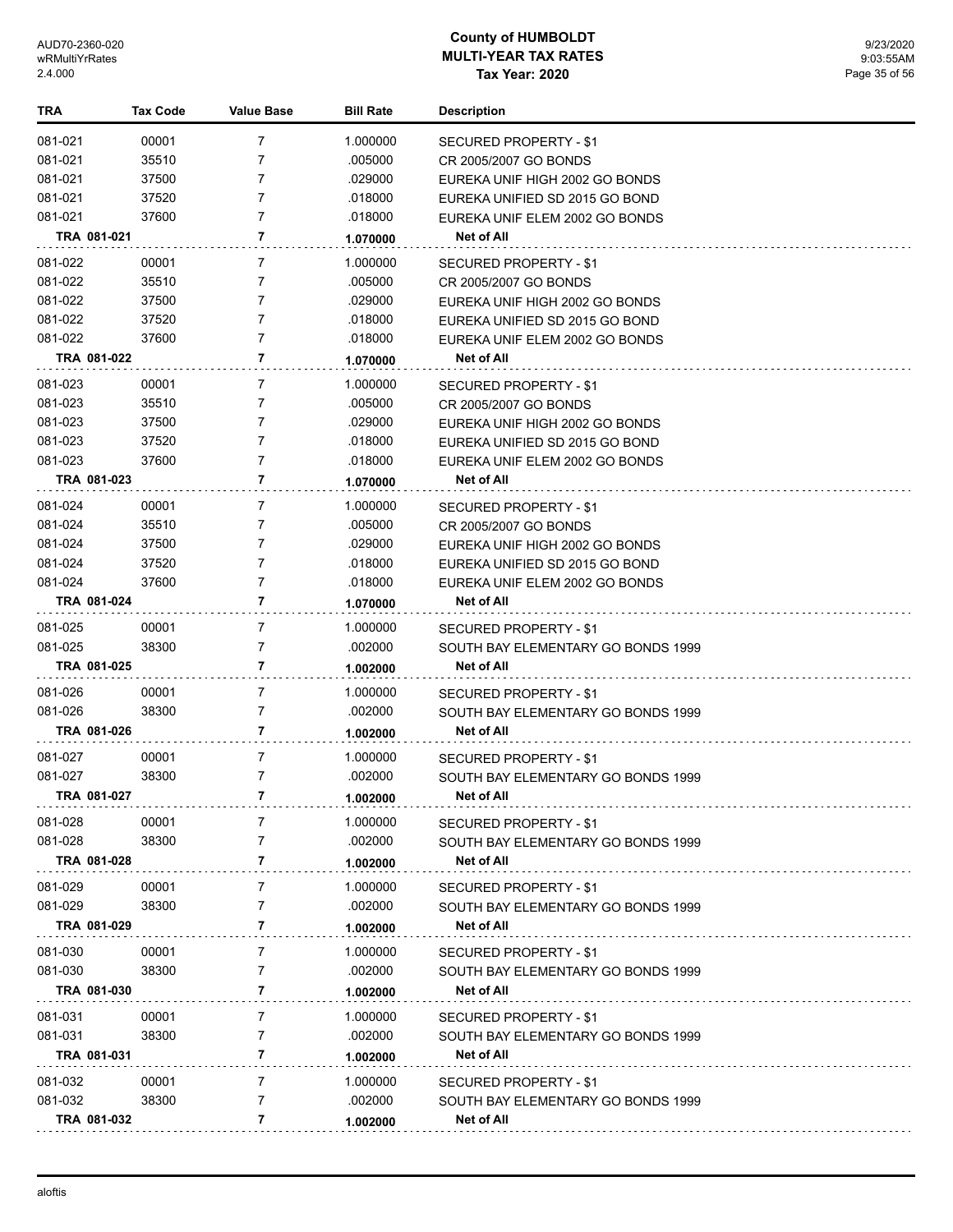| TRA                    | <b>Tax Code</b> | <b>Value Base</b>   | <b>Bill Rate</b> | <b>Description</b>                                           |
|------------------------|-----------------|---------------------|------------------|--------------------------------------------------------------|
| 081-021                | 00001           | 7                   | 1.000000         | SECURED PROPERTY - \$1                                       |
| 081-021                | 35510           | 7                   | .005000          | CR 2005/2007 GO BONDS                                        |
| 081-021                | 37500           | 7                   | .029000          | EUREKA UNIF HIGH 2002 GO BONDS                               |
| 081-021                | 37520           | $\overline{7}$      | .018000          | EUREKA UNIFIED SD 2015 GO BOND                               |
| 081-021                | 37600           | $\overline{7}$      | .018000          | EUREKA UNIF ELEM 2002 GO BONDS                               |
| TRA 081-021            |                 | 7                   | 1.070000         | Net of All                                                   |
| 081-022                | 00001           | 7                   | 1.000000         | SECURED PROPERTY - \$1                                       |
| 081-022                | 35510           | 7                   | .005000          | CR 2005/2007 GO BONDS                                        |
| 081-022                | 37500           | 7                   | .029000          | EUREKA UNIF HIGH 2002 GO BONDS                               |
| 081-022                | 37520           | $\overline{7}$      | .018000          | EUREKA UNIFIED SD 2015 GO BOND                               |
| 081-022                | 37600           | $\overline{7}$      | .018000          | EUREKA UNIF ELEM 2002 GO BONDS                               |
| TRA 081-022            |                 | 7                   | 1.070000         | Net of All                                                   |
| 081-023                | 00001           | 7                   | 1.000000         | SECURED PROPERTY - \$1                                       |
| 081-023                | 35510           | 7                   | .005000          | CR 2005/2007 GO BONDS                                        |
| 081-023                | 37500           | $\overline{7}$      | .029000          | EUREKA UNIF HIGH 2002 GO BONDS                               |
| 081-023                | 37520           | $\overline{7}$      | .018000          | EUREKA UNIFIED SD 2015 GO BOND                               |
| 081-023                | 37600           | 7                   | .018000          | EUREKA UNIF ELEM 2002 GO BONDS                               |
| TRA 081-023            |                 | $\overline{7}$      | 1.070000         | Net of All                                                   |
| 081-024                | 00001           | 7                   | 1.000000         | SECURED PROPERTY - \$1                                       |
| 081-024                | 35510           | 7                   | .005000          | CR 2005/2007 GO BONDS                                        |
| 081-024                | 37500           | 7                   | .029000          | EUREKA UNIF HIGH 2002 GO BONDS                               |
| 081-024                | 37520           | 7                   | .018000          | EUREKA UNIFIED SD 2015 GO BOND                               |
| 081-024                | 37600           | 7                   | .018000          | EUREKA UNIF ELEM 2002 GO BONDS                               |
| TRA 081-024            |                 | 7                   | 1.070000         | Net of All                                                   |
| 081-025                | 00001           | $\overline{7}$      | 1.000000         | SECURED PROPERTY - \$1                                       |
| 081-025                | 38300           | 7                   | .002000          | SOUTH BAY ELEMENTARY GO BONDS 1999                           |
| TRA 081-025            |                 | 7                   | 1.002000         | Net of All                                                   |
| 081-026                | 00001           | 7                   | 1.000000         |                                                              |
| 081-026                | 38300           | $\overline{7}$      | .002000          | SECURED PROPERTY - \$1<br>SOUTH BAY ELEMENTARY GO BONDS 1999 |
| TRA 081-026            |                 | 7                   | 1.002000         | Net of All                                                   |
|                        |                 |                     |                  |                                                              |
| 081-027                | 00001           | 7                   | 1.000000         | SECURED PROPERTY - \$1                                       |
| 081-027                | 38300           | $\overline{7}$      | .002000          | SOUTH BAY ELEMENTARY GO BONDS 1999                           |
| TRA 081-027            |                 | 7                   | 1.002000         | Net of All                                                   |
| 081-028                | 00001           | 7                   | 1.000000         | <b>SECURED PROPERTY - \$1</b>                                |
| 081-028                | 38300           | 7                   | .002000          | SOUTH BAY ELEMENTARY GO BONDS 1999                           |
| TRA 081-028            |                 | 7                   | 1.002000         | Net of All                                                   |
| 081-029                | 00001           | 7                   | 1.000000         | <b>SECURED PROPERTY - \$1</b>                                |
| 081-029                | 38300           | 7                   | .002000          | SOUTH BAY ELEMENTARY GO BONDS 1999                           |
| TRA 081-029            |                 | 7                   | 1.002000         | Net of All                                                   |
| 081-030                | 00001           | 7                   | 1.000000         | <b>SECURED PROPERTY - \$1</b>                                |
| 081-030                | 38300           | 7                   | .002000          | SOUTH BAY ELEMENTARY GO BONDS 1999                           |
| TRA 081-030            |                 | 7                   | 1.002000         | Net of All                                                   |
| 081-031                | 00001           | 7                   | 1.000000         | <b>SECURED PROPERTY - \$1</b>                                |
| 081-031                | 38300           | 7                   | .002000          | SOUTH BAY ELEMENTARY GO BONDS 1999                           |
| TRA 081-031            |                 | 7                   | 1.002000         | <b>Net of All</b>                                            |
|                        |                 |                     |                  |                                                              |
| 081-032                | 00001<br>38300  | 7<br>$\overline{7}$ | 1.000000         | <b>SECURED PROPERTY - \$1</b>                                |
| 081-032<br>TRA 081-032 |                 | 7                   | .002000          | SOUTH BAY ELEMENTARY GO BONDS 1999<br>Net of All             |
|                        |                 |                     | 1.002000         |                                                              |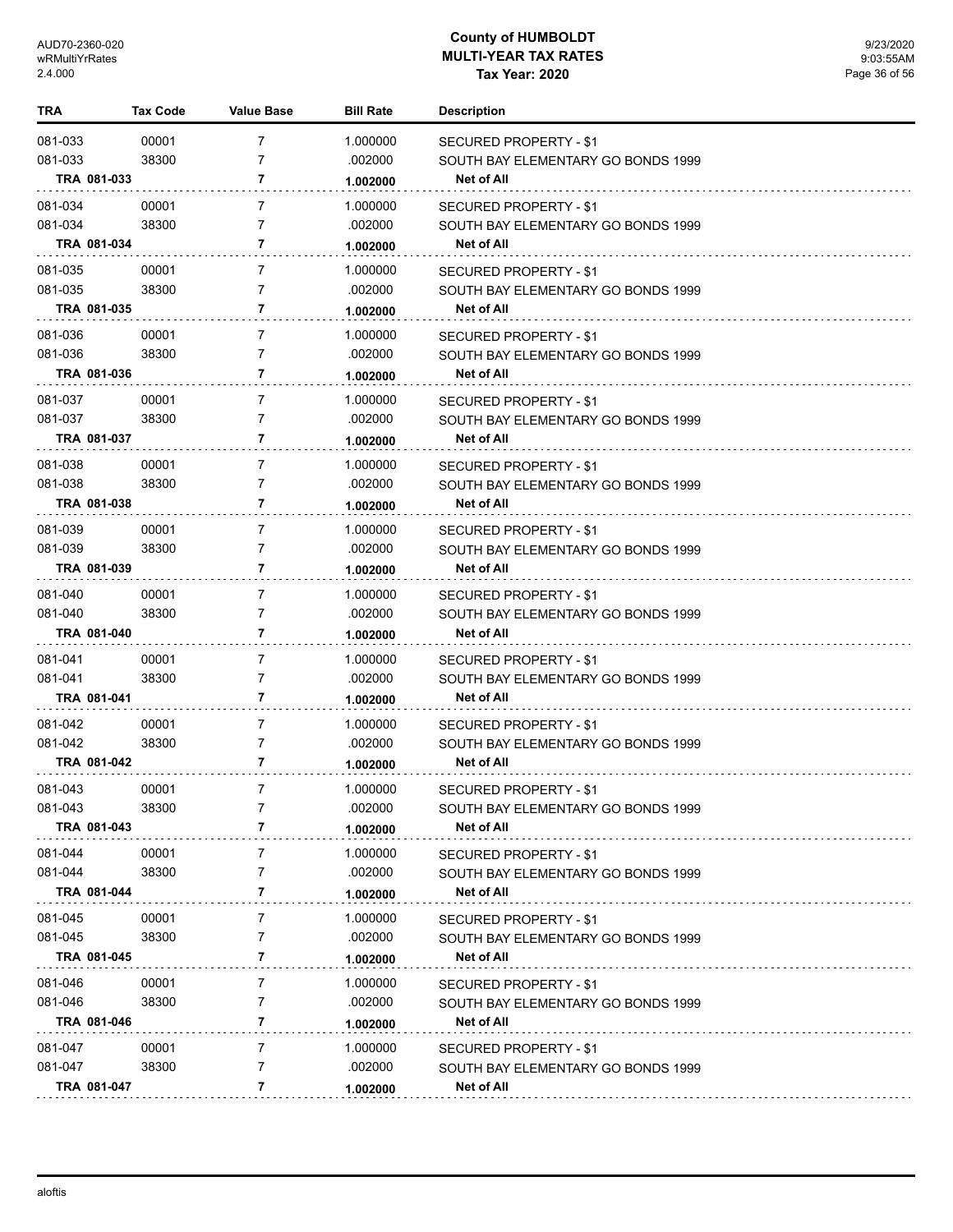| TRA         | Tax Code | <b>Value Base</b> | <b>Bill Rate</b> | <b>Description</b>                 |
|-------------|----------|-------------------|------------------|------------------------------------|
| 081-033     | 00001    | $\overline{7}$    | 1.000000         | SECURED PROPERTY - \$1             |
| 081-033     | 38300    | $\overline{7}$    | .002000          | SOUTH BAY ELEMENTARY GO BONDS 1999 |
| TRA 081-033 |          | 7                 | 1.002000         | Net of All                         |
| 081-034     | 00001    | $\overline{7}$    | 1.000000         | SECURED PROPERTY - \$1             |
| 081-034     | 38300    | 7                 | .002000          | SOUTH BAY ELEMENTARY GO BONDS 1999 |
| TRA 081-034 |          | 7                 | 1.002000         | <b>Net of All</b>                  |
| 081-035     | 00001    | $\overline{7}$    | 1.000000         | SECURED PROPERTY - \$1             |
| 081-035     | 38300    | $\overline{7}$    | .002000          | SOUTH BAY ELEMENTARY GO BONDS 1999 |
| TRA 081-035 |          | 7                 | 1.002000         | Net of All                         |
| 081-036     | 00001    | $\overline{7}$    | 1.000000         | SECURED PROPERTY - \$1             |
| 081-036     | 38300    | $\overline{7}$    | .002000          | SOUTH BAY ELEMENTARY GO BONDS 1999 |
| TRA 081-036 |          | 7                 | 1.002000         | <b>Net of All</b>                  |
| 081-037     | 00001    | $\overline{7}$    | 1.000000         | SECURED PROPERTY - \$1             |
| 081-037     | 38300    | $\overline{7}$    | .002000          | SOUTH BAY ELEMENTARY GO BONDS 1999 |
| TRA 081-037 |          | 7                 | 1.002000         | <b>Net of All</b>                  |
| 081-038     | 00001    | $\overline{7}$    | 1.000000         | SECURED PROPERTY - \$1             |
| 081-038     | 38300    | 7                 | .002000          | SOUTH BAY ELEMENTARY GO BONDS 1999 |
| TRA 081-038 |          | 7                 | 1.002000         | <b>Net of All</b>                  |
| 081-039     | 00001    | 7                 | 1.000000         | SECURED PROPERTY - \$1             |
| 081-039     | 38300    | 7                 | .002000          | SOUTH BAY ELEMENTARY GO BONDS 1999 |
| TRA 081-039 |          | 7                 | 1.002000         | Net of All                         |
| 081-040     | 00001    | 7                 | 1.000000         | SECURED PROPERTY - \$1             |
| 081-040     | 38300    | 7                 | .002000          | SOUTH BAY ELEMENTARY GO BONDS 1999 |
| TRA 081-040 |          | 7                 | 1.002000         | Net of All                         |
| 081-041     | 00001    | 7                 | 1.000000         | SECURED PROPERTY - \$1             |
| 081-041     | 38300    | 7                 | .002000          | SOUTH BAY ELEMENTARY GO BONDS 1999 |
| TRA 081-041 |          | 7                 | 1.002000         | Net of All                         |
| 081-042     | 00001    | 7                 | 1.000000         | <b>SECURED PROPERTY - \$1</b>      |
| 081-042     | 38300    | 7                 | .002000          | SOUTH BAY ELEMENTARY GO BONDS 1999 |
| TRA 081-042 |          | 7                 | 1.002000         | Net of All                         |
| 081-043     | 00001    | 7                 | 1.000000         | SECURED PROPERTY - \$1             |
| 081-043     | 38300    | 7                 | .002000          | SOUTH BAY ELEMENTARY GO BONDS 1999 |
| TRA 081-043 |          | 7                 | 1.002000         | Net of All                         |
| 081-044     | 00001    | 7                 | 1.000000         | <b>SECURED PROPERTY - \$1</b>      |
| 081-044     | 38300    | 7                 | .002000          | SOUTH BAY ELEMENTARY GO BONDS 1999 |
| TRA 081-044 |          | 7                 | 1.002000         | Net of All                         |
| 081-045     | 00001    | 7                 | 1.000000         | SECURED PROPERTY - \$1             |
| 081-045     | 38300    | 7                 | .002000          | SOUTH BAY ELEMENTARY GO BONDS 1999 |
| TRA 081-045 |          | 7                 | 1.002000         | Net of All                         |
| 081-046     | 00001    | 7                 | 1.000000         | SECURED PROPERTY - \$1             |
| 081-046     | 38300    | 7                 | .002000          | SOUTH BAY ELEMENTARY GO BONDS 1999 |
| TRA 081-046 |          | 7                 | 1.002000         | Net of All                         |
| 081-047     | 00001    | 7                 | 1.000000         | SECURED PROPERTY - \$1             |
| 081-047     | 38300    | $\overline{7}$    | .002000          | SOUTH BAY ELEMENTARY GO BONDS 1999 |
| TRA 081-047 |          | 7                 | 1.002000         | <b>Net of All</b>                  |
|             |          |                   |                  |                                    |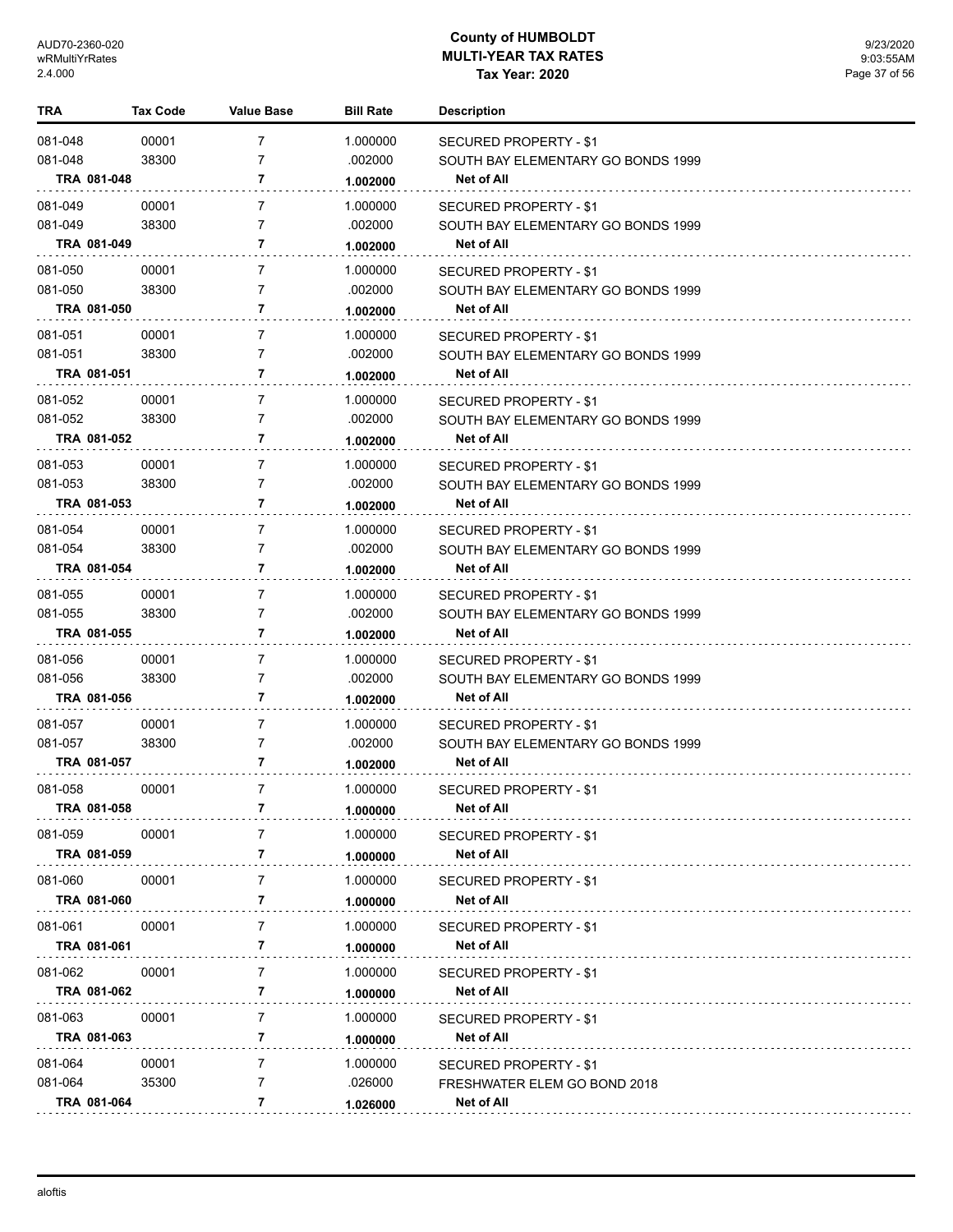| TRA         | <b>Tax Code</b> | <b>Value Base</b> | <b>Bill Rate</b> | <b>Description</b>                   |
|-------------|-----------------|-------------------|------------------|--------------------------------------|
| 081-048     | 00001           | $\overline{7}$    | 1.000000         | <b>SECURED PROPERTY - \$1</b>        |
| 081-048     | 38300           | $\overline{7}$    | .002000          | SOUTH BAY ELEMENTARY GO BONDS 1999   |
| TRA 081-048 |                 | 7                 | 1.002000         | Net of All                           |
| 081-049     | 00001           | $\overline{7}$    | 1.000000         | SECURED PROPERTY - \$1               |
| 081-049     | 38300           | 7                 | .002000          | SOUTH BAY ELEMENTARY GO BONDS 1999   |
| TRA 081-049 |                 | 7                 | 1.002000         | <b>Net of All</b>                    |
| 081-050     | 00001           | $\overline{7}$    | 1.000000         | SECURED PROPERTY - \$1               |
| 081-050     | 38300           | $\overline{7}$    | .002000          | SOUTH BAY ELEMENTARY GO BONDS 1999   |
| TRA 081-050 |                 | 7                 | 1.002000         | Net of All                           |
| 081-051     | 00001           | $\overline{7}$    | 1.000000         | SECURED PROPERTY - \$1               |
| 081-051     | 38300           | $\overline{7}$    | .002000          | SOUTH BAY ELEMENTARY GO BONDS 1999   |
| TRA 081-051 |                 | 7                 | 1.002000         | <b>Net of All</b>                    |
| 081-052     | 00001           | 7                 | 1.000000         | <b>SECURED PROPERTY - \$1</b>        |
| 081-052     | 38300           | $\overline{7}$    | .002000          | SOUTH BAY ELEMENTARY GO BONDS 1999   |
| TRA 081-052 |                 | 7                 | 1.002000         | Net of All                           |
| 081-053     | 00001           | $\overline{7}$    | 1.000000         | SECURED PROPERTY - \$1               |
| 081-053     | 38300           | 7                 | .002000          | SOUTH BAY ELEMENTARY GO BONDS 1999   |
| TRA 081-053 |                 | 7                 | 1.002000         | <b>Net of All</b>                    |
| 081-054     | 00001           | 7                 | 1.000000         | SECURED PROPERTY - \$1               |
| 081-054     | 38300           | 7                 | .002000          | SOUTH BAY ELEMENTARY GO BONDS 1999   |
| TRA 081-054 |                 | 7                 | 1.002000         | Net of All                           |
| 081-055     | 00001           | 7                 | 1.000000         | SECURED PROPERTY - \$1               |
| 081-055     | 38300           | 7                 | .002000          | SOUTH BAY ELEMENTARY GO BONDS 1999   |
| TRA 081-055 |                 | 7                 | 1.002000         | Net of All                           |
| 081-056     | 00001           | 7                 | 1.000000         | <b>SECURED PROPERTY - \$1</b>        |
| 081-056     | 38300           | 7                 | .002000          | SOUTH BAY ELEMENTARY GO BONDS 1999   |
| TRA 081-056 |                 | 7                 | 1.002000         | Net of All                           |
| 081-057     | 00001           | 7                 | 1.000000         | <b>SECURED PROPERTY - \$1</b>        |
| 081-057     | 38300           | 7                 | .002000          | SOUTH BAY ELEMENTARY GO BONDS 1999   |
| TRA 081-057 |                 | 7                 | 1.002000         | <b>Net of All</b>                    |
| 081-058     | 00001           | 7                 | 1.000000         | SECURED PROPERTY - \$1               |
| TRA 081-058 |                 | 7                 | 1.000000         | Net of All                           |
| 081-059     | 00001           | 7                 | 1.000000         | SECURED PROPERTY - \$1               |
| TRA 081-059 |                 | 7                 | 1.000000         | Net of All                           |
| 081-060     | 00001           | 7                 | 1.000000         | SECURED PROPERTY - \$1               |
| TRA 081-060 |                 | 7                 | 1.000000         | <b>Net of All</b>                    |
| 081-061     |                 |                   | 1.000000         |                                      |
| TRA 081-061 | 00001           | 7<br>7            | 1.000000         | SECURED PROPERTY - \$1<br>Net of All |
|             |                 |                   |                  |                                      |
| 081-062     | 00001           | 7<br>7            | 1.000000         | <b>SECURED PROPERTY - \$1</b>        |
| TRA 081-062 |                 |                   | 1.000000         | <b>Net of All</b>                    |
| 081-063     | 00001           | $\overline{7}$    | 1.000000         | <b>SECURED PROPERTY - \$1</b>        |
| TRA 081-063 |                 | 7                 | 1.000000         | <b>Net of All</b>                    |
| 081-064     | 00001           | 7                 | 1.000000         | SECURED PROPERTY - \$1               |
| 081-064     | 35300           | 7                 | .026000          | FRESHWATER ELEM GO BOND 2018         |
| TRA 081-064 |                 | 7                 | 1.026000         | <b>Net of All</b>                    |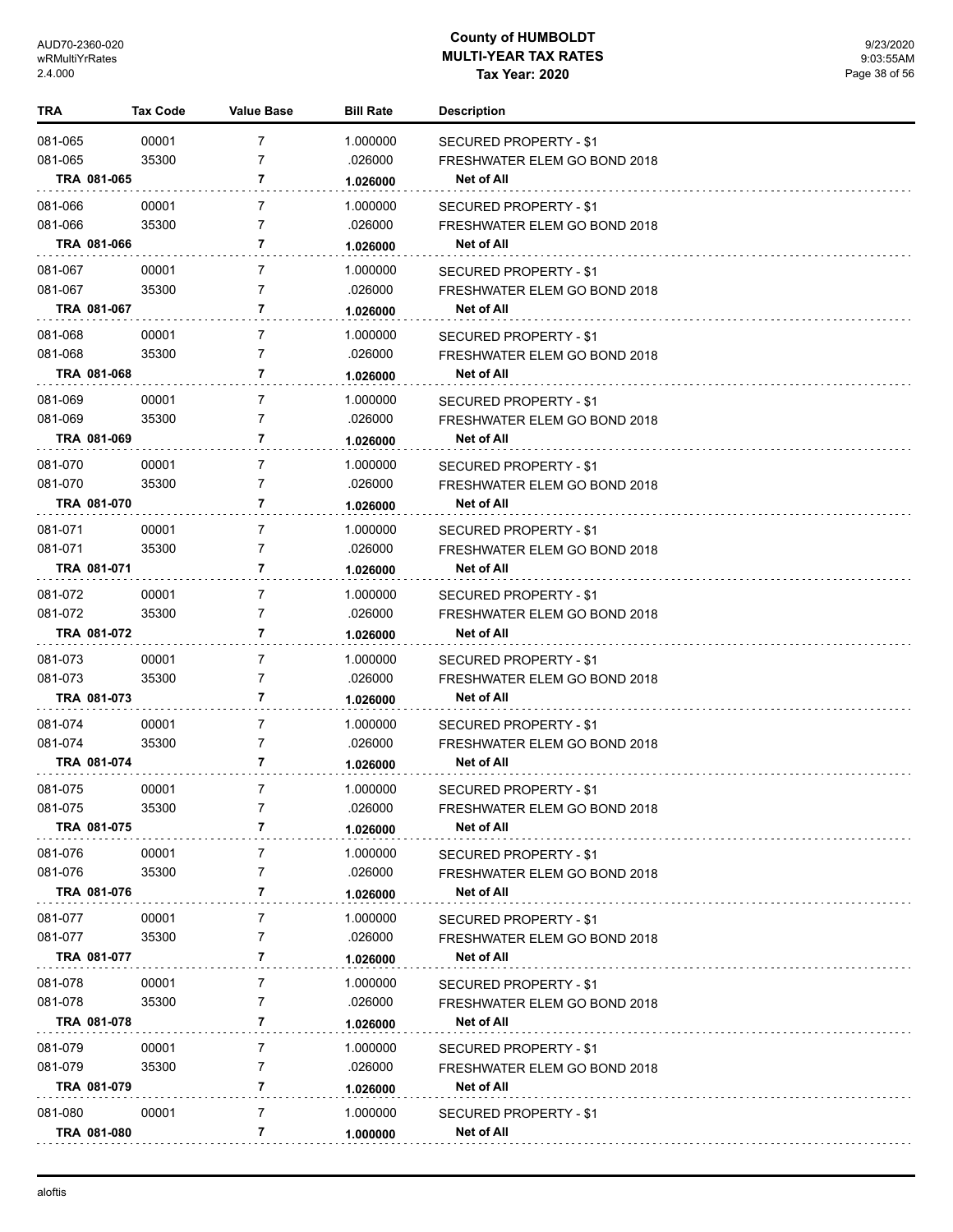| TRA                | <b>Tax Code</b>      | <b>Value Base</b>                | <b>Bill Rate</b>    | <b>Description</b>                                     |
|--------------------|----------------------|----------------------------------|---------------------|--------------------------------------------------------|
| 081-065            | 00001                | $\overline{7}$                   | 1.000000            | SECURED PROPERTY - \$1                                 |
| 081-065            | 35300                | $\overline{7}$                   | .026000             | FRESHWATER ELEM GO BOND 2018                           |
|                    | TRA 081-065          | 7                                | 1.026000            | Net of All                                             |
|                    | 00001                | $\overline{7}$                   | 1.000000            |                                                        |
| 081-066<br>081-066 | 35300                | $\overline{7}$                   | .026000             | SECURED PROPERTY - \$1<br>FRESHWATER ELEM GO BOND 2018 |
|                    | TRA 081-066          | 7                                | 1.026000            | <b>Net of All</b>                                      |
|                    |                      |                                  |                     |                                                        |
| 081-067            | 00001                | $\overline{7}$<br>$\overline{7}$ | 1.000000            | SECURED PROPERTY - \$1                                 |
| 081-067            | 35300<br>TRA 081-067 | 7                                | .026000             | FRESHWATER ELEM GO BOND 2018<br><b>Net of All</b>      |
|                    |                      |                                  | 1.026000            |                                                        |
| 081-068            | 00001                | 7                                | 1.000000            | SECURED PROPERTY - \$1                                 |
| 081-068            | 35300                | $\overline{7}$                   | .026000             | FRESHWATER ELEM GO BOND 2018                           |
|                    | TRA 081-068          | 7                                | 1.026000            | <b>Net of All</b>                                      |
| 081-069            | 00001                | $\overline{7}$                   | 1.000000            | SECURED PROPERTY - \$1                                 |
| 081-069            | 35300                | 7                                | .026000             | FRESHWATER ELEM GO BOND 2018                           |
|                    | TRA 081-069          | 7                                | 1.026000            | Net of All                                             |
| 081-070            | 00001                | $\overline{7}$                   | 1.000000            | SECURED PROPERTY - \$1                                 |
| 081-070            | 35300                | 7                                | .026000             | FRESHWATER ELEM GO BOND 2018                           |
|                    | TRA 081-070          | 7                                | 1.026000            | Net of All                                             |
| 081-071            | 00001                | 7                                | 1.000000            | SECURED PROPERTY - \$1                                 |
| 081-071            | 35300                | 7                                | .026000             | FRESHWATER ELEM GO BOND 2018                           |
|                    | TRA 081-071          | 7                                | 1.026000            | Net of All                                             |
| 081-072            | 00001                | 7                                | 1.000000            |                                                        |
| 081-072            | 35300                | 7                                | .026000             | SECURED PROPERTY - \$1<br>FRESHWATER ELEM GO BOND 2018 |
|                    | TRA 081-072          | 7                                | 1.026000            | Net of All                                             |
|                    |                      |                                  |                     |                                                        |
| 081-073<br>081-073 | 00001<br>35300       | 7<br>7                           | 1.000000<br>.026000 | SECURED PROPERTY - \$1                                 |
|                    | TRA 081-073          | 7                                |                     | FRESHWATER ELEM GO BOND 2018<br>Net of All             |
|                    |                      |                                  | 1.026000            |                                                        |
| 081-074            | 00001                | 7                                | 1.000000            | SECURED PROPERTY - \$1                                 |
| 081-074            | 35300                | 7                                | .026000             | FRESHWATER ELEM GO BOND 2018                           |
|                    | TRA 081-074          | 7                                | 1.026000            | Net of All                                             |
| 081-075            | 00001                | $\overline{7}$                   | 1.000000            | SECURED PROPERTY - \$1                                 |
| 081-075            | 35300                |                                  | .026000             | FRESHWATER ELEM GO BOND 2018                           |
|                    | TRA 081-075          | 7                                | 1.026000            | Net of All                                             |
| 081-076            | 00001                | 7                                | 1.000000            | SECURED PROPERTY - \$1                                 |
| 081-076            | 35300                | 7                                | .026000             | FRESHWATER ELEM GO BOND 2018                           |
|                    | TRA 081-076          | 7                                | 1.026000            | <b>Net of All</b>                                      |
| 081-077            | 00001                | 7                                | 1.000000            | <b>SECURED PROPERTY - \$1</b>                          |
| 081-077            | 35300                | 7                                | .026000             | FRESHWATER ELEM GO BOND 2018                           |
|                    | TRA 081-077          | 7                                | 1.026000            | Net of All                                             |
| 081-078            | 00001                | 7                                | 1.000000            | SECURED PROPERTY - \$1                                 |
| 081-078            | 35300                | 7                                | .026000             | FRESHWATER ELEM GO BOND 2018                           |
|                    | TRA 081-078          | 7                                | 1.026000            | Net of All                                             |
| 081-079            | 00001                | 7                                | 1.000000            |                                                        |
| 081-079            | 35300                | 7                                | .026000             | SECURED PROPERTY - \$1<br>FRESHWATER ELEM GO BOND 2018 |
|                    | TRA 081-079          | 7                                | 1.026000            | Net of All                                             |
|                    |                      |                                  |                     |                                                        |
| 081-080            | 00001                | 7                                | 1.000000            | SECURED PROPERTY - \$1                                 |
|                    | TRA 081-080          | 7                                | 1.000000            | Net of All                                             |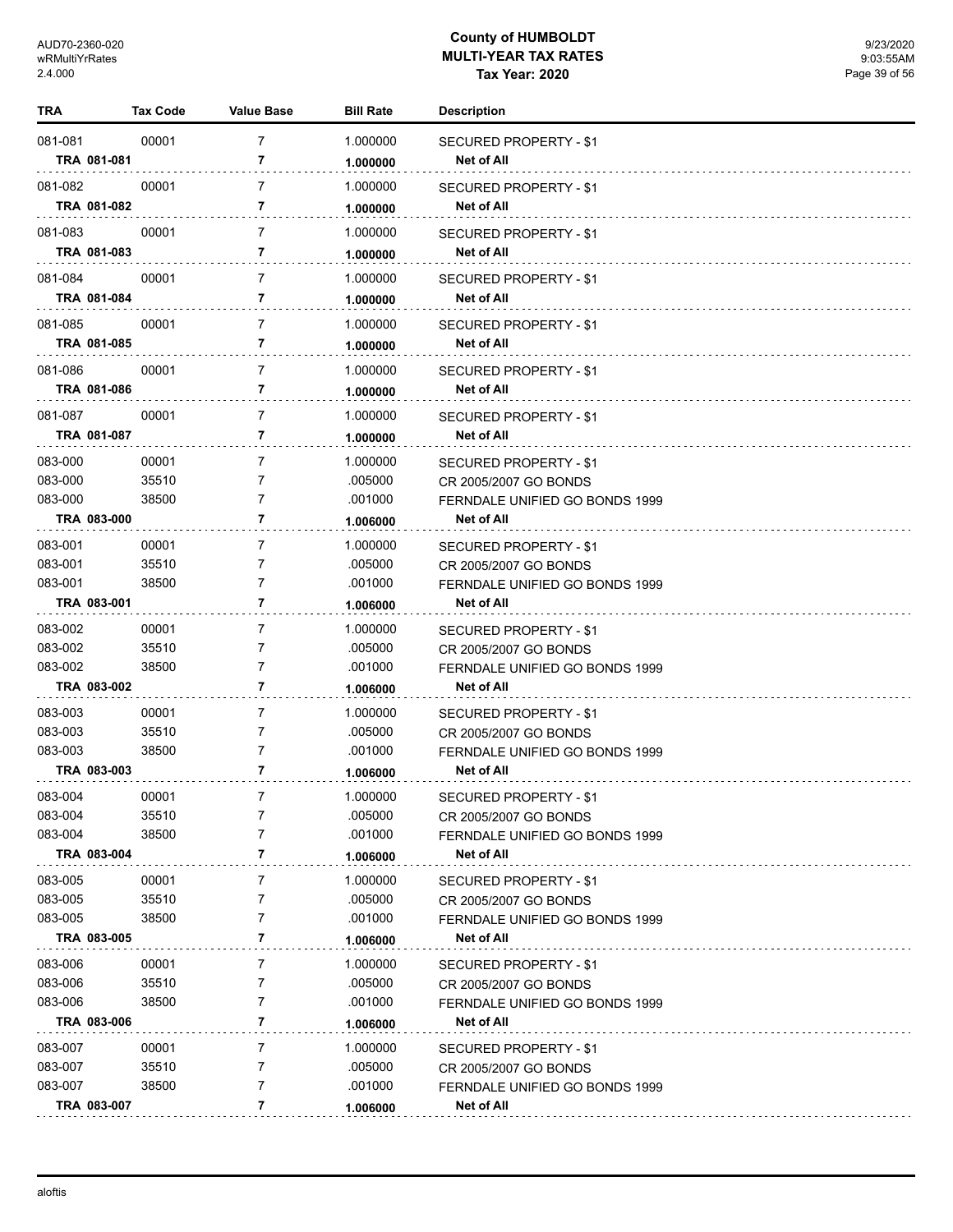| TRA                |             | <b>Tax Code</b> | <b>Value Base</b>   | <b>Bill Rate</b>     | <b>Description</b>                                      |
|--------------------|-------------|-----------------|---------------------|----------------------|---------------------------------------------------------|
| 081-081            |             | 00001           | $\overline{7}$      | 1.000000             | <b>SECURED PROPERTY - \$1</b>                           |
|                    | TRA 081-081 |                 | 7                   | 1.000000             | Net of All                                              |
| 081-082            |             | 00001           | 7                   | 1.000000             | SECURED PROPERTY - \$1                                  |
|                    | TRA 081-082 |                 | 7                   | 1.000000             | Net of All                                              |
| 081-083            |             | 00001           | 7                   | 1.000000             | <b>SECURED PROPERTY - \$1</b>                           |
|                    | TRA 081-083 |                 | 7                   | 1.000000             | Net of All                                              |
|                    |             |                 | $\overline{7}$      |                      |                                                         |
| 081-084            | TRA 081-084 | 00001           | 7                   | 1.000000<br>1.000000 | SECURED PROPERTY - \$1<br>Net of All                    |
|                    |             |                 |                     |                      |                                                         |
| 081-085            |             | 00001           | $\overline{7}$<br>7 | 1.000000             | SECURED PROPERTY - \$1                                  |
|                    | TRA 081-085 |                 |                     | 1.000000             | Net of All                                              |
| 081-086            |             | 00001           | $\overline{7}$      | 1.000000             | SECURED PROPERTY - \$1                                  |
|                    | TRA 081-086 |                 | 7                   | 1.000000             | <b>Net of All</b>                                       |
| 081-087            |             | 00001           | 7                   | 1.000000             | SECURED PROPERTY - \$1                                  |
|                    | TRA 081-087 |                 | 7                   | 1.000000             | Net of All                                              |
| 083-000            |             | 00001           | 7                   | 1.000000             | SECURED PROPERTY - \$1                                  |
| 083-000            |             | 35510           | 7                   | .005000              | CR 2005/2007 GO BONDS                                   |
| 083-000            |             | 38500           | 7                   | .001000              | FERNDALE UNIFIED GO BONDS 1999                          |
|                    | TRA 083-000 |                 | 7                   | 1.006000             | <b>Net of All</b>                                       |
| 083-001            |             | 00001           | 7                   | 1.000000             | SECURED PROPERTY - \$1                                  |
| 083-001            |             | 35510           | 7                   | .005000              | CR 2005/2007 GO BONDS                                   |
| 083-001            |             | 38500           | 7                   | .001000              | FERNDALE UNIFIED GO BONDS 1999                          |
|                    | TRA 083-001 |                 | 7                   | 1.006000             | Net of All                                              |
| 083-002            |             | 00001           | 7                   | 1.000000             | SECURED PROPERTY - \$1                                  |
| 083-002            |             | 35510           | 7                   | .005000              | CR 2005/2007 GO BONDS                                   |
| 083-002            |             | 38500           | 7                   | .001000              | FERNDALE UNIFIED GO BONDS 1999                          |
|                    | TRA 083-002 |                 | 7                   | 1.006000             | Net of All                                              |
| 083-003            |             | 00001           | 7                   | 1.000000             | SECURED PROPERTY - \$1                                  |
| 083-003            |             | 35510           | 7                   | .005000              | CR 2005/2007 GO BONDS                                   |
| 083-003            |             | 38500           | 7                   | .001000              | FERNDALE UNIFIED GO BONDS 1999                          |
|                    | TRA 083-003 |                 | 7                   | 1.006000             | Net of All                                              |
| 083-004            |             | 00001           | 7                   | 1.000000             | <b>SECURED PROPERTY - \$1</b>                           |
| 083-004            |             | 35510           | 7                   | .005000              | CR 2005/2007 GO BONDS                                   |
| 083-004            | TRA 083-004 | 38500           | 7<br>7              | .001000              | FERNDALE UNIFIED GO BONDS 1999<br>Net of All            |
|                    |             |                 |                     | 1.006000             |                                                         |
| 083-005            |             | 00001           | 7                   | 1.000000             | <b>SECURED PROPERTY - \$1</b>                           |
| 083-005<br>083-005 |             | 35510<br>38500  | 7<br>7              | .005000<br>.001000   | CR 2005/2007 GO BONDS                                   |
|                    | TRA 083-005 |                 | 7                   | 1.006000             | FERNDALE UNIFIED GO BONDS 1999<br>Net of All            |
|                    |             |                 |                     |                      |                                                         |
| 083-006<br>083-006 |             | 00001<br>35510  | 7<br>7              | 1.000000<br>.005000  | SECURED PROPERTY - \$1                                  |
| 083-006            |             | 38500           | 7                   | .001000              | CR 2005/2007 GO BONDS<br>FERNDALE UNIFIED GO BONDS 1999 |
|                    | TRA 083-006 |                 | 7                   | 1.006000             | Net of All                                              |
| 083-007            |             | 00001           | 7                   | 1.000000             |                                                         |
| 083-007            |             | 35510           | 7                   | .005000              | SECURED PROPERTY - \$1<br>CR 2005/2007 GO BONDS         |
| 083-007            |             | 38500           | 7                   | .001000              | FERNDALE UNIFIED GO BONDS 1999                          |
|                    | TRA 083-007 |                 | 7                   | 1.006000             | Net of All                                              |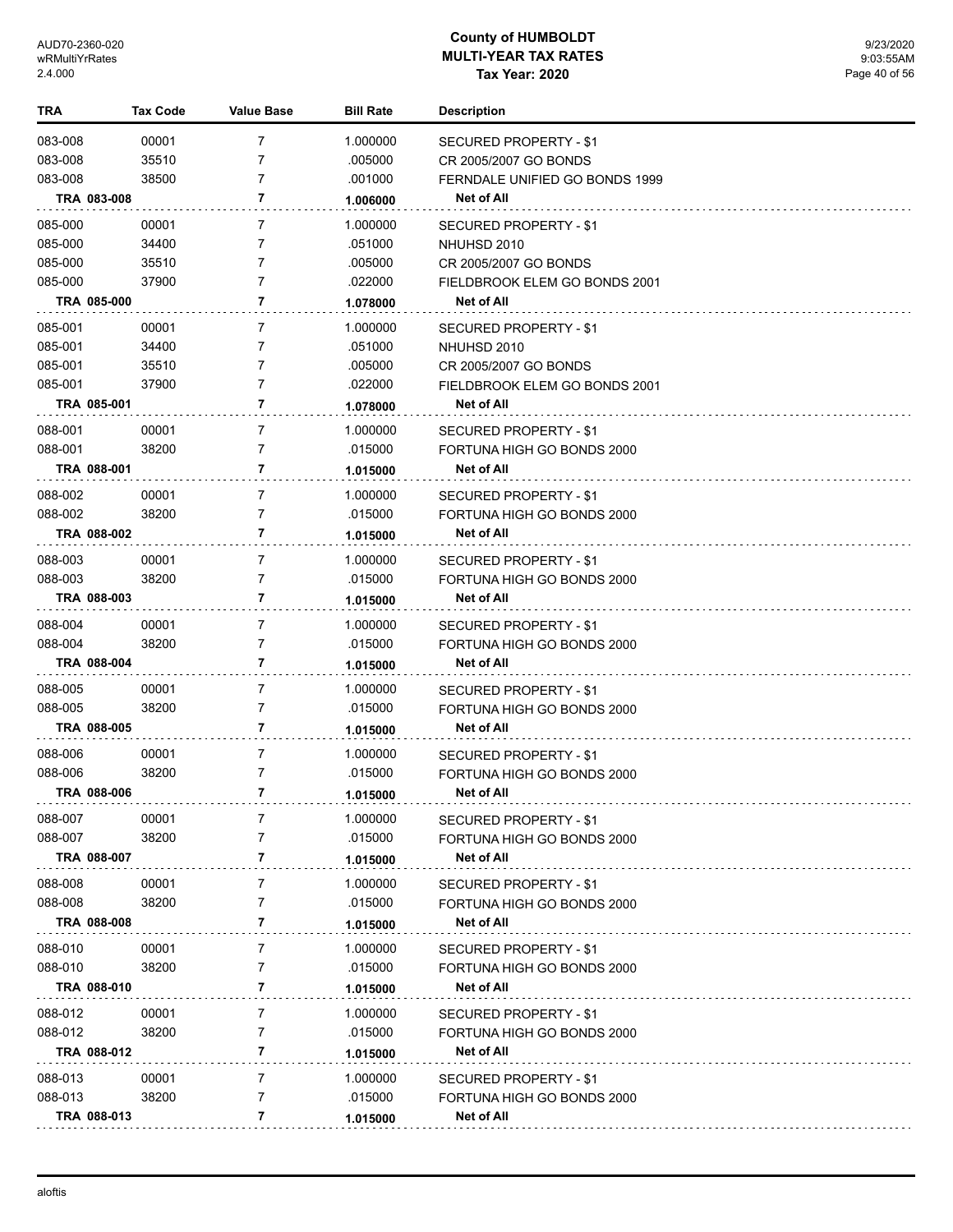| TRA                |             | Tax Code       | <b>Value Base</b>   | <b>Bill Rate</b>    | <b>Description</b>                              |
|--------------------|-------------|----------------|---------------------|---------------------|-------------------------------------------------|
| 083-008            |             | 00001          | 7                   | 1.000000            | <b>SECURED PROPERTY - \$1</b>                   |
| 083-008            |             | 35510          | 7                   | .005000             | CR 2005/2007 GO BONDS                           |
| 083-008            |             | 38500          | 7                   | .001000             | FERNDALE UNIFIED GO BONDS 1999                  |
|                    | TRA 083-008 |                | 7                   | 1.006000            | Net of All                                      |
| 085-000            |             | 00001          | 7                   | 1.000000            | SECURED PROPERTY - \$1                          |
| 085-000            |             | 34400          | 7                   | .051000             | NHUHSD 2010                                     |
| 085-000            |             | 35510          | 7                   | .005000             | CR 2005/2007 GO BONDS                           |
| 085-000            |             | 37900          | 7                   | .022000             | FIELDBROOK ELEM GO BONDS 2001                   |
|                    | TRA 085-000 |                | 7                   | 1.078000            | Net of All                                      |
| 085-001            |             | 00001          | 7                   | 1.000000            | SECURED PROPERTY - \$1                          |
| 085-001            |             | 34400          | 7                   | .051000             | NHUHSD 2010                                     |
| 085-001            |             | 35510          | 7                   | .005000             | CR 2005/2007 GO BONDS                           |
| 085-001            |             | 37900          | 7                   | .022000             | FIELDBROOK ELEM GO BONDS 2001                   |
|                    | TRA 085-001 |                | 7                   | 1.078000            | Net of All                                      |
| 088-001            |             | 00001          | 7                   | 1.000000            | SECURED PROPERTY - \$1                          |
| 088-001            |             | 38200          | 7                   | .015000             | FORTUNA HIGH GO BONDS 2000                      |
|                    | TRA 088-001 |                | 7                   | 1.015000            | Net of All                                      |
| 088-002            |             | 00001          | 7                   | 1.000000            | SECURED PROPERTY - \$1                          |
| 088-002            |             | 38200          | 7                   | .015000             | FORTUNA HIGH GO BONDS 2000                      |
|                    | TRA 088-002 |                | 7                   | 1.015000            | Net of All                                      |
| 088-003            |             | 00001          | 7                   | 1.000000            | SECURED PROPERTY - \$1                          |
| 088-003            |             | 38200          | 7                   | .015000             | FORTUNA HIGH GO BONDS 2000                      |
|                    | TRA 088-003 |                | 7                   | 1.015000            | Net of All                                      |
| 088-004            |             |                | $\overline{7}$      |                     |                                                 |
| 088-004            |             | 00001<br>38200 | 7                   | 1.000000<br>.015000 | SECURED PROPERTY - \$1                          |
|                    | TRA 088-004 |                | 7                   | 1.015000            | FORTUNA HIGH GO BONDS 2000<br>Net of All        |
|                    |             |                |                     |                     |                                                 |
| 088-005<br>088-005 |             | 00001<br>38200 | $\overline{7}$<br>7 | 1.000000<br>.015000 | SECURED PROPERTY - \$1                          |
|                    | TRA 088-005 |                | 7                   |                     | FORTUNA HIGH GO BONDS 2000<br><b>Net of All</b> |
|                    |             |                |                     | 1.015000            |                                                 |
| 088-006            |             | 00001          | $\overline{7}$      | 1.000000            | SECURED PROPERTY - \$1                          |
| 088-006            |             | 38200          | 7                   | .015000             | FORTUNA HIGH GO BONDS 2000                      |
|                    | TRA 088-006 |                | 7                   | 1.015000            | <b>Net of All</b>                               |
| 088-007            |             | 00001          | 7                   | 1.000000            | SECURED PROPERTY - \$1                          |
| 088-007            |             | 38200          | $\overline{7}$      | .015000             | FORTUNA HIGH GO BONDS 2000                      |
|                    | TRA 088-007 |                | 7                   | 1.015000            | Net of All                                      |
| 088-008            |             | 00001          | 7                   | 1.000000            | SECURED PROPERTY - \$1                          |
| 088-008            |             | 38200          | 7                   | .015000             | FORTUNA HIGH GO BONDS 2000                      |
|                    | TRA 088-008 |                | 7                   | 1.015000            | <b>Net of All</b>                               |
| 088-010            |             | 00001          | 7                   | 1.000000            | SECURED PROPERTY - \$1                          |
| 088-010            |             | 38200          | 7                   | .015000             | FORTUNA HIGH GO BONDS 2000                      |
|                    | TRA 088-010 |                | 7                   | 1.015000            | Net of All                                      |
| 088-012            |             | 00001          | 7                   | 1.000000            | SECURED PROPERTY - \$1                          |
| 088-012            |             | 38200          | 7                   | .015000             | FORTUNA HIGH GO BONDS 2000                      |
|                    | TRA 088-012 |                | 7                   | 1.015000            | Net of All                                      |
| 088-013            |             | 00001          | 7                   | 1.000000            | SECURED PROPERTY - \$1                          |
| 088-013            |             | 38200          | 7                   | .015000             | FORTUNA HIGH GO BONDS 2000                      |
|                    | TRA 088-013 |                | 7                   | 1.015000            | Net of All                                      |
|                    |             |                |                     |                     |                                                 |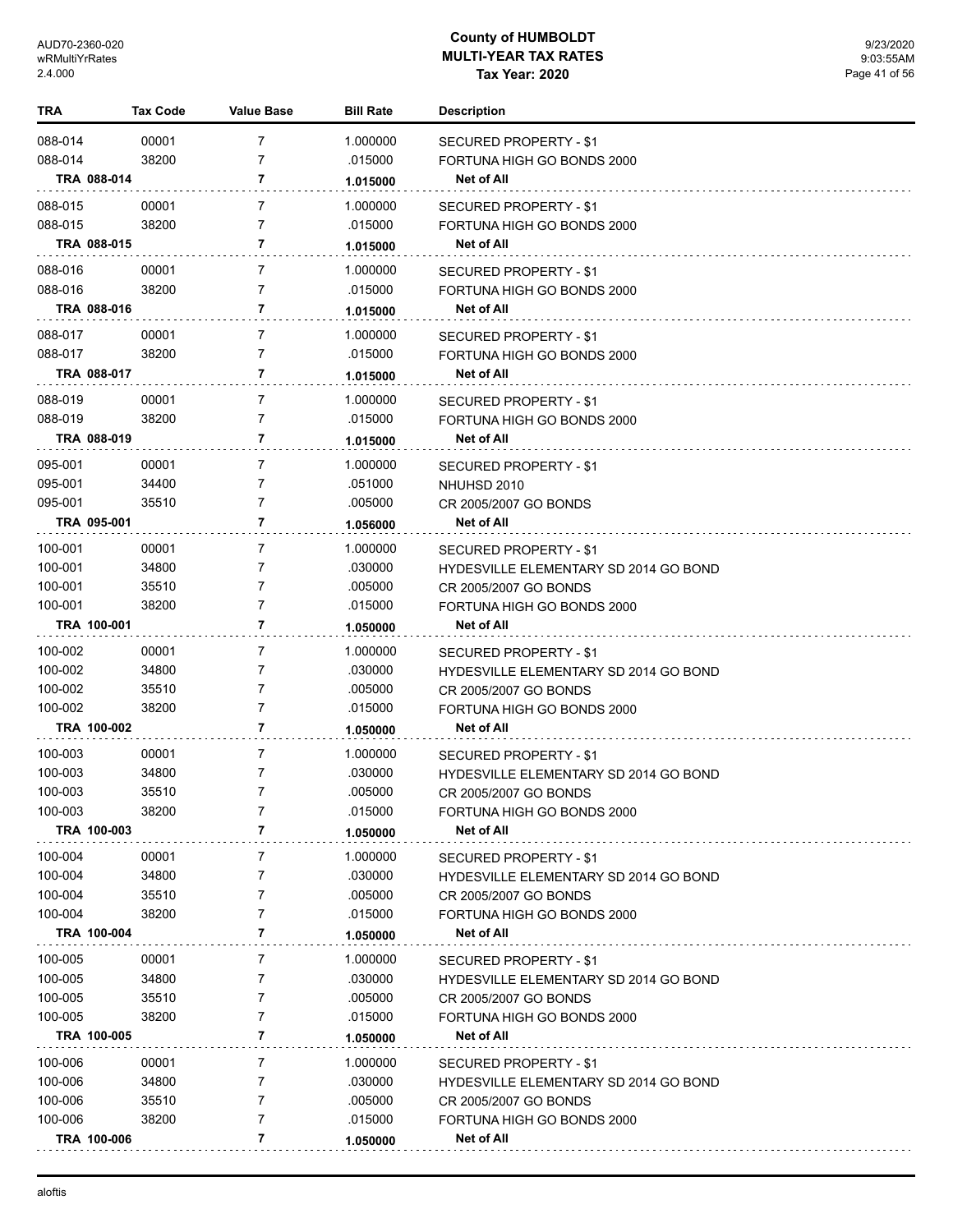| TRA                | Tax Code       | <b>Value Base</b>                | <b>Bill Rate</b>    | <b>Description</b>                                                     |
|--------------------|----------------|----------------------------------|---------------------|------------------------------------------------------------------------|
| 088-014            | 00001          | $\overline{7}$                   | 1.000000            | SECURED PROPERTY - \$1                                                 |
| 088-014            | 38200          | $\overline{7}$                   | .015000             | FORTUNA HIGH GO BONDS 2000                                             |
|                    | TRA 088-014    | 7                                | 1.015000            | Net of All                                                             |
|                    |                |                                  |                     |                                                                        |
| 088-015<br>088-015 | 00001<br>38200 | $\overline{7}$<br>$\overline{7}$ | 1.000000<br>.015000 | SECURED PROPERTY - \$1                                                 |
|                    | TRA 088-015    | 7                                |                     | FORTUNA HIGH GO BONDS 2000<br><b>Net of All</b>                        |
|                    |                |                                  | 1.015000            |                                                                        |
| 088-016            | 00001          | $\overline{7}$                   | 1.000000            | SECURED PROPERTY - \$1                                                 |
| 088-016            | 38200          | $\overline{7}$                   | .015000             | FORTUNA HIGH GO BONDS 2000                                             |
|                    | TRA 088-016    | 7                                | 1.015000            | Net of All                                                             |
| 088-017            | 00001          | $\overline{7}$                   | 1.000000            | SECURED PROPERTY - \$1                                                 |
| 088-017            | 38200          | 7                                | .015000             | FORTUNA HIGH GO BONDS 2000                                             |
|                    | TRA 088-017    | 7                                | 1.015000            | <b>Net of All</b>                                                      |
| 088-019            | 00001          | $\overline{7}$                   | 1.000000            | SECURED PROPERTY - \$1                                                 |
| 088-019            | 38200          | $\overline{7}$                   | .015000             | FORTUNA HIGH GO BONDS 2000                                             |
|                    | TRA 088-019    | 7                                | 1.015000            | Net of All                                                             |
| 095-001            | 00001          | $\overline{7}$                   | 1.000000            | SECURED PROPERTY - \$1                                                 |
| 095-001            | 34400          | $\overline{7}$                   | .051000             | NHUHSD 2010                                                            |
| 095-001            | 35510          | 7                                | .005000             | CR 2005/2007 GO BONDS                                                  |
|                    | TRA 095-001    | 7                                | 1.056000            | <b>Net of All</b>                                                      |
|                    |                | $\overline{7}$                   | 1.000000            |                                                                        |
| 100-001<br>100-001 | 00001<br>34800 | 7                                | .030000             | SECURED PROPERTY - \$1                                                 |
| 100-001            | 35510          | 7                                | .005000             | <b>HYDESVILLE ELEMENTARY SD 2014 GO BOND</b><br>CR 2005/2007 GO BONDS  |
| 100-001            | 38200          | $\overline{7}$                   | .015000             | FORTUNA HIGH GO BONDS 2000                                             |
|                    | TRA 100-001    | 7                                | 1.050000            | <b>Net of All</b>                                                      |
|                    |                |                                  |                     |                                                                        |
| 100-002<br>100-002 | 00001<br>34800 | $\overline{7}$<br>$\overline{7}$ | 1.000000<br>.030000 | SECURED PROPERTY - \$1<br><b>HYDESVILLE ELEMENTARY SD 2014 GO BOND</b> |
| 100-002            | 35510          | 7                                | .005000             | CR 2005/2007 GO BONDS                                                  |
| 100-002            | 38200          | $\overline{7}$                   | .015000             | FORTUNA HIGH GO BONDS 2000                                             |
|                    | TRA 100-002    | 7                                | 1.050000            | <b>Net of All</b>                                                      |
|                    |                |                                  |                     |                                                                        |
| 100-003<br>100-003 | 00001<br>34800 | 7<br>7                           | 1.000000<br>.030000 | SECURED PROPERTY - \$1                                                 |
| 100-003            | 35510          | $\overline{7}$                   | .005000             | <b>HYDESVILLE ELEMENTARY SD 2014 GO BOND</b><br>CR 2005/2007 GO BONDS  |
| 100-003            | 38200          | 7                                | .015000             | FORTUNA HIGH GO BONDS 2000                                             |
|                    | TRA 100-003    | 7                                | 1.050000            | <b>Net of All</b>                                                      |
|                    |                |                                  |                     |                                                                        |
| 100-004<br>100-004 | 00001<br>34800 | 7<br>7                           | 1.000000<br>.030000 | SECURED PROPERTY - \$1<br><b>HYDESVILLE ELEMENTARY SD 2014 GO BOND</b> |
| 100-004            | 35510          | 7                                | .005000             | CR 2005/2007 GO BONDS                                                  |
| 100-004            | 38200          | 7                                | .015000             | FORTUNA HIGH GO BONDS 2000                                             |
|                    | TRA 100-004    | 7                                | 1.050000            | Net of All                                                             |
| 100-005            |                |                                  |                     |                                                                        |
| 100-005            | 00001<br>34800 | 7<br>7                           | 1.000000<br>.030000 | SECURED PROPERTY - \$1                                                 |
| 100-005            | 35510          | 7                                | .005000             | HYDESVILLE ELEMENTARY SD 2014 GO BOND<br>CR 2005/2007 GO BONDS         |
| 100-005            | 38200          | 7                                | .015000             | FORTUNA HIGH GO BONDS 2000                                             |
|                    | TRA 100-005    | 7                                | 1.050000            | <b>Net of All</b>                                                      |
| 100-006            |                | 7                                |                     |                                                                        |
| 100-006            | 00001<br>34800 | 7                                | 1.000000<br>.030000 | SECURED PROPERTY - \$1<br><b>HYDESVILLE ELEMENTARY SD 2014 GO BOND</b> |
| 100-006            | 35510          | 7                                | .005000             | CR 2005/2007 GO BONDS                                                  |
| 100-006            | 38200          | 7                                | .015000             | FORTUNA HIGH GO BONDS 2000                                             |
|                    | TRA 100-006    | 7                                | 1.050000            | Net of All                                                             |
|                    |                |                                  |                     |                                                                        |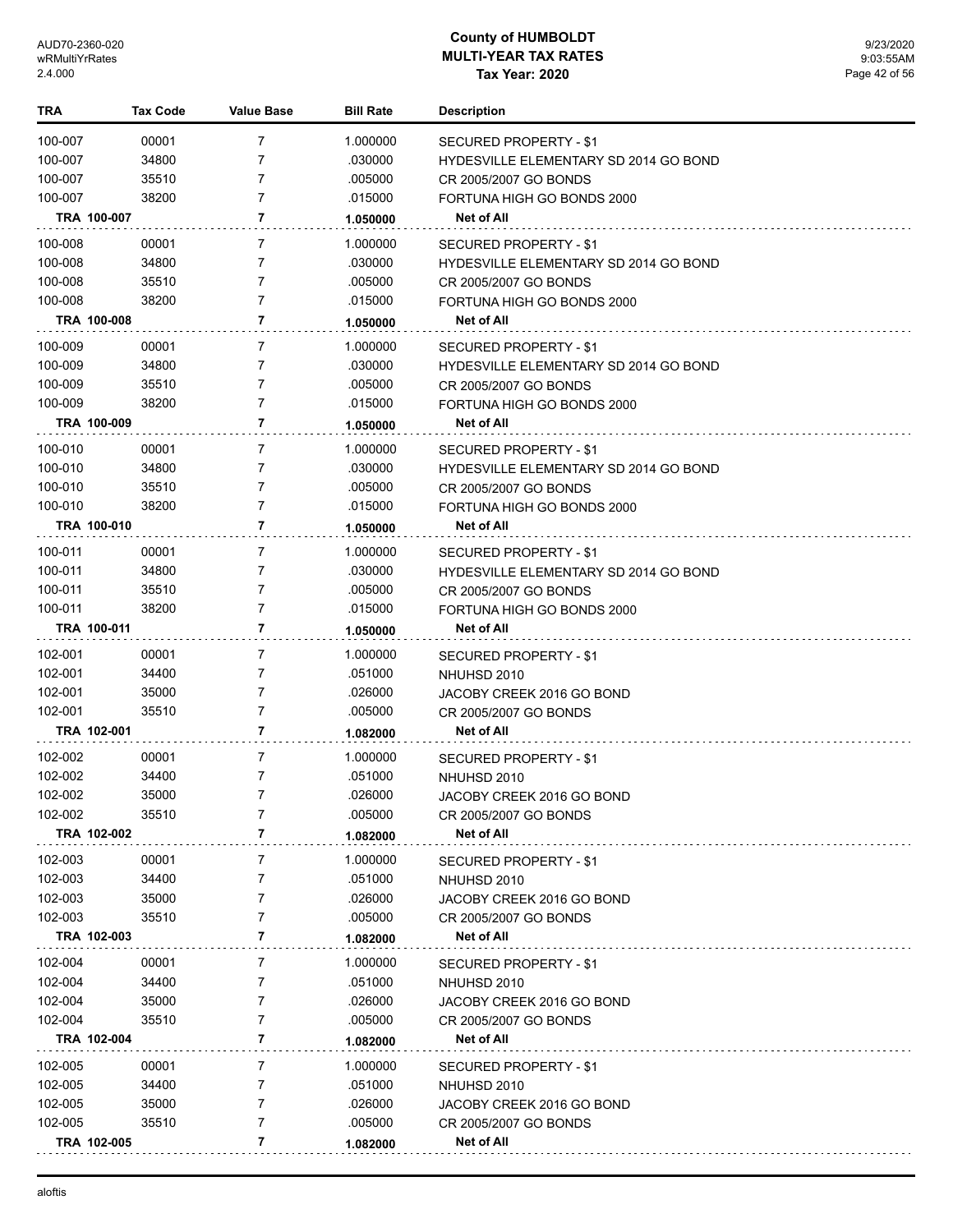| TRA         | Tax Code | <b>Value Base</b> | <b>Bill Rate</b> | <b>Description</b>                           |
|-------------|----------|-------------------|------------------|----------------------------------------------|
| 100-007     | 00001    | 7                 | 1.000000         | <b>SECURED PROPERTY - \$1</b>                |
| 100-007     | 34800    | 7                 | .030000          | HYDESVILLE ELEMENTARY SD 2014 GO BOND        |
| 100-007     | 35510    | 7                 | .005000          | CR 2005/2007 GO BONDS                        |
| 100-007     | 38200    | 7                 | .015000          | FORTUNA HIGH GO BONDS 2000                   |
| TRA 100-007 |          | 7                 | 1.050000         | Net of All                                   |
| 100-008     | 00001    | 7                 | 1.000000         | <b>SECURED PROPERTY - \$1</b>                |
| 100-008     | 34800    | 7                 | .030000          | <b>HYDESVILLE ELEMENTARY SD 2014 GO BOND</b> |
| 100-008     | 35510    | 7                 | .005000          | CR 2005/2007 GO BONDS                        |
| 100-008     | 38200    | 7                 | .015000          | FORTUNA HIGH GO BONDS 2000                   |
| TRA 100-008 |          | 7                 | 1.050000         | Net of All                                   |
| 100-009     | 00001    | 7                 | 1.000000         | SECURED PROPERTY - \$1                       |
| 100-009     | 34800    | 7                 | .030000          | <b>HYDESVILLE ELEMENTARY SD 2014 GO BOND</b> |
| 100-009     | 35510    | 7                 | .005000          | CR 2005/2007 GO BONDS                        |
| 100-009     | 38200    | 7                 | .015000          | FORTUNA HIGH GO BONDS 2000                   |
| TRA 100-009 |          | 7                 | 1.050000         | Net of All                                   |
| 100-010     | 00001    | 7                 | 1.000000         | SECURED PROPERTY - \$1                       |
| 100-010     | 34800    | 7                 | .030000          | <b>HYDESVILLE ELEMENTARY SD 2014 GO BOND</b> |
| 100-010     | 35510    | 7                 | .005000          | CR 2005/2007 GO BONDS                        |
| 100-010     | 38200    | 7                 | .015000          | FORTUNA HIGH GO BONDS 2000                   |
| TRA 100-010 |          | 7                 | 1.050000         | Net of All                                   |
| 100-011     | 00001    | 7                 | 1.000000         | SECURED PROPERTY - \$1                       |
| 100-011     | 34800    | 7                 | .030000          | <b>HYDESVILLE ELEMENTARY SD 2014 GO BOND</b> |
| 100-011     | 35510    | 7                 | .005000          | CR 2005/2007 GO BONDS                        |
| 100-011     | 38200    | 7                 | .015000          | FORTUNA HIGH GO BONDS 2000                   |
| TRA 100-011 |          | 7                 | 1.050000         | Net of All                                   |
| 102-001     | 00001    | 7                 | 1.000000         | SECURED PROPERTY - \$1                       |
| 102-001     | 34400    | 7                 | .051000          | NHUHSD 2010                                  |
| 102-001     | 35000    | 7                 | .026000          | JACOBY CREEK 2016 GO BOND                    |
| 102-001     | 35510    | 7                 | .005000          | CR 2005/2007 GO BONDS                        |
| TRA 102-001 |          | 7                 | 1.082000         | Net of All                                   |
| 102-002     | 00001    | 7                 | 1.000000         | SECURED PROPERTY - \$1                       |
| 102-002     | 34400    | 7                 | .051000          | NHUHSD 2010                                  |
| 102-002     | 35000    | 7                 | .026000          | JACOBY CREEK 2016 GO BOND                    |
| 102-002     | 35510    | 7                 | .005000          | CR 2005/2007 GO BONDS                        |
| TRA 102-002 |          | 7                 | 1.082000         | Net of All                                   |
| 102-003     | 00001    | 7                 | 1.000000         | SECURED PROPERTY - \$1                       |
| 102-003     | 34400    | 7                 | .051000          | NHUHSD 2010                                  |
| 102-003     | 35000    | 7                 | .026000          | JACOBY CREEK 2016 GO BOND                    |
| 102-003     | 35510    | 7                 | .005000          | CR 2005/2007 GO BONDS                        |
| TRA 102-003 |          | 7                 | 1.082000         | Net of All                                   |
| 102-004     | 00001    | 7                 | 1.000000         | SECURED PROPERTY - \$1                       |
| 102-004     | 34400    | 7                 | .051000          | NHUHSD 2010                                  |
| 102-004     | 35000    | 7                 | .026000          | JACOBY CREEK 2016 GO BOND                    |
| 102-004     | 35510    | 7                 | .005000          | CR 2005/2007 GO BONDS                        |
| TRA 102-004 |          | 7                 | 1.082000         | Net of All                                   |
| 102-005     | 00001    | 7                 | 1.000000         | SECURED PROPERTY - \$1                       |
| 102-005     | 34400    | 7                 | .051000          | NHUHSD 2010                                  |
| 102-005     | 35000    | 7                 | .026000          | JACOBY CREEK 2016 GO BOND                    |
| 102-005     | 35510    | 7                 | .005000          | CR 2005/2007 GO BONDS                        |
| TRA 102-005 |          | 7                 | 1.082000         | Net of All                                   |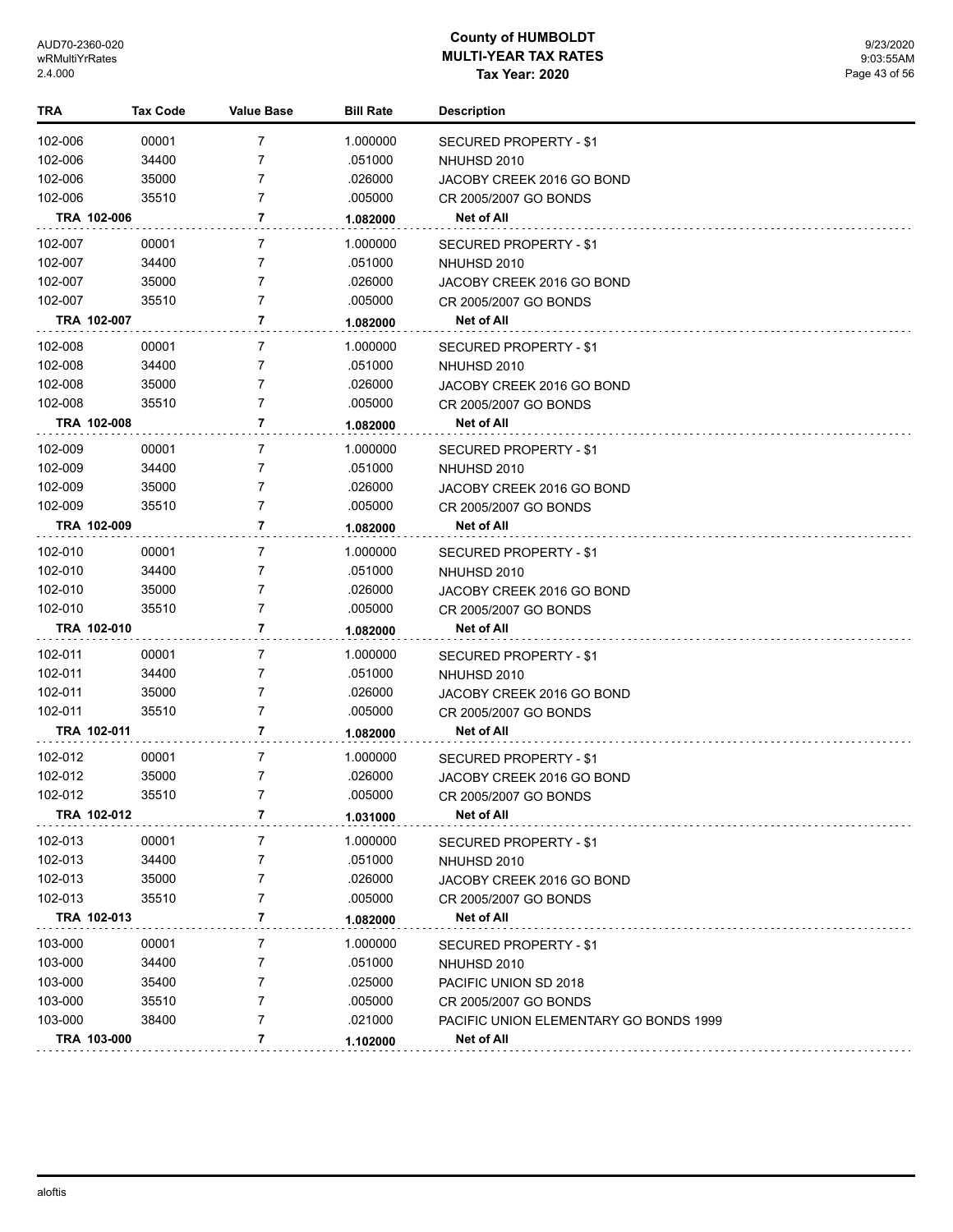| TRA     | <b>Tax Code</b> | <b>Value Base</b> | <b>Bill Rate</b> | <b>Description</b>                     |
|---------|-----------------|-------------------|------------------|----------------------------------------|
| 102-006 | 00001           | 7                 | 1.000000         | <b>SECURED PROPERTY - \$1</b>          |
| 102-006 | 34400           | 7                 | .051000          | NHUHSD 2010                            |
| 102-006 | 35000           | $\overline{7}$    | .026000          | JACOBY CREEK 2016 GO BOND              |
| 102-006 | 35510           | $\overline{7}$    | .005000          | CR 2005/2007 GO BONDS                  |
|         | TRA 102-006     | 7                 | 1.082000         | Net of All                             |
| 102-007 | 00001           | 7                 | 1.000000         | SECURED PROPERTY - \$1                 |
| 102-007 | 34400           | 7                 | .051000          | NHUHSD 2010                            |
| 102-007 | 35000           | $\overline{7}$    | .026000          | JACOBY CREEK 2016 GO BOND              |
| 102-007 | 35510           | $\overline{7}$    | .005000          | CR 2005/2007 GO BONDS                  |
|         | TRA 102-007     | 7                 | 1.082000         | Net of All                             |
| 102-008 | 00001           | 7                 | 1.000000         | SECURED PROPERTY - \$1                 |
| 102-008 | 34400           | 7                 | .051000          | NHUHSD 2010                            |
| 102-008 | 35000           | $\overline{7}$    | .026000          | JACOBY CREEK 2016 GO BOND              |
| 102-008 | 35510           | $\overline{7}$    | .005000          | CR 2005/2007 GO BONDS                  |
|         | TRA 102-008     | 7                 | 1.082000         | Net of All                             |
| 102-009 | 00001           | 7                 | 1.000000         | SECURED PROPERTY - \$1                 |
| 102-009 | 34400           | 7                 | .051000          | NHUHSD 2010                            |
| 102-009 | 35000           | $\overline{7}$    | .026000          | JACOBY CREEK 2016 GO BOND              |
| 102-009 | 35510           | $\overline{7}$    | .005000          | CR 2005/2007 GO BONDS                  |
|         | TRA 102-009     | 7                 | 1.082000         | Net of All                             |
| 102-010 | 00001           | 7                 | 1.000000         | SECURED PROPERTY - \$1                 |
| 102-010 | 34400           | 7                 | .051000          | NHUHSD 2010                            |
| 102-010 | 35000           | $\overline{7}$    | .026000          | JACOBY CREEK 2016 GO BOND              |
| 102-010 | 35510           | 7                 | .005000          | CR 2005/2007 GO BONDS                  |
|         | TRA 102-010     | 7                 | 1.082000         | Net of All                             |
| 102-011 | 00001           | 7                 | 1.000000         | SECURED PROPERTY - \$1                 |
| 102-011 | 34400           | 7                 | .051000          | NHUHSD 2010                            |
| 102-011 | 35000           | $\overline{7}$    | .026000          | JACOBY CREEK 2016 GO BOND              |
| 102-011 | 35510           | 7                 | .005000          | CR 2005/2007 GO BONDS                  |
|         | TRA 102-011     | 7                 | 1.082000         | Net of All                             |
| 102-012 | 00001           | 7                 | 1.000000         | SECURED PROPERTY - \$1                 |
| 102-012 | 35000           | $\overline{7}$    | .026000          | JACOBY CREEK 2016 GO BOND              |
| 102-012 | 35510           | 7                 | .005000          | CR 2005/2007 GO BONDS                  |
|         | TRA 102-012     | 7                 | 1.031000         | <b>Net of All</b>                      |
| 102-013 | 00001           | 7                 | 1.000000         | SECURED PROPERTY - \$1                 |
| 102-013 | 34400           | 7                 | .051000          | NHUHSD 2010                            |
| 102-013 | 35000           | 7                 | .026000          | JACOBY CREEK 2016 GO BOND              |
| 102-013 | 35510           | $\overline{7}$    | .005000          | CR 2005/2007 GO BONDS                  |
|         | TRA 102-013     | 7                 | 1.082000         | Net of All                             |
| 103-000 | 00001           | 7                 | 1.000000         | SECURED PROPERTY - \$1                 |
| 103-000 | 34400           | 7                 | .051000          | NHUHSD 2010                            |
| 103-000 | 35400           | 7                 | .025000          | PACIFIC UNION SD 2018                  |
| 103-000 | 35510           | 7                 | .005000          | CR 2005/2007 GO BONDS                  |
| 103-000 | 38400           | 7                 | .021000          | PACIFIC UNION ELEMENTARY GO BONDS 1999 |
|         | TRA 103-000     | 7                 | 1.102000         | Net of All                             |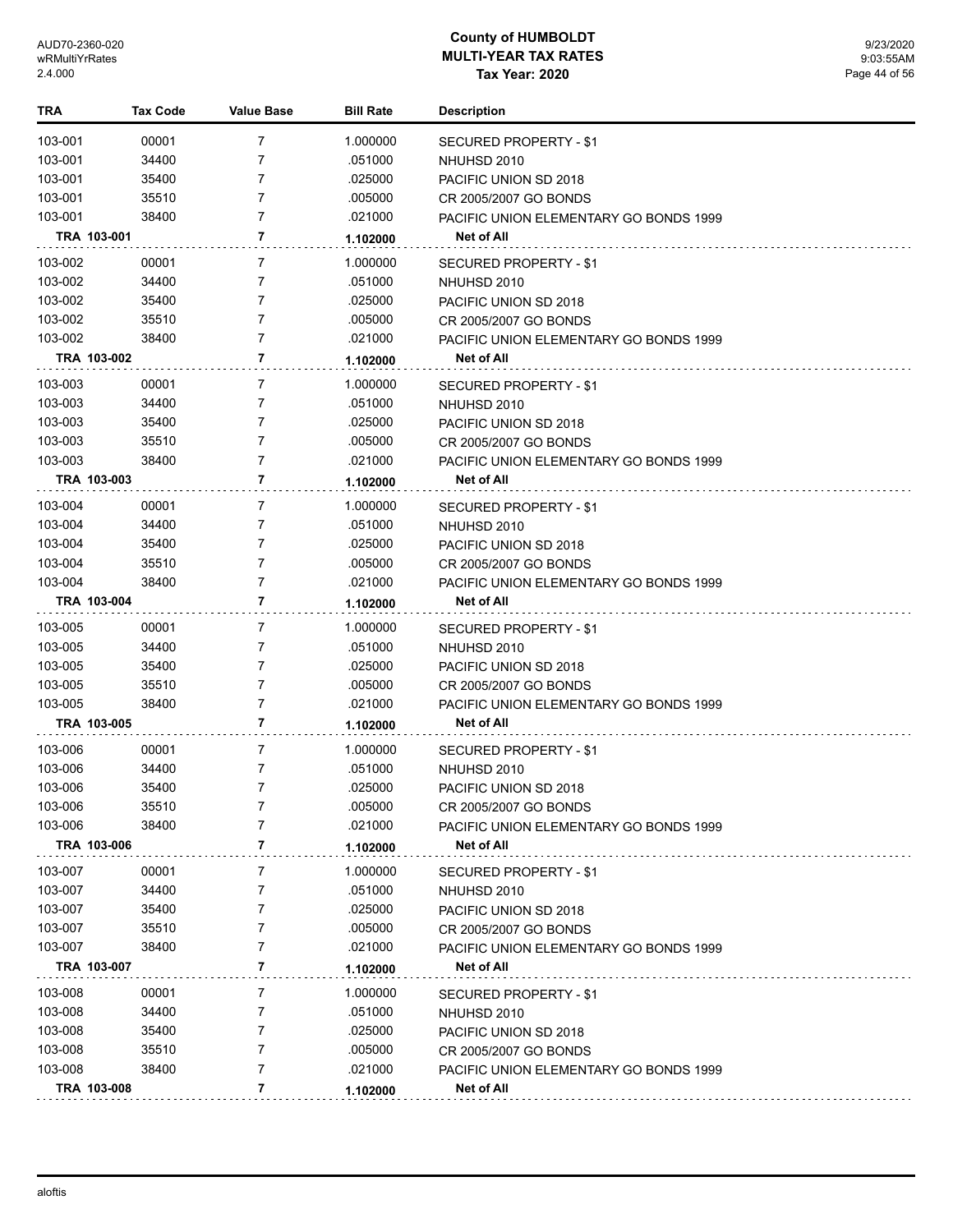| TRA     | Tax Code    | <b>Value Base</b> | <b>Bill Rate</b> | <b>Description</b>                            |
|---------|-------------|-------------------|------------------|-----------------------------------------------|
| 103-001 | 00001       | 7                 | 1.000000         | <b>SECURED PROPERTY - \$1</b>                 |
| 103-001 | 34400       | 7                 | .051000          | NHUHSD 2010                                   |
| 103-001 | 35400       | 7                 | .025000          | PACIFIC UNION SD 2018                         |
| 103-001 | 35510       | 7                 | .005000          | CR 2005/2007 GO BONDS                         |
| 103-001 | 38400       | 7                 | .021000          | PACIFIC UNION ELEMENTARY GO BONDS 1999        |
|         | TRA 103-001 | 7                 | 1.102000         | <b>Net of All</b>                             |
| 103-002 | 00001       | 7                 | 1.000000         | <b>SECURED PROPERTY - \$1</b>                 |
| 103-002 | 34400       | 7                 | .051000          | NHUHSD 2010                                   |
| 103-002 | 35400       | 7                 | .025000          | PACIFIC UNION SD 2018                         |
| 103-002 | 35510       | 7                 | .005000          | CR 2005/2007 GO BONDS                         |
| 103-002 | 38400       | 7                 | .021000          | PACIFIC UNION ELEMENTARY GO BONDS 1999        |
|         | TRA 103-002 | 7                 | 1.102000         | Net of All                                    |
| 103-003 | 00001       | 7                 | 1.000000         | SECURED PROPERTY - \$1                        |
| 103-003 | 34400       | 7                 | .051000          | NHUHSD 2010                                   |
| 103-003 | 35400       | 7                 | .025000          | PACIFIC UNION SD 2018                         |
| 103-003 | 35510       | 7                 | .005000          | CR 2005/2007 GO BONDS                         |
| 103-003 | 38400       | 7                 | .021000          | PACIFIC UNION ELEMENTARY GO BONDS 1999        |
|         | TRA 103-003 | 7                 | 1.102000         | <b>Net of All</b>                             |
| 103-004 | 00001       | $\overline{7}$    | 1.000000         | SECURED PROPERTY - \$1                        |
| 103-004 | 34400       | 7                 | .051000          | NHUHSD 2010                                   |
| 103-004 | 35400       | 7                 | .025000          | PACIFIC UNION SD 2018                         |
| 103-004 | 35510       | 7                 | .005000          | CR 2005/2007 GO BONDS                         |
| 103-004 | 38400       | 7                 | .021000          | <b>PACIFIC UNION ELEMENTARY GO BONDS 1999</b> |
|         | TRA 103-004 | 7                 | 1.102000         | Net of All                                    |
| 103-005 | 00001       | 7                 | 1.000000         | SECURED PROPERTY - \$1                        |
| 103-005 | 34400       | 7                 | .051000          | NHUHSD 2010                                   |
| 103-005 | 35400       | 7                 | .025000          | PACIFIC UNION SD 2018                         |
| 103-005 | 35510       | 7                 | .005000          | CR 2005/2007 GO BONDS                         |
| 103-005 | 38400       | 7                 | .021000          | PACIFIC UNION ELEMENTARY GO BONDS 1999        |
|         | TRA 103-005 | 7                 | 1.102000         | Net of All                                    |
| 103-006 | 00001       | 7                 | 1.000000         | <b>SECURED PROPERTY - \$1</b>                 |
| 103-006 | 34400       | 7                 | .051000          | NHUHSD 2010                                   |
| 103-006 | 35400       | 7                 | .025000          | PACIFIC UNION SD 2018                         |
| 103-006 | 35510       | 7                 | .005000          | CR 2005/2007 GO BONDS                         |
| 103-006 | 38400       | 7                 | .021000          | PACIFIC UNION ELEMENTARY GO BONDS 1999        |
|         | TRA 103-006 | 7                 | 1.102000         | Net of All                                    |
| 103-007 | 00001       | 7                 | 1.000000         | SECURED PROPERTY - \$1                        |
| 103-007 | 34400       | 7                 | .051000          | NHUHSD 2010                                   |
| 103-007 | 35400       | 7                 | .025000          | PACIFIC UNION SD 2018                         |
| 103-007 | 35510       | 7                 | .005000          | CR 2005/2007 GO BONDS                         |
| 103-007 | 38400       | 7                 | .021000          | <b>PACIFIC UNION ELEMENTARY GO BONDS 1999</b> |
|         | TRA 103-007 | 7                 | 1.102000         | <b>Net of All</b>                             |
| 103-008 | 00001       | 7                 | 1.000000         | <b>SECURED PROPERTY - \$1</b>                 |
| 103-008 | 34400       | 7                 | .051000          | NHUHSD 2010                                   |
| 103-008 | 35400       | 7                 | .025000          | PACIFIC UNION SD 2018                         |
| 103-008 | 35510       | 7                 | .005000          | CR 2005/2007 GO BONDS                         |
| 103-008 | 38400       | 7                 | .021000          | PACIFIC UNION ELEMENTARY GO BONDS 1999        |
|         | TRA 103-008 | 7                 | 1.102000         | Net of All                                    |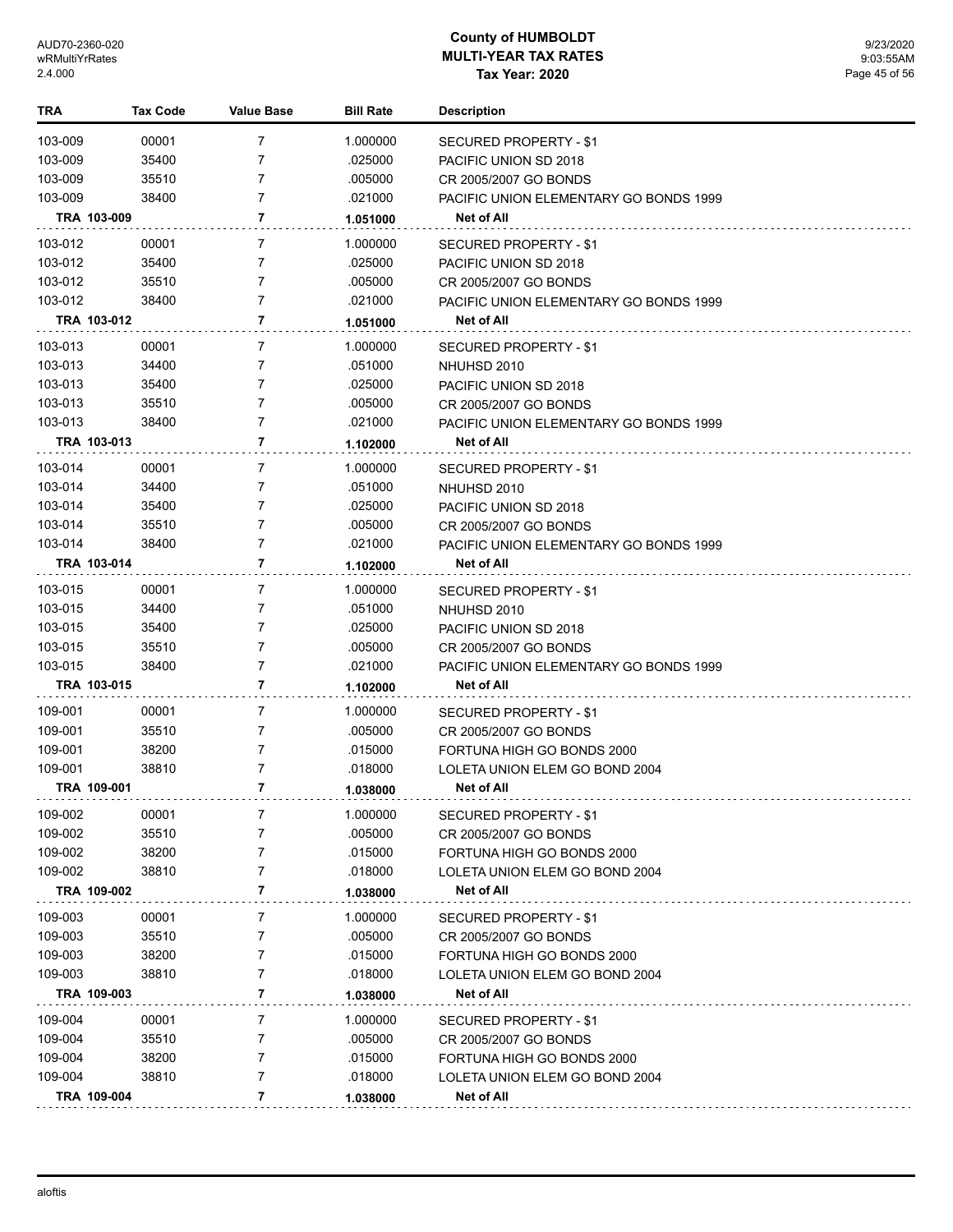| 103-009<br>00001<br>7<br>1.000000<br><b>SECURED PROPERTY - \$1</b><br>103-009<br>35400<br>7<br>.025000<br>PACIFIC UNION SD 2018<br>103-009<br>$\overline{7}$<br>35510<br>.005000<br>CR 2005/2007 GO BONDS<br>103-009<br>7<br>38400<br>.021000<br>PACIFIC UNION ELEMENTARY GO BONDS 1999<br>TRA 103-009<br>7<br>Net of All<br>1.051000<br>103-012<br>00001<br>7<br>1.000000<br><b>SECURED PROPERTY - \$1</b><br>103-012<br>35400<br>7<br>.025000<br>PACIFIC UNION SD 2018<br>103-012<br>35510<br>7<br>.005000<br>CR 2005/2007 GO BONDS<br>103-012<br>38400<br>7<br>.021000<br>PACIFIC UNION ELEMENTARY GO BONDS 1999<br>7<br>TRA 103-012<br>Net of All<br>1.051000<br>103-013<br>00001<br>7<br>1.000000<br><b>SECURED PROPERTY - \$1</b><br>103-013<br>34400<br>7<br>.051000<br>NHUHSD 2010<br>103-013<br>35400<br>7<br>.025000<br>PACIFIC UNION SD 2018<br>$\overline{7}$<br>103-013<br>35510<br>.005000<br>CR 2005/2007 GO BONDS<br>103-013<br>7<br>38400<br>.021000<br>PACIFIC UNION ELEMENTARY GO BONDS 1999<br>$\mathbf{7}$<br>TRA 103-013<br>Net of All<br>1.102000<br>103-014<br>00001<br>7<br>1.000000<br><b>SECURED PROPERTY - \$1</b><br>103-014<br>34400<br>7<br>.051000<br>NHUHSD 2010<br>103-014<br>$\overline{7}$<br>35400<br>.025000<br>PACIFIC UNION SD 2018<br>$\overline{7}$<br>103-014<br>35510<br>.005000<br>CR 2005/2007 GO BONDS<br>103-014<br>$\overline{7}$<br>38400<br>.021000<br>PACIFIC UNION ELEMENTARY GO BONDS 1999<br>TRA 103-014<br>7<br>Net of All<br>1.102000<br>103-015<br>00001<br>7<br>1.000000<br>SECURED PROPERTY - \$1<br>103-015<br>34400<br>7<br>.051000<br>NHUHSD 2010<br>103-015<br>35400<br>7<br>.025000<br>PACIFIC UNION SD 2018<br>$\overline{7}$<br>103-015<br>35510<br>.005000<br>CR 2005/2007 GO BONDS<br>7<br>103-015<br>38400<br>.021000<br>PACIFIC UNION ELEMENTARY GO BONDS 1999<br>7<br>TRA 103-015<br><b>Net of All</b><br>1.102000<br>109-001<br>00001<br>7<br>1.000000<br>SECURED PROPERTY - \$1<br>109-001<br>35510<br>7<br>.005000<br>CR 2005/2007 GO BONDS<br>109-001<br>38200<br>7<br>.015000<br>FORTUNA HIGH GO BONDS 2000<br>109-001<br>38810<br>7<br>.018000<br>LOLETA UNION ELEM GO BOND 2004<br>$\overline{7}$<br>TRA 109-001<br><b>Net of All</b><br>1.038000<br>109-002<br>00001<br>1.000000<br>7<br>SECURED PROPERTY - \$1<br>109-002<br>35510<br>.005000<br>7<br>CR 2005/2007 GO BONDS<br>109-002<br>38200<br>.015000<br>7<br>FORTUNA HIGH GO BONDS 2000<br>109-002<br>38810<br>7<br>.018000<br>LOLETA UNION ELEM GO BOND 2004<br>7<br>TRA 109-002<br>Net of All<br>1.038000<br>109-003<br>00001<br>7<br>1.000000<br>SECURED PROPERTY - \$1<br>109-003<br>35510<br>7<br>.005000<br>CR 2005/2007 GO BONDS<br>109-003<br>38200<br>7<br>.015000<br>FORTUNA HIGH GO BONDS 2000<br>109-003<br>7<br>38810<br>.018000<br>LOLETA UNION ELEM GO BOND 2004<br>$\overline{7}$<br>TRA 109-003<br><b>Net of All</b><br>1.038000<br>109-004<br>1.000000<br>00001<br>7<br>SECURED PROPERTY - \$1<br>109-004<br>35510<br>7<br>.005000<br>CR 2005/2007 GO BONDS<br>109-004<br>38200<br>7<br>.015000<br>FORTUNA HIGH GO BONDS 2000<br>109-004<br>7<br>38810<br>.018000<br>LOLETA UNION ELEM GO BOND 2004<br>TRA 109-004 | TRA | <b>Tax Code</b> | <b>Value Base</b> | <b>Bill Rate</b> | <b>Description</b> |
|-----------------------------------------------------------------------------------------------------------------------------------------------------------------------------------------------------------------------------------------------------------------------------------------------------------------------------------------------------------------------------------------------------------------------------------------------------------------------------------------------------------------------------------------------------------------------------------------------------------------------------------------------------------------------------------------------------------------------------------------------------------------------------------------------------------------------------------------------------------------------------------------------------------------------------------------------------------------------------------------------------------------------------------------------------------------------------------------------------------------------------------------------------------------------------------------------------------------------------------------------------------------------------------------------------------------------------------------------------------------------------------------------------------------------------------------------------------------------------------------------------------------------------------------------------------------------------------------------------------------------------------------------------------------------------------------------------------------------------------------------------------------------------------------------------------------------------------------------------------------------------------------------------------------------------------------------------------------------------------------------------------------------------------------------------------------------------------------------------------------------------------------------------------------------------------------------------------------------------------------------------------------------------------------------------------------------------------------------------------------------------------------------------------------------------------------------------------------------------------------------------------------------------------------------------------------------------------------------------------------------------------------------------------------------------------------------------------------------------------------------------------------------------------------------------------------------------------------------------------------------------------------------------------------------------------------------------------------------------------------------------------------------------------------------------------------------------------------------------------------------------------------------------------------------------|-----|-----------------|-------------------|------------------|--------------------|
|                                                                                                                                                                                                                                                                                                                                                                                                                                                                                                                                                                                                                                                                                                                                                                                                                                                                                                                                                                                                                                                                                                                                                                                                                                                                                                                                                                                                                                                                                                                                                                                                                                                                                                                                                                                                                                                                                                                                                                                                                                                                                                                                                                                                                                                                                                                                                                                                                                                                                                                                                                                                                                                                                                                                                                                                                                                                                                                                                                                                                                                                                                                                                                             |     |                 |                   |                  |                    |
|                                                                                                                                                                                                                                                                                                                                                                                                                                                                                                                                                                                                                                                                                                                                                                                                                                                                                                                                                                                                                                                                                                                                                                                                                                                                                                                                                                                                                                                                                                                                                                                                                                                                                                                                                                                                                                                                                                                                                                                                                                                                                                                                                                                                                                                                                                                                                                                                                                                                                                                                                                                                                                                                                                                                                                                                                                                                                                                                                                                                                                                                                                                                                                             |     |                 |                   |                  |                    |
|                                                                                                                                                                                                                                                                                                                                                                                                                                                                                                                                                                                                                                                                                                                                                                                                                                                                                                                                                                                                                                                                                                                                                                                                                                                                                                                                                                                                                                                                                                                                                                                                                                                                                                                                                                                                                                                                                                                                                                                                                                                                                                                                                                                                                                                                                                                                                                                                                                                                                                                                                                                                                                                                                                                                                                                                                                                                                                                                                                                                                                                                                                                                                                             |     |                 |                   |                  |                    |
|                                                                                                                                                                                                                                                                                                                                                                                                                                                                                                                                                                                                                                                                                                                                                                                                                                                                                                                                                                                                                                                                                                                                                                                                                                                                                                                                                                                                                                                                                                                                                                                                                                                                                                                                                                                                                                                                                                                                                                                                                                                                                                                                                                                                                                                                                                                                                                                                                                                                                                                                                                                                                                                                                                                                                                                                                                                                                                                                                                                                                                                                                                                                                                             |     |                 |                   |                  |                    |
|                                                                                                                                                                                                                                                                                                                                                                                                                                                                                                                                                                                                                                                                                                                                                                                                                                                                                                                                                                                                                                                                                                                                                                                                                                                                                                                                                                                                                                                                                                                                                                                                                                                                                                                                                                                                                                                                                                                                                                                                                                                                                                                                                                                                                                                                                                                                                                                                                                                                                                                                                                                                                                                                                                                                                                                                                                                                                                                                                                                                                                                                                                                                                                             |     |                 |                   |                  |                    |
|                                                                                                                                                                                                                                                                                                                                                                                                                                                                                                                                                                                                                                                                                                                                                                                                                                                                                                                                                                                                                                                                                                                                                                                                                                                                                                                                                                                                                                                                                                                                                                                                                                                                                                                                                                                                                                                                                                                                                                                                                                                                                                                                                                                                                                                                                                                                                                                                                                                                                                                                                                                                                                                                                                                                                                                                                                                                                                                                                                                                                                                                                                                                                                             |     |                 |                   |                  |                    |
|                                                                                                                                                                                                                                                                                                                                                                                                                                                                                                                                                                                                                                                                                                                                                                                                                                                                                                                                                                                                                                                                                                                                                                                                                                                                                                                                                                                                                                                                                                                                                                                                                                                                                                                                                                                                                                                                                                                                                                                                                                                                                                                                                                                                                                                                                                                                                                                                                                                                                                                                                                                                                                                                                                                                                                                                                                                                                                                                                                                                                                                                                                                                                                             |     |                 |                   |                  |                    |
|                                                                                                                                                                                                                                                                                                                                                                                                                                                                                                                                                                                                                                                                                                                                                                                                                                                                                                                                                                                                                                                                                                                                                                                                                                                                                                                                                                                                                                                                                                                                                                                                                                                                                                                                                                                                                                                                                                                                                                                                                                                                                                                                                                                                                                                                                                                                                                                                                                                                                                                                                                                                                                                                                                                                                                                                                                                                                                                                                                                                                                                                                                                                                                             |     |                 |                   |                  |                    |
|                                                                                                                                                                                                                                                                                                                                                                                                                                                                                                                                                                                                                                                                                                                                                                                                                                                                                                                                                                                                                                                                                                                                                                                                                                                                                                                                                                                                                                                                                                                                                                                                                                                                                                                                                                                                                                                                                                                                                                                                                                                                                                                                                                                                                                                                                                                                                                                                                                                                                                                                                                                                                                                                                                                                                                                                                                                                                                                                                                                                                                                                                                                                                                             |     |                 |                   |                  |                    |
|                                                                                                                                                                                                                                                                                                                                                                                                                                                                                                                                                                                                                                                                                                                                                                                                                                                                                                                                                                                                                                                                                                                                                                                                                                                                                                                                                                                                                                                                                                                                                                                                                                                                                                                                                                                                                                                                                                                                                                                                                                                                                                                                                                                                                                                                                                                                                                                                                                                                                                                                                                                                                                                                                                                                                                                                                                                                                                                                                                                                                                                                                                                                                                             |     |                 |                   |                  |                    |
|                                                                                                                                                                                                                                                                                                                                                                                                                                                                                                                                                                                                                                                                                                                                                                                                                                                                                                                                                                                                                                                                                                                                                                                                                                                                                                                                                                                                                                                                                                                                                                                                                                                                                                                                                                                                                                                                                                                                                                                                                                                                                                                                                                                                                                                                                                                                                                                                                                                                                                                                                                                                                                                                                                                                                                                                                                                                                                                                                                                                                                                                                                                                                                             |     |                 |                   |                  |                    |
|                                                                                                                                                                                                                                                                                                                                                                                                                                                                                                                                                                                                                                                                                                                                                                                                                                                                                                                                                                                                                                                                                                                                                                                                                                                                                                                                                                                                                                                                                                                                                                                                                                                                                                                                                                                                                                                                                                                                                                                                                                                                                                                                                                                                                                                                                                                                                                                                                                                                                                                                                                                                                                                                                                                                                                                                                                                                                                                                                                                                                                                                                                                                                                             |     |                 |                   |                  |                    |
|                                                                                                                                                                                                                                                                                                                                                                                                                                                                                                                                                                                                                                                                                                                                                                                                                                                                                                                                                                                                                                                                                                                                                                                                                                                                                                                                                                                                                                                                                                                                                                                                                                                                                                                                                                                                                                                                                                                                                                                                                                                                                                                                                                                                                                                                                                                                                                                                                                                                                                                                                                                                                                                                                                                                                                                                                                                                                                                                                                                                                                                                                                                                                                             |     |                 |                   |                  |                    |
|                                                                                                                                                                                                                                                                                                                                                                                                                                                                                                                                                                                                                                                                                                                                                                                                                                                                                                                                                                                                                                                                                                                                                                                                                                                                                                                                                                                                                                                                                                                                                                                                                                                                                                                                                                                                                                                                                                                                                                                                                                                                                                                                                                                                                                                                                                                                                                                                                                                                                                                                                                                                                                                                                                                                                                                                                                                                                                                                                                                                                                                                                                                                                                             |     |                 |                   |                  |                    |
|                                                                                                                                                                                                                                                                                                                                                                                                                                                                                                                                                                                                                                                                                                                                                                                                                                                                                                                                                                                                                                                                                                                                                                                                                                                                                                                                                                                                                                                                                                                                                                                                                                                                                                                                                                                                                                                                                                                                                                                                                                                                                                                                                                                                                                                                                                                                                                                                                                                                                                                                                                                                                                                                                                                                                                                                                                                                                                                                                                                                                                                                                                                                                                             |     |                 |                   |                  |                    |
|                                                                                                                                                                                                                                                                                                                                                                                                                                                                                                                                                                                                                                                                                                                                                                                                                                                                                                                                                                                                                                                                                                                                                                                                                                                                                                                                                                                                                                                                                                                                                                                                                                                                                                                                                                                                                                                                                                                                                                                                                                                                                                                                                                                                                                                                                                                                                                                                                                                                                                                                                                                                                                                                                                                                                                                                                                                                                                                                                                                                                                                                                                                                                                             |     |                 |                   |                  |                    |
|                                                                                                                                                                                                                                                                                                                                                                                                                                                                                                                                                                                                                                                                                                                                                                                                                                                                                                                                                                                                                                                                                                                                                                                                                                                                                                                                                                                                                                                                                                                                                                                                                                                                                                                                                                                                                                                                                                                                                                                                                                                                                                                                                                                                                                                                                                                                                                                                                                                                                                                                                                                                                                                                                                                                                                                                                                                                                                                                                                                                                                                                                                                                                                             |     |                 |                   |                  |                    |
|                                                                                                                                                                                                                                                                                                                                                                                                                                                                                                                                                                                                                                                                                                                                                                                                                                                                                                                                                                                                                                                                                                                                                                                                                                                                                                                                                                                                                                                                                                                                                                                                                                                                                                                                                                                                                                                                                                                                                                                                                                                                                                                                                                                                                                                                                                                                                                                                                                                                                                                                                                                                                                                                                                                                                                                                                                                                                                                                                                                                                                                                                                                                                                             |     |                 |                   |                  |                    |
|                                                                                                                                                                                                                                                                                                                                                                                                                                                                                                                                                                                                                                                                                                                                                                                                                                                                                                                                                                                                                                                                                                                                                                                                                                                                                                                                                                                                                                                                                                                                                                                                                                                                                                                                                                                                                                                                                                                                                                                                                                                                                                                                                                                                                                                                                                                                                                                                                                                                                                                                                                                                                                                                                                                                                                                                                                                                                                                                                                                                                                                                                                                                                                             |     |                 |                   |                  |                    |
|                                                                                                                                                                                                                                                                                                                                                                                                                                                                                                                                                                                                                                                                                                                                                                                                                                                                                                                                                                                                                                                                                                                                                                                                                                                                                                                                                                                                                                                                                                                                                                                                                                                                                                                                                                                                                                                                                                                                                                                                                                                                                                                                                                                                                                                                                                                                                                                                                                                                                                                                                                                                                                                                                                                                                                                                                                                                                                                                                                                                                                                                                                                                                                             |     |                 |                   |                  |                    |
|                                                                                                                                                                                                                                                                                                                                                                                                                                                                                                                                                                                                                                                                                                                                                                                                                                                                                                                                                                                                                                                                                                                                                                                                                                                                                                                                                                                                                                                                                                                                                                                                                                                                                                                                                                                                                                                                                                                                                                                                                                                                                                                                                                                                                                                                                                                                                                                                                                                                                                                                                                                                                                                                                                                                                                                                                                                                                                                                                                                                                                                                                                                                                                             |     |                 |                   |                  |                    |
|                                                                                                                                                                                                                                                                                                                                                                                                                                                                                                                                                                                                                                                                                                                                                                                                                                                                                                                                                                                                                                                                                                                                                                                                                                                                                                                                                                                                                                                                                                                                                                                                                                                                                                                                                                                                                                                                                                                                                                                                                                                                                                                                                                                                                                                                                                                                                                                                                                                                                                                                                                                                                                                                                                                                                                                                                                                                                                                                                                                                                                                                                                                                                                             |     |                 |                   |                  |                    |
|                                                                                                                                                                                                                                                                                                                                                                                                                                                                                                                                                                                                                                                                                                                                                                                                                                                                                                                                                                                                                                                                                                                                                                                                                                                                                                                                                                                                                                                                                                                                                                                                                                                                                                                                                                                                                                                                                                                                                                                                                                                                                                                                                                                                                                                                                                                                                                                                                                                                                                                                                                                                                                                                                                                                                                                                                                                                                                                                                                                                                                                                                                                                                                             |     |                 |                   |                  |                    |
|                                                                                                                                                                                                                                                                                                                                                                                                                                                                                                                                                                                                                                                                                                                                                                                                                                                                                                                                                                                                                                                                                                                                                                                                                                                                                                                                                                                                                                                                                                                                                                                                                                                                                                                                                                                                                                                                                                                                                                                                                                                                                                                                                                                                                                                                                                                                                                                                                                                                                                                                                                                                                                                                                                                                                                                                                                                                                                                                                                                                                                                                                                                                                                             |     |                 |                   |                  |                    |
|                                                                                                                                                                                                                                                                                                                                                                                                                                                                                                                                                                                                                                                                                                                                                                                                                                                                                                                                                                                                                                                                                                                                                                                                                                                                                                                                                                                                                                                                                                                                                                                                                                                                                                                                                                                                                                                                                                                                                                                                                                                                                                                                                                                                                                                                                                                                                                                                                                                                                                                                                                                                                                                                                                                                                                                                                                                                                                                                                                                                                                                                                                                                                                             |     |                 |                   |                  |                    |
|                                                                                                                                                                                                                                                                                                                                                                                                                                                                                                                                                                                                                                                                                                                                                                                                                                                                                                                                                                                                                                                                                                                                                                                                                                                                                                                                                                                                                                                                                                                                                                                                                                                                                                                                                                                                                                                                                                                                                                                                                                                                                                                                                                                                                                                                                                                                                                                                                                                                                                                                                                                                                                                                                                                                                                                                                                                                                                                                                                                                                                                                                                                                                                             |     |                 |                   |                  |                    |
|                                                                                                                                                                                                                                                                                                                                                                                                                                                                                                                                                                                                                                                                                                                                                                                                                                                                                                                                                                                                                                                                                                                                                                                                                                                                                                                                                                                                                                                                                                                                                                                                                                                                                                                                                                                                                                                                                                                                                                                                                                                                                                                                                                                                                                                                                                                                                                                                                                                                                                                                                                                                                                                                                                                                                                                                                                                                                                                                                                                                                                                                                                                                                                             |     |                 |                   |                  |                    |
|                                                                                                                                                                                                                                                                                                                                                                                                                                                                                                                                                                                                                                                                                                                                                                                                                                                                                                                                                                                                                                                                                                                                                                                                                                                                                                                                                                                                                                                                                                                                                                                                                                                                                                                                                                                                                                                                                                                                                                                                                                                                                                                                                                                                                                                                                                                                                                                                                                                                                                                                                                                                                                                                                                                                                                                                                                                                                                                                                                                                                                                                                                                                                                             |     |                 |                   |                  |                    |
|                                                                                                                                                                                                                                                                                                                                                                                                                                                                                                                                                                                                                                                                                                                                                                                                                                                                                                                                                                                                                                                                                                                                                                                                                                                                                                                                                                                                                                                                                                                                                                                                                                                                                                                                                                                                                                                                                                                                                                                                                                                                                                                                                                                                                                                                                                                                                                                                                                                                                                                                                                                                                                                                                                                                                                                                                                                                                                                                                                                                                                                                                                                                                                             |     |                 |                   |                  |                    |
|                                                                                                                                                                                                                                                                                                                                                                                                                                                                                                                                                                                                                                                                                                                                                                                                                                                                                                                                                                                                                                                                                                                                                                                                                                                                                                                                                                                                                                                                                                                                                                                                                                                                                                                                                                                                                                                                                                                                                                                                                                                                                                                                                                                                                                                                                                                                                                                                                                                                                                                                                                                                                                                                                                                                                                                                                                                                                                                                                                                                                                                                                                                                                                             |     |                 |                   |                  |                    |
|                                                                                                                                                                                                                                                                                                                                                                                                                                                                                                                                                                                                                                                                                                                                                                                                                                                                                                                                                                                                                                                                                                                                                                                                                                                                                                                                                                                                                                                                                                                                                                                                                                                                                                                                                                                                                                                                                                                                                                                                                                                                                                                                                                                                                                                                                                                                                                                                                                                                                                                                                                                                                                                                                                                                                                                                                                                                                                                                                                                                                                                                                                                                                                             |     |                 |                   |                  |                    |
|                                                                                                                                                                                                                                                                                                                                                                                                                                                                                                                                                                                                                                                                                                                                                                                                                                                                                                                                                                                                                                                                                                                                                                                                                                                                                                                                                                                                                                                                                                                                                                                                                                                                                                                                                                                                                                                                                                                                                                                                                                                                                                                                                                                                                                                                                                                                                                                                                                                                                                                                                                                                                                                                                                                                                                                                                                                                                                                                                                                                                                                                                                                                                                             |     |                 |                   |                  |                    |
|                                                                                                                                                                                                                                                                                                                                                                                                                                                                                                                                                                                                                                                                                                                                                                                                                                                                                                                                                                                                                                                                                                                                                                                                                                                                                                                                                                                                                                                                                                                                                                                                                                                                                                                                                                                                                                                                                                                                                                                                                                                                                                                                                                                                                                                                                                                                                                                                                                                                                                                                                                                                                                                                                                                                                                                                                                                                                                                                                                                                                                                                                                                                                                             |     |                 |                   |                  |                    |
|                                                                                                                                                                                                                                                                                                                                                                                                                                                                                                                                                                                                                                                                                                                                                                                                                                                                                                                                                                                                                                                                                                                                                                                                                                                                                                                                                                                                                                                                                                                                                                                                                                                                                                                                                                                                                                                                                                                                                                                                                                                                                                                                                                                                                                                                                                                                                                                                                                                                                                                                                                                                                                                                                                                                                                                                                                                                                                                                                                                                                                                                                                                                                                             |     |                 |                   |                  |                    |
|                                                                                                                                                                                                                                                                                                                                                                                                                                                                                                                                                                                                                                                                                                                                                                                                                                                                                                                                                                                                                                                                                                                                                                                                                                                                                                                                                                                                                                                                                                                                                                                                                                                                                                                                                                                                                                                                                                                                                                                                                                                                                                                                                                                                                                                                                                                                                                                                                                                                                                                                                                                                                                                                                                                                                                                                                                                                                                                                                                                                                                                                                                                                                                             |     |                 |                   |                  |                    |
|                                                                                                                                                                                                                                                                                                                                                                                                                                                                                                                                                                                                                                                                                                                                                                                                                                                                                                                                                                                                                                                                                                                                                                                                                                                                                                                                                                                                                                                                                                                                                                                                                                                                                                                                                                                                                                                                                                                                                                                                                                                                                                                                                                                                                                                                                                                                                                                                                                                                                                                                                                                                                                                                                                                                                                                                                                                                                                                                                                                                                                                                                                                                                                             |     |                 |                   |                  |                    |
|                                                                                                                                                                                                                                                                                                                                                                                                                                                                                                                                                                                                                                                                                                                                                                                                                                                                                                                                                                                                                                                                                                                                                                                                                                                                                                                                                                                                                                                                                                                                                                                                                                                                                                                                                                                                                                                                                                                                                                                                                                                                                                                                                                                                                                                                                                                                                                                                                                                                                                                                                                                                                                                                                                                                                                                                                                                                                                                                                                                                                                                                                                                                                                             |     |                 |                   |                  |                    |
|                                                                                                                                                                                                                                                                                                                                                                                                                                                                                                                                                                                                                                                                                                                                                                                                                                                                                                                                                                                                                                                                                                                                                                                                                                                                                                                                                                                                                                                                                                                                                                                                                                                                                                                                                                                                                                                                                                                                                                                                                                                                                                                                                                                                                                                                                                                                                                                                                                                                                                                                                                                                                                                                                                                                                                                                                                                                                                                                                                                                                                                                                                                                                                             |     |                 |                   |                  |                    |
|                                                                                                                                                                                                                                                                                                                                                                                                                                                                                                                                                                                                                                                                                                                                                                                                                                                                                                                                                                                                                                                                                                                                                                                                                                                                                                                                                                                                                                                                                                                                                                                                                                                                                                                                                                                                                                                                                                                                                                                                                                                                                                                                                                                                                                                                                                                                                                                                                                                                                                                                                                                                                                                                                                                                                                                                                                                                                                                                                                                                                                                                                                                                                                             |     |                 |                   |                  |                    |
|                                                                                                                                                                                                                                                                                                                                                                                                                                                                                                                                                                                                                                                                                                                                                                                                                                                                                                                                                                                                                                                                                                                                                                                                                                                                                                                                                                                                                                                                                                                                                                                                                                                                                                                                                                                                                                                                                                                                                                                                                                                                                                                                                                                                                                                                                                                                                                                                                                                                                                                                                                                                                                                                                                                                                                                                                                                                                                                                                                                                                                                                                                                                                                             |     |                 |                   |                  |                    |
|                                                                                                                                                                                                                                                                                                                                                                                                                                                                                                                                                                                                                                                                                                                                                                                                                                                                                                                                                                                                                                                                                                                                                                                                                                                                                                                                                                                                                                                                                                                                                                                                                                                                                                                                                                                                                                                                                                                                                                                                                                                                                                                                                                                                                                                                                                                                                                                                                                                                                                                                                                                                                                                                                                                                                                                                                                                                                                                                                                                                                                                                                                                                                                             |     |                 |                   |                  |                    |
|                                                                                                                                                                                                                                                                                                                                                                                                                                                                                                                                                                                                                                                                                                                                                                                                                                                                                                                                                                                                                                                                                                                                                                                                                                                                                                                                                                                                                                                                                                                                                                                                                                                                                                                                                                                                                                                                                                                                                                                                                                                                                                                                                                                                                                                                                                                                                                                                                                                                                                                                                                                                                                                                                                                                                                                                                                                                                                                                                                                                                                                                                                                                                                             |     |                 |                   |                  |                    |
|                                                                                                                                                                                                                                                                                                                                                                                                                                                                                                                                                                                                                                                                                                                                                                                                                                                                                                                                                                                                                                                                                                                                                                                                                                                                                                                                                                                                                                                                                                                                                                                                                                                                                                                                                                                                                                                                                                                                                                                                                                                                                                                                                                                                                                                                                                                                                                                                                                                                                                                                                                                                                                                                                                                                                                                                                                                                                                                                                                                                                                                                                                                                                                             |     |                 |                   |                  |                    |
|                                                                                                                                                                                                                                                                                                                                                                                                                                                                                                                                                                                                                                                                                                                                                                                                                                                                                                                                                                                                                                                                                                                                                                                                                                                                                                                                                                                                                                                                                                                                                                                                                                                                                                                                                                                                                                                                                                                                                                                                                                                                                                                                                                                                                                                                                                                                                                                                                                                                                                                                                                                                                                                                                                                                                                                                                                                                                                                                                                                                                                                                                                                                                                             |     |                 |                   |                  |                    |
|                                                                                                                                                                                                                                                                                                                                                                                                                                                                                                                                                                                                                                                                                                                                                                                                                                                                                                                                                                                                                                                                                                                                                                                                                                                                                                                                                                                                                                                                                                                                                                                                                                                                                                                                                                                                                                                                                                                                                                                                                                                                                                                                                                                                                                                                                                                                                                                                                                                                                                                                                                                                                                                                                                                                                                                                                                                                                                                                                                                                                                                                                                                                                                             |     |                 |                   |                  |                    |
|                                                                                                                                                                                                                                                                                                                                                                                                                                                                                                                                                                                                                                                                                                                                                                                                                                                                                                                                                                                                                                                                                                                                                                                                                                                                                                                                                                                                                                                                                                                                                                                                                                                                                                                                                                                                                                                                                                                                                                                                                                                                                                                                                                                                                                                                                                                                                                                                                                                                                                                                                                                                                                                                                                                                                                                                                                                                                                                                                                                                                                                                                                                                                                             |     |                 |                   |                  |                    |
|                                                                                                                                                                                                                                                                                                                                                                                                                                                                                                                                                                                                                                                                                                                                                                                                                                                                                                                                                                                                                                                                                                                                                                                                                                                                                                                                                                                                                                                                                                                                                                                                                                                                                                                                                                                                                                                                                                                                                                                                                                                                                                                                                                                                                                                                                                                                                                                                                                                                                                                                                                                                                                                                                                                                                                                                                                                                                                                                                                                                                                                                                                                                                                             |     |                 |                   |                  |                    |
|                                                                                                                                                                                                                                                                                                                                                                                                                                                                                                                                                                                                                                                                                                                                                                                                                                                                                                                                                                                                                                                                                                                                                                                                                                                                                                                                                                                                                                                                                                                                                                                                                                                                                                                                                                                                                                                                                                                                                                                                                                                                                                                                                                                                                                                                                                                                                                                                                                                                                                                                                                                                                                                                                                                                                                                                                                                                                                                                                                                                                                                                                                                                                                             |     |                 | $\overline{7}$    | 1.038000         | Net of All         |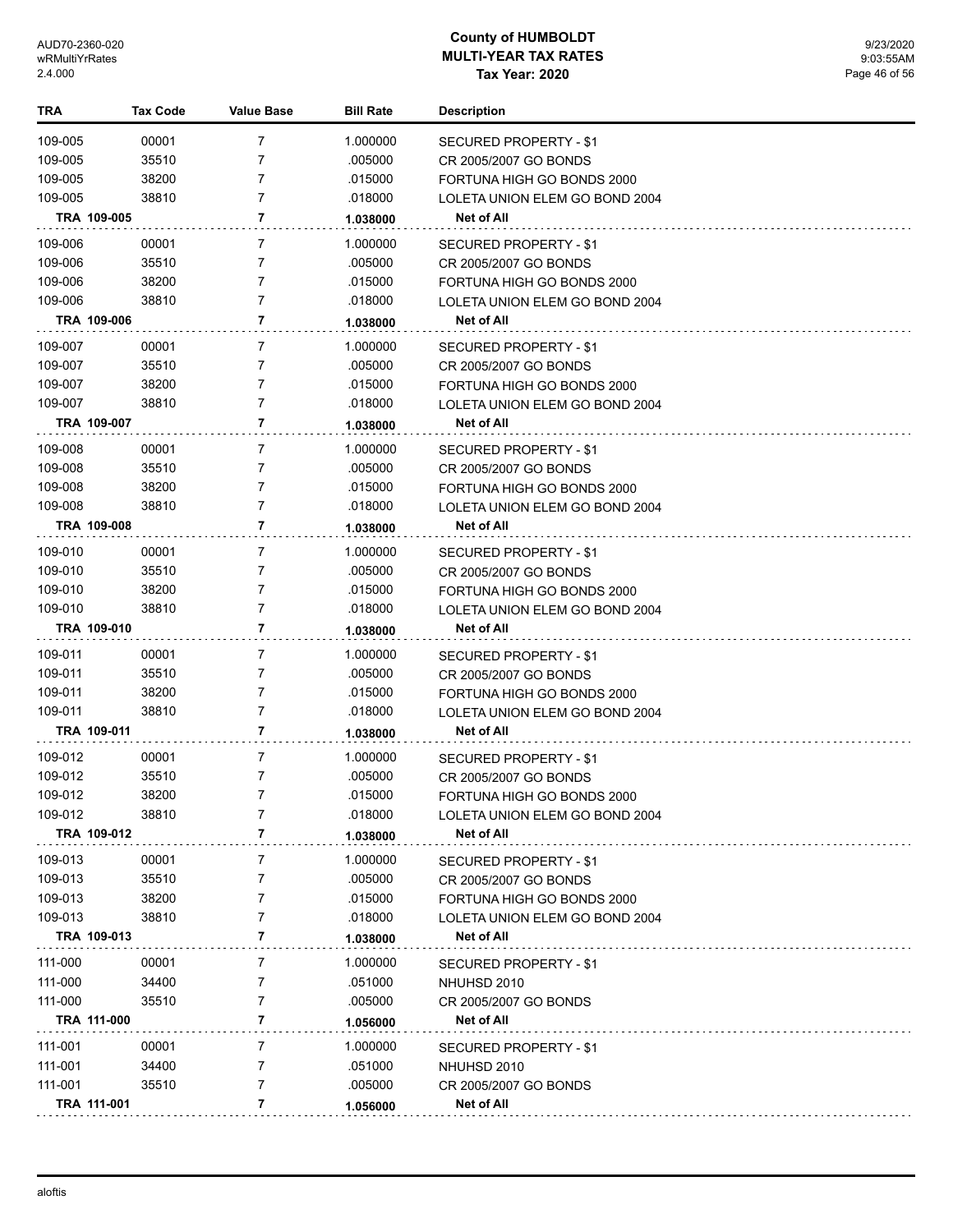| <b>TRA</b> |             | Tax Code | <b>Value Base</b> | <b>Bill Rate</b> | <b>Description</b>             |
|------------|-------------|----------|-------------------|------------------|--------------------------------|
| 109-005    |             | 00001    | 7                 | 1.000000         | SECURED PROPERTY - \$1         |
| 109-005    |             | 35510    | 7                 | .005000          | CR 2005/2007 GO BONDS          |
| 109-005    |             | 38200    | 7                 | .015000          | FORTUNA HIGH GO BONDS 2000     |
| 109-005    |             | 38810    | 7                 | .018000          | LOLETA UNION ELEM GO BOND 2004 |
|            | TRA 109-005 |          | 7                 | 1.038000         | Net of All                     |
| 109-006    |             | 00001    | 7                 | 1.000000         | SECURED PROPERTY - \$1         |
| 109-006    |             | 35510    | 7                 | .005000          | CR 2005/2007 GO BONDS          |
| 109-006    |             | 38200    | 7                 | .015000          | FORTUNA HIGH GO BONDS 2000     |
| 109-006    |             | 38810    | 7                 | .018000          | LOLETA UNION ELEM GO BOND 2004 |
|            | TRA 109-006 |          | 7                 | 1.038000         | Net of All                     |
| 109-007    |             | 00001    | 7                 | 1.000000         | SECURED PROPERTY - \$1         |
| 109-007    |             | 35510    | 7                 | .005000          | CR 2005/2007 GO BONDS          |
| 109-007    |             | 38200    | 7                 | .015000          | FORTUNA HIGH GO BONDS 2000     |
| 109-007    |             | 38810    | 7                 | .018000          | LOLETA UNION ELEM GO BOND 2004 |
|            | TRA 109-007 |          | 7                 | 1.038000         | Net of All                     |
| 109-008    |             | 00001    | 7                 | 1.000000         | SECURED PROPERTY - \$1         |
| 109-008    |             | 35510    | 7                 | .005000          | CR 2005/2007 GO BONDS          |
| 109-008    |             | 38200    | 7                 | .015000          | FORTUNA HIGH GO BONDS 2000     |
| 109-008    |             | 38810    | $\overline{7}$    | .018000          | LOLETA UNION ELEM GO BOND 2004 |
|            | TRA 109-008 |          | 7                 | 1.038000         | Net of All                     |
| 109-010    |             | 00001    | 7                 | 1.000000         | <b>SECURED PROPERTY - \$1</b>  |
| 109-010    |             | 35510    | 7                 | .005000          | CR 2005/2007 GO BONDS          |
| 109-010    |             | 38200    | 7                 | .015000          | FORTUNA HIGH GO BONDS 2000     |
| 109-010    |             | 38810    | 7                 | .018000          | LOLETA UNION ELEM GO BOND 2004 |
|            | TRA 109-010 |          | 7                 | 1.038000         | Net of All                     |
| 109-011    |             | 00001    | 7                 | 1.000000         | SECURED PROPERTY - \$1         |
| 109-011    |             | 35510    | 7                 | .005000          | CR 2005/2007 GO BONDS          |
| 109-011    |             | 38200    | 7                 | .015000          | FORTUNA HIGH GO BONDS 2000     |
| 109-011    |             | 38810    | $\overline{7}$    | .018000          | LOLETA UNION ELEM GO BOND 2004 |
|            | TRA 109-011 |          | 7                 | 1.038000         | Net of All                     |
| 109-012    |             | 00001    | 7                 | 1.000000         | SECURED PROPERTY - \$1         |
| 109-012    |             | 35510    | $\overline{7}$    | .005000          | CR 2005/2007 GO BONDS          |
| 109-012    |             | 38200    | 7                 | .015000          | FORTUNA HIGH GO BONDS 2000     |
| 109-012    |             | 38810    | 7                 | .018000          | LOLETA UNION ELEM GO BOND 2004 |
|            | TRA 109-012 |          | 7                 | 1.038000         | Net of All                     |
| 109-013    |             | 00001    | 7                 | 1.000000         | SECURED PROPERTY - \$1         |
| 109-013    |             | 35510    | 7                 | .005000          | CR 2005/2007 GO BONDS          |
| 109-013    |             | 38200    | 7                 | .015000          | FORTUNA HIGH GO BONDS 2000     |
| 109-013    |             | 38810    | 7                 | .018000          | LOLETA UNION ELEM GO BOND 2004 |
|            | TRA 109-013 |          | 7                 | 1.038000         | Net of All                     |
| 111-000    |             | 00001    | 7                 | 1.000000         | <b>SECURED PROPERTY - \$1</b>  |
| 111-000    |             | 34400    | 7                 | .051000          | NHUHSD 2010                    |
| 111-000    |             | 35510    | 7                 | .005000          | CR 2005/2007 GO BONDS          |
|            | TRA 111-000 |          | 7                 | 1.056000         | Net of All                     |
| 111-001    |             | 00001    | 7                 | 1.000000         | SECURED PROPERTY - \$1         |
| 111-001    |             | 34400    | 7                 | .051000          | NHUHSD 2010                    |
| 111-001    |             | 35510    | 7                 | .005000          | CR 2005/2007 GO BONDS          |
|            | TRA 111-001 |          | 7                 | 1.056000         | Net of All                     |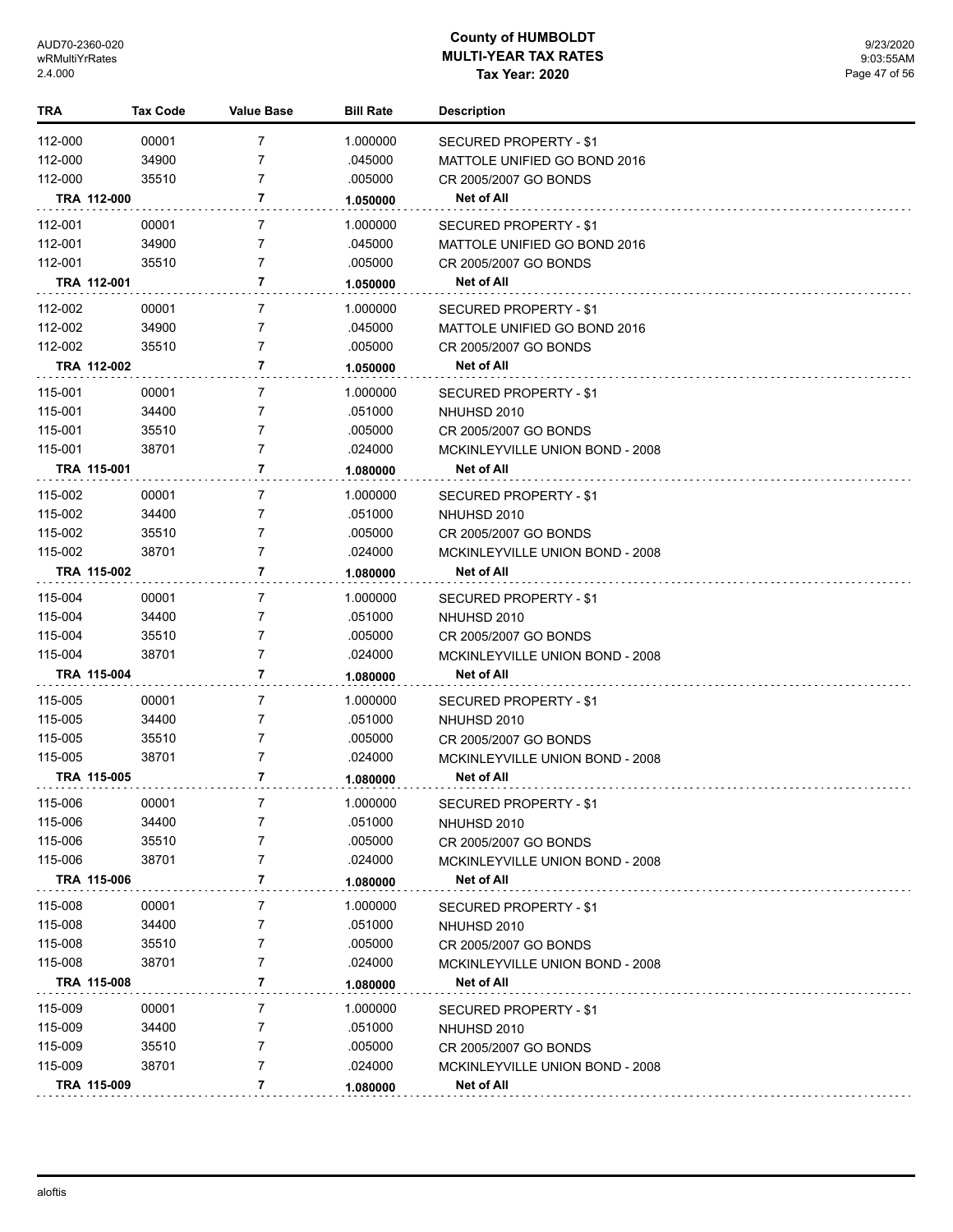| TRA     | <b>Tax Code</b> | <b>Value Base</b> | <b>Bill Rate</b> | <b>Description</b>              |
|---------|-----------------|-------------------|------------------|---------------------------------|
| 112-000 | 00001           | $\overline{7}$    | 1.000000         | <b>SECURED PROPERTY - \$1</b>   |
| 112-000 | 34900           | 7                 | .045000          | MATTOLE UNIFIED GO BOND 2016    |
| 112-000 | 35510           | $\overline{7}$    | .005000          | CR 2005/2007 GO BONDS           |
|         | TRA 112-000     | 7                 | 1.050000         | Net of All                      |
| 112-001 | 00001           | 7                 | 1.000000         | SECURED PROPERTY - \$1          |
| 112-001 | 34900           | 7                 | .045000          | MATTOLE UNIFIED GO BOND 2016    |
| 112-001 | 35510           | 7                 | .005000          | CR 2005/2007 GO BONDS           |
|         | TRA 112-001     | 7                 | 1.050000         | <b>Net of All</b>               |
| 112-002 | 00001           | $\overline{7}$    | 1.000000         | <b>SECURED PROPERTY - \$1</b>   |
| 112-002 | 34900           | 7                 | .045000          | MATTOLE UNIFIED GO BOND 2016    |
| 112-002 | 35510           | 7                 | .005000          | CR 2005/2007 GO BONDS           |
|         | TRA 112-002     | 7                 | 1.050000         | Net of All                      |
| 115-001 | 00001           | $\overline{7}$    | 1.000000         | <b>SECURED PROPERTY - \$1</b>   |
| 115-001 | 34400           | 7                 | .051000          | NHUHSD 2010                     |
| 115-001 | 35510           | 7                 | .005000          | CR 2005/2007 GO BONDS           |
| 115-001 | 38701           | 7                 | .024000          | MCKINLEYVILLE UNION BOND - 2008 |
|         | TRA 115-001     | 7                 | 1.080000         | <b>Net of All</b>               |
| 115-002 | 00001           | $\overline{7}$    | 1.000000         | SECURED PROPERTY - \$1          |
| 115-002 | 34400           | 7                 | .051000          | NHUHSD 2010                     |
| 115-002 | 35510           | 7                 | .005000          | CR 2005/2007 GO BONDS           |
| 115-002 | 38701           | $\overline{7}$    | .024000          | MCKINLEYVILLE UNION BOND - 2008 |
|         | TRA 115-002     | 7                 | 1.080000         | Net of All                      |
| 115-004 | 00001           | $\overline{7}$    | 1.000000         | <b>SECURED PROPERTY - \$1</b>   |
| 115-004 | 34400           | 7                 | .051000          | NHUHSD 2010                     |
| 115-004 | 35510           | 7                 | .005000          | CR 2005/2007 GO BONDS           |
| 115-004 | 38701           | 7                 | .024000          | MCKINLEYVILLE UNION BOND - 2008 |
|         | TRA 115-004     | 7                 | 1.080000         | Net of All                      |
| 115-005 | 00001           | $\overline{7}$    | 1.000000         | <b>SECURED PROPERTY - \$1</b>   |
| 115-005 | 34400           | 7                 | .051000          | NHUHSD 2010                     |
| 115-005 | 35510           | 7                 | .005000          | CR 2005/2007 GO BONDS           |
| 115-005 | 38701           | 7                 | .024000          | MCKINLEYVILLE UNION BOND - 2008 |
|         | TRA 115-005     | 7                 | 1.080000         | <b>Net of All</b>               |
| 115-006 | 00001           | 7                 | 1.000000         | SECURED PROPERTY - \$1          |
| 115-006 | 34400           | 7                 | .051000          | NHUHSD 2010                     |
| 115-006 | 35510           | 7                 | .005000          | CR 2005/2007 GO BONDS           |
| 115-006 | 38701           | 7                 | .024000          | MCKINLEYVILLE UNION BOND - 2008 |
|         | TRA 115-006     | 7                 | 1.080000         | Net of All                      |
| 115-008 | 00001           | 7                 | 1.000000         | <b>SECURED PROPERTY - \$1</b>   |
| 115-008 | 34400           | 7                 | .051000          | NHUHSD 2010                     |
| 115-008 | 35510           | 7                 | .005000          | CR 2005/2007 GO BONDS           |
| 115-008 | 38701           | 7                 | .024000          | MCKINLEYVILLE UNION BOND - 2008 |
|         | TRA 115-008     | 7                 | 1.080000         | Net of All                      |
| 115-009 | 00001           | 7                 | 1.000000         | <b>SECURED PROPERTY - \$1</b>   |
| 115-009 | 34400           | 7                 | .051000          | NHUHSD 2010                     |
| 115-009 | 35510           | 7                 | .005000          | CR 2005/2007 GO BONDS           |
| 115-009 | 38701           | 7                 | .024000          | MCKINLEYVILLE UNION BOND - 2008 |
|         | TRA 115-009     | 7                 | 1.080000         | <b>Net of All</b>               |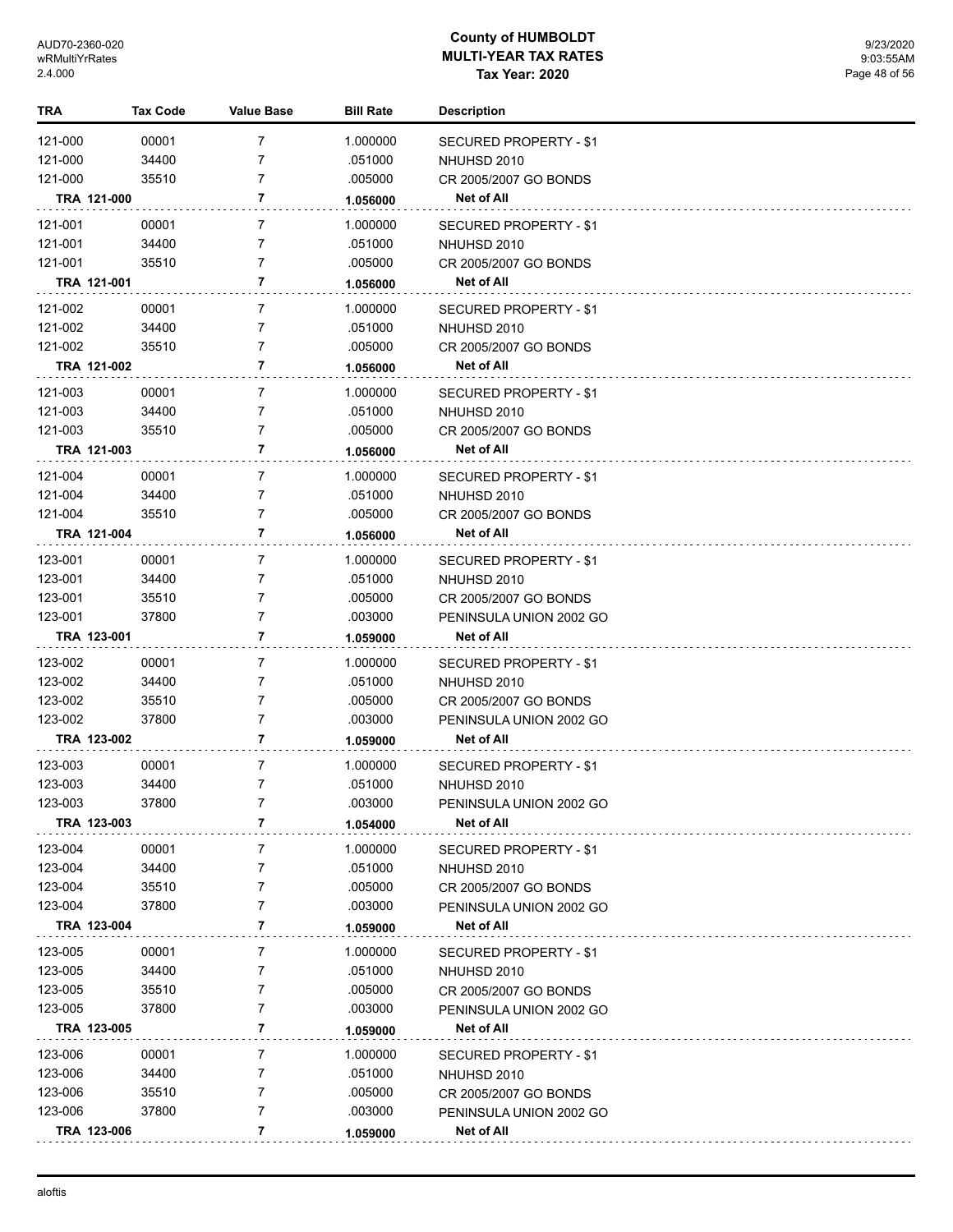| TRA     | <b>Tax Code</b> | Value Base | <b>Bill Rate</b> | <b>Description</b>            |
|---------|-----------------|------------|------------------|-------------------------------|
| 121-000 | 00001           | 7          | 1.000000         | <b>SECURED PROPERTY - \$1</b> |
| 121-000 | 34400           | 7          | .051000          | NHUHSD 2010                   |
| 121-000 | 35510           | 7          | .005000          | CR 2005/2007 GO BONDS         |
|         | TRA 121-000     | 7          | 1.056000         | Net of All                    |
| 121-001 | 00001           | 7          | 1.000000         | SECURED PROPERTY - \$1        |
| 121-001 | 34400           | 7          | .051000          | NHUHSD 2010                   |
| 121-001 | 35510           | 7          | .005000          | CR 2005/2007 GO BONDS         |
|         | TRA 121-001     | 7          | 1.056000         | Net of All                    |
| 121-002 | 00001           | 7          | 1.000000         | <b>SECURED PROPERTY - \$1</b> |
| 121-002 | 34400           | 7          | .051000          | NHUHSD 2010                   |
| 121-002 | 35510           | 7          | .005000          | CR 2005/2007 GO BONDS         |
|         | TRA 121-002     | 7          | 1.056000         | Net of All                    |
| 121-003 | 00001           | 7          | 1.000000         | SECURED PROPERTY - \$1        |
| 121-003 | 34400           | 7          | .051000          | NHUHSD 2010                   |
| 121-003 | 35510           | 7          | .005000          | CR 2005/2007 GO BONDS         |
|         | TRA 121-003     | 7          | 1.056000         | Net of All                    |
| 121-004 | 00001           | 7          | 1.000000         | SECURED PROPERTY - \$1        |
| 121-004 | 34400           | 7          | .051000          | NHUHSD 2010                   |
| 121-004 | 35510           | 7          | .005000          | CR 2005/2007 GO BONDS         |
|         | TRA 121-004     | 7          | 1.056000         | <b>Net of All</b>             |
| 123-001 | 00001           | 7          | 1.000000         | SECURED PROPERTY - \$1        |
| 123-001 | 34400           | 7          | .051000          | NHUHSD 2010                   |
| 123-001 | 35510           | 7          | .005000          | CR 2005/2007 GO BONDS         |
| 123-001 | 37800           | 7          | .003000          | PENINSULA UNION 2002 GO       |
|         | TRA 123-001     | 7          | 1.059000         | Net of All                    |
| 123-002 | 00001           | 7          | 1.000000         | SECURED PROPERTY - \$1        |
| 123-002 | 34400           | 7          | .051000          | NHUHSD 2010                   |
| 123-002 | 35510           | 7          | .005000          | CR 2005/2007 GO BONDS         |
| 123-002 | 37800           | 7          | .003000          | PENINSULA UNION 2002 GO       |
|         | TRA 123-002     | 7          | 1.059000         | <b>Net of All</b>             |
| 123-003 | 00001           | 7          | 1.000000         | SECURED PROPERTY - \$1        |
| 123-003 | 34400           | 7          | .051000          | NHUHSD 2010                   |
| 123-003 | 37800           |            | .003000          | PENINSULA UNION 2002 GO       |
|         | TRA 123-003     | 7          | 1.054000         | Net of All                    |
| 123-004 | 00001           | 7          | 1.000000         | <b>SECURED PROPERTY - \$1</b> |
| 123-004 | 34400           | 7          | .051000          | NHUHSD 2010                   |
| 123-004 | 35510           | 7          | .005000          | CR 2005/2007 GO BONDS         |
| 123-004 | 37800           | 7          | .003000          | PENINSULA UNION 2002 GO       |
|         | TRA 123-004     | 7          | 1.059000         | Net of All                    |
| 123-005 | 00001           | 7          | 1.000000         | <b>SECURED PROPERTY - \$1</b> |
| 123-005 | 34400           | 7          | .051000          | NHUHSD 2010                   |
| 123-005 | 35510           | 7          | .005000          | CR 2005/2007 GO BONDS         |
| 123-005 | 37800           | 7          | .003000          | PENINSULA UNION 2002 GO       |
|         | TRA 123-005     | 7          | 1.059000         | Net of All                    |
| 123-006 | 00001           | 7          | 1.000000         | SECURED PROPERTY - \$1        |
| 123-006 | 34400           | 7          | .051000          | NHUHSD 2010                   |
| 123-006 | 35510           | 7          | .005000          | CR 2005/2007 GO BONDS         |
| 123-006 | 37800           | 7          | .003000          | PENINSULA UNION 2002 GO       |
|         | TRA 123-006     | 7          | 1.059000         | Net of All                    |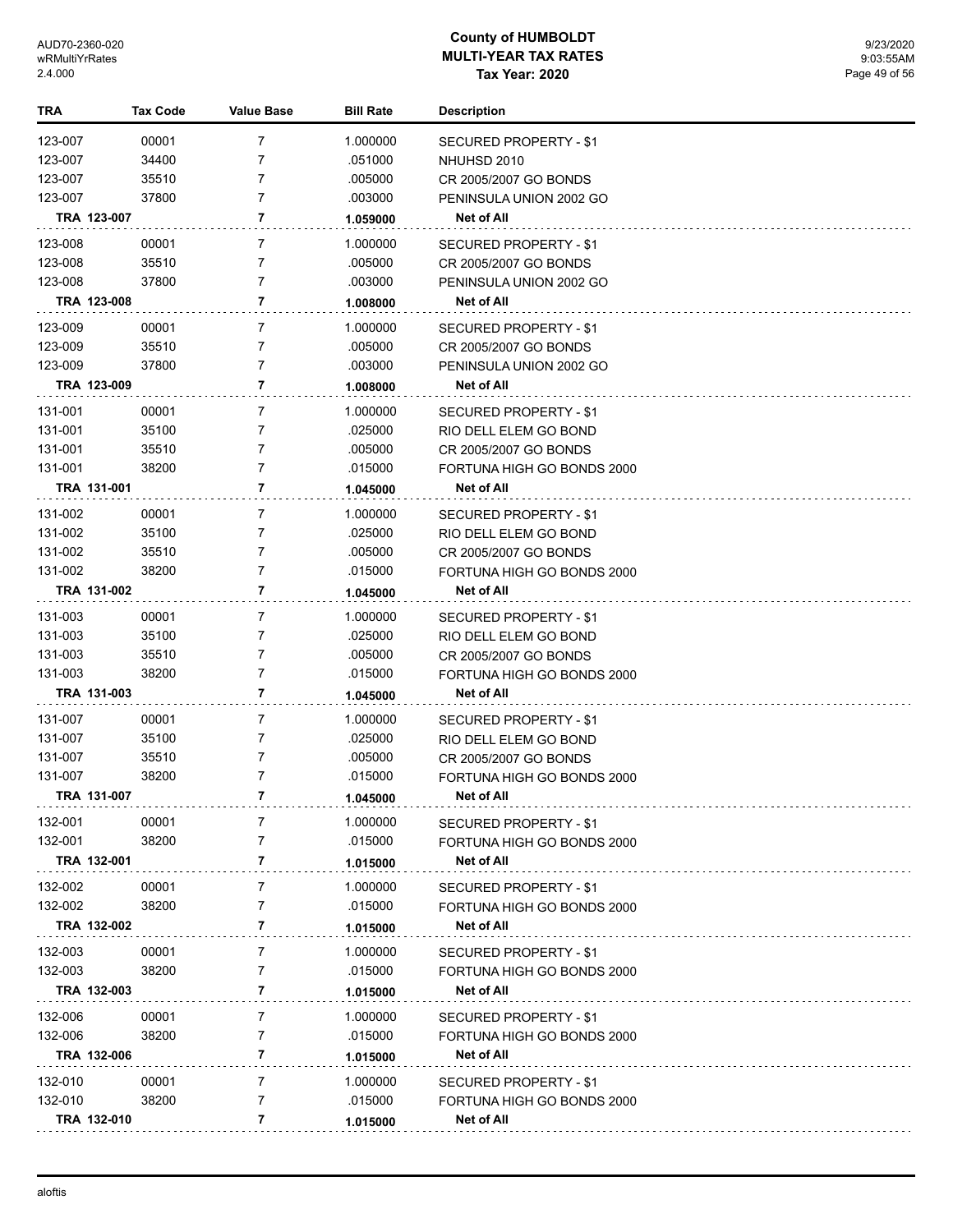| TRA                | <b>Tax Code</b>      | <b>Value Base</b>   | <b>Bill Rate</b>    | <b>Description</b>                             |
|--------------------|----------------------|---------------------|---------------------|------------------------------------------------|
| 123-007            | 00001                | 7                   | 1.000000            | <b>SECURED PROPERTY - \$1</b>                  |
| 123-007            | 34400                | 7                   | .051000             | NHUHSD 2010                                    |
| 123-007            | 35510                | 7                   | .005000             | CR 2005/2007 GO BONDS                          |
| 123-007            | 37800                | 7                   | .003000             | PENINSULA UNION 2002 GO                        |
|                    | TRA 123-007          | 7                   | 1.059000            | Net of All                                     |
| 123-008            | 00001                | 7                   | 1.000000            | SECURED PROPERTY - \$1                         |
| 123-008            | 35510                | 7                   | .005000             | CR 2005/2007 GO BONDS                          |
| 123-008            | 37800                | 7                   | .003000             | PENINSULA UNION 2002 GO                        |
|                    | TRA 123-008          | 7                   | 1.008000            | <b>Net of All</b>                              |
| 123-009            | 00001                | 7                   | 1.000000            | SECURED PROPERTY - \$1                         |
| 123-009            | 35510                | 7                   | .005000             | CR 2005/2007 GO BONDS                          |
| 123-009            | 37800                | 7                   | .003000             | PENINSULA UNION 2002 GO                        |
|                    | TRA 123-009          | 7                   | 1.008000            | Net of All                                     |
| 131-001            |                      |                     |                     |                                                |
| 131-001            | 00001<br>35100       | 7<br>7              | 1.000000<br>.025000 | SECURED PROPERTY - \$1                         |
| 131-001            | 35510                | 7                   | .005000             | RIO DELL ELEM GO BOND<br>CR 2005/2007 GO BONDS |
| 131-001            | 38200                | $\overline{7}$      | .015000             | FORTUNA HIGH GO BONDS 2000                     |
|                    | TRA 131-001          | 7                   | 1.045000            | Net of All                                     |
|                    |                      |                     |                     |                                                |
| 131-002<br>131-002 | 00001<br>35100       | 7<br>7              | 1.000000<br>.025000 | SECURED PROPERTY - \$1                         |
| 131-002            | 35510                | 7                   | .005000             | RIO DELL ELEM GO BOND<br>CR 2005/2007 GO BONDS |
| 131-002            | 38200                | 7                   | .015000             | FORTUNA HIGH GO BONDS 2000                     |
|                    | TRA 131-002          | 7                   | 1.045000            | Net of All                                     |
|                    |                      |                     |                     |                                                |
| 131-003<br>131-003 | 00001<br>35100       | 7<br>7              | 1.000000            | SECURED PROPERTY - \$1                         |
| 131-003            | 35510                | 7                   | .025000<br>.005000  | RIO DELL ELEM GO BOND<br>CR 2005/2007 GO BONDS |
| 131-003            | 38200                | 7                   | .015000             | FORTUNA HIGH GO BONDS 2000                     |
|                    | TRA 131-003          | 7                   | 1.045000            | Net of All                                     |
|                    |                      |                     |                     |                                                |
| 131-007            | 00001                | 7                   | 1.000000            | SECURED PROPERTY - \$1                         |
| 131-007<br>131-007 | 35100<br>35510       | 7<br>7              | .025000<br>.005000  | RIO DELL ELEM GO BOND<br>CR 2005/2007 GO BONDS |
| 131-007            | 38200                | $\overline{7}$      | .015000             | FORTUNA HIGH GO BONDS 2000                     |
|                    | TRA 131-007          | 7                   | 1.045000            | Net of All                                     |
|                    |                      |                     |                     |                                                |
| 132-001            | 00001                | 7                   | 1.000000            | <b>SECURED PROPERTY - \$1</b>                  |
| 132-001            | 38200<br>TRA 132-001 | $\overline{7}$<br>7 | .015000             | FORTUNA HIGH GO BONDS 2000                     |
|                    |                      |                     | 1.015000            | Net of All                                     |
| 132-002            | 00001                | 7                   | 1.000000            | SECURED PROPERTY - \$1                         |
| 132-002            | 38200                | 7                   | .015000             | FORTUNA HIGH GO BONDS 2000                     |
|                    | TRA 132-002          | 7                   | 1.015000            | Net of All                                     |
| 132-003            | 00001                | 7                   | 1.000000            | <b>SECURED PROPERTY - \$1</b>                  |
| 132-003            | 38200                | $\overline{7}$      | .015000             | FORTUNA HIGH GO BONDS 2000                     |
|                    | TRA 132-003          | 7                   | 1.015000            | Net of All                                     |
| 132-006            | 00001                | $\overline{7}$      | 1.000000            | SECURED PROPERTY - \$1                         |
| 132-006            | 38200                | 7                   | .015000             | FORTUNA HIGH GO BONDS 2000                     |
|                    | TRA 132-006          | 7                   | 1.015000            | <b>Net of All</b>                              |
| 132-010            | 00001                | $\overline{7}$      | 1.000000            | SECURED PROPERTY - \$1                         |
| 132-010            | 38200                | 7                   | .015000             | FORTUNA HIGH GO BONDS 2000                     |
|                    | TRA 132-010          | 7                   | 1.015000            | Net of All                                     |
|                    |                      |                     |                     |                                                |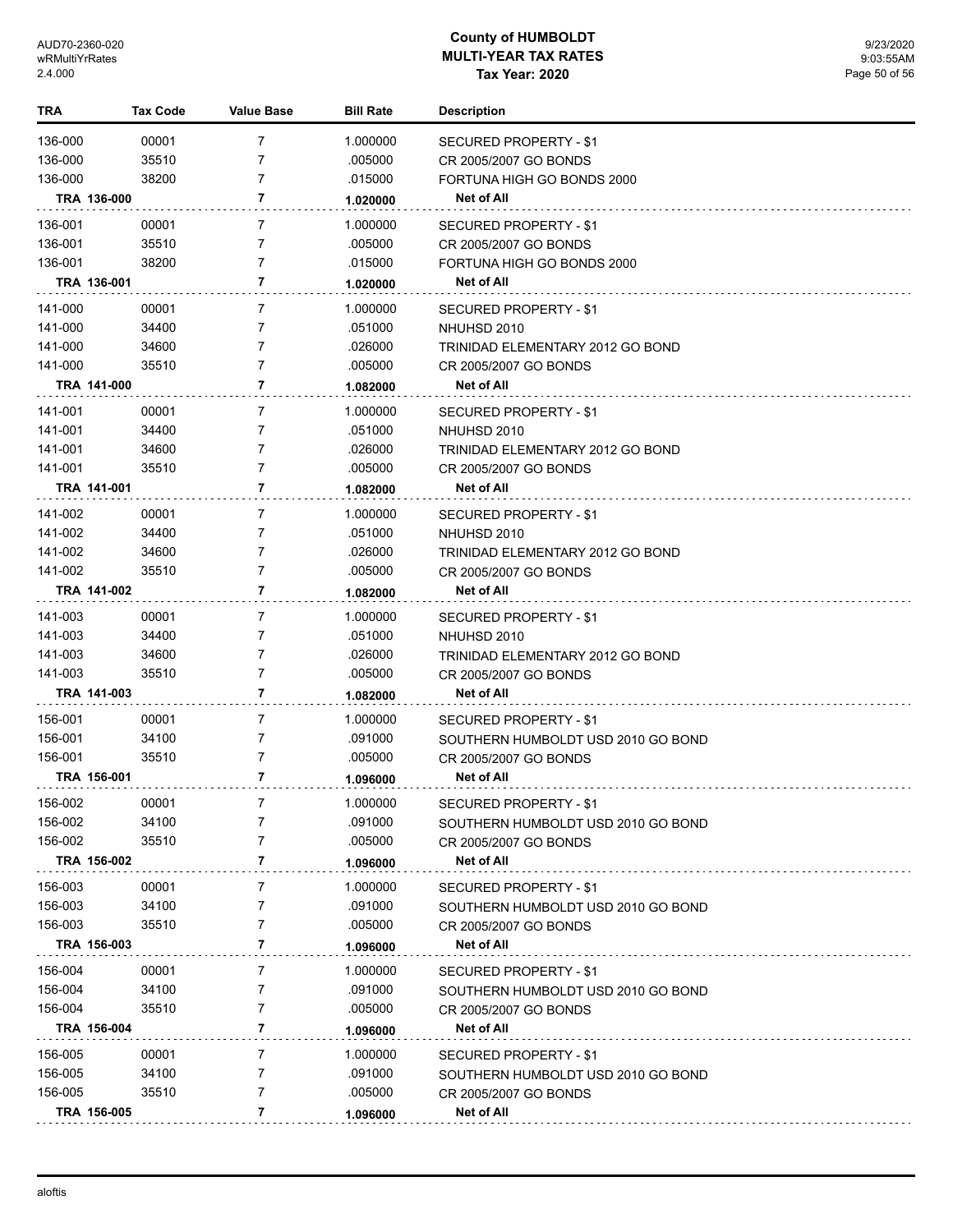| <b>TRA</b>  | <b>Tax Code</b> | <b>Value Base</b> | <b>Bill Rate</b> | <b>Description</b>                 |
|-------------|-----------------|-------------------|------------------|------------------------------------|
| 136-000     | 00001           | 7                 | 1.000000         | SECURED PROPERTY - \$1             |
| 136-000     | 35510           | 7                 | .005000          | CR 2005/2007 GO BONDS              |
| 136-000     | 38200           | 7                 | .015000          | FORTUNA HIGH GO BONDS 2000         |
| TRA 136-000 |                 | 7                 | 1.020000         | Net of All                         |
| 136-001     | 00001           | 7                 | 1.000000         | <b>SECURED PROPERTY - \$1</b>      |
| 136-001     | 35510           | 7                 | .005000          | CR 2005/2007 GO BONDS              |
| 136-001     | 38200           | 7                 | .015000          | FORTUNA HIGH GO BONDS 2000         |
| TRA 136-001 |                 | 7                 | 1.020000         | Net of All                         |
| 141-000     | 00001           | 7                 | 1.000000         | SECURED PROPERTY - \$1             |
| 141-000     | 34400           | 7                 | .051000          | NHUHSD 2010                        |
| 141-000     | 34600           | 7                 | .026000          | TRINIDAD ELEMENTARY 2012 GO BOND   |
| 141-000     | 35510           | 7                 | .005000          | CR 2005/2007 GO BONDS              |
| TRA 141-000 |                 | 7                 | 1.082000         | Net of All                         |
|             |                 |                   |                  |                                    |
| 141-001     | 00001           | 7                 | 1.000000         | SECURED PROPERTY - \$1             |
| 141-001     | 34400           | 7                 | .051000          | NHUHSD 2010                        |
| 141-001     | 34600           | 7                 | .026000          | TRINIDAD ELEMENTARY 2012 GO BOND   |
| 141-001     | 35510           | 7                 | .005000          | CR 2005/2007 GO BONDS              |
| TRA 141-001 |                 | 7                 | 1.082000         | Net of All                         |
| 141-002     | 00001           | 7                 | 1.000000         | SECURED PROPERTY - \$1             |
| 141-002     | 34400           | 7                 | .051000          | NHUHSD 2010                        |
| 141-002     | 34600           | 7                 | .026000          | TRINIDAD ELEMENTARY 2012 GO BOND   |
| 141-002     | 35510           | 7                 | .005000          | CR 2005/2007 GO BONDS              |
| TRA 141-002 |                 | 7                 | 1.082000         | Net of All                         |
| 141-003     | 00001           | 7                 | 1.000000         | SECURED PROPERTY - \$1             |
| 141-003     | 34400           | 7                 | .051000          | NHUHSD 2010                        |
| 141-003     | 34600           | 7                 | .026000          | TRINIDAD ELEMENTARY 2012 GO BOND   |
| 141-003     | 35510           | 7                 | .005000          | CR 2005/2007 GO BONDS              |
| TRA 141-003 |                 | 7                 | 1.082000         | <b>Net of All</b>                  |
| 156-001     | 00001           | 7                 | 1.000000         | SECURED PROPERTY - \$1             |
| 156-001     | 34100           | 7                 | .091000          | SOUTHERN HUMBOLDT USD 2010 GO BOND |
| 156-001     | 35510           | 7                 | .005000          | CR 2005/2007 GO BONDS              |
| TRA 156-001 |                 | 7                 | 1.096000         | Net of All                         |
| 156-002     | 00001           |                   | 1.000000         | <b>SECURED PROPERTY - \$1</b>      |
| 156-002     | 34100           | 7                 | .091000          | SOUTHERN HUMBOLDT USD 2010 GO BOND |
| 156-002     | 35510           | 7                 | .005000          | CR 2005/2007 GO BONDS              |
| TRA 156-002 |                 | 7                 | 1.096000         | Net of All                         |
| 156-003     | 00001           | 7                 | 1.000000         | <b>SECURED PROPERTY - \$1</b>      |
| 156-003     | 34100           | 7                 | .091000          | SOUTHERN HUMBOLDT USD 2010 GO BOND |
| 156-003     | 35510           | 7                 | .005000          | CR 2005/2007 GO BONDS              |
| TRA 156-003 |                 | 7                 | 1.096000         | Net of All                         |
| 156-004     | 00001           | 7                 | 1.000000         | SECURED PROPERTY - \$1             |
| 156-004     | 34100           | 7                 | .091000          | SOUTHERN HUMBOLDT USD 2010 GO BOND |
| 156-004     | 35510           | 7                 | .005000          | CR 2005/2007 GO BONDS              |
| TRA 156-004 |                 | 7                 | 1.096000         | Net of All                         |
|             |                 |                   |                  |                                    |
| 156-005     | 00001           | 7                 | 1.000000         | SECURED PROPERTY - \$1             |
| 156-005     | 34100           | 7                 | .091000          | SOUTHERN HUMBOLDT USD 2010 GO BOND |
| 156-005     | 35510           | 7                 | .005000          | CR 2005/2007 GO BONDS              |
| TRA 156-005 |                 | 7                 | 1.096000         | Net of All                         |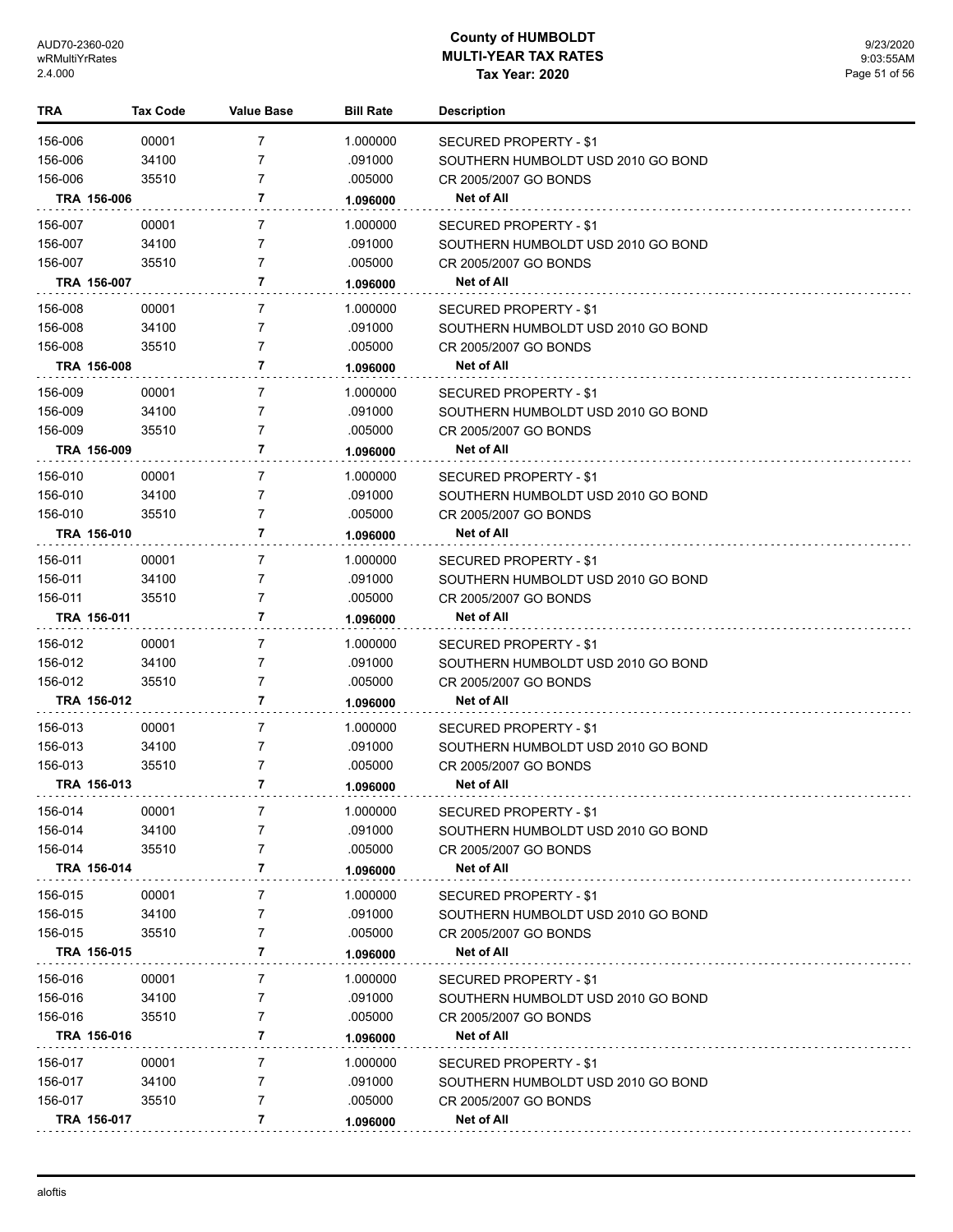| TRA         | Tax Code | <b>Value Base</b> | <b>Bill Rate</b> | <b>Description</b>                 |
|-------------|----------|-------------------|------------------|------------------------------------|
| 156-006     | 00001    | 7                 | 1.000000         | <b>SECURED PROPERTY - \$1</b>      |
| 156-006     | 34100    | 7                 | .091000          | SOUTHERN HUMBOLDT USD 2010 GO BOND |
| 156-006     | 35510    | 7                 | .005000          | CR 2005/2007 GO BONDS              |
| TRA 156-006 |          | 7                 | 1.096000         | Net of All                         |
| 156-007     | 00001    | 7                 | 1.000000         | SECURED PROPERTY - \$1             |
| 156-007     | 34100    | 7                 | .091000          | SOUTHERN HUMBOLDT USD 2010 GO BOND |
| 156-007     | 35510    | 7                 | .005000          | CR 2005/2007 GO BONDS              |
| TRA 156-007 |          | 7                 | 1.096000         | <b>Net of All</b>                  |
| 156-008     | 00001    | 7                 | 1.000000         | SECURED PROPERTY - \$1             |
| 156-008     | 34100    | 7                 | .091000          | SOUTHERN HUMBOLDT USD 2010 GO BOND |
| 156-008     | 35510    | 7                 | .005000          | CR 2005/2007 GO BONDS              |
| TRA 156-008 |          | 7                 | 1.096000         | Net of All                         |
| 156-009     | 00001    | 7                 | 1.000000         | SECURED PROPERTY - \$1             |
| 156-009     | 34100    | 7                 | .091000          | SOUTHERN HUMBOLDT USD 2010 GO BOND |
| 156-009     | 35510    | 7                 | .005000          | CR 2005/2007 GO BONDS              |
| TRA 156-009 |          | 7                 | 1.096000         | Net of All                         |
| 156-010     | 00001    | 7                 | 1.000000         | SECURED PROPERTY - \$1             |
| 156-010     | 34100    | 7                 | .091000          | SOUTHERN HUMBOLDT USD 2010 GO BOND |
| 156-010     | 35510    | 7                 | .005000          | CR 2005/2007 GO BONDS              |
| TRA 156-010 |          | 7                 | 1.096000         | Net of All                         |
| 156-011     | 00001    | 7                 | 1.000000         | SECURED PROPERTY - \$1             |
| 156-011     | 34100    | 7                 | .091000          | SOUTHERN HUMBOLDT USD 2010 GO BOND |
| 156-011     | 35510    | 7                 | .005000          | CR 2005/2007 GO BONDS              |
| TRA 156-011 |          | 7                 | 1.096000         | Net of All                         |
| 156-012     | 00001    | 7                 | 1.000000         | <b>SECURED PROPERTY - \$1</b>      |
| 156-012     | 34100    | 7                 | .091000          | SOUTHERN HUMBOLDT USD 2010 GO BOND |
| 156-012     | 35510    | 7                 | .005000          | CR 2005/2007 GO BONDS              |
| TRA 156-012 |          | 7                 | 1.096000         | Net of All                         |
| 156-013     | 00001    | 7                 | 1.000000         | SECURED PROPERTY - \$1             |
| 156-013     | 34100    | 7                 | .091000          | SOUTHERN HUMBOLDT USD 2010 GO BOND |
| 156-013     | 35510    | 7                 | .005000          | CR 2005/2007 GO BONDS              |
| TRA 156-013 |          | 7                 | 1.096000         | <b>Net of All</b>                  |
| 156-014     | 00001    | 7                 | 1.000000         | SECURED PROPERTY - \$1             |
| 156-014     | 34100    | 7                 | .091000          | SOUTHERN HUMBOLDT USD 2010 GO BOND |
| 156-014     | 35510    | 7                 | .005000          | CR 2005/2007 GO BONDS              |
| TRA 156-014 |          | 7                 | 1.096000         | Net of All                         |
| 156-015     | 00001    | 7                 | 1.000000         | SECURED PROPERTY - \$1             |
| 156-015     | 34100    | 7                 | .091000          | SOUTHERN HUMBOLDT USD 2010 GO BOND |
| 156-015     | 35510    | 7                 | .005000          | CR 2005/2007 GO BONDS              |
| TRA 156-015 |          | 7                 | 1.096000         | <b>Net of All</b>                  |
| 156-016     | 00001    | 7                 | 1.000000         | SECURED PROPERTY - \$1             |
| 156-016     | 34100    | 7                 | .091000          | SOUTHERN HUMBOLDT USD 2010 GO BOND |
| 156-016     | 35510    | 7                 | .005000          | CR 2005/2007 GO BONDS              |
| TRA 156-016 |          | 7                 | 1.096000         | <b>Net of All</b>                  |
| 156-017     | 00001    | 7                 | 1.000000         | SECURED PROPERTY - \$1             |
| 156-017     | 34100    | 7                 | .091000          | SOUTHERN HUMBOLDT USD 2010 GO BOND |
| 156-017     | 35510    | 7                 | .005000          | CR 2005/2007 GO BONDS              |
| TRA 156-017 |          | 7                 | 1.096000         | <b>Net of All</b>                  |
|             |          |                   |                  |                                    |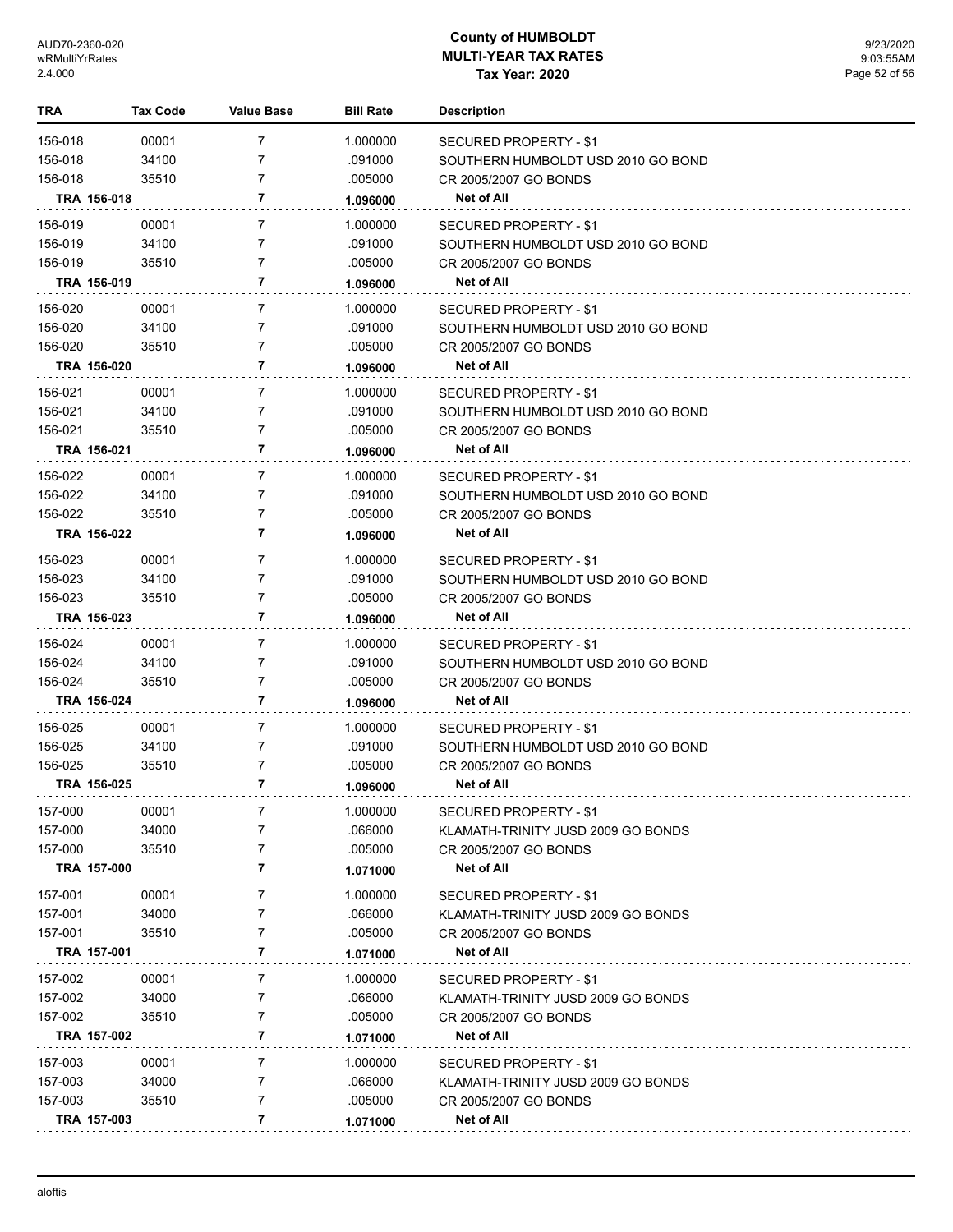| TRA     | Tax Code    | <b>Value Base</b> | <b>Bill Rate</b> | <b>Description</b>                 |
|---------|-------------|-------------------|------------------|------------------------------------|
| 156-018 | 00001       | 7                 | 1.000000         | SECURED PROPERTY - \$1             |
| 156-018 | 34100       | 7                 | .091000          | SOUTHERN HUMBOLDT USD 2010 GO BOND |
| 156-018 | 35510       | 7                 | .005000          | CR 2005/2007 GO BONDS              |
|         | TRA 156-018 | 7                 | 1.096000         | Net of All                         |
| 156-019 | 00001       | 7                 | 1.000000         | SECURED PROPERTY - \$1             |
| 156-019 | 34100       | 7                 | .091000          | SOUTHERN HUMBOLDT USD 2010 GO BOND |
| 156-019 | 35510       | $\overline{7}$    | .005000          | CR 2005/2007 GO BONDS              |
|         | TRA 156-019 | 7                 | 1.096000         | Net of All                         |
| 156-020 | 00001       | 7                 | 1.000000         | SECURED PROPERTY - \$1             |
| 156-020 | 34100       | 7                 | .091000          | SOUTHERN HUMBOLDT USD 2010 GO BOND |
| 156-020 | 35510       | $\overline{7}$    | .005000          | CR 2005/2007 GO BONDS              |
|         | TRA 156-020 | 7                 | 1.096000         | Net of All                         |
| 156-021 | 00001       | 7                 | 1.000000         | SECURED PROPERTY - \$1             |
| 156-021 | 34100       | 7                 | .091000          | SOUTHERN HUMBOLDT USD 2010 GO BOND |
| 156-021 | 35510       | 7                 | .005000          | CR 2005/2007 GO BONDS              |
|         | TRA 156-021 | 7                 | 1.096000         | Net of All                         |
| 156-022 | 00001       | 7                 | 1.000000         | SECURED PROPERTY - \$1             |
| 156-022 | 34100       | $\overline{7}$    | .091000          | SOUTHERN HUMBOLDT USD 2010 GO BOND |
| 156-022 | 35510       | 7                 | .005000          | CR 2005/2007 GO BONDS              |
|         | TRA 156-022 | 7                 | 1.096000         | Net of All                         |
| 156-023 | 00001       | $\overline{7}$    | 1.000000         | SECURED PROPERTY - \$1             |
| 156-023 | 34100       | 7                 | .091000          | SOUTHERN HUMBOLDT USD 2010 GO BOND |
| 156-023 | 35510       | 7                 | .005000          | CR 2005/2007 GO BONDS              |
|         | TRA 156-023 | 7                 | 1.096000         | Net of All                         |
| 156-024 | 00001       | $\overline{7}$    | 1.000000         | SECURED PROPERTY - \$1             |
| 156-024 | 34100       | $\overline{7}$    | .091000          | SOUTHERN HUMBOLDT USD 2010 GO BOND |
| 156-024 | 35510       | $\overline{7}$    | .005000          | CR 2005/2007 GO BONDS              |
|         | TRA 156-024 | 7                 | 1.096000         | Net of All                         |
| 156-025 | 00001       | $\overline{7}$    | 1.000000         | SECURED PROPERTY - \$1             |
| 156-025 | 34100       | 7                 | .091000          | SOUTHERN HUMBOLDT USD 2010 GO BOND |
| 156-025 | 35510       | 7                 | .005000          | CR 2005/2007 GO BONDS              |
|         | TRA 156-025 | 7                 | 1.096000         | <b>Net of All</b>                  |
| 157-000 | 00001       | 7                 | 1.000000         | <b>SECURED PROPERTY - \$1</b>      |
| 157-000 | 34000       |                   | .066000          | KLAMATH-TRINITY JUSD 2009 GO BONDS |
| 157-000 | 35510       | 7                 | .005000          | CR 2005/2007 GO BONDS              |
|         | TRA 157-000 | 7                 | 1.071000         | <b>Net of All</b>                  |
| 157-001 | 00001       | 7                 | 1.000000         | SECURED PROPERTY - \$1             |
| 157-001 | 34000       | 7                 | .066000          | KLAMATH-TRINITY JUSD 2009 GO BONDS |
| 157-001 | 35510       | 7                 | .005000          | CR 2005/2007 GO BONDS              |
|         | TRA 157-001 | 7                 | 1.071000         | Net of All                         |
| 157-002 | 00001       | 7                 | 1.000000         | SECURED PROPERTY - \$1             |
| 157-002 | 34000       | 7                 | .066000          | KLAMATH-TRINITY JUSD 2009 GO BONDS |
| 157-002 | 35510       | 7                 | .005000          | CR 2005/2007 GO BONDS              |
|         | TRA 157-002 | 7                 | 1.071000         | <b>Net of All</b>                  |
| 157-003 | 00001       | 7                 | 1.000000         | SECURED PROPERTY - \$1             |
| 157-003 | 34000       | 7                 | .066000          | KLAMATH-TRINITY JUSD 2009 GO BONDS |
| 157-003 | 35510       | 7                 | .005000          | CR 2005/2007 GO BONDS              |
|         | TRA 157-003 | 7                 | 1.071000         | <b>Net of All</b>                  |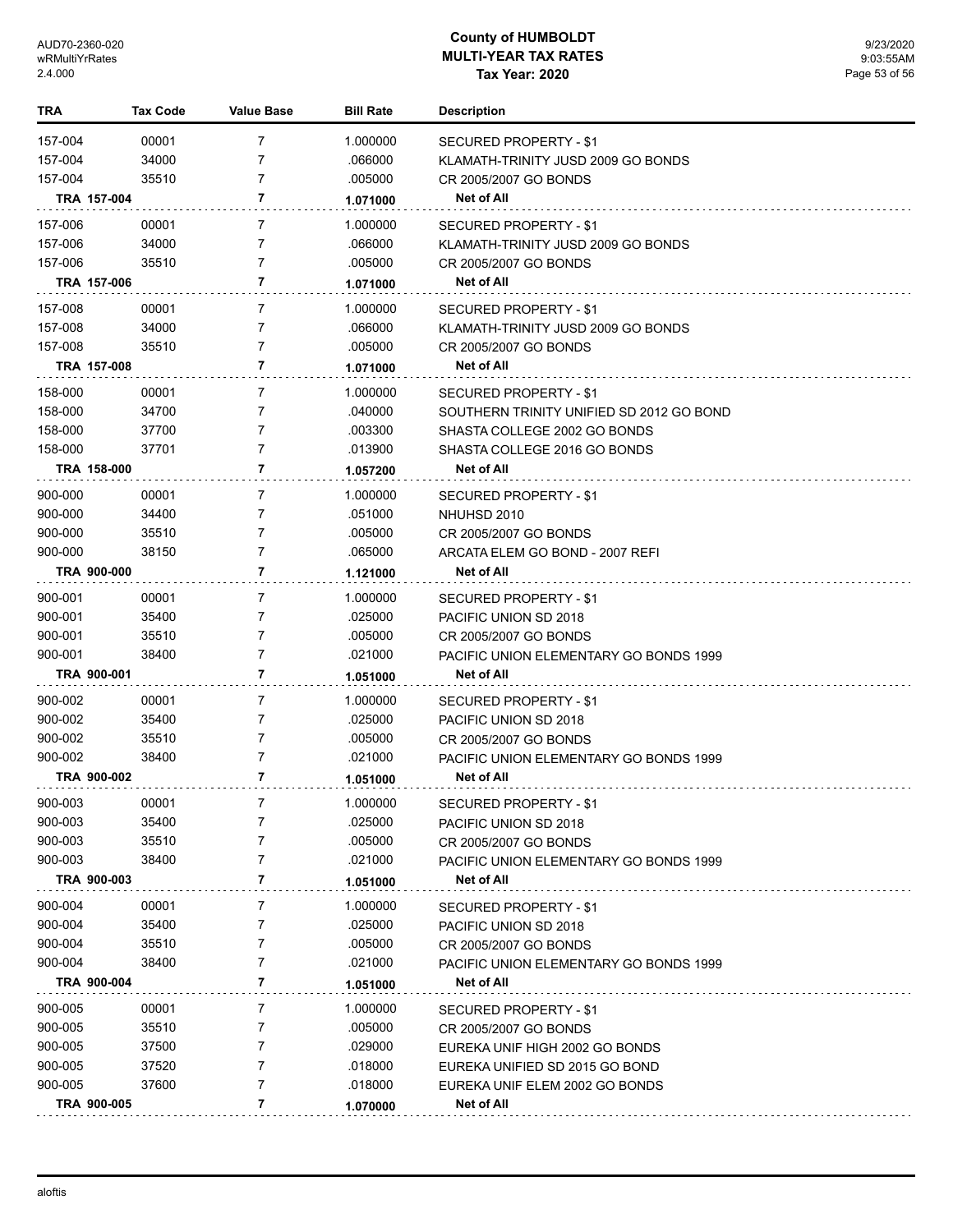| <b>TRA</b> | <b>Tax Code</b> | <b>Value Base</b> | <b>Bill Rate</b> | <b>Description</b>                                                       |
|------------|-----------------|-------------------|------------------|--------------------------------------------------------------------------|
| 157-004    | 00001           | 7                 | 1.000000         | SECURED PROPERTY - \$1                                                   |
| 157-004    | 34000           | 7                 | .066000          | KLAMATH-TRINITY JUSD 2009 GO BONDS                                       |
| 157-004    | 35510           | 7                 | .005000          | CR 2005/2007 GO BONDS                                                    |
|            | TRA 157-004     | 7                 | 1.071000         | Net of All                                                               |
| 157-006    | 00001           | $\overline{7}$    | 1.000000         | <b>SECURED PROPERTY - \$1</b>                                            |
| 157-006    | 34000           | 7                 | .066000          | KLAMATH-TRINITY JUSD 2009 GO BONDS                                       |
| 157-006    | 35510           | 7                 | .005000          | CR 2005/2007 GO BONDS                                                    |
|            | TRA 157-006     | 7                 | 1.071000         | Net of All                                                               |
| 157-008    | 00001           | 7                 | 1.000000         | <b>SECURED PROPERTY - \$1</b>                                            |
| 157-008    | 34000           | 7                 | .066000          | KLAMATH-TRINITY JUSD 2009 GO BONDS                                       |
| 157-008    | 35510           | 7                 | .005000          | CR 2005/2007 GO BONDS                                                    |
|            | TRA 157-008     | 7                 | 1.071000         | Net of All                                                               |
| 158-000    | 00001           | $\overline{7}$    | 1.000000         | <b>SECURED PROPERTY - \$1</b>                                            |
| 158-000    | 34700           | 7                 | .040000          |                                                                          |
| 158-000    | 37700           | 7                 | .003300          | SOUTHERN TRINITY UNIFIED SD 2012 GO BOND<br>SHASTA COLLEGE 2002 GO BONDS |
| 158-000    | 37701           | 7                 | .013900          | SHASTA COLLEGE 2016 GO BONDS                                             |
|            | TRA 158-000     | 7                 |                  | Net of All                                                               |
|            |                 |                   | 1.057200         |                                                                          |
| 900-000    | 00001           | 7                 | 1.000000         | <b>SECURED PROPERTY - \$1</b>                                            |
| 900-000    | 34400           | 7                 | .051000          | NHUHSD 2010                                                              |
| 900-000    | 35510           | 7                 | .005000          | CR 2005/2007 GO BONDS                                                    |
| 900-000    | 38150           | 7                 | .065000          | ARCATA ELEM GO BOND - 2007 REFI                                          |
|            | TRA 900-000     | 7                 | 1.121000         | Net of All                                                               |
| 900-001    | 00001           | 7                 | 1.000000         | <b>SECURED PROPERTY - \$1</b>                                            |
| 900-001    | 35400           | 7                 | .025000          | PACIFIC UNION SD 2018                                                    |
| 900-001    | 35510           | 7                 | .005000          | CR 2005/2007 GO BONDS                                                    |
| 900-001    | 38400           | 7                 | .021000          | PACIFIC UNION ELEMENTARY GO BONDS 1999                                   |
|            | TRA 900-001     | 7                 | 1.051000         | Net of All                                                               |
| 900-002    | 00001           | $\overline{7}$    | 1.000000         | SECURED PROPERTY - \$1                                                   |
| 900-002    | 35400           | 7                 | .025000          | PACIFIC UNION SD 2018                                                    |
| 900-002    | 35510           | 7                 | .005000          | CR 2005/2007 GO BONDS                                                    |
| 900-002    | 38400           | 7                 | .021000          | PACIFIC UNION ELEMENTARY GO BONDS 1999                                   |
|            | TRA 900-002     | 7                 | 1.051000         | Net of All                                                               |
| 900-003    | 00001           |                   | 1.000000         | SECURED PROPERTY - \$1                                                   |
| 900-003    | 35400           | 7                 | .025000          | PACIFIC UNION SD 2018                                                    |
| 900-003    | 35510           | 7                 | .005000          | CR 2005/2007 GO BONDS                                                    |
| 900-003    | 38400           | 7                 | .021000          | <b>PACIFIC UNION ELEMENTARY GO BONDS 1999</b>                            |
|            | TRA 900-003     | 7                 | 1.051000         | Net of All                                                               |
| 900-004    | 00001           | 7                 | 1.000000         | SECURED PROPERTY - \$1                                                   |
| 900-004    | 35400           | 7                 | .025000          | PACIFIC UNION SD 2018                                                    |
| 900-004    | 35510           | 7                 | .005000          | CR 2005/2007 GO BONDS                                                    |
| 900-004    | 38400           | 7                 | .021000          | PACIFIC UNION ELEMENTARY GO BONDS 1999                                   |
|            | TRA 900-004     | 7                 | 1.051000         | Net of All                                                               |
| 900-005    | 00001           | 7                 | 1.000000         | <b>SECURED PROPERTY - \$1</b>                                            |
| 900-005    | 35510           | 7                 | .005000          | CR 2005/2007 GO BONDS                                                    |
| 900-005    | 37500           | 7                 | .029000          | EUREKA UNIF HIGH 2002 GO BONDS                                           |
| 900-005    | 37520           | 7                 | .018000          | EUREKA UNIFIED SD 2015 GO BOND                                           |
| 900-005    | 37600           | 7                 | .018000          | EUREKA UNIF ELEM 2002 GO BONDS                                           |
|            | TRA 900-005     | 7                 | 1.070000         | <b>Net of All</b>                                                        |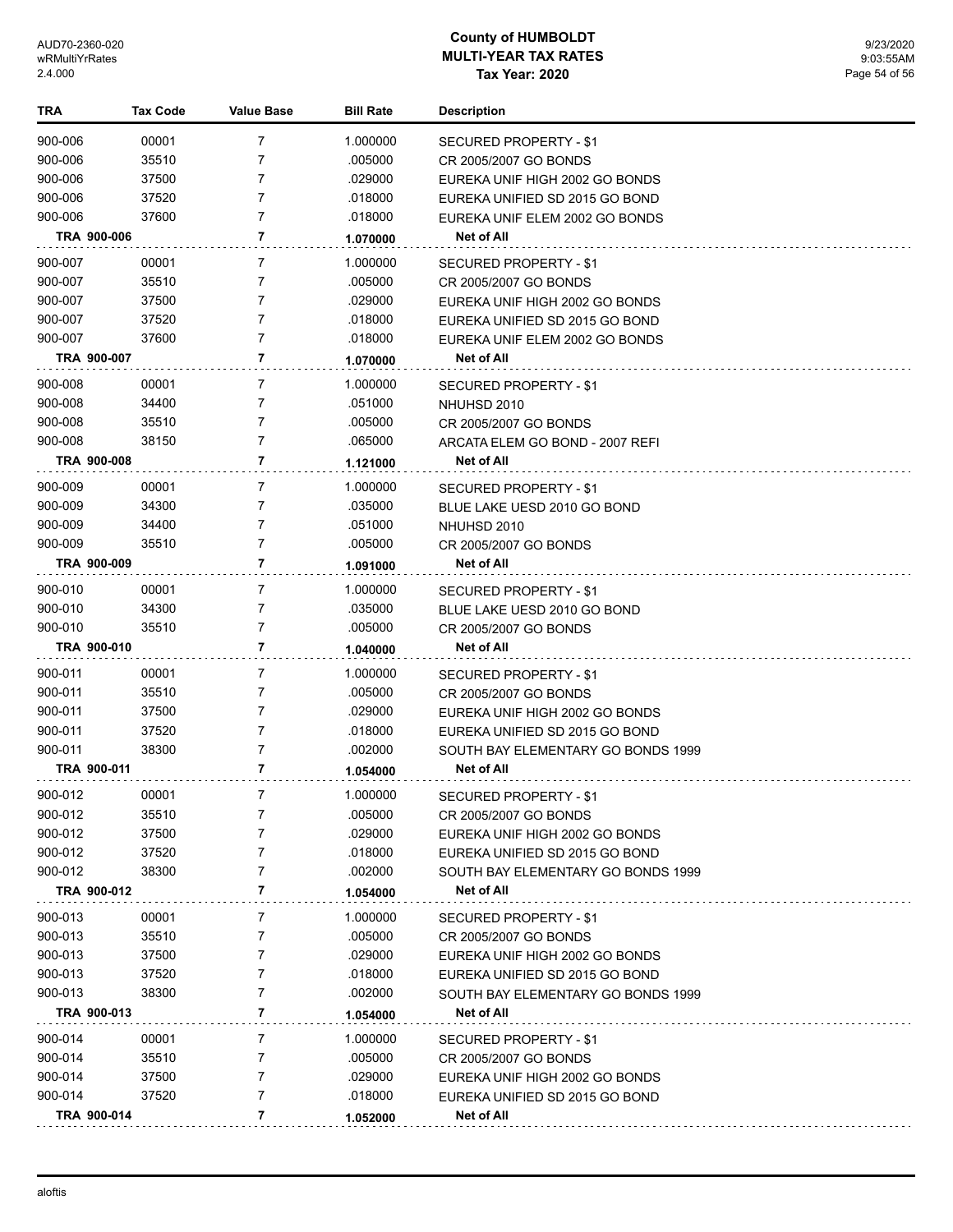| TRA     | <b>Tax Code</b> | Value Base     | <b>Bill Rate</b> | <b>Description</b>                 |
|---------|-----------------|----------------|------------------|------------------------------------|
| 900-006 | 00001           | 7              | 1.000000         | SECURED PROPERTY - \$1             |
| 900-006 | 35510           | 7              | .005000          | CR 2005/2007 GO BONDS              |
| 900-006 | 37500           | $\overline{7}$ | .029000          | EUREKA UNIF HIGH 2002 GO BONDS     |
| 900-006 | 37520           | $\overline{7}$ | .018000          | EUREKA UNIFIED SD 2015 GO BOND     |
| 900-006 | 37600           | $\overline{7}$ | .018000          | EUREKA UNIF ELEM 2002 GO BONDS     |
|         | TRA 900-006     | 7              | 1.070000         | Net of All                         |
| 900-007 | 00001           | 7              | 1.000000         | SECURED PROPERTY - \$1             |
| 900-007 | 35510           | $\overline{7}$ | .005000          | CR 2005/2007 GO BONDS              |
| 900-007 | 37500           | 7              | .029000          | EUREKA UNIF HIGH 2002 GO BONDS     |
| 900-007 | 37520           | $\overline{7}$ | .018000          | EUREKA UNIFIED SD 2015 GO BOND     |
| 900-007 | 37600           | $\overline{7}$ | .018000          | EUREKA UNIF ELEM 2002 GO BONDS     |
|         | TRA 900-007     | 7              | 1.070000         | Net of All                         |
| 900-008 | 00001           | 7              | 1.000000         | SECURED PROPERTY - \$1             |
| 900-008 | 34400           | 7              | .051000          | NHUHSD 2010                        |
| 900-008 | 35510           | $\overline{7}$ | .005000          | CR 2005/2007 GO BONDS              |
| 900-008 | 38150           | $\overline{7}$ | .065000          | ARCATA ELEM GO BOND - 2007 REFI    |
|         | TRA 900-008     | $\overline{7}$ | 1.121000         | <b>Net of All</b>                  |
| 900-009 | 00001           | 7              | 1.000000         | <b>SECURED PROPERTY - \$1</b>      |
| 900-009 | 34300           | 7              | .035000          | BLUE LAKE UESD 2010 GO BOND        |
| 900-009 | 34400           | $\overline{7}$ | .051000          | NHUHSD 2010                        |
| 900-009 | 35510           | 7              | .005000          | CR 2005/2007 GO BONDS              |
|         | TRA 900-009     | 7              | 1.091000         | Net of All                         |
| 900-010 | 00001           | 7              | 1.000000         | SECURED PROPERTY - \$1             |
| 900-010 | 34300           | $\overline{7}$ | .035000          | BLUE LAKE UESD 2010 GO BOND        |
| 900-010 | 35510           | $\overline{7}$ | .005000          | CR 2005/2007 GO BONDS              |
|         | TRA 900-010     | $\overline{7}$ | 1.040000         | Net of All                         |
| 900-011 | 00001           | 7              | 1.000000         | SECURED PROPERTY - \$1             |
| 900-011 | 35510           | 7              | .005000          | CR 2005/2007 GO BONDS              |
| 900-011 | 37500           | 7              | .029000          | EUREKA UNIF HIGH 2002 GO BONDS     |
| 900-011 | 37520           | $\overline{7}$ | .018000          | EUREKA UNIFIED SD 2015 GO BOND     |
| 900-011 | 38300           | 7              | .002000          | SOUTH BAY ELEMENTARY GO BONDS 1999 |
|         | TRA 900-011     | 7              | 1.054000         | Net of All                         |
| 900-012 | 00001           | 7              | 1.000000         | <b>SECURED PROPERTY - \$1</b>      |
| 900-012 | 35510           | 7              | .005000          | CR 2005/2007 GO BONDS              |
| 900-012 | 37500           | 7              | .029000          | EUREKA UNIF HIGH 2002 GO BONDS     |
| 900-012 | 37520           | 7              | .018000          | EUREKA UNIFIED SD 2015 GO BOND     |
| 900-012 | 38300           | 7              | .002000          | SOUTH BAY ELEMENTARY GO BONDS 1999 |
|         | TRA 900-012     | 7              | 1.054000         | <b>Net of All</b>                  |
| 900-013 | 00001           | 7              | 1.000000         | SECURED PROPERTY - \$1             |
| 900-013 | 35510           | 7              | .005000          | CR 2005/2007 GO BONDS              |
| 900-013 | 37500           | 7              | .029000          | EUREKA UNIF HIGH 2002 GO BONDS     |
| 900-013 | 37520           | 7              | .018000          | EUREKA UNIFIED SD 2015 GO BOND     |
| 900-013 | 38300           | 7              | .002000          | SOUTH BAY ELEMENTARY GO BONDS 1999 |
|         | TRA 900-013     | 7              | 1.054000         | Net of All                         |
| 900-014 | 00001           | 7              | 1.000000         | SECURED PROPERTY - \$1             |
| 900-014 | 35510           | 7              | .005000          | CR 2005/2007 GO BONDS              |
| 900-014 | 37500           | 7              | .029000          | EUREKA UNIF HIGH 2002 GO BONDS     |
| 900-014 | 37520           | 7              | .018000          | EUREKA UNIFIED SD 2015 GO BOND     |
|         | TRA 900-014     | 7              | 1.052000         | Net of All                         |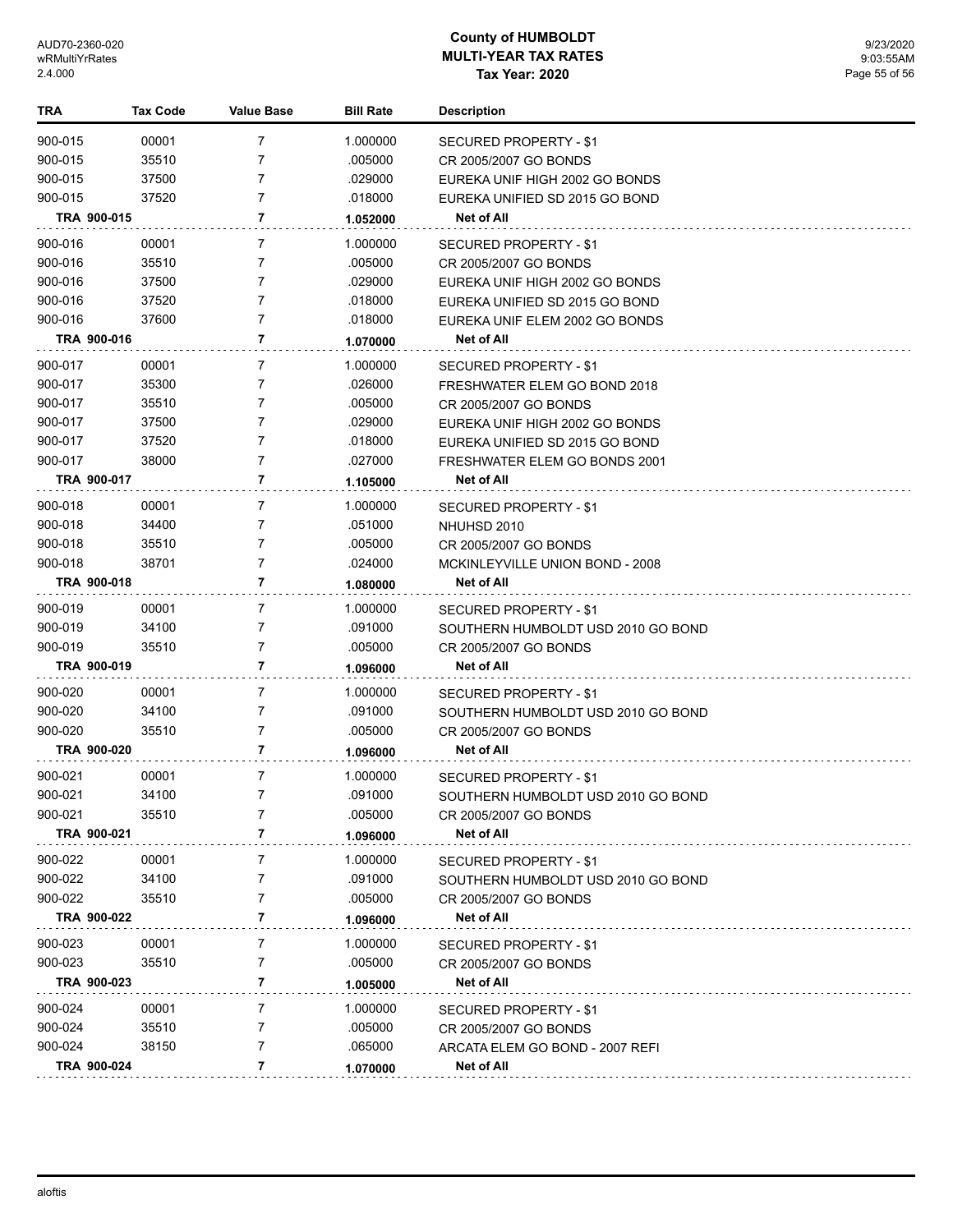| <b>TRA</b>         | <b>Tax Code</b> | <b>Value Base</b> | <b>Bill Rate</b>   | <b>Description</b>                 |
|--------------------|-----------------|-------------------|--------------------|------------------------------------|
| 900-015            | 00001           | 7                 | 1.000000           | SECURED PROPERTY - \$1             |
| 900-015            | 35510           | 7                 | .005000            | CR 2005/2007 GO BONDS              |
| 900-015            | 37500           | 7                 | .029000            | EUREKA UNIF HIGH 2002 GO BONDS     |
| 900-015            | 37520           | 7                 | .018000            | EUREKA UNIFIED SD 2015 GO BOND     |
|                    | TRA 900-015     | 7                 | 1.052000           | Net of All                         |
| 900-016            | 00001           | 7                 | 1.000000           | SECURED PROPERTY - \$1             |
| 900-016            | 35510           | 7                 | .005000            | CR 2005/2007 GO BONDS              |
| 900-016            | 37500           | 7                 | .029000            | EUREKA UNIF HIGH 2002 GO BONDS     |
| 900-016            | 37520           | 7                 | .018000            | EUREKA UNIFIED SD 2015 GO BOND     |
| 900-016            | 37600           | 7                 | .018000            | EUREKA UNIF ELEM 2002 GO BONDS     |
|                    | TRA 900-016     | 7                 | 1.070000           | Net of All                         |
| 900-017            | 00001           | 7                 | 1.000000           | SECURED PROPERTY - \$1             |
| 900-017            | 35300           | 7                 | .026000            | FRESHWATER ELEM GO BOND 2018       |
| 900-017            | 35510           | 7                 | .005000            | CR 2005/2007 GO BONDS              |
| 900-017            | 37500           | 7                 | .029000            | EUREKA UNIF HIGH 2002 GO BONDS     |
| 900-017            | 37520           | 7                 | .018000            | EUREKA UNIFIED SD 2015 GO BOND     |
| 900-017            | 38000           | 7                 | .027000            | FRESHWATER ELEM GO BONDS 2001      |
|                    | TRA 900-017     | 7                 | 1.105000           | Net of All                         |
| 900-018            | 00001           | 7                 | 1.000000           | SECURED PROPERTY - \$1             |
| 900-018            | 34400           | 7                 | .051000            | NHUHSD 2010                        |
| 900-018            | 35510           | 7                 | .005000            | CR 2005/2007 GO BONDS              |
| 900-018            | 38701           | 7                 | .024000            | MCKINLEYVILLE UNION BOND - 2008    |
|                    | TRA 900-018     | 7                 | 1.080000           | Net of All                         |
| 900-019            | 00001           | 7                 | 1.000000           | SECURED PROPERTY - \$1             |
| 900-019            | 34100           | 7                 | .091000            | SOUTHERN HUMBOLDT USD 2010 GO BOND |
| 900-019            | 35510           | 7                 | .005000            | CR 2005/2007 GO BONDS              |
|                    | TRA 900-019     | 7                 | 1.096000           | Net of All                         |
| 900-020            | 00001           | 7                 | 1.000000           | SECURED PROPERTY - \$1             |
| 900-020            | 34100           | 7                 | .091000            | SOUTHERN HUMBOLDT USD 2010 GO BOND |
| 900-020            | 35510           | 7                 | .005000            | CR 2005/2007 GO BONDS              |
|                    | TRA 900-020     | 7                 | 1.096000           | Net of All                         |
| 900-021            | 00001           | $\overline{7}$    | 1.000000           | SECURED PROPERTY - \$1             |
| 900-021            | 34100           | $\overline{7}$    | .091000            | SOUTHERN HUMBOLDT USD 2010 GO BOND |
| 900-021            | 35510           | 7                 | .005000            | CR 2005/2007 GO BONDS              |
|                    | TRA 900-021     | 7                 | 1.096000           | Net of All                         |
| 900-022            | 00001           | 7                 | 1.000000           | SECURED PROPERTY - \$1             |
| 900-022            | 34100           | 7                 | .091000            | SOUTHERN HUMBOLDT USD 2010 GO BOND |
| 900-022            | 35510           | 7                 | .005000            | CR 2005/2007 GO BONDS              |
|                    | TRA 900-022     | 7                 | 1.096000           | Net of All                         |
| 900-023            | 00001           | 7                 | 1.000000           | <b>SECURED PROPERTY - \$1</b>      |
| 900-023            | 35510           | 7                 | .005000            | CR 2005/2007 GO BONDS              |
|                    | TRA 900-023     | 7                 | 1.005000           | Net of All                         |
|                    |                 |                   |                    |                                    |
| 900-024            | 00001           | 7                 | 1.000000           | <b>SECURED PROPERTY - \$1</b>      |
| 900-024<br>900-024 | 35510<br>38150  | 7<br>7            | .005000<br>.065000 | CR 2005/2007 GO BONDS              |
|                    | TRA 900-024     | 7                 |                    | ARCATA ELEM GO BOND - 2007 REFI    |
|                    |                 |                   | 1.070000           | <b>Net of All</b>                  |